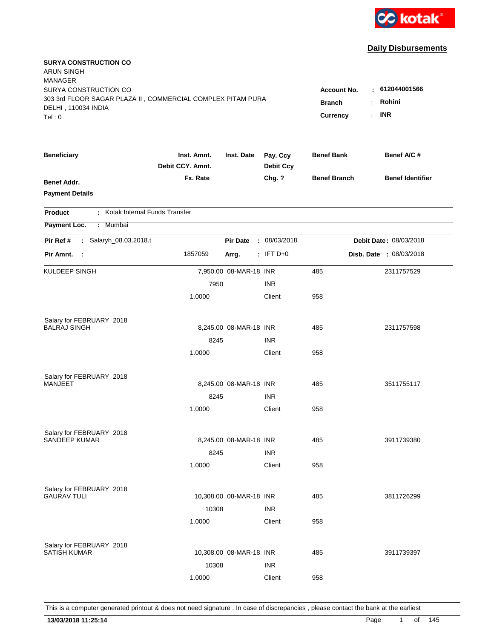

| <b>SURYA CONSTRUCTION CO</b><br>ARUN SINGH<br>MANAGER<br>SURYA CONSTRUCTION CO<br>303 3rd FLOOR SAGAR PLAZA II, COMMERCIAL COMPLEX PITAM PURA<br>DELHI, 110034 INDIA<br>Tel:0 | <b>Account No.</b><br><b>Branch</b><br>Currency | : 612044001566<br>Rohini<br><b>INR</b><br>÷. |                              |                     |                                |
|-------------------------------------------------------------------------------------------------------------------------------------------------------------------------------|-------------------------------------------------|----------------------------------------------|------------------------------|---------------------|--------------------------------|
| <b>Beneficiary</b>                                                                                                                                                            | Inst. Amnt.<br>Debit CCY. Amnt.                 | Inst. Date                                   | Pay. Ccy<br><b>Debit Ccy</b> | <b>Benef Bank</b>   | Benef A/C #                    |
| Benef Addr.<br><b>Payment Details</b>                                                                                                                                         | Fx. Rate                                        |                                              | Chg. ?                       | <b>Benef Branch</b> | <b>Benef Identifier</b>        |
| : Kotak Internal Funds Transfer<br><b>Product</b>                                                                                                                             |                                                 |                                              |                              |                     |                                |
| Payment Loc.<br>Mumbai<br>$\mathcal{L}$                                                                                                                                       |                                                 |                                              |                              |                     |                                |
| : Salaryh_08.03.2018.t<br>Pir Ref #                                                                                                                                           |                                                 | <b>Pir Date</b>                              | : 08/03/2018                 |                     | Debit Date: 08/03/2018         |
| Pir Amnt. :                                                                                                                                                                   | 1857059                                         | Arrg.                                        | $:$ IFT D+0                  |                     | <b>Disb. Date : 08/03/2018</b> |
| KULDEEP SINGH                                                                                                                                                                 |                                                 | 7,950.00 08-MAR-18 INR                       |                              | 485                 | 2311757529                     |
|                                                                                                                                                                               | 7950                                            |                                              | <b>INR</b>                   |                     |                                |
|                                                                                                                                                                               | 1.0000                                          |                                              | Client                       | 958                 |                                |
| Salary for FEBRUARY 2018                                                                                                                                                      |                                                 |                                              |                              |                     |                                |
| <b>BALRAJ SINGH</b>                                                                                                                                                           |                                                 | 8,245.00 08-MAR-18 INR                       |                              | 485                 | 2311757598                     |
|                                                                                                                                                                               | 8245                                            |                                              | <b>INR</b>                   |                     |                                |
|                                                                                                                                                                               | 1.0000                                          |                                              | Client                       | 958                 |                                |
| Salary for FEBRUARY 2018                                                                                                                                                      |                                                 |                                              |                              |                     |                                |
| MANJEET                                                                                                                                                                       |                                                 | 8,245.00 08-MAR-18 INR                       |                              | 485                 | 3511755117                     |
|                                                                                                                                                                               | 8245                                            |                                              | <b>INR</b>                   |                     |                                |
|                                                                                                                                                                               | 1.0000                                          |                                              | Client                       | 958                 |                                |
| Salary for FEBRUARY 2018                                                                                                                                                      |                                                 |                                              |                              |                     |                                |
| <b>SANDEEP KUMAR</b>                                                                                                                                                          |                                                 | 8,245.00 08-MAR-18 INR                       |                              | 485                 | 3911739380                     |
|                                                                                                                                                                               | 8245                                            |                                              | <b>INR</b>                   |                     |                                |
|                                                                                                                                                                               | 1.0000                                          |                                              | Client                       | 958                 |                                |
| Salary for FEBRUARY 2018                                                                                                                                                      |                                                 |                                              |                              |                     |                                |
| <b>GAURAV TULI</b>                                                                                                                                                            |                                                 | 10,308.00 08-MAR-18 INR                      |                              | 485                 | 3811726299                     |
|                                                                                                                                                                               | 10308                                           |                                              | <b>INR</b>                   |                     |                                |
|                                                                                                                                                                               | 1.0000                                          |                                              | Client                       | 958                 |                                |
| Salary for FEBRUARY 2018                                                                                                                                                      |                                                 |                                              |                              |                     |                                |
| <b>SATISH KUMAR</b>                                                                                                                                                           |                                                 | 10,308.00 08-MAR-18 INR                      |                              | 485                 | 3911739397                     |
|                                                                                                                                                                               | 10308                                           |                                              | <b>INR</b>                   |                     |                                |
|                                                                                                                                                                               | 1.0000                                          |                                              | Client                       | 958                 |                                |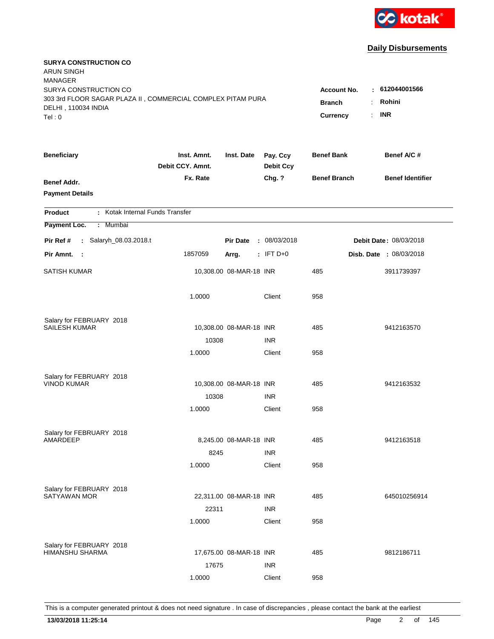

| <b>SURYA CONSTRUCTION CO</b><br><b>ARUN SINGH</b><br><b>MANAGER</b>                                                   |                                 |                                          |                                               |                     |                               |
|-----------------------------------------------------------------------------------------------------------------------|---------------------------------|------------------------------------------|-----------------------------------------------|---------------------|-------------------------------|
| SURYA CONSTRUCTION CO<br>303 3rd FLOOR SAGAR PLAZA II, COMMERCIAL COMPLEX PITAM PURA<br>DELHI, 110034 INDIA<br>Tel: 0 |                                 | Account No.<br><b>Branch</b><br>Currency | $-612044001566$<br>Rohini<br><b>INR</b><br>÷. |                     |                               |
|                                                                                                                       |                                 |                                          |                                               |                     |                               |
| <b>Beneficiary</b>                                                                                                    | Inst. Amnt.<br>Debit CCY. Amnt. | Inst. Date                               | Pay. Ccy<br><b>Debit Ccy</b>                  | <b>Benef Bank</b>   | Benef A/C #                   |
| <b>Benef Addr.</b><br><b>Payment Details</b>                                                                          | Fx. Rate                        |                                          | Chg. ?                                        | <b>Benef Branch</b> | <b>Benef Identifier</b>       |
| : Kotak Internal Funds Transfer<br>Product                                                                            |                                 |                                          |                                               |                     |                               |
| Payment Loc.<br>Mumbai<br>÷.                                                                                          |                                 |                                          |                                               |                     |                               |
| : Salaryh_08.03.2018.t<br>Pir Ref #                                                                                   |                                 | <b>Pir Date</b>                          | : 08/03/2018                                  |                     | <b>Debit Date: 08/03/2018</b> |
| Pir Amnt.<br>$\sim$ :                                                                                                 | 1857059                         | Arrg.                                    | $:$ IFT D+0                                   |                     | Disb. Date : 08/03/2018       |
| <b>SATISH KUMAR</b>                                                                                                   |                                 | 10,308.00 08-MAR-18 INR                  |                                               | 485                 | 3911739397                    |
|                                                                                                                       | 1.0000                          |                                          | Client                                        | 958                 |                               |
| Salary for FEBRUARY 2018                                                                                              |                                 |                                          |                                               |                     |                               |
| <b>SAILESH KUMAR</b>                                                                                                  |                                 | 10,308.00 08-MAR-18 INR                  |                                               | 485                 | 9412163570                    |
|                                                                                                                       | 10308                           |                                          | <b>INR</b>                                    |                     |                               |
|                                                                                                                       | 1.0000                          |                                          | Client                                        | 958                 |                               |
| Salary for FEBRUARY 2018                                                                                              |                                 |                                          |                                               |                     |                               |
| <b>VINOD KUMAR</b>                                                                                                    |                                 | 10,308.00 08-MAR-18 INR                  |                                               | 485                 | 9412163532                    |
|                                                                                                                       | 10308                           |                                          | <b>INR</b>                                    |                     |                               |
|                                                                                                                       | 1.0000                          |                                          | Client                                        | 958                 |                               |
| Salary for FEBRUARY 2018                                                                                              |                                 |                                          |                                               |                     |                               |
| AMARDEEP                                                                                                              |                                 | 8,245.00 08-MAR-18 INR                   |                                               | 485                 | 9412163518                    |
|                                                                                                                       | 8245                            |                                          | <b>INR</b>                                    |                     |                               |
|                                                                                                                       | 1.0000                          |                                          | Client                                        | 958                 |                               |
| Salary for FEBRUARY 2018                                                                                              |                                 |                                          |                                               |                     |                               |
| <b>SATYAWAN MOR</b>                                                                                                   |                                 | 22,311.00 08-MAR-18 INR                  |                                               | 485                 | 645010256914                  |
|                                                                                                                       | 22311                           |                                          | <b>INR</b>                                    |                     |                               |
|                                                                                                                       | 1.0000                          |                                          | Client                                        | 958                 |                               |
| Salary for FEBRUARY 2018                                                                                              |                                 |                                          |                                               |                     |                               |
| HIMANSHU SHARMA                                                                                                       |                                 | 17,675.00 08-MAR-18 INR                  |                                               | 485                 | 9812186711                    |
|                                                                                                                       | 17675                           |                                          | <b>INR</b>                                    |                     |                               |
|                                                                                                                       | 1.0000                          |                                          | Client                                        | 958                 |                               |
|                                                                                                                       |                                 |                                          |                                               |                     |                               |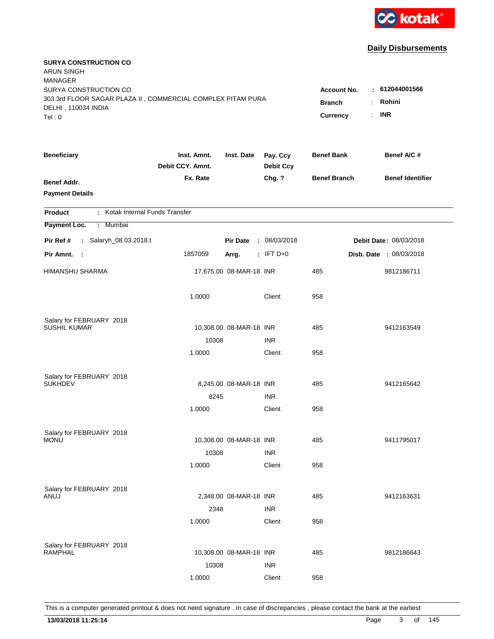

| <b>SURYA CONSTRUCTION CO</b><br><b>ARUN SINGH</b><br><b>MANAGER</b> |                                 |                         |                              |                          |                               |
|---------------------------------------------------------------------|---------------------------------|-------------------------|------------------------------|--------------------------|-------------------------------|
| SURYA CONSTRUCTION CO                                               |                                 |                         |                              | <b>Account No.</b>       | : 612044001566                |
| 303 3rd FLOOR SAGAR PLAZA II, COMMERCIAL COMPLEX PITAM PURA         | <b>Branch</b><br>÷.             | Rohini                  |                              |                          |                               |
| DELHI, 110034 INDIA<br>Tel: 0                                       |                                 |                         |                              | Currency<br>$\mathbf{r}$ | <b>INR</b>                    |
|                                                                     |                                 |                         |                              |                          |                               |
| <b>Beneficiary</b>                                                  | Inst. Amnt.<br>Debit CCY. Amnt. | Inst. Date              | Pay. Ccy<br><b>Debit Ccy</b> | <b>Benef Bank</b>        | Benef A/C #                   |
| <b>Benef Addr.</b>                                                  | Fx. Rate                        |                         | Chg. ?                       | <b>Benef Branch</b>      | <b>Benef Identifier</b>       |
| <b>Payment Details</b>                                              |                                 |                         |                              |                          |                               |
| : Kotak Internal Funds Transfer<br><b>Product</b>                   |                                 |                         |                              |                          |                               |
| Payment Loc.<br>: Mumbai                                            |                                 |                         |                              |                          |                               |
| : Salaryh_08.03.2018.t<br>Pir Ref #                                 |                                 | <b>Pir Date</b>         | : 08/03/2018                 |                          | <b>Debit Date: 08/03/2018</b> |
| Pir Amnt.<br>$\sim$ :                                               | 1857059                         | Arrg.                   | $:$ IFT D+0                  |                          | Disb. Date : 08/03/2018       |
| <b>HIMANSHU SHARMA</b>                                              |                                 | 17,675.00 08-MAR-18 INR |                              | 485                      | 9812186711                    |
|                                                                     | 1.0000                          |                         | Client                       | 958                      |                               |
| Salary for FEBRUARY 2018                                            |                                 |                         |                              |                          |                               |
| <b>SUSHIL KUMAR</b>                                                 |                                 | 10,308.00 08-MAR-18 INR |                              | 485                      | 9412163549                    |
|                                                                     | 10308                           |                         | <b>INR</b>                   |                          |                               |
|                                                                     | 1.0000                          |                         | Client                       | 958                      |                               |
| Salary for FEBRUARY 2018                                            |                                 |                         |                              |                          |                               |
| <b>SUKHDEV</b>                                                      |                                 | 8,245.00 08-MAR-18 INR  |                              | 485                      | 9412165642                    |
|                                                                     | 8245                            |                         | <b>INR</b>                   |                          |                               |
|                                                                     | 1.0000                          |                         | Client                       | 958                      |                               |
| Salary for FEBRUARY 2018                                            |                                 |                         |                              |                          |                               |
| <b>MONU</b>                                                         |                                 | 10,308.00 08-MAR-18 INR |                              | 485                      | 9411795017                    |
|                                                                     | 10308                           |                         | <b>INR</b>                   |                          |                               |
|                                                                     | 1.0000                          |                         | Client                       | 958                      |                               |
| Salary for FEBRUARY 2018                                            |                                 |                         |                              |                          |                               |
| ANUJ                                                                |                                 | 2,348.00 08-MAR-18 INR  |                              | 485                      | 9412163631                    |
|                                                                     | 2348                            |                         | <b>INR</b>                   |                          |                               |
|                                                                     | 1.0000                          |                         | Client                       | 958                      |                               |
|                                                                     |                                 |                         |                              |                          |                               |
| Salary for FEBRUARY 2018<br><b>RAMPHAL</b>                          |                                 | 10,308.00 08-MAR-18 INR |                              | 485                      | 9812186643                    |
|                                                                     | 10308                           |                         | <b>INR</b>                   |                          |                               |
|                                                                     | 1.0000                          |                         | Client                       | 958                      |                               |
|                                                                     |                                 |                         |                              |                          |                               |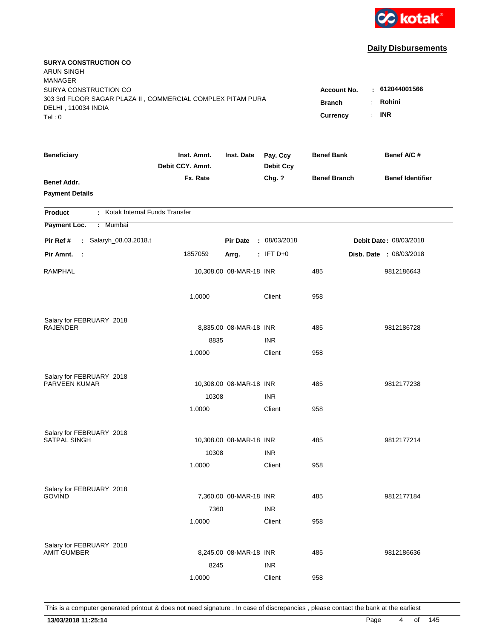

| <b>SURYA CONSTRUCTION CO</b><br><b>ARUN SINGH</b><br><b>MANAGER</b>                                         |                                                 |                                                        |                              |                     |                         |
|-------------------------------------------------------------------------------------------------------------|-------------------------------------------------|--------------------------------------------------------|------------------------------|---------------------|-------------------------|
| SURYA CONSTRUCTION CO<br>303 3rd FLOOR SAGAR PLAZA II, COMMERCIAL COMPLEX PITAM PURA<br>DELHI, 110034 INDIA | <b>Account No.</b><br><b>Branch</b><br>Currency | : 612044001566<br>Rohini<br>÷<br><b>INR</b><br>$\cdot$ |                              |                     |                         |
| Tel:0                                                                                                       |                                                 |                                                        |                              |                     |                         |
| <b>Beneficiary</b>                                                                                          | Inst. Amnt.<br>Debit CCY. Amnt.                 | Inst. Date                                             | Pay. Ccy<br><b>Debit Ccy</b> | <b>Benef Bank</b>   | Benef A/C #             |
| <b>Benef Addr.</b><br><b>Payment Details</b>                                                                | Fx. Rate                                        |                                                        | Chg. ?                       | <b>Benef Branch</b> | <b>Benef Identifier</b> |
| : Kotak Internal Funds Transfer<br><b>Product</b>                                                           |                                                 |                                                        |                              |                     |                         |
| Payment Loc.<br>: Mumbai                                                                                    |                                                 |                                                        |                              |                     |                         |
| Pir Ref #<br>: Salaryh_08.03.2018.t                                                                         |                                                 | <b>Pir Date</b>                                        | : 08/03/2018                 |                     | Debit Date: 08/03/2018  |
| Pir Amnt.<br>- 1                                                                                            | 1857059                                         | Arrg.                                                  | $:$ IFT D+0                  |                     | Disb. Date : 08/03/2018 |
| <b>RAMPHAL</b>                                                                                              |                                                 | 10,308.00 08-MAR-18 INR                                |                              | 485                 | 9812186643              |
|                                                                                                             | 1.0000                                          |                                                        | Client                       | 958                 |                         |
| Salary for FEBRUARY 2018                                                                                    |                                                 |                                                        |                              |                     |                         |
| <b>RAJENDER</b>                                                                                             |                                                 | 8,835.00 08-MAR-18 INR                                 |                              | 485                 | 9812186728              |
|                                                                                                             | 8835<br>1.0000                                  |                                                        | <b>INR</b><br>Client         | 958                 |                         |
|                                                                                                             |                                                 |                                                        |                              |                     |                         |
| Salary for FEBRUARY 2018                                                                                    |                                                 |                                                        |                              |                     |                         |
| PARVEEN KUMAR                                                                                               |                                                 | 10,308.00 08-MAR-18 INR                                |                              | 485                 | 9812177238              |
|                                                                                                             | 10308                                           |                                                        | <b>INR</b>                   |                     |                         |
|                                                                                                             | 1.0000                                          |                                                        | Client                       | 958                 |                         |
| Salary for FEBRUARY 2018                                                                                    |                                                 |                                                        |                              |                     |                         |
| SATPAL SINGH                                                                                                |                                                 | 10,308.00 08-MAR-18 INR                                |                              | 485                 | 9812177214              |
|                                                                                                             | 10308                                           |                                                        | <b>INR</b>                   |                     |                         |
|                                                                                                             | 1.0000                                          |                                                        | Client                       | 958                 |                         |
| Salary for FEBRUARY 2018                                                                                    |                                                 |                                                        |                              |                     |                         |
| <b>GOVIND</b>                                                                                               |                                                 | 7,360.00 08-MAR-18 INR                                 |                              | 485                 | 9812177184              |
|                                                                                                             | 7360                                            |                                                        | <b>INR</b>                   |                     |                         |
|                                                                                                             | 1.0000                                          |                                                        | Client                       | 958                 |                         |
|                                                                                                             |                                                 |                                                        |                              |                     |                         |
| Salary for FEBRUARY 2018<br><b>AMIT GUMBER</b>                                                              |                                                 | 8,245.00 08-MAR-18 INR                                 |                              | 485                 | 9812186636              |
|                                                                                                             | 8245                                            |                                                        | <b>INR</b>                   |                     |                         |
|                                                                                                             | 1.0000                                          |                                                        | Client                       | 958                 |                         |
|                                                                                                             |                                                 |                                                        |                              |                     |                         |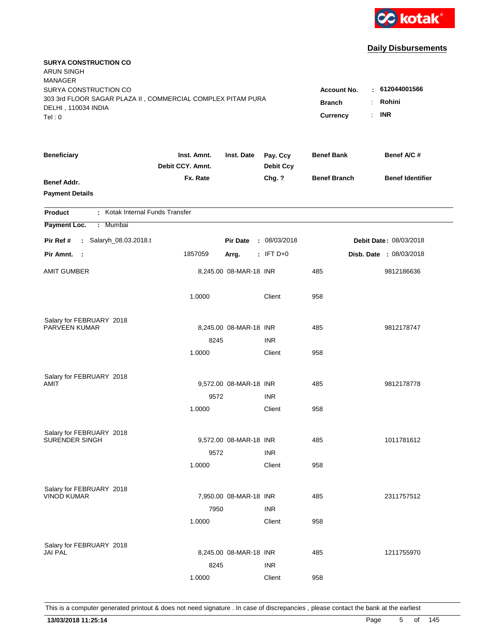

| <b>SURYA CONSTRUCTION CO</b><br><b>ARUN SINGH</b><br><b>MANAGER</b>                |                                 |                        |                              |                     |                               |
|------------------------------------------------------------------------------------|---------------------------------|------------------------|------------------------------|---------------------|-------------------------------|
| SURYA CONSTRUCTION CO                                                              |                                 |                        |                              | <b>Account No.</b>  | : 612044001566                |
| 303 3rd FLOOR SAGAR PLAZA II, COMMERCIAL COMPLEX PITAM PURA<br>DELHI, 110034 INDIA | <b>Branch</b>                   | Rohini<br>÷.           |                              |                     |                               |
| Tel: 0                                                                             |                                 |                        |                              | Currency            | <b>INR</b><br>$\mathbf{r}$    |
|                                                                                    |                                 |                        |                              |                     |                               |
| <b>Beneficiary</b>                                                                 | Inst. Amnt.<br>Debit CCY. Amnt. | Inst. Date             | Pay. Ccy<br><b>Debit Ccy</b> | <b>Benef Bank</b>   | Benef A/C #                   |
| <b>Benef Addr.</b>                                                                 | Fx. Rate                        |                        | Chg. ?                       | <b>Benef Branch</b> | <b>Benef Identifier</b>       |
| <b>Payment Details</b>                                                             |                                 |                        |                              |                     |                               |
| : Kotak Internal Funds Transfer<br><b>Product</b>                                  |                                 |                        |                              |                     |                               |
| Payment Loc.<br>: Mumbai                                                           |                                 |                        |                              |                     |                               |
| : Salaryh_08.03.2018.t<br>Pir Ref #                                                |                                 | <b>Pir Date</b>        | : 08/03/2018                 |                     | <b>Debit Date: 08/03/2018</b> |
| Pir Amnt. :                                                                        | 1857059                         | Arrg.                  | $:$ IFT D+0                  |                     | Disb. Date : 08/03/2018       |
| <b>AMIT GUMBER</b>                                                                 |                                 | 8,245.00 08-MAR-18 INR |                              | 485                 | 9812186636                    |
|                                                                                    | 1.0000                          |                        | Client                       | 958                 |                               |
| Salary for FEBRUARY 2018                                                           |                                 |                        |                              |                     |                               |
| PARVEEN KUMAR                                                                      |                                 | 8,245.00 08-MAR-18 INR |                              | 485                 | 9812178747                    |
|                                                                                    | 8245                            |                        | <b>INR</b>                   |                     |                               |
|                                                                                    | 1.0000                          |                        | Client                       | 958                 |                               |
| Salary for FEBRUARY 2018                                                           |                                 |                        |                              |                     |                               |
| AMIT                                                                               |                                 | 9,572.00 08-MAR-18 INR |                              | 485                 | 9812178778                    |
|                                                                                    | 9572                            |                        | <b>INR</b>                   |                     |                               |
|                                                                                    | 1.0000                          |                        | Client                       | 958                 |                               |
| Salary for FEBRUARY 2018                                                           |                                 |                        |                              |                     |                               |
| SURENDER SINGH                                                                     |                                 | 9,572.00 08-MAR-18 INR |                              | 485                 | 1011781612                    |
|                                                                                    | 9572                            |                        | <b>INR</b>                   |                     |                               |
|                                                                                    | 1.0000                          |                        | Client                       | 958                 |                               |
| Salary for FEBRUARY 2018                                                           |                                 |                        |                              |                     |                               |
| <b>VINOD KUMAR</b>                                                                 |                                 | 7,950.00 08-MAR-18 INR |                              | 485                 | 2311757512                    |
|                                                                                    | 7950                            |                        | <b>INR</b>                   |                     |                               |
|                                                                                    | 1.0000                          |                        | Client                       | 958                 |                               |
| Salary for FEBRUARY 2018                                                           |                                 |                        |                              |                     |                               |
| <b>JAI PAL</b>                                                                     |                                 | 8,245.00 08-MAR-18 INR |                              | 485                 | 1211755970                    |
|                                                                                    | 8245                            |                        | <b>INR</b>                   |                     |                               |
|                                                                                    | 1.0000                          |                        | Client                       | 958                 |                               |
|                                                                                    |                                 |                        |                              |                     |                               |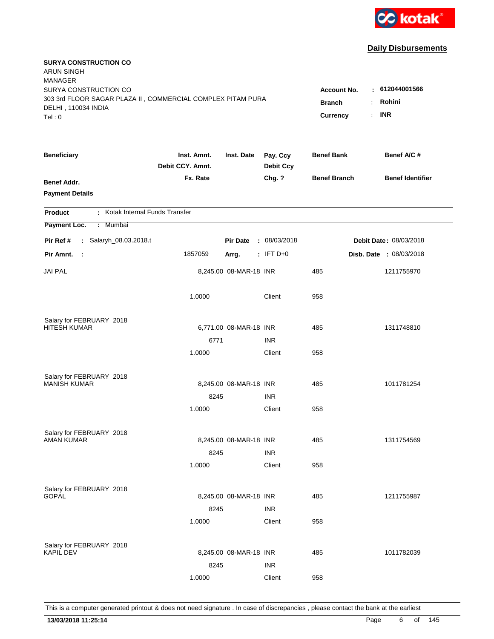

| <b>SURYA CONSTRUCTION CO</b><br><b>ARUN SINGH</b><br><b>MANAGER</b>                                                  |                                                 |                                                         |                              |                     |                         |
|----------------------------------------------------------------------------------------------------------------------|-------------------------------------------------|---------------------------------------------------------|------------------------------|---------------------|-------------------------|
| SURYA CONSTRUCTION CO<br>303 3rd FLOOR SAGAR PLAZA II, COMMERCIAL COMPLEX PITAM PURA<br>DELHI, 110034 INDIA<br>Tel:0 | <b>Account No.</b><br><b>Branch</b><br>Currency | : 612044001566<br>Rohini<br>÷.<br><b>INR</b><br>$\cdot$ |                              |                     |                         |
|                                                                                                                      |                                                 |                                                         |                              |                     |                         |
| <b>Beneficiary</b>                                                                                                   | Inst. Amnt.<br>Debit CCY. Amnt.                 | Inst. Date                                              | Pay. Ccy<br><b>Debit Ccy</b> | <b>Benef Bank</b>   | Benef A/C #             |
| <b>Benef Addr.</b><br><b>Payment Details</b>                                                                         | Fx. Rate                                        |                                                         | Chg. ?                       | <b>Benef Branch</b> | <b>Benef Identifier</b> |
| : Kotak Internal Funds Transfer<br><b>Product</b>                                                                    |                                                 |                                                         |                              |                     |                         |
| Payment Loc.<br>: Mumbai                                                                                             |                                                 |                                                         |                              |                     |                         |
| Pir Ref #<br>: Salaryh_08.03.2018.t                                                                                  |                                                 | <b>Pir Date</b>                                         | : 08/03/2018                 |                     | Debit Date: 08/03/2018  |
| Pir Amnt.<br>- 11                                                                                                    | 1857059                                         | Arrg.                                                   | $:$ IFT D+0                  |                     | Disb. Date : 08/03/2018 |
| <b>JAI PAL</b>                                                                                                       |                                                 | 8,245.00 08-MAR-18 INR                                  |                              | 485                 | 1211755970              |
|                                                                                                                      | 1.0000                                          |                                                         | Client                       | 958                 |                         |
| Salary for FEBRUARY 2018                                                                                             |                                                 |                                                         |                              |                     |                         |
| <b>HITESH KUMAR</b>                                                                                                  |                                                 | 6,771.00 08-MAR-18 INR                                  |                              | 485                 | 1311748810              |
|                                                                                                                      | 6771                                            |                                                         | <b>INR</b>                   |                     |                         |
|                                                                                                                      | 1.0000                                          |                                                         | Client                       | 958                 |                         |
| Salary for FEBRUARY 2018                                                                                             |                                                 |                                                         |                              |                     |                         |
| <b>MANISH KUMAR</b>                                                                                                  |                                                 | 8,245.00 08-MAR-18 INR                                  |                              | 485                 | 1011781254              |
|                                                                                                                      | 8245                                            |                                                         | <b>INR</b>                   |                     |                         |
|                                                                                                                      | 1.0000                                          |                                                         | Client                       | 958                 |                         |
| Salary for FEBRUARY 2018                                                                                             |                                                 |                                                         |                              |                     |                         |
| <b>AMAN KUMAR</b>                                                                                                    |                                                 | 8,245.00 08-MAR-18 INR                                  |                              | 485                 | 1311754569              |
|                                                                                                                      | 8245                                            |                                                         | <b>INR</b>                   |                     |                         |
|                                                                                                                      | 1.0000                                          |                                                         | Client                       | 958                 |                         |
| Salary for FEBRUARY 2018                                                                                             |                                                 |                                                         |                              |                     |                         |
| <b>GOPAL</b>                                                                                                         |                                                 | 8,245.00 08-MAR-18 INR                                  |                              | 485                 | 1211755987              |
|                                                                                                                      | 8245                                            |                                                         | <b>INR</b>                   |                     |                         |
|                                                                                                                      | 1.0000                                          |                                                         | Client                       | 958                 |                         |
|                                                                                                                      |                                                 |                                                         |                              |                     |                         |
| Salary for FEBRUARY 2018<br><b>KAPIL DEV</b>                                                                         |                                                 | 8,245.00 08-MAR-18 INR                                  |                              | 485                 | 1011782039              |
|                                                                                                                      | 8245                                            |                                                         | <b>INR</b>                   |                     |                         |
|                                                                                                                      | 1.0000                                          |                                                         | Client                       | 958                 |                         |
|                                                                                                                      |                                                 |                                                         |                              |                     |                         |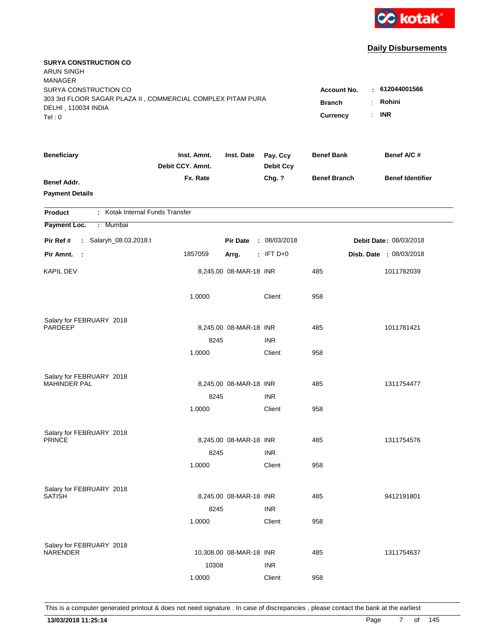

| <b>SURYA CONSTRUCTION CO</b><br><b>ARUN SINGH</b><br><b>MANAGER</b>                                                  |                                                 |                                                         |                              |                     |                         |
|----------------------------------------------------------------------------------------------------------------------|-------------------------------------------------|---------------------------------------------------------|------------------------------|---------------------|-------------------------|
| SURYA CONSTRUCTION CO<br>303 3rd FLOOR SAGAR PLAZA II, COMMERCIAL COMPLEX PITAM PURA<br>DELHI, 110034 INDIA<br>Tel:0 | <b>Account No.</b><br><b>Branch</b><br>Currency | : 612044001566<br>Rohini<br>÷.<br><b>INR</b><br>$\cdot$ |                              |                     |                         |
|                                                                                                                      |                                                 |                                                         |                              |                     |                         |
| <b>Beneficiary</b>                                                                                                   | Inst. Amnt.<br>Debit CCY. Amnt.                 | Inst. Date                                              | Pay. Ccy<br><b>Debit Ccy</b> | <b>Benef Bank</b>   | Benef A/C #             |
| <b>Benef Addr.</b><br><b>Payment Details</b>                                                                         | Fx. Rate                                        |                                                         | Chg. ?                       | <b>Benef Branch</b> | <b>Benef Identifier</b> |
| : Kotak Internal Funds Transfer<br><b>Product</b>                                                                    |                                                 |                                                         |                              |                     |                         |
| Payment Loc.<br>: Mumbai                                                                                             |                                                 |                                                         |                              |                     |                         |
| : Salaryh_08.03.2018.t<br>Pir Ref #                                                                                  |                                                 | <b>Pir Date</b>                                         | : 08/03/2018                 |                     | Debit Date: 08/03/2018  |
| Pir Amnt.<br>$\sim$ 1                                                                                                | 1857059                                         | Arrg.                                                   | $:$ IFT D+0                  |                     | Disb. Date : 08/03/2018 |
| <b>KAPIL DEV</b>                                                                                                     |                                                 | 8,245.00 08-MAR-18 INR                                  |                              | 485                 | 1011782039              |
|                                                                                                                      | 1.0000                                          |                                                         | Client                       | 958                 |                         |
| Salary for FEBRUARY 2018                                                                                             |                                                 |                                                         |                              |                     |                         |
| PARDEEP                                                                                                              |                                                 | 8,245.00 08-MAR-18 INR                                  |                              | 485                 | 1011781421              |
|                                                                                                                      | 8245                                            |                                                         | <b>INR</b>                   |                     |                         |
|                                                                                                                      | 1.0000                                          |                                                         | Client                       | 958                 |                         |
| Salary for FEBRUARY 2018                                                                                             |                                                 |                                                         |                              |                     |                         |
| <b>MAHINDER PAL</b>                                                                                                  |                                                 | 8,245.00 08-MAR-18 INR                                  |                              | 485                 | 1311754477              |
|                                                                                                                      | 8245                                            |                                                         | <b>INR</b>                   |                     |                         |
|                                                                                                                      | 1.0000                                          |                                                         | Client                       | 958                 |                         |
| Salary for FEBRUARY 2018                                                                                             |                                                 |                                                         |                              |                     |                         |
| <b>PRINCE</b>                                                                                                        |                                                 | 8,245.00 08-MAR-18 INR                                  |                              | 485                 | 1311754576              |
|                                                                                                                      | 8245                                            |                                                         | <b>INR</b>                   |                     |                         |
|                                                                                                                      | 1.0000                                          |                                                         | Client                       | 958                 |                         |
|                                                                                                                      |                                                 |                                                         |                              |                     |                         |
| Salary for FEBRUARY 2018<br><b>SATISH</b>                                                                            |                                                 | 8,245.00 08-MAR-18 INR                                  |                              | 485                 | 9412191801              |
|                                                                                                                      | 8245                                            |                                                         | <b>INR</b>                   |                     |                         |
|                                                                                                                      | 1.0000                                          |                                                         | Client                       | 958                 |                         |
|                                                                                                                      |                                                 |                                                         |                              |                     |                         |
| Salary for FEBRUARY 2018<br><b>NARENDER</b>                                                                          |                                                 | 10,308.00 08-MAR-18 INR                                 |                              | 485                 | 1311754637              |
|                                                                                                                      | 10308                                           |                                                         | <b>INR</b>                   |                     |                         |
|                                                                                                                      | 1.0000                                          |                                                         | Client                       | 958                 |                         |
|                                                                                                                      |                                                 |                                                         |                              |                     |                         |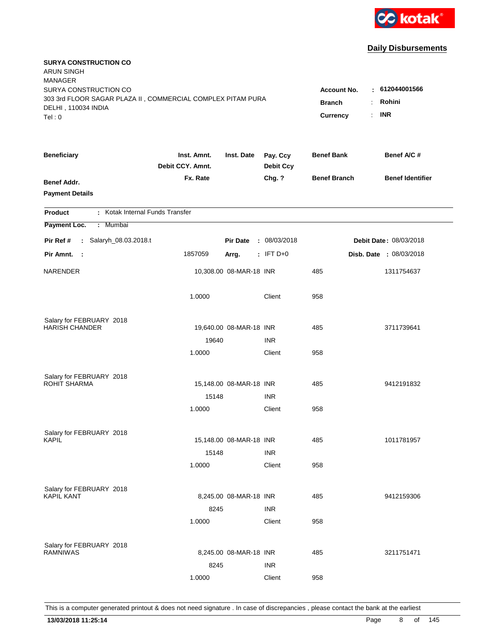

| <b>SURYA CONSTRUCTION CO</b><br><b>ARUN SINGH</b><br><b>MANAGER</b>                |                                 |                         |                              |                     |                               |
|------------------------------------------------------------------------------------|---------------------------------|-------------------------|------------------------------|---------------------|-------------------------------|
| SURYA CONSTRUCTION CO                                                              |                                 |                         |                              | <b>Account No.</b>  | : 612044001566                |
| 303 3rd FLOOR SAGAR PLAZA II, COMMERCIAL COMPLEX PITAM PURA<br>DELHI, 110034 INDIA | <b>Branch</b><br>÷.             | Rohini                  |                              |                     |                               |
| Tel: 0                                                                             |                                 |                         |                              | ÷.<br>Currency      | <b>INR</b>                    |
|                                                                                    |                                 |                         |                              |                     |                               |
| <b>Beneficiary</b>                                                                 | Inst. Amnt.<br>Debit CCY. Amnt. | Inst. Date              | Pay. Ccy<br><b>Debit Ccy</b> | <b>Benef Bank</b>   | Benef A/C #                   |
| <b>Benef Addr.</b>                                                                 | Fx. Rate                        |                         | Chg. ?                       | <b>Benef Branch</b> | <b>Benef Identifier</b>       |
| <b>Payment Details</b>                                                             |                                 |                         |                              |                     |                               |
| : Kotak Internal Funds Transfer<br><b>Product</b>                                  |                                 |                         |                              |                     |                               |
| Payment Loc.<br>Mumbai<br>÷.                                                       |                                 |                         |                              |                     |                               |
| : Salaryh_08.03.2018.t<br>Pir Ref #                                                |                                 | <b>Pir Date</b>         | : 08/03/2018                 |                     | <b>Debit Date: 08/03/2018</b> |
| Pir Amnt. :                                                                        | 1857059                         | Arrg.                   | $:$ IFT D+0                  |                     | Disb. Date : 08/03/2018       |
| NARENDER                                                                           |                                 | 10,308.00 08-MAR-18 INR |                              | 485                 | 1311754637                    |
|                                                                                    | 1.0000                          |                         | Client                       | 958                 |                               |
| Salary for FEBRUARY 2018                                                           |                                 |                         |                              |                     |                               |
| <b>HARISH CHANDER</b>                                                              |                                 | 19,640.00 08-MAR-18 INR |                              | 485                 | 3711739641                    |
|                                                                                    | 19640                           |                         | <b>INR</b>                   |                     |                               |
|                                                                                    | 1.0000                          |                         | Client                       | 958                 |                               |
| Salary for FEBRUARY 2018                                                           |                                 |                         |                              |                     |                               |
| ROHIT SHARMA                                                                       |                                 | 15,148.00 08-MAR-18 INR |                              | 485                 | 9412191832                    |
|                                                                                    | 15148                           |                         | <b>INR</b>                   |                     |                               |
|                                                                                    | 1.0000                          |                         | Client                       | 958                 |                               |
| Salary for FEBRUARY 2018                                                           |                                 |                         |                              |                     |                               |
| KAPIL                                                                              |                                 | 15,148.00 08-MAR-18 INR |                              | 485                 | 1011781957                    |
|                                                                                    | 15148                           |                         | <b>INR</b>                   |                     |                               |
|                                                                                    | 1.0000                          |                         | Client                       | 958                 |                               |
| Salary for FEBRUARY 2018                                                           |                                 |                         |                              |                     |                               |
| <b>KAPIL KANT</b>                                                                  |                                 | 8,245.00 08-MAR-18 INR  |                              | 485                 | 9412159306                    |
|                                                                                    | 8245                            |                         | <b>INR</b>                   |                     |                               |
|                                                                                    | 1.0000                          |                         | Client                       | 958                 |                               |
| Salary for FEBRUARY 2018                                                           |                                 |                         |                              |                     |                               |
| <b>RAMNIWAS</b>                                                                    |                                 | 8,245.00 08-MAR-18 INR  |                              | 485                 | 3211751471                    |
|                                                                                    | 8245                            |                         | <b>INR</b>                   |                     |                               |
|                                                                                    | 1.0000                          |                         | Client                       | 958                 |                               |
|                                                                                    |                                 |                         |                              |                     |                               |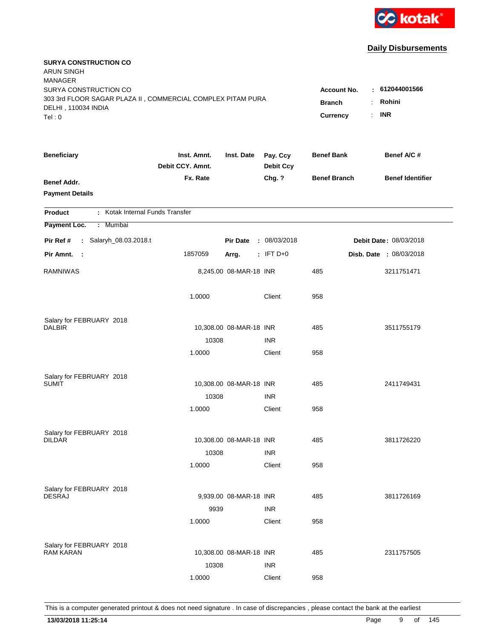

| <b>SURYA CONSTRUCTION CO</b><br><b>ARUN SINGH</b><br><b>MANAGER</b>                                         |                                                 |                                                          |                              |                     |                         |
|-------------------------------------------------------------------------------------------------------------|-------------------------------------------------|----------------------------------------------------------|------------------------------|---------------------|-------------------------|
| SURYA CONSTRUCTION CO<br>303 3rd FLOOR SAGAR PLAZA II, COMMERCIAL COMPLEX PITAM PURA<br>DELHI, 110034 INDIA | <b>Account No.</b><br><b>Branch</b><br>Currency | $-612044001566$<br>Rohini<br>÷.<br><b>INR</b><br>$\cdot$ |                              |                     |                         |
| Tel:0                                                                                                       |                                                 |                                                          |                              |                     |                         |
| <b>Beneficiary</b>                                                                                          | Inst. Amnt.<br>Debit CCY. Amnt.                 | Inst. Date                                               | Pay. Ccy<br><b>Debit Ccy</b> | <b>Benef Bank</b>   | Benef A/C #             |
| <b>Benef Addr.</b><br><b>Payment Details</b>                                                                | Fx. Rate                                        |                                                          | Chg. ?                       | <b>Benef Branch</b> | <b>Benef Identifier</b> |
| : Kotak Internal Funds Transfer<br><b>Product</b>                                                           |                                                 |                                                          |                              |                     |                         |
| Payment Loc.<br>: Mumbai                                                                                    |                                                 |                                                          |                              |                     |                         |
| Pir Ref #<br>: Salaryh_08.03.2018.t                                                                         |                                                 | <b>Pir Date</b>                                          | : 08/03/2018                 |                     | Debit Date: 08/03/2018  |
| Pir Amnt.<br>- 1                                                                                            | 1857059                                         | Arrg.                                                    | $:$ IFT D+0                  |                     | Disb. Date : 08/03/2018 |
| <b>RAMNIWAS</b>                                                                                             |                                                 | 8,245.00 08-MAR-18 INR                                   |                              | 485                 | 3211751471              |
|                                                                                                             | 1.0000                                          |                                                          | Client                       | 958                 |                         |
| Salary for FEBRUARY 2018                                                                                    |                                                 |                                                          |                              |                     |                         |
| <b>DALBIR</b>                                                                                               |                                                 | 10,308.00 08-MAR-18 INR                                  |                              | 485                 | 3511755179              |
|                                                                                                             | 10308                                           |                                                          | <b>INR</b>                   |                     |                         |
|                                                                                                             | 1.0000                                          |                                                          | Client                       | 958                 |                         |
| Salary for FEBRUARY 2018                                                                                    |                                                 |                                                          |                              |                     |                         |
| <b>SUMIT</b>                                                                                                |                                                 | 10,308.00 08-MAR-18 INR                                  |                              | 485                 | 2411749431              |
|                                                                                                             | 10308                                           |                                                          | <b>INR</b>                   |                     |                         |
|                                                                                                             | 1.0000                                          |                                                          | Client                       | 958                 |                         |
| Salary for FEBRUARY 2018                                                                                    |                                                 |                                                          |                              |                     |                         |
| <b>DILDAR</b>                                                                                               |                                                 | 10,308.00 08-MAR-18 INR                                  |                              | 485                 | 3811726220              |
|                                                                                                             | 10308                                           |                                                          | <b>INR</b>                   |                     |                         |
|                                                                                                             | 1.0000                                          |                                                          | Client                       | 958                 |                         |
|                                                                                                             |                                                 |                                                          |                              |                     |                         |
| Salary for FEBRUARY 2018<br><b>DESRAJ</b>                                                                   |                                                 | 9,939.00 08-MAR-18 INR                                   |                              | 485                 | 3811726169              |
|                                                                                                             | 9939                                            |                                                          | <b>INR</b>                   |                     |                         |
|                                                                                                             | 1.0000                                          |                                                          | Client                       | 958                 |                         |
|                                                                                                             |                                                 |                                                          |                              |                     |                         |
| Salary for FEBRUARY 2018<br><b>RAM KARAN</b>                                                                |                                                 | 10,308.00 08-MAR-18 INR                                  |                              | 485                 | 2311757505              |
|                                                                                                             | 10308                                           |                                                          | <b>INR</b>                   |                     |                         |
|                                                                                                             | 1.0000                                          |                                                          | Client                       | 958                 |                         |
|                                                                                                             |                                                 |                                                          |                              |                     |                         |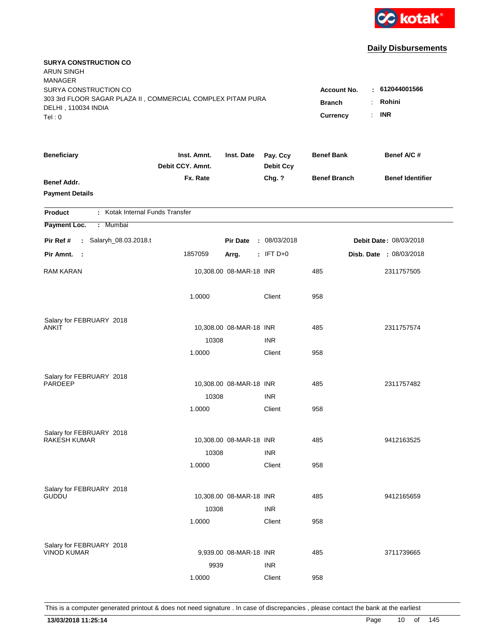

| <b>SURYA CONSTRUCTION CO</b><br><b>ARUN SINGH</b><br><b>MANAGER</b> |                                 |                         |                              |                                  |                         |
|---------------------------------------------------------------------|---------------------------------|-------------------------|------------------------------|----------------------------------|-------------------------|
| SURYA CONSTRUCTION CO                                               |                                 |                         |                              | <b>Account No.</b>               | : 612044001566          |
| 303 3rd FLOOR SAGAR PLAZA II, COMMERCIAL COMPLEX PITAM PURA         |                                 |                         |                              | ÷.<br><b>Branch</b>              | Rohini                  |
| DELHI, 110034 INDIA<br>Tel: 0                                       |                                 |                         |                              | Currency<br>$\ddot{\phantom{a}}$ | <b>INR</b>              |
|                                                                     |                                 |                         |                              |                                  |                         |
| <b>Beneficiary</b>                                                  | Inst. Amnt.<br>Debit CCY. Amnt. | Inst. Date              | Pay. Ccy<br><b>Debit Ccy</b> | <b>Benef Bank</b>                | Benef A/C #             |
| Benef Addr.                                                         | Fx. Rate                        |                         | Chg. ?                       | <b>Benef Branch</b>              | <b>Benef Identifier</b> |
| <b>Payment Details</b>                                              |                                 |                         |                              |                                  |                         |
|                                                                     |                                 |                         |                              |                                  |                         |
| : Kotak Internal Funds Transfer<br><b>Product</b>                   |                                 |                         |                              |                                  |                         |
| Payment Loc.<br>: Mumbai                                            |                                 |                         |                              |                                  |                         |
| : Salaryh_08.03.2018.t<br>Pir Ref #                                 |                                 | <b>Pir Date</b>         | : 08/03/2018                 |                                  | Debit Date: 08/03/2018  |
| Pir Amnt.<br>$\sim 1$                                               | 1857059                         | Arrg.                   | $:$ IFT D+0                  |                                  | Disb. Date : 08/03/2018 |
| <b>RAM KARAN</b>                                                    |                                 | 10,308.00 08-MAR-18 INR |                              | 485                              | 2311757505              |
|                                                                     | 1.0000                          |                         | Client                       | 958                              |                         |
| Salary for FEBRUARY 2018                                            |                                 |                         |                              |                                  |                         |
| ANKIT                                                               |                                 | 10,308.00 08-MAR-18 INR |                              | 485                              | 2311757574              |
|                                                                     | 10308                           |                         | <b>INR</b>                   |                                  |                         |
|                                                                     | 1.0000                          |                         | Client                       | 958                              |                         |
|                                                                     |                                 |                         |                              |                                  |                         |
| Salary for FEBRUARY 2018<br><b>PARDEEP</b>                          |                                 | 10,308.00 08-MAR-18 INR |                              | 485                              | 2311757482              |
|                                                                     | 10308                           |                         | <b>INR</b>                   |                                  |                         |
|                                                                     | 1.0000                          |                         | Client                       | 958                              |                         |
|                                                                     |                                 |                         |                              |                                  |                         |
| Salary for FEBRUARY 2018<br><b>RAKESH KUMAR</b>                     |                                 | 10,308.00 08-MAR-18 INR |                              | 485                              | 9412163525              |
|                                                                     |                                 |                         | <b>INR</b>                   |                                  |                         |
|                                                                     | 10308<br>1.0000                 |                         | Client                       | 958                              |                         |
|                                                                     |                                 |                         |                              |                                  |                         |
| Salary for FEBRUARY 2018                                            |                                 |                         |                              |                                  |                         |
| <b>GUDDU</b>                                                        |                                 | 10,308.00 08-MAR-18 INR |                              | 485                              | 9412165659              |
|                                                                     | 10308                           |                         | <b>INR</b>                   |                                  |                         |
|                                                                     | 1.0000                          |                         | Client                       | 958                              |                         |
|                                                                     |                                 |                         |                              |                                  |                         |
| Salary for FEBRUARY 2018<br><b>VINOD KUMAR</b>                      |                                 | 9,939.00 08-MAR-18 INR  |                              | 485                              | 3711739665              |
|                                                                     | 9939                            |                         | <b>INR</b>                   |                                  |                         |
|                                                                     | 1.0000                          |                         | Client                       | 958                              |                         |
|                                                                     |                                 |                         |                              |                                  |                         |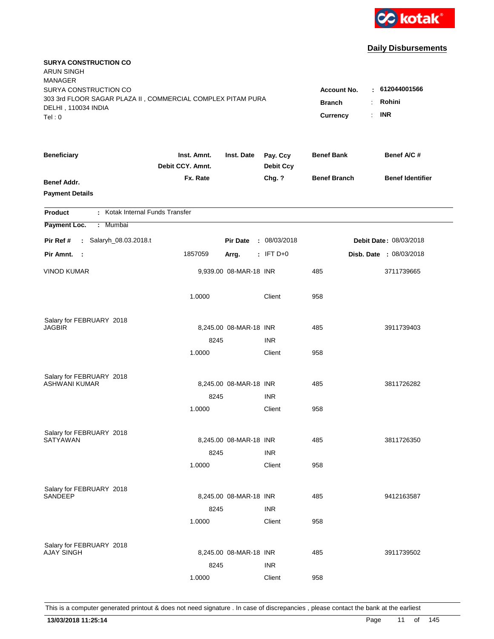

| <b>SURYA CONSTRUCTION CO</b><br><b>ARUN SINGH</b><br><b>MANAGER</b>                                         |                                 |                        |                              |                                     |                                |
|-------------------------------------------------------------------------------------------------------------|---------------------------------|------------------------|------------------------------|-------------------------------------|--------------------------------|
| SURYA CONSTRUCTION CO<br>303 3rd FLOOR SAGAR PLAZA II, COMMERCIAL COMPLEX PITAM PURA<br>DELHI, 110034 INDIA |                                 |                        |                              | <b>Account No.</b><br><b>Branch</b> | : 612044001566<br>Rohini<br>÷. |
| Tel:0                                                                                                       |                                 |                        |                              | Currency                            | <b>INR</b><br>$\cdot$          |
| <b>Beneficiary</b>                                                                                          | Inst. Amnt.<br>Debit CCY. Amnt. | Inst. Date             | Pay. Ccy<br><b>Debit Ccy</b> | <b>Benef Bank</b>                   | Benef A/C #                    |
| <b>Benef Addr.</b><br><b>Payment Details</b>                                                                | Fx. Rate                        |                        | Chg. ?                       | <b>Benef Branch</b>                 | <b>Benef Identifier</b>        |
| : Kotak Internal Funds Transfer<br><b>Product</b>                                                           |                                 |                        |                              |                                     |                                |
| Payment Loc.<br>: Mumbai                                                                                    |                                 |                        |                              |                                     |                                |
| : Salaryh_08.03.2018.t<br>Pir Ref #                                                                         |                                 | <b>Pir Date</b>        | : 08/03/2018                 |                                     | Debit Date: 08/03/2018         |
| Pir Amnt.<br>- 1                                                                                            | 1857059                         | Arrg.                  | $:$ IFT D+0                  |                                     | Disb. Date : 08/03/2018        |
| <b>VINOD KUMAR</b>                                                                                          |                                 | 9,939.00 08-MAR-18 INR |                              | 485                                 | 3711739665                     |
|                                                                                                             | 1.0000                          |                        | Client                       | 958                                 |                                |
| Salary for FEBRUARY 2018                                                                                    |                                 |                        |                              |                                     |                                |
| JAGBIR                                                                                                      |                                 | 8,245.00 08-MAR-18 INR |                              | 485                                 | 3911739403                     |
|                                                                                                             | 8245                            |                        | <b>INR</b>                   |                                     |                                |
|                                                                                                             | 1.0000                          |                        | Client                       | 958                                 |                                |
| Salary for FEBRUARY 2018                                                                                    |                                 |                        |                              |                                     |                                |
| <b>ASHWANI KUMAR</b>                                                                                        |                                 | 8,245.00 08-MAR-18 INR |                              | 485                                 | 3811726282                     |
|                                                                                                             | 8245                            |                        | <b>INR</b>                   |                                     |                                |
|                                                                                                             | 1.0000                          |                        | Client                       | 958                                 |                                |
| Salary for FEBRUARY 2018                                                                                    |                                 |                        |                              |                                     |                                |
| <b>SATYAWAN</b>                                                                                             |                                 | 8,245.00 08-MAR-18 INR |                              | 485                                 | 3811726350                     |
|                                                                                                             | 8245                            |                        | <b>INR</b>                   |                                     |                                |
|                                                                                                             | 1.0000                          |                        | Client                       | 958                                 |                                |
| Salary for FEBRUARY 2018                                                                                    |                                 |                        |                              |                                     |                                |
| <b>SANDEEP</b>                                                                                              |                                 | 8,245.00 08-MAR-18 INR |                              | 485                                 | 9412163587                     |
|                                                                                                             | 8245                            |                        | <b>INR</b>                   |                                     |                                |
|                                                                                                             | 1.0000                          |                        | Client                       | 958                                 |                                |
| Salary for FEBRUARY 2018                                                                                    |                                 |                        |                              |                                     |                                |
| <b>AJAY SINGH</b>                                                                                           |                                 | 8,245.00 08-MAR-18 INR |                              | 485                                 | 3911739502                     |
|                                                                                                             | 8245                            |                        | <b>INR</b>                   |                                     |                                |
|                                                                                                             | 1.0000                          |                        | Client                       | 958                                 |                                |
|                                                                                                             |                                 |                        |                              |                                     |                                |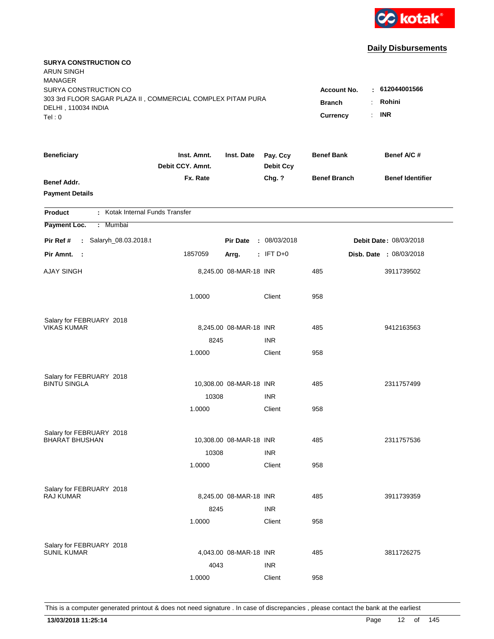

| <b>SURYA CONSTRUCTION CO</b><br><b>ARUN SINGH</b><br><b>MANAGER</b>                                         |                                     |                                                        |                              |                     |                         |
|-------------------------------------------------------------------------------------------------------------|-------------------------------------|--------------------------------------------------------|------------------------------|---------------------|-------------------------|
| SURYA CONSTRUCTION CO<br>303 3rd FLOOR SAGAR PLAZA II, COMMERCIAL COMPLEX PITAM PURA<br>DELHI, 110034 INDIA | <b>Account No.</b><br><b>Branch</b> | : 612044001566<br>Rohini<br>÷<br><b>INR</b><br>$\cdot$ |                              |                     |                         |
| Tel:0                                                                                                       |                                     |                                                        |                              | Currency            |                         |
| <b>Beneficiary</b>                                                                                          | Inst. Amnt.<br>Debit CCY. Amnt.     | Inst. Date                                             | Pay. Ccy<br><b>Debit Ccy</b> | <b>Benef Bank</b>   | Benef A/C #             |
| <b>Benef Addr.</b><br><b>Payment Details</b>                                                                | Fx. Rate                            |                                                        | Chg. ?                       | <b>Benef Branch</b> | <b>Benef Identifier</b> |
| : Kotak Internal Funds Transfer<br><b>Product</b>                                                           |                                     |                                                        |                              |                     |                         |
| Payment Loc.<br>: Mumbai                                                                                    |                                     |                                                        |                              |                     |                         |
| : Salaryh_08.03.2018.t<br>Pir Ref #                                                                         |                                     | <b>Pir Date</b>                                        | : 08/03/2018                 |                     | Debit Date: 08/03/2018  |
| Pir Amnt.<br>- 1                                                                                            | 1857059                             | Arrg.                                                  | $:$ IFT D+0                  |                     | Disb. Date : 08/03/2018 |
| <b>AJAY SINGH</b>                                                                                           |                                     | 8,245.00 08-MAR-18 INR                                 |                              | 485                 | 3911739502              |
|                                                                                                             | 1.0000                              |                                                        | Client                       | 958                 |                         |
| Salary for FEBRUARY 2018                                                                                    |                                     |                                                        |                              |                     |                         |
| <b>VIKAS KUMAR</b>                                                                                          |                                     | 8,245.00 08-MAR-18 INR                                 |                              | 485                 | 9412163563              |
|                                                                                                             | 8245<br>1.0000                      |                                                        | <b>INR</b><br>Client         | 958                 |                         |
|                                                                                                             |                                     |                                                        |                              |                     |                         |
| Salary for FEBRUARY 2018                                                                                    |                                     |                                                        |                              |                     |                         |
| <b>BINTU SINGLA</b>                                                                                         |                                     | 10,308.00 08-MAR-18 INR                                |                              | 485                 | 2311757499              |
|                                                                                                             | 10308                               |                                                        | <b>INR</b>                   |                     |                         |
|                                                                                                             | 1.0000                              |                                                        | Client                       | 958                 |                         |
| Salary for FEBRUARY 2018                                                                                    |                                     |                                                        |                              |                     |                         |
| <b>BHARAT BHUSHAN</b>                                                                                       |                                     | 10,308.00 08-MAR-18 INR                                |                              | 485                 | 2311757536              |
|                                                                                                             | 10308                               |                                                        | <b>INR</b>                   |                     |                         |
|                                                                                                             | 1.0000                              |                                                        | Client                       | 958                 |                         |
| Salary for FEBRUARY 2018                                                                                    |                                     |                                                        |                              |                     |                         |
| <b>RAJ KUMAR</b>                                                                                            |                                     | 8,245.00 08-MAR-18 INR                                 |                              | 485                 | 3911739359              |
|                                                                                                             | 8245                                |                                                        | <b>INR</b>                   |                     |                         |
|                                                                                                             | 1.0000                              |                                                        | Client                       | 958                 |                         |
|                                                                                                             |                                     |                                                        |                              |                     |                         |
| Salary for FEBRUARY 2018<br><b>SUNIL KUMAR</b>                                                              |                                     | 4,043.00 08-MAR-18 INR                                 |                              | 485                 | 3811726275              |
|                                                                                                             | 4043                                |                                                        | <b>INR</b>                   |                     |                         |
|                                                                                                             | 1.0000                              |                                                        | Client                       | 958                 |                         |
|                                                                                                             |                                     |                                                        |                              |                     |                         |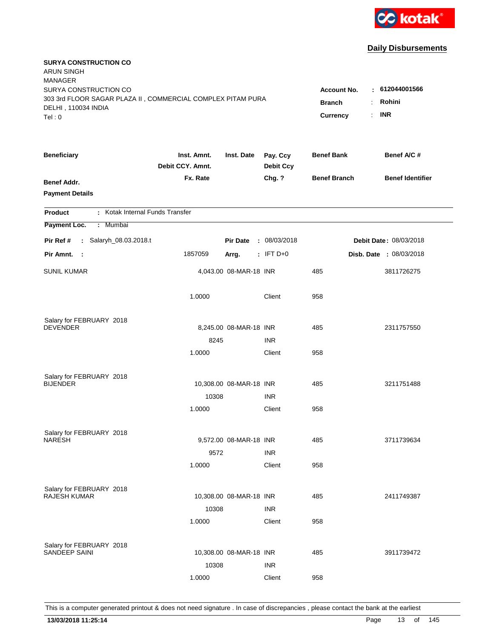

| <b>SURYA CONSTRUCTION CO</b><br><b>ARUN SINGH</b><br><b>MANAGER</b>                                                  |                                 |                         |                              | <b>Account No.</b>  |                                                    |
|----------------------------------------------------------------------------------------------------------------------|---------------------------------|-------------------------|------------------------------|---------------------|----------------------------------------------------|
| SURYA CONSTRUCTION CO<br>303 3rd FLOOR SAGAR PLAZA II, COMMERCIAL COMPLEX PITAM PURA<br>DELHI, 110034 INDIA<br>Tel:0 |                                 |                         |                              |                     | : 612044001566<br>Rohini<br>÷.<br><b>INR</b><br>÷. |
| <b>Beneficiary</b>                                                                                                   | Inst. Amnt.<br>Debit CCY. Amnt. | Inst. Date              | Pay. Ccy<br><b>Debit Ccy</b> | <b>Benef Bank</b>   | Benef A/C #                                        |
| <b>Benef Addr.</b><br><b>Payment Details</b>                                                                         | Fx. Rate                        |                         | Chg. ?                       | <b>Benef Branch</b> | <b>Benef Identifier</b>                            |
| : Kotak Internal Funds Transfer<br><b>Product</b>                                                                    |                                 |                         |                              |                     |                                                    |
| Payment Loc.<br>: Mumbai                                                                                             |                                 |                         |                              |                     |                                                    |
| : Salaryh_08.03.2018.t<br>Pir Ref #                                                                                  |                                 | <b>Pir Date</b>         | : 08/03/2018                 |                     | Debit Date: 08/03/2018                             |
| Pir Amnt.<br>- 1                                                                                                     | 1857059                         | Arrg.                   | $:$ IFT D+0                  |                     | Disb. Date : 08/03/2018                            |
| <b>SUNIL KUMAR</b>                                                                                                   |                                 | 4,043.00 08-MAR-18 INR  |                              | 485                 | 3811726275                                         |
|                                                                                                                      | 1.0000                          |                         | Client                       | 958                 |                                                    |
| Salary for FEBRUARY 2018                                                                                             |                                 |                         |                              |                     |                                                    |
| <b>DEVENDER</b>                                                                                                      |                                 | 8,245.00 08-MAR-18 INR  |                              | 485                 | 2311757550                                         |
|                                                                                                                      | 8245                            |                         | <b>INR</b>                   |                     |                                                    |
|                                                                                                                      | 1.0000                          |                         | Client                       | 958                 |                                                    |
| Salary for FEBRUARY 2018                                                                                             |                                 |                         |                              |                     |                                                    |
| <b>BIJENDER</b>                                                                                                      |                                 | 10,308.00 08-MAR-18 INR |                              | 485                 | 3211751488                                         |
|                                                                                                                      | 10308                           |                         | <b>INR</b>                   |                     |                                                    |
|                                                                                                                      | 1.0000                          |                         | Client                       | 958                 |                                                    |
| Salary for FEBRUARY 2018                                                                                             |                                 |                         |                              |                     |                                                    |
| <b>NARESH</b>                                                                                                        |                                 | 9,572.00 08-MAR-18 INR  |                              | 485                 | 3711739634                                         |
|                                                                                                                      | 9572                            |                         | <b>INR</b>                   |                     |                                                    |
|                                                                                                                      | 1.0000                          |                         | Client                       | 958                 |                                                    |
| Salary for FEBRUARY 2018                                                                                             |                                 |                         |                              |                     |                                                    |
| <b>RAJESH KUMAR</b>                                                                                                  |                                 | 10,308.00 08-MAR-18 INR |                              | 485                 | 2411749387                                         |
|                                                                                                                      | 10308                           |                         | <b>INR</b>                   |                     |                                                    |
|                                                                                                                      | 1.0000                          |                         | Client                       | 958                 |                                                    |
| Salary for FEBRUARY 2018                                                                                             |                                 |                         |                              |                     |                                                    |
| SANDEEP SAINI                                                                                                        |                                 | 10,308.00 08-MAR-18 INR |                              | 485                 | 3911739472                                         |
|                                                                                                                      | 10308                           |                         | <b>INR</b>                   |                     |                                                    |
|                                                                                                                      | 1.0000                          |                         | Client                       | 958                 |                                                    |
|                                                                                                                      |                                 |                         |                              |                     |                                                    |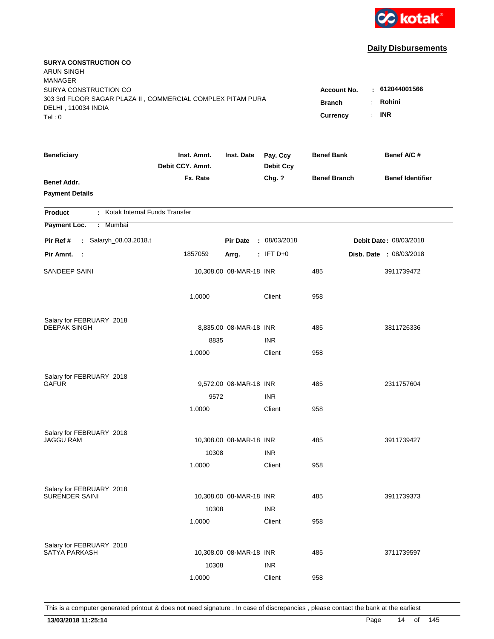

| <b>SURYA CONSTRUCTION CO</b><br><b>ARUN SINGH</b><br><b>MANAGER</b><br>SURYA CONSTRUCTION CO |                                 |                         |                              | <b>Account No.</b>               | $-612044001566$                           |
|----------------------------------------------------------------------------------------------|---------------------------------|-------------------------|------------------------------|----------------------------------|-------------------------------------------|
| 303 3rd FLOOR SAGAR PLAZA II, COMMERCIAL COMPLEX PITAM PURA<br>DELHI, 110034 INDIA<br>Tel: 0 |                                 |                         |                              | <b>Branch</b><br><b>Currency</b> | Rohini<br>÷<br><b>INR</b><br>$\mathbf{r}$ |
| <b>Beneficiary</b>                                                                           | Inst. Amnt.<br>Debit CCY. Amnt. | Inst. Date              | Pay. Ccy<br><b>Debit Ccy</b> | <b>Benef Bank</b>                | Benef A/C #                               |
| <b>Benef Addr.</b><br><b>Payment Details</b>                                                 | Fx. Rate                        |                         | Chg. ?                       | <b>Benef Branch</b>              | <b>Benef Identifier</b>                   |
| : Kotak Internal Funds Transfer<br><b>Product</b>                                            |                                 |                         |                              |                                  |                                           |
| Payment Loc.<br>: Mumbai                                                                     |                                 |                         |                              |                                  |                                           |
| : Salaryh_08.03.2018.t<br>Pir Ref #                                                          |                                 | <b>Pir Date</b>         | : 08/03/2018                 |                                  | <b>Debit Date: 08/03/2018</b>             |
| Pir Amnt. :                                                                                  | 1857059                         | Arrg.                   | $:$ IFT D+0                  |                                  | Disb. Date : 08/03/2018                   |
| SANDEEP SAINI                                                                                |                                 | 10,308.00 08-MAR-18 INR |                              | 485                              | 3911739472                                |
|                                                                                              | 1.0000                          |                         | Client                       | 958                              |                                           |
| Salary for FEBRUARY 2018                                                                     |                                 |                         |                              |                                  |                                           |
| <b>DEEPAK SINGH</b>                                                                          |                                 | 8,835.00 08-MAR-18 INR  |                              | 485                              | 3811726336                                |
|                                                                                              | 8835                            |                         | <b>INR</b>                   |                                  |                                           |
|                                                                                              | 1.0000                          |                         | Client                       | 958                              |                                           |
| Salary for FEBRUARY 2018                                                                     |                                 |                         |                              |                                  |                                           |
| GAFUR                                                                                        |                                 | 9,572.00 08-MAR-18 INR  |                              | 485                              | 2311757604                                |
|                                                                                              | 9572                            |                         | <b>INR</b>                   |                                  |                                           |
|                                                                                              | 1.0000                          |                         | Client                       | 958                              |                                           |
| Salary for FEBRUARY 2018                                                                     |                                 |                         |                              |                                  |                                           |
| <b>JAGGU RAM</b>                                                                             |                                 | 10,308.00 08-MAR-18 INR |                              | 485                              | 3911739427                                |
|                                                                                              | 10308                           |                         | <b>INR</b>                   |                                  |                                           |
|                                                                                              | 1.0000                          |                         | Client                       | 958                              |                                           |
| Salary for FEBRUARY 2018                                                                     |                                 |                         |                              |                                  |                                           |
| <b>SURENDER SAINI</b>                                                                        |                                 | 10,308.00 08-MAR-18 INR |                              | 485                              | 3911739373                                |
|                                                                                              | 10308                           |                         | <b>INR</b>                   |                                  |                                           |
|                                                                                              | 1.0000                          |                         | Client                       | 958                              |                                           |
|                                                                                              |                                 |                         |                              |                                  |                                           |
| Salary for FEBRUARY 2018<br><b>SATYA PARKASH</b>                                             |                                 | 10,308.00 08-MAR-18 INR |                              | 485                              | 3711739597                                |
|                                                                                              | 10308                           |                         | <b>INR</b>                   |                                  |                                           |
|                                                                                              | 1.0000                          |                         | Client                       | 958                              |                                           |
|                                                                                              |                                 |                         |                              |                                  |                                           |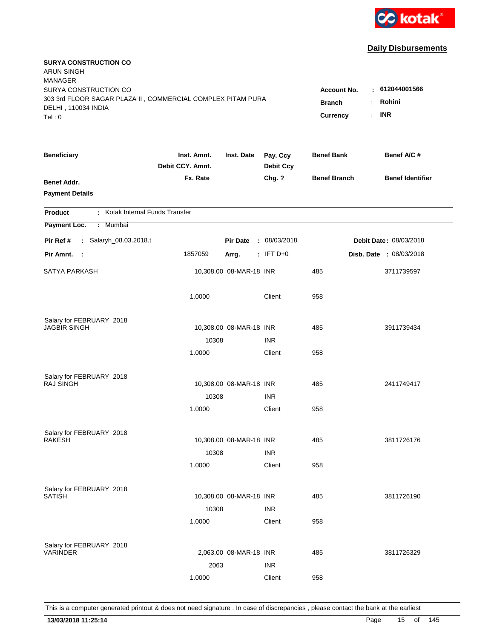

| <b>SURYA CONSTRUCTION CO</b><br><b>ARUN SINGH</b><br><b>MANAGER</b>                                                   |                                 |                                                        |                                                              |                     |                               |
|-----------------------------------------------------------------------------------------------------------------------|---------------------------------|--------------------------------------------------------|--------------------------------------------------------------|---------------------|-------------------------------|
| SURYA CONSTRUCTION CO<br>303 3rd FLOOR SAGAR PLAZA II, COMMERCIAL COMPLEX PITAM PURA<br>DELHI, 110034 INDIA<br>Tel: 0 |                                 | <b>Account No.</b><br><b>Branch</b><br><b>Currency</b> | : 612044001566<br>Rohini<br>÷.<br><b>INR</b><br>$\mathbf{r}$ |                     |                               |
|                                                                                                                       |                                 |                                                        |                                                              |                     |                               |
| <b>Beneficiary</b>                                                                                                    | Inst. Amnt.<br>Debit CCY. Amnt. | Inst. Date                                             | Pay. Ccy<br><b>Debit Ccy</b>                                 | <b>Benef Bank</b>   | Benef A/C #                   |
| <b>Benef Addr.</b><br><b>Payment Details</b>                                                                          | Fx. Rate                        |                                                        | Chg. ?                                                       | <b>Benef Branch</b> | <b>Benef Identifier</b>       |
| : Kotak Internal Funds Transfer<br><b>Product</b>                                                                     |                                 |                                                        |                                                              |                     |                               |
| Payment Loc.<br>: Mumbai                                                                                              |                                 |                                                        |                                                              |                     |                               |
| : Salaryh_08.03.2018.t<br>Pir Ref #                                                                                   |                                 | <b>Pir Date</b>                                        | : 08/03/2018                                                 |                     | <b>Debit Date: 08/03/2018</b> |
| Pir Amnt. :                                                                                                           | 1857059                         | Arrg.                                                  | $:$ IFT D+0                                                  |                     | Disb. Date : 08/03/2018       |
| SATYA PARKASH                                                                                                         |                                 | 10,308.00 08-MAR-18 INR                                |                                                              | 485                 | 3711739597                    |
|                                                                                                                       | 1.0000                          |                                                        | Client                                                       | 958                 |                               |
| Salary for FEBRUARY 2018                                                                                              |                                 |                                                        |                                                              |                     |                               |
| <b>JAGBIR SINGH</b>                                                                                                   |                                 | 10,308.00 08-MAR-18 INR                                |                                                              | 485                 | 3911739434                    |
|                                                                                                                       | 10308                           |                                                        | <b>INR</b>                                                   |                     |                               |
|                                                                                                                       | 1.0000                          |                                                        | Client                                                       | 958                 |                               |
| Salary for FEBRUARY 2018                                                                                              |                                 |                                                        |                                                              |                     |                               |
| <b>RAJ SINGH</b>                                                                                                      |                                 | 10,308.00 08-MAR-18 INR                                |                                                              | 485                 | 2411749417                    |
|                                                                                                                       | 10308                           |                                                        | <b>INR</b>                                                   |                     |                               |
|                                                                                                                       | 1.0000                          |                                                        | Client                                                       | 958                 |                               |
| Salary for FEBRUARY 2018                                                                                              |                                 |                                                        |                                                              |                     |                               |
| <b>RAKESH</b>                                                                                                         |                                 | 10,308.00 08-MAR-18 INR                                |                                                              | 485                 | 3811726176                    |
|                                                                                                                       | 10308                           |                                                        | <b>INR</b>                                                   |                     |                               |
|                                                                                                                       | 1.0000                          |                                                        | Client                                                       | 958                 |                               |
|                                                                                                                       |                                 |                                                        |                                                              |                     |                               |
| Salary for FEBRUARY 2018<br><b>SATISH</b>                                                                             |                                 | 10,308.00 08-MAR-18 INR                                |                                                              | 485                 | 3811726190                    |
|                                                                                                                       | 10308                           |                                                        | <b>INR</b>                                                   |                     |                               |
|                                                                                                                       | 1.0000                          |                                                        | Client                                                       | 958                 |                               |
|                                                                                                                       |                                 |                                                        |                                                              |                     |                               |
| Salary for FEBRUARY 2018<br><b>VARINDER</b>                                                                           |                                 | 2,063.00 08-MAR-18 INR                                 |                                                              | 485                 | 3811726329                    |
|                                                                                                                       | 2063                            |                                                        | <b>INR</b>                                                   |                     |                               |
|                                                                                                                       | 1.0000                          |                                                        | Client                                                       | 958                 |                               |
|                                                                                                                       |                                 |                                                        |                                                              |                     |                               |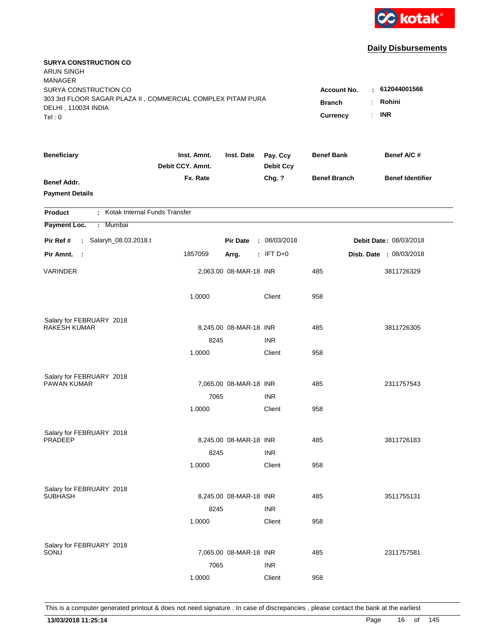

| <b>SURYA CONSTRUCTION CO</b><br><b>ARUN SINGH</b><br><b>MANAGER</b>                                         |                                 |                        |                              |                                     |                                |
|-------------------------------------------------------------------------------------------------------------|---------------------------------|------------------------|------------------------------|-------------------------------------|--------------------------------|
| SURYA CONSTRUCTION CO<br>303 3rd FLOOR SAGAR PLAZA II, COMMERCIAL COMPLEX PITAM PURA<br>DELHI, 110034 INDIA |                                 |                        |                              | <b>Account No.</b><br><b>Branch</b> | : 612044001566<br>Rohini<br>÷. |
| Tel:0                                                                                                       |                                 |                        |                              | Currency                            | <b>INR</b><br>$\cdot$          |
| <b>Beneficiary</b>                                                                                          | Inst. Amnt.<br>Debit CCY. Amnt. | Inst. Date             | Pay. Ccy<br><b>Debit Ccy</b> | <b>Benef Bank</b>                   | Benef A/C #                    |
| <b>Benef Addr.</b><br><b>Payment Details</b>                                                                | Fx. Rate                        |                        | Chg. ?                       | <b>Benef Branch</b>                 | <b>Benef Identifier</b>        |
| : Kotak Internal Funds Transfer<br><b>Product</b>                                                           |                                 |                        |                              |                                     |                                |
| Payment Loc.<br>: Mumbai                                                                                    |                                 |                        |                              |                                     |                                |
| : Salaryh_08.03.2018.t<br>Pir Ref #                                                                         |                                 | <b>Pir Date</b>        | : 08/03/2018                 |                                     | Debit Date: 08/03/2018         |
| Pir Amnt.<br>- 1                                                                                            | 1857059                         | Arrg.                  | $:$ IFT D+0                  |                                     | Disb. Date : 08/03/2018        |
| <b>VARINDER</b>                                                                                             |                                 | 2,063.00 08-MAR-18 INR |                              | 485                                 | 3811726329                     |
|                                                                                                             | 1.0000                          |                        | Client                       | 958                                 |                                |
| Salary for FEBRUARY 2018                                                                                    |                                 |                        |                              |                                     |                                |
| RAKESH KUMAR                                                                                                |                                 | 8,245.00 08-MAR-18 INR |                              | 485                                 | 3811726305                     |
|                                                                                                             | 8245                            |                        | <b>INR</b>                   |                                     |                                |
|                                                                                                             | 1.0000                          |                        | Client                       | 958                                 |                                |
| Salary for FEBRUARY 2018                                                                                    |                                 |                        |                              |                                     |                                |
| PAWAN KUMAR                                                                                                 |                                 | 7,065.00 08-MAR-18 INR |                              | 485                                 | 2311757543                     |
|                                                                                                             | 7065                            |                        | <b>INR</b>                   |                                     |                                |
|                                                                                                             | 1.0000                          |                        | Client                       | 958                                 |                                |
| Salary for FEBRUARY 2018                                                                                    |                                 |                        |                              |                                     |                                |
| <b>PRADEEP</b>                                                                                              |                                 | 8,245.00 08-MAR-18 INR |                              | 485                                 | 3811726183                     |
|                                                                                                             | 8245                            |                        | <b>INR</b>                   |                                     |                                |
|                                                                                                             | 1.0000                          |                        | Client                       | 958                                 |                                |
| Salary for FEBRUARY 2018                                                                                    |                                 |                        |                              |                                     |                                |
| <b>SUBHASH</b>                                                                                              |                                 | 8,245.00 08-MAR-18 INR |                              | 485                                 | 3511755131                     |
|                                                                                                             | 8245                            |                        | <b>INR</b>                   |                                     |                                |
|                                                                                                             | 1.0000                          |                        | Client                       | 958                                 |                                |
|                                                                                                             |                                 |                        |                              |                                     |                                |
| Salary for FEBRUARY 2018<br>SONU                                                                            |                                 | 7,065.00 08-MAR-18 INR |                              | 485                                 | 2311757581                     |
|                                                                                                             | 7065                            |                        | <b>INR</b>                   |                                     |                                |
|                                                                                                             | 1.0000                          |                        | Client                       | 958                                 |                                |
|                                                                                                             |                                 |                        |                              |                                     |                                |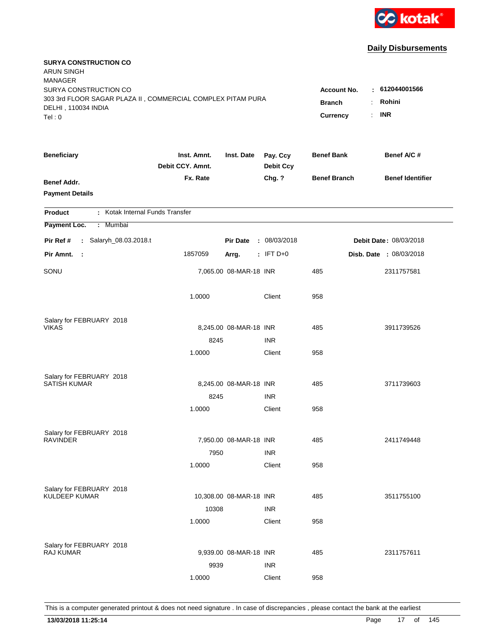

| <b>SURYA CONSTRUCTION CO</b><br><b>ARUN SINGH</b><br><b>MANAGER</b>                                                  |                                 |                                                 |                                                     |                     |                         |
|----------------------------------------------------------------------------------------------------------------------|---------------------------------|-------------------------------------------------|-----------------------------------------------------|---------------------|-------------------------|
| SURYA CONSTRUCTION CO<br>303 3rd FLOOR SAGAR PLAZA II, COMMERCIAL COMPLEX PITAM PURA<br>DELHI, 110034 INDIA<br>Tel:0 |                                 | <b>Account No.</b><br><b>Branch</b><br>Currency | $-612044001566$<br>Rohini<br>÷.<br><b>INR</b><br>÷. |                     |                         |
| <b>Beneficiary</b>                                                                                                   | Inst. Amnt.<br>Debit CCY. Amnt. | Inst. Date                                      | Pay. Ccy<br><b>Debit Ccy</b>                        | <b>Benef Bank</b>   | Benef A/C #             |
| <b>Benef Addr.</b><br><b>Payment Details</b>                                                                         | Fx. Rate                        |                                                 | Chg. ?                                              | <b>Benef Branch</b> | <b>Benef Identifier</b> |
| : Kotak Internal Funds Transfer<br><b>Product</b>                                                                    |                                 |                                                 |                                                     |                     |                         |
| Payment Loc.<br>: Mumbai                                                                                             |                                 |                                                 |                                                     |                     |                         |
| Pir Ref #<br>: Salaryh_08.03.2018.t                                                                                  |                                 | <b>Pir Date</b>                                 | : 08/03/2018                                        |                     | Debit Date: 08/03/2018  |
| Pir Amnt.<br>- 11                                                                                                    | 1857059                         | Arrg.                                           | $:$ IFT D+0                                         |                     | Disb. Date : 08/03/2018 |
| SONU                                                                                                                 |                                 | 7,065.00 08-MAR-18 INR                          |                                                     | 485                 | 2311757581              |
|                                                                                                                      | 1.0000                          |                                                 | Client                                              | 958                 |                         |
| Salary for FEBRUARY 2018                                                                                             |                                 |                                                 |                                                     |                     |                         |
| <b>VIKAS</b>                                                                                                         |                                 | 8,245.00 08-MAR-18 INR                          |                                                     | 485                 | 3911739526              |
|                                                                                                                      | 8245                            |                                                 | <b>INR</b>                                          |                     |                         |
|                                                                                                                      | 1.0000                          |                                                 | Client                                              | 958                 |                         |
| Salary for FEBRUARY 2018                                                                                             |                                 |                                                 |                                                     |                     |                         |
| <b>SATISH KUMAR</b>                                                                                                  |                                 | 8,245.00 08-MAR-18 INR                          |                                                     | 485                 | 3711739603              |
|                                                                                                                      | 8245                            |                                                 | <b>INR</b>                                          |                     |                         |
|                                                                                                                      | 1.0000                          |                                                 | Client                                              | 958                 |                         |
| Salary for FEBRUARY 2018                                                                                             |                                 |                                                 |                                                     |                     |                         |
| <b>RAVINDER</b>                                                                                                      |                                 | 7,950.00 08-MAR-18 INR                          |                                                     | 485                 | 2411749448              |
|                                                                                                                      | 7950                            |                                                 | <b>INR</b>                                          |                     |                         |
|                                                                                                                      | 1.0000                          |                                                 | Client                                              | 958                 |                         |
|                                                                                                                      |                                 |                                                 |                                                     |                     |                         |
| Salary for FEBRUARY 2018<br><b>KULDEEP KUMAR</b>                                                                     |                                 | 10,308.00 08-MAR-18 INR                         |                                                     | 485                 | 3511755100              |
|                                                                                                                      | 10308                           |                                                 | <b>INR</b>                                          |                     |                         |
|                                                                                                                      | 1.0000                          |                                                 | Client                                              | 958                 |                         |
|                                                                                                                      |                                 |                                                 |                                                     |                     |                         |
| Salary for FEBRUARY 2018<br><b>RAJ KUMAR</b>                                                                         |                                 | 9,939.00 08-MAR-18 INR                          |                                                     | 485                 | 2311757611              |
|                                                                                                                      | 9939                            |                                                 | <b>INR</b>                                          |                     |                         |
|                                                                                                                      | 1.0000                          |                                                 | Client                                              | 958                 |                         |
|                                                                                                                      |                                 |                                                 |                                                     |                     |                         |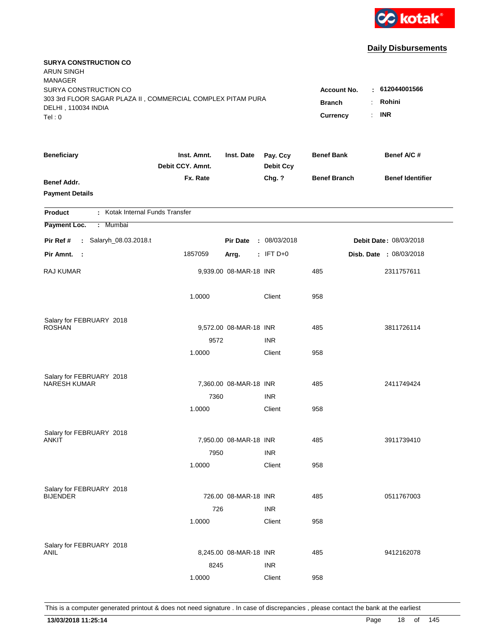

| <b>SURYA CONSTRUCTION CO</b><br><b>ARUN SINGH</b><br><b>MANAGER</b>                                         |                                 |                        |                              |                                     |                                 |
|-------------------------------------------------------------------------------------------------------------|---------------------------------|------------------------|------------------------------|-------------------------------------|---------------------------------|
| SURYA CONSTRUCTION CO<br>303 3rd FLOOR SAGAR PLAZA II, COMMERCIAL COMPLEX PITAM PURA<br>DELHI, 110034 INDIA |                                 |                        |                              | <b>Account No.</b><br><b>Branch</b> | $-612044001566$<br>Rohini<br>÷. |
| Tel:0                                                                                                       |                                 |                        |                              | Currency                            | <b>INR</b><br>÷.                |
| <b>Beneficiary</b>                                                                                          | Inst. Amnt.<br>Debit CCY. Amnt. | Inst. Date             | Pay. Ccy<br><b>Debit Ccy</b> | <b>Benef Bank</b>                   | Benef A/C #                     |
| <b>Benef Addr.</b><br><b>Payment Details</b>                                                                | Fx. Rate                        |                        | Chg. ?                       | <b>Benef Branch</b>                 | <b>Benef Identifier</b>         |
| : Kotak Internal Funds Transfer<br><b>Product</b>                                                           |                                 |                        |                              |                                     |                                 |
| Payment Loc.<br>: Mumbai                                                                                    |                                 |                        |                              |                                     |                                 |
| : Salaryh_08.03.2018.t<br>Pir Ref #                                                                         |                                 | <b>Pir Date</b>        | : 08/03/2018                 |                                     | Debit Date: 08/03/2018          |
| Pir Amnt.<br>- 1                                                                                            | 1857059                         | Arrg.                  | $:$ IFT D+0                  |                                     | Disb. Date : 08/03/2018         |
| <b>RAJ KUMAR</b>                                                                                            |                                 | 9,939.00 08-MAR-18 INR |                              | 485                                 | 2311757611                      |
|                                                                                                             | 1.0000                          |                        | Client                       | 958                                 |                                 |
| Salary for FEBRUARY 2018                                                                                    |                                 |                        |                              |                                     |                                 |
| <b>ROSHAN</b>                                                                                               |                                 | 9,572.00 08-MAR-18 INR |                              | 485                                 | 3811726114                      |
|                                                                                                             | 9572<br>1.0000                  |                        | <b>INR</b><br>Client         | 958                                 |                                 |
|                                                                                                             |                                 |                        |                              |                                     |                                 |
| Salary for FEBRUARY 2018<br><b>NARESH KUMAR</b>                                                             |                                 |                        |                              |                                     |                                 |
|                                                                                                             |                                 | 7,360.00 08-MAR-18 INR |                              | 485                                 | 2411749424                      |
|                                                                                                             | 7360<br>1.0000                  |                        | <b>INR</b><br>Client         | 958                                 |                                 |
|                                                                                                             |                                 |                        |                              |                                     |                                 |
| Salary for FEBRUARY 2018                                                                                    |                                 |                        |                              |                                     |                                 |
| ANKIT                                                                                                       |                                 | 7,950.00 08-MAR-18 INR |                              | 485                                 | 3911739410                      |
|                                                                                                             | 7950                            |                        | <b>INR</b>                   |                                     |                                 |
|                                                                                                             | 1.0000                          |                        | Client                       | 958                                 |                                 |
| Salary for FEBRUARY 2018                                                                                    |                                 |                        |                              |                                     |                                 |
| <b>BIJENDER</b>                                                                                             |                                 | 726.00 08-MAR-18 INR   |                              | 485                                 | 0511767003                      |
|                                                                                                             | 726                             |                        | <b>INR</b>                   |                                     |                                 |
|                                                                                                             | 1.0000                          |                        | Client                       | 958                                 |                                 |
|                                                                                                             |                                 |                        |                              |                                     |                                 |
| Salary for FEBRUARY 2018<br>ANIL                                                                            |                                 | 8,245.00 08-MAR-18 INR |                              | 485                                 | 9412162078                      |
|                                                                                                             | 8245                            |                        | <b>INR</b>                   |                                     |                                 |
|                                                                                                             | 1.0000                          |                        | Client                       | 958                                 |                                 |
|                                                                                                             |                                 |                        |                              |                                     |                                 |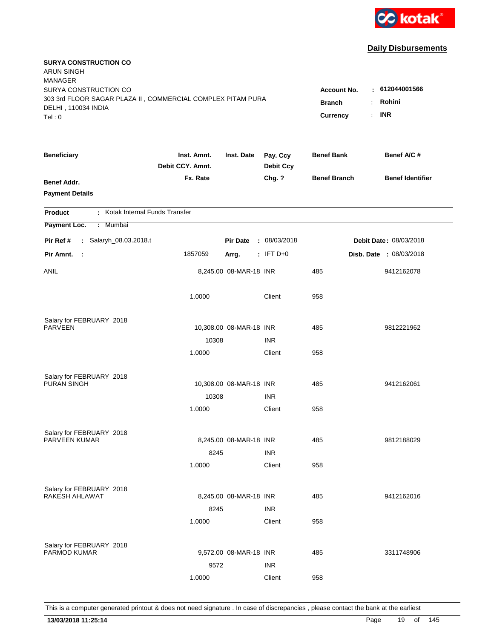

| <b>SURYA CONSTRUCTION CO</b><br><b>ARUN SINGH</b><br><b>MANAGER</b>                                         |                                 |                                     |                                |                     |                         |
|-------------------------------------------------------------------------------------------------------------|---------------------------------|-------------------------------------|--------------------------------|---------------------|-------------------------|
| SURYA CONSTRUCTION CO<br>303 3rd FLOOR SAGAR PLAZA II, COMMERCIAL COMPLEX PITAM PURA<br>DELHI, 110034 INDIA |                                 | <b>Account No.</b><br><b>Branch</b> | : 612044001566<br>Rohini<br>÷. |                     |                         |
| Tel:0                                                                                                       |                                 |                                     |                                | Currency            | <b>INR</b><br>÷.        |
| <b>Beneficiary</b>                                                                                          | Inst. Amnt.<br>Debit CCY. Amnt. | Inst. Date                          | Pay. Ccy<br><b>Debit Ccy</b>   | <b>Benef Bank</b>   | Benef A/C #             |
| <b>Benef Addr.</b><br><b>Payment Details</b>                                                                | Fx. Rate                        |                                     | Chg. ?                         | <b>Benef Branch</b> | <b>Benef Identifier</b> |
| : Kotak Internal Funds Transfer<br><b>Product</b>                                                           |                                 |                                     |                                |                     |                         |
| Payment Loc.<br>: Mumbai                                                                                    |                                 |                                     |                                |                     |                         |
| Pir Ref #<br>: Salaryh_08.03.2018.t                                                                         |                                 | <b>Pir Date</b>                     | : 08/03/2018                   |                     | Debit Date: 08/03/2018  |
| Pir Amnt.<br>- 11                                                                                           | 1857059                         | Arrg.                               | $:$ IFT D+0                    |                     | Disb. Date : 08/03/2018 |
| ANIL                                                                                                        |                                 | 8,245.00 08-MAR-18 INR              |                                | 485                 | 9412162078              |
|                                                                                                             | 1.0000                          |                                     | Client                         | 958                 |                         |
| Salary for FEBRUARY 2018                                                                                    |                                 |                                     |                                |                     |                         |
| <b>PARVEEN</b>                                                                                              |                                 | 10,308.00 08-MAR-18 INR             |                                | 485                 | 9812221962              |
|                                                                                                             | 10308                           |                                     | <b>INR</b>                     |                     |                         |
|                                                                                                             | 1.0000                          |                                     | Client                         | 958                 |                         |
| Salary for FEBRUARY 2018                                                                                    |                                 |                                     |                                |                     |                         |
| PURAN SINGH                                                                                                 |                                 | 10,308.00 08-MAR-18 INR             |                                | 485                 | 9412162061              |
|                                                                                                             | 10308                           |                                     | <b>INR</b>                     |                     |                         |
|                                                                                                             | 1.0000                          |                                     | Client                         | 958                 |                         |
| Salary for FEBRUARY 2018                                                                                    |                                 |                                     |                                |                     |                         |
| PARVEEN KUMAR                                                                                               |                                 | 8,245.00 08-MAR-18 INR              |                                | 485                 | 9812188029              |
|                                                                                                             | 8245                            |                                     | <b>INR</b>                     |                     |                         |
|                                                                                                             | 1.0000                          |                                     | Client                         | 958                 |                         |
| Salary for FEBRUARY 2018                                                                                    |                                 |                                     |                                |                     |                         |
| RAKESH AHLAWAT                                                                                              |                                 | 8,245.00 08-MAR-18 INR              |                                | 485                 | 9412162016              |
|                                                                                                             | 8245                            |                                     | <b>INR</b>                     |                     |                         |
|                                                                                                             | 1.0000                          |                                     | Client                         | 958                 |                         |
|                                                                                                             |                                 |                                     |                                |                     |                         |
| Salary for FEBRUARY 2018<br><b>PARMOD KUMAR</b>                                                             |                                 | 9,572.00 08-MAR-18 INR              |                                | 485                 | 3311748906              |
|                                                                                                             | 9572                            |                                     | <b>INR</b>                     |                     |                         |
|                                                                                                             | 1.0000                          |                                     | Client                         | 958                 |                         |
|                                                                                                             |                                 |                                     |                                |                     |                         |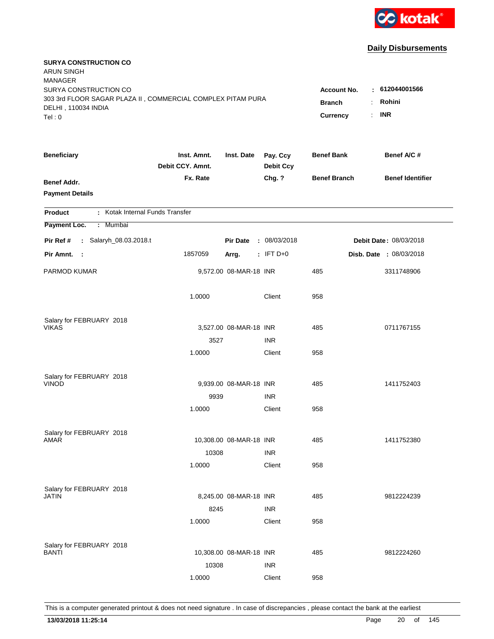

| <b>SURYA CONSTRUCTION CO</b><br><b>ARUN SINGH</b>                                                      |                                 |                         |                              |                                       |                         |
|--------------------------------------------------------------------------------------------------------|---------------------------------|-------------------------|------------------------------|---------------------------------------|-------------------------|
| <b>MANAGER</b><br>SURYA CONSTRUCTION CO<br>303 3rd FLOOR SAGAR PLAZA II, COMMERCIAL COMPLEX PITAM PURA |                                 |                         |                              | <b>Account No.</b>                    | : 612044001566          |
| DELHI, 110034 INDIA                                                                                    |                                 |                         |                              | <b>Branch</b><br>$\ddot{\phantom{a}}$ | Rohini                  |
| Tel: 0                                                                                                 |                                 |                         |                              | $\mathbf{r}$<br>Currency              | <b>INR</b>              |
| <b>Beneficiary</b>                                                                                     | Inst. Amnt.<br>Debit CCY. Amnt. | Inst. Date              | Pay. Ccy<br><b>Debit Ccy</b> | <b>Benef Bank</b>                     | Benef A/C #             |
| <b>Benef Addr.</b><br><b>Payment Details</b>                                                           | Fx. Rate                        |                         | Chg. ?                       | <b>Benef Branch</b>                   | <b>Benef Identifier</b> |
| : Kotak Internal Funds Transfer<br><b>Product</b>                                                      |                                 |                         |                              |                                       |                         |
| Payment Loc.<br>: Mumbai                                                                               |                                 |                         |                              |                                       |                         |
| Pir Ref #<br>: Salaryh_08.03.2018.t                                                                    |                                 | <b>Pir Date</b>         | : 08/03/2018                 |                                       | Debit Date: 08/03/2018  |
| Pir Amnt.<br>- 1                                                                                       | 1857059                         | Arrg.                   | $:$ IFT D+0                  |                                       | Disb. Date : 08/03/2018 |
| PARMOD KUMAR                                                                                           |                                 | 9,572.00 08-MAR-18 INR  |                              | 485                                   | 3311748906              |
|                                                                                                        | 1.0000                          |                         | Client                       | 958                                   |                         |
| Salary for FEBRUARY 2018                                                                               |                                 |                         |                              |                                       |                         |
| <b>VIKAS</b>                                                                                           |                                 | 3,527.00 08-MAR-18 INR  |                              | 485                                   | 0711767155              |
|                                                                                                        | 3527                            |                         | <b>INR</b>                   |                                       |                         |
|                                                                                                        | 1.0000                          |                         | Client                       | 958                                   |                         |
| Salary for FEBRUARY 2018                                                                               |                                 |                         |                              |                                       |                         |
| <b>VINOD</b>                                                                                           |                                 | 9,939.00 08-MAR-18 INR  |                              | 485                                   | 1411752403              |
|                                                                                                        | 9939                            |                         | <b>INR</b>                   |                                       |                         |
|                                                                                                        | 1.0000                          |                         | Client                       | 958                                   |                         |
| Salary for FEBRUARY 2018                                                                               |                                 |                         |                              |                                       |                         |
| AMAR                                                                                                   |                                 | 10,308.00 08-MAR-18 INR |                              | 485                                   | 1411752380              |
|                                                                                                        | 10308                           |                         | <b>INR</b>                   |                                       |                         |
|                                                                                                        | 1.0000                          |                         | Client                       | 958                                   |                         |
| Salary for FEBRUARY 2018                                                                               |                                 |                         |                              |                                       |                         |
| <b>JATIN</b>                                                                                           |                                 | 8,245.00 08-MAR-18 INR  |                              | 485                                   | 9812224239              |
|                                                                                                        | 8245                            |                         | <b>INR</b>                   |                                       |                         |
|                                                                                                        | 1.0000                          |                         | Client                       | 958                                   |                         |
|                                                                                                        |                                 |                         |                              |                                       |                         |
| Salary for FEBRUARY 2018<br>BANTI                                                                      |                                 | 10,308.00 08-MAR-18 INR |                              | 485                                   | 9812224260              |
|                                                                                                        | 10308                           |                         | <b>INR</b>                   |                                       |                         |
|                                                                                                        | 1.0000                          |                         | Client                       | 958                                   |                         |
|                                                                                                        |                                 |                         |                              |                                       |                         |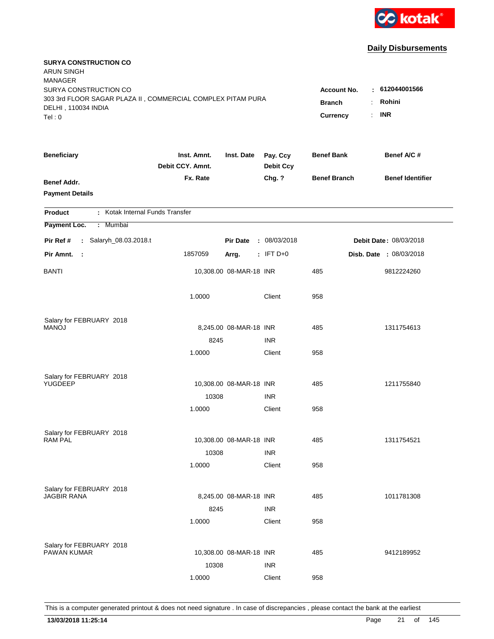

| <b>SURYA CONSTRUCTION CO</b><br><b>ARUN SINGH</b><br><b>MANAGER</b>                                                  |                                                 |                                                    |                              |                     |                         |
|----------------------------------------------------------------------------------------------------------------------|-------------------------------------------------|----------------------------------------------------|------------------------------|---------------------|-------------------------|
| SURYA CONSTRUCTION CO<br>303 3rd FLOOR SAGAR PLAZA II, COMMERCIAL COMPLEX PITAM PURA<br>DELHI, 110034 INDIA<br>Tel:0 | <b>Account No.</b><br><b>Branch</b><br>Currency | : 612044001566<br>Rohini<br>÷.<br><b>INR</b><br>÷. |                              |                     |                         |
|                                                                                                                      |                                                 |                                                    |                              |                     |                         |
| <b>Beneficiary</b>                                                                                                   | Inst. Amnt.<br>Debit CCY. Amnt.                 | Inst. Date                                         | Pay. Ccy<br><b>Debit Ccy</b> | <b>Benef Bank</b>   | Benef A/C #             |
| <b>Benef Addr.</b><br><b>Payment Details</b>                                                                         | Fx. Rate                                        |                                                    | Chg. ?                       | <b>Benef Branch</b> | <b>Benef Identifier</b> |
| : Kotak Internal Funds Transfer<br><b>Product</b>                                                                    |                                                 |                                                    |                              |                     |                         |
| Payment Loc.<br>: Mumbai                                                                                             |                                                 |                                                    |                              |                     |                         |
| Pir Ref #<br>: Salaryh_08.03.2018.t                                                                                  |                                                 | <b>Pir Date</b>                                    | : 08/03/2018                 |                     | Debit Date: 08/03/2018  |
| Pir Amnt.<br>- 11                                                                                                    | 1857059                                         | Arrg.                                              | $:$ IFT D+0                  |                     | Disb. Date : 08/03/2018 |
| BANTI                                                                                                                |                                                 | 10,308.00 08-MAR-18 INR                            |                              | 485                 | 9812224260              |
|                                                                                                                      | 1.0000                                          |                                                    | Client                       | 958                 |                         |
| Salary for FEBRUARY 2018                                                                                             |                                                 |                                                    |                              |                     |                         |
| <b>MANOJ</b>                                                                                                         |                                                 | 8,245.00 08-MAR-18 INR                             |                              | 485                 | 1311754613              |
|                                                                                                                      | 8245<br>1.0000                                  |                                                    | <b>INR</b><br>Client         | 958                 |                         |
|                                                                                                                      |                                                 |                                                    |                              |                     |                         |
| Salary for FEBRUARY 2018                                                                                             |                                                 |                                                    |                              |                     |                         |
| YUGDEEP                                                                                                              |                                                 | 10,308.00 08-MAR-18 INR                            |                              | 485                 | 1211755840              |
|                                                                                                                      | 10308                                           |                                                    | <b>INR</b>                   |                     |                         |
|                                                                                                                      | 1.0000                                          |                                                    | Client                       | 958                 |                         |
| Salary for FEBRUARY 2018                                                                                             |                                                 |                                                    |                              |                     |                         |
| <b>RAM PAL</b>                                                                                                       |                                                 | 10,308.00 08-MAR-18 INR                            |                              | 485                 | 1311754521              |
|                                                                                                                      | 10308                                           |                                                    | <b>INR</b>                   |                     |                         |
|                                                                                                                      | 1.0000                                          |                                                    | Client                       | 958                 |                         |
| Salary for FEBRUARY 2018                                                                                             |                                                 |                                                    |                              |                     |                         |
| <b>JAGBIR RANA</b>                                                                                                   |                                                 | 8,245.00 08-MAR-18 INR                             |                              | 485                 | 1011781308              |
|                                                                                                                      | 8245                                            |                                                    | <b>INR</b>                   |                     |                         |
|                                                                                                                      | 1.0000                                          |                                                    | Client                       | 958                 |                         |
|                                                                                                                      |                                                 |                                                    |                              |                     |                         |
| Salary for FEBRUARY 2018<br><b>PAWAN KUMAR</b>                                                                       |                                                 | 10,308.00 08-MAR-18 INR                            |                              | 485                 | 9412189952              |
|                                                                                                                      | 10308                                           |                                                    | <b>INR</b>                   |                     |                         |
|                                                                                                                      | 1.0000                                          |                                                    | Client                       | 958                 |                         |
|                                                                                                                      |                                                 |                                                    |                              |                     |                         |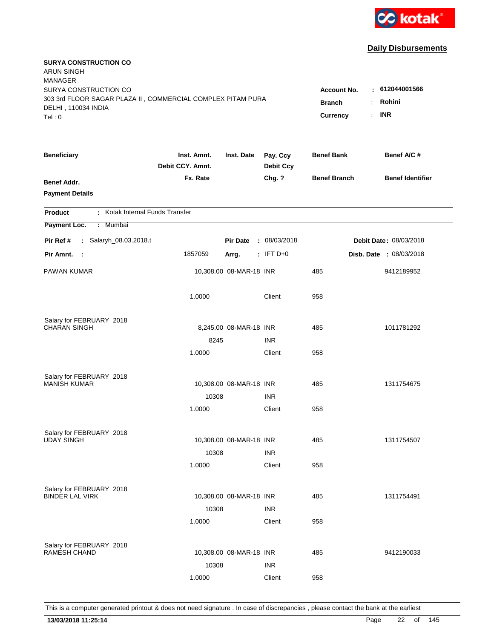

| <b>SURYA CONSTRUCTION CO</b><br><b>ARUN SINGH</b><br><b>MANAGER</b>                                         |                                 |                                     |                                               |                     |                               |
|-------------------------------------------------------------------------------------------------------------|---------------------------------|-------------------------------------|-----------------------------------------------|---------------------|-------------------------------|
| SURYA CONSTRUCTION CO<br>303 3rd FLOOR SAGAR PLAZA II, COMMERCIAL COMPLEX PITAM PURA<br>DELHI, 110034 INDIA |                                 | <b>Account No.</b><br><b>Branch</b> | $-612044001566$<br>Rohini<br>÷.<br><b>INR</b> |                     |                               |
| Tel: 0                                                                                                      |                                 |                                     |                                               | <b>Currency</b>     | $\mathbf{r}$                  |
| <b>Beneficiary</b>                                                                                          | Inst. Amnt.<br>Debit CCY. Amnt. | Inst. Date                          | Pay. Ccy<br><b>Debit Ccy</b>                  | <b>Benef Bank</b>   | Benef A/C #                   |
| <b>Benef Addr.</b><br><b>Payment Details</b>                                                                | Fx. Rate                        |                                     | Chg. ?                                        | <b>Benef Branch</b> | <b>Benef Identifier</b>       |
| : Kotak Internal Funds Transfer<br><b>Product</b>                                                           |                                 |                                     |                                               |                     |                               |
| Payment Loc.<br>: Mumbai                                                                                    |                                 |                                     |                                               |                     |                               |
| : Salaryh_08.03.2018.t<br>Pir Ref #                                                                         |                                 | <b>Pir Date</b>                     | : 08/03/2018                                  |                     | <b>Debit Date: 08/03/2018</b> |
| Pir Amnt. :                                                                                                 | 1857059                         | Arrg.                               | $:$ IFT D+0                                   |                     | Disb. Date : 08/03/2018       |
| <b>PAWAN KUMAR</b>                                                                                          |                                 | 10,308.00 08-MAR-18 INR             |                                               | 485                 | 9412189952                    |
|                                                                                                             | 1.0000                          |                                     | Client                                        | 958                 |                               |
| Salary for FEBRUARY 2018                                                                                    |                                 |                                     |                                               |                     |                               |
| <b>CHARAN SINGH</b>                                                                                         |                                 | 8,245.00 08-MAR-18 INR              |                                               | 485                 | 1011781292                    |
|                                                                                                             | 8245                            |                                     | <b>INR</b>                                    |                     |                               |
|                                                                                                             | 1.0000                          |                                     | Client                                        | 958                 |                               |
| Salary for FEBRUARY 2018                                                                                    |                                 |                                     |                                               |                     |                               |
| <b>MANISH KUMAR</b>                                                                                         |                                 | 10,308.00 08-MAR-18 INR             |                                               | 485                 | 1311754675                    |
|                                                                                                             | 10308                           |                                     | <b>INR</b>                                    |                     |                               |
|                                                                                                             | 1.0000                          |                                     | Client                                        | 958                 |                               |
| Salary for FEBRUARY 2018                                                                                    |                                 |                                     |                                               |                     |                               |
| <b>UDAY SINGH</b>                                                                                           |                                 | 10,308.00 08-MAR-18 INR             |                                               | 485                 | 1311754507                    |
|                                                                                                             | 10308                           |                                     | <b>INR</b>                                    |                     |                               |
|                                                                                                             | 1.0000                          |                                     | Client                                        | 958                 |                               |
| Salary for FEBRUARY 2018                                                                                    |                                 |                                     |                                               |                     |                               |
| <b>BINDER LAL VIRK</b>                                                                                      |                                 | 10,308.00 08-MAR-18 INR             |                                               | 485                 | 1311754491                    |
|                                                                                                             | 10308                           |                                     | <b>INR</b>                                    |                     |                               |
|                                                                                                             | 1.0000                          |                                     | Client                                        | 958                 |                               |
|                                                                                                             |                                 |                                     |                                               |                     |                               |
| Salary for FEBRUARY 2018<br><b>RAMESH CHAND</b>                                                             |                                 | 10,308.00 08-MAR-18 INR             |                                               | 485                 | 9412190033                    |
|                                                                                                             | 10308                           |                                     | <b>INR</b>                                    |                     |                               |
|                                                                                                             | 1.0000                          |                                     | Client                                        | 958                 |                               |
|                                                                                                             |                                 |                                     |                                               |                     |                               |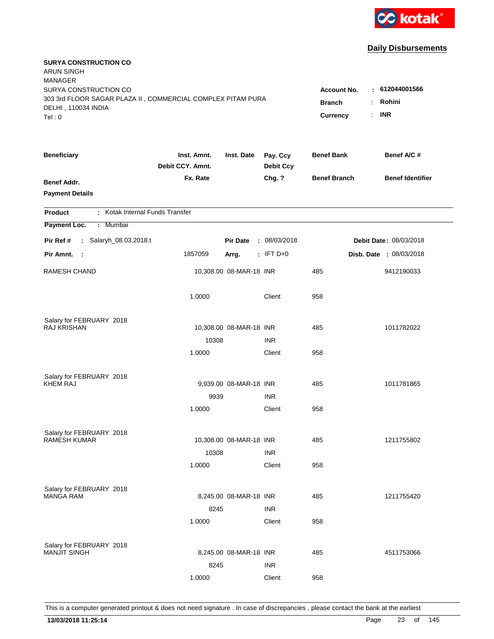

| <b>SURYA CONSTRUCTION CO</b><br><b>ARUN SINGH</b><br><b>MANAGER</b>                  |                                 |                         |                              |                     |                               |
|--------------------------------------------------------------------------------------|---------------------------------|-------------------------|------------------------------|---------------------|-------------------------------|
| SURYA CONSTRUCTION CO<br>303 3rd FLOOR SAGAR PLAZA II, COMMERCIAL COMPLEX PITAM PURA |                                 |                         |                              | <b>Account No.</b>  | $-612044001566$               |
| DELHI, 110034 INDIA                                                                  |                                 |                         |                              | <b>Branch</b>       | Rohini<br>÷                   |
| Tel:0                                                                                |                                 |                         |                              | <b>Currency</b>     | <b>INR</b><br>$\mathbf{r}$    |
| <b>Beneficiary</b>                                                                   | Inst. Amnt.<br>Debit CCY. Amnt. | Inst. Date              | Pay. Ccy<br><b>Debit Ccy</b> | <b>Benef Bank</b>   | Benef A/C #                   |
| <b>Benef Addr.</b>                                                                   | Fx. Rate                        |                         | Chg. ?                       | <b>Benef Branch</b> | <b>Benef Identifier</b>       |
| <b>Payment Details</b>                                                               |                                 |                         |                              |                     |                               |
| : Kotak Internal Funds Transfer<br><b>Product</b>                                    |                                 |                         |                              |                     |                               |
| Payment Loc.<br>: Mumbai                                                             |                                 |                         |                              |                     |                               |
| : Salaryh_08.03.2018.t<br>Pir Ref #                                                  |                                 | <b>Pir Date</b>         | : 08/03/2018                 |                     | <b>Debit Date: 08/03/2018</b> |
| Pir Amnt. :                                                                          | 1857059                         | Arrg.                   | $:$ IFT D+0                  |                     | Disb. Date : 08/03/2018       |
| <b>RAMESH CHAND</b>                                                                  |                                 | 10,308.00 08-MAR-18 INR |                              | 485                 | 9412190033                    |
|                                                                                      | 1.0000                          |                         | Client                       | 958                 |                               |
| Salary for FEBRUARY 2018                                                             |                                 |                         |                              |                     |                               |
| RAJ KRISHAN                                                                          |                                 | 10,308.00 08-MAR-18 INR |                              | 485                 | 1011782022                    |
|                                                                                      | 10308                           |                         | <b>INR</b>                   |                     |                               |
|                                                                                      | 1.0000                          |                         | Client                       | 958                 |                               |
| Salary for FEBRUARY 2018                                                             |                                 |                         |                              |                     |                               |
| <b>KHEM RAJ</b>                                                                      |                                 | 9,939.00 08-MAR-18 INR  |                              | 485                 | 1011781865                    |
|                                                                                      | 9939                            |                         | <b>INR</b>                   |                     |                               |
|                                                                                      | 1.0000                          |                         | Client                       | 958                 |                               |
| Salary for FEBRUARY 2018                                                             |                                 |                         |                              |                     |                               |
| <b>RAMESH KUMAR</b>                                                                  |                                 | 10,308.00 08-MAR-18 INR |                              | 485                 | 1211755802                    |
|                                                                                      | 10308                           |                         | <b>INR</b>                   |                     |                               |
|                                                                                      | 1.0000                          |                         | Client                       | 958                 |                               |
| Salary for FEBRUARY 2018                                                             |                                 |                         |                              |                     |                               |
| <b>MANGA RAM</b>                                                                     |                                 | 8,245.00 08-MAR-18 INR  |                              | 485                 | 1211755420                    |
|                                                                                      | 8245                            |                         | <b>INR</b>                   |                     |                               |
|                                                                                      | 1.0000                          |                         | Client                       | 958                 |                               |
| Salary for FEBRUARY 2018                                                             |                                 |                         |                              |                     |                               |
| <b>MANJIT SINGH</b>                                                                  |                                 | 8,245.00 08-MAR-18 INR  |                              | 485                 | 4511753066                    |
|                                                                                      | 8245                            |                         | <b>INR</b>                   |                     |                               |
|                                                                                      | 1.0000                          |                         | Client                       | 958                 |                               |
|                                                                                      |                                 |                         |                              |                     |                               |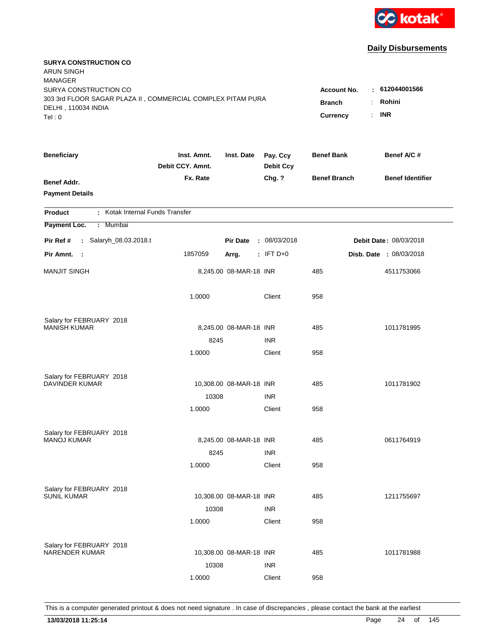

| <b>SURYA CONSTRUCTION CO</b><br><b>ARUN SINGH</b><br><b>MANAGER</b><br>SURYA CONSTRUCTION CO |                                 |                         |                              | <b>Account No.</b>               | $-612044001566$                            |
|----------------------------------------------------------------------------------------------|---------------------------------|-------------------------|------------------------------|----------------------------------|--------------------------------------------|
| 303 3rd FLOOR SAGAR PLAZA II, COMMERCIAL COMPLEX PITAM PURA<br>DELHI, 110034 INDIA<br>Tel:0  |                                 |                         |                              | <b>Branch</b><br><b>Currency</b> | Rohini<br>÷.<br><b>INR</b><br>$\mathbf{r}$ |
| <b>Beneficiary</b>                                                                           | Inst. Amnt.<br>Debit CCY. Amnt. | Inst. Date              | Pay. Ccy<br><b>Debit Ccy</b> | <b>Benef Bank</b>                | Benef A/C #                                |
| <b>Benef Addr.</b><br><b>Payment Details</b>                                                 | Fx. Rate                        |                         | Chg. ?                       | <b>Benef Branch</b>              | <b>Benef Identifier</b>                    |
| : Kotak Internal Funds Transfer<br><b>Product</b>                                            |                                 |                         |                              |                                  |                                            |
| Payment Loc.<br>: Mumbai                                                                     |                                 |                         |                              |                                  |                                            |
| : Salaryh_08.03.2018.t<br>Pir Ref #                                                          |                                 | <b>Pir Date</b>         | : 08/03/2018                 |                                  | <b>Debit Date: 08/03/2018</b>              |
| Pir Amnt. :                                                                                  | 1857059                         | Arrg.                   | $:$ IFT D+0                  |                                  | Disb. Date : 08/03/2018                    |
| <b>MANJIT SINGH</b>                                                                          |                                 | 8,245.00 08-MAR-18 INR  |                              | 485                              | 4511753066                                 |
|                                                                                              | 1.0000                          |                         | Client                       | 958                              |                                            |
| Salary for FEBRUARY 2018                                                                     |                                 |                         |                              |                                  |                                            |
| <b>MANISH KUMAR</b>                                                                          |                                 | 8,245.00 08-MAR-18 INR  |                              | 485                              | 1011781995                                 |
|                                                                                              | 8245                            |                         | <b>INR</b>                   |                                  |                                            |
|                                                                                              | 1.0000                          |                         | Client                       | 958                              |                                            |
| Salary for FEBRUARY 2018                                                                     |                                 |                         |                              |                                  |                                            |
| <b>DAVINDER KUMAR</b>                                                                        |                                 | 10,308.00 08-MAR-18 INR |                              | 485                              | 1011781902                                 |
|                                                                                              | 10308                           |                         | <b>INR</b>                   |                                  |                                            |
|                                                                                              | 1.0000                          |                         | Client                       | 958                              |                                            |
| Salary for FEBRUARY 2018                                                                     |                                 |                         |                              |                                  |                                            |
| <b>MANOJ KUMAR</b>                                                                           |                                 | 8,245.00 08-MAR-18 INR  |                              | 485                              | 0611764919                                 |
|                                                                                              | 8245                            |                         | <b>INR</b>                   |                                  |                                            |
|                                                                                              | 1.0000                          |                         | Client                       | 958                              |                                            |
| Salary for FEBRUARY 2018                                                                     |                                 |                         |                              |                                  |                                            |
| <b>SUNIL KUMAR</b>                                                                           |                                 | 10,308.00 08-MAR-18 INR |                              | 485                              | 1211755697                                 |
|                                                                                              | 10308                           |                         | <b>INR</b>                   |                                  |                                            |
|                                                                                              | 1.0000                          |                         | Client                       | 958                              |                                            |
|                                                                                              |                                 |                         |                              |                                  |                                            |
| Salary for FEBRUARY 2018<br><b>NARENDER KUMAR</b>                                            |                                 | 10,308.00 08-MAR-18 INR |                              | 485                              | 1011781988                                 |
|                                                                                              | 10308                           |                         | <b>INR</b>                   |                                  |                                            |
|                                                                                              | 1.0000                          |                         | Client                       | 958                              |                                            |
|                                                                                              |                                 |                         |                              |                                  |                                            |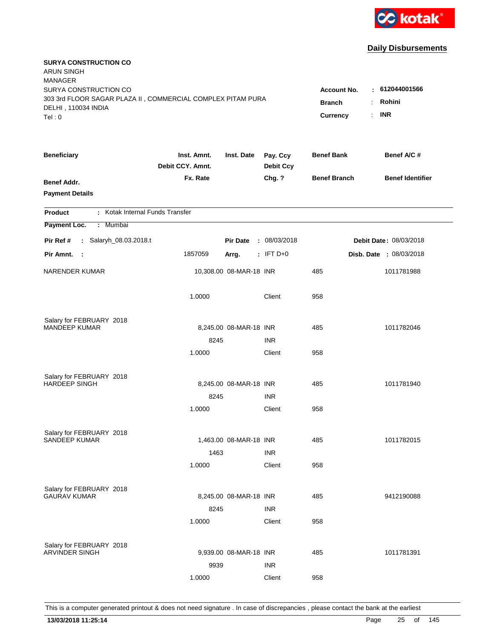

| <b>SURYA CONSTRUCTION CO</b><br><b>ARUN SINGH</b><br><b>MANAGER</b> |                                 |                         |                              |                     |                               |
|---------------------------------------------------------------------|---------------------------------|-------------------------|------------------------------|---------------------|-------------------------------|
| SURYA CONSTRUCTION CO                                               |                                 |                         |                              | <b>Account No.</b>  | $-612044001566$               |
| 303 3rd FLOOR SAGAR PLAZA II, COMMERCIAL COMPLEX PITAM PURA         | <b>Branch</b>                   | Rohini<br>÷.            |                              |                     |                               |
| DELHI, 110034 INDIA<br>Tel: 0                                       |                                 |                         |                              | Currency            | <b>INR</b><br>÷.              |
|                                                                     |                                 |                         |                              |                     |                               |
| <b>Beneficiary</b>                                                  | Inst. Amnt.<br>Debit CCY. Amnt. | Inst. Date              | Pay. Ccy<br><b>Debit Ccy</b> | <b>Benef Bank</b>   | Benef A/C #                   |
| <b>Benef Addr.</b>                                                  | Fx. Rate                        |                         | Chg. ?                       | <b>Benef Branch</b> | <b>Benef Identifier</b>       |
| <b>Payment Details</b>                                              |                                 |                         |                              |                     |                               |
| : Kotak Internal Funds Transfer<br><b>Product</b>                   |                                 |                         |                              |                     |                               |
| Payment Loc.<br>Mumbai<br>$\mathcal{L}^{\mathcal{L}}$               |                                 |                         |                              |                     |                               |
| : Salaryh_08.03.2018.t<br>Pir Ref #                                 |                                 | <b>Pir Date</b>         | : 08/03/2018                 |                     | <b>Debit Date: 08/03/2018</b> |
| Pir Amnt.<br>$\sim$ 1                                               | 1857059                         | Arrg.                   | $:$ IFT D+0                  |                     | Disb. Date : 08/03/2018       |
| <b>NARENDER KUMAR</b>                                               |                                 | 10,308.00 08-MAR-18 INR |                              | 485                 | 1011781988                    |
|                                                                     | 1.0000                          |                         | Client                       | 958                 |                               |
| Salary for FEBRUARY 2018                                            |                                 |                         |                              |                     |                               |
| MANDEEP KUMAR                                                       |                                 | 8,245.00 08-MAR-18 INR  |                              | 485                 | 1011782046                    |
|                                                                     | 8245                            |                         | <b>INR</b>                   |                     |                               |
|                                                                     | 1.0000                          |                         | Client                       | 958                 |                               |
| Salary for FEBRUARY 2018                                            |                                 |                         |                              |                     |                               |
| <b>HARDEEP SINGH</b>                                                |                                 | 8,245.00 08-MAR-18 INR  |                              | 485                 | 1011781940                    |
|                                                                     | 8245                            |                         | <b>INR</b>                   |                     |                               |
|                                                                     | 1.0000                          |                         | Client                       | 958                 |                               |
| Salary for FEBRUARY 2018                                            |                                 |                         |                              |                     |                               |
| SANDEEP KUMAR                                                       |                                 | 1,463.00 08-MAR-18 INR  |                              | 485                 | 1011782015                    |
|                                                                     | 1463                            |                         | <b>INR</b>                   |                     |                               |
|                                                                     | 1.0000                          |                         | Client                       | 958                 |                               |
| Salary for FEBRUARY 2018                                            |                                 |                         |                              |                     |                               |
| <b>GAURAV KUMAR</b>                                                 |                                 | 8,245.00 08-MAR-18 INR  |                              | 485                 | 9412190088                    |
|                                                                     | 8245                            |                         | <b>INR</b>                   |                     |                               |
|                                                                     | 1.0000                          |                         | Client                       | 958                 |                               |
| Salary for FEBRUARY 2018                                            |                                 |                         |                              |                     |                               |
| <b>ARVINDER SINGH</b>                                               |                                 | 9,939.00 08-MAR-18 INR  |                              | 485                 | 1011781391                    |
|                                                                     | 9939                            |                         | <b>INR</b>                   |                     |                               |
|                                                                     | 1.0000                          |                         | Client                       | 958                 |                               |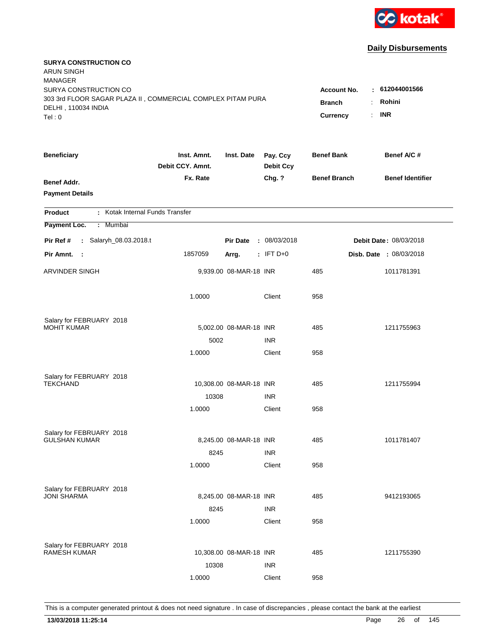

| <b>SURYA CONSTRUCTION CO</b><br><b>ARUN SINGH</b><br><b>MANAGER</b> |                                 |                         |                              |                     |                               |
|---------------------------------------------------------------------|---------------------------------|-------------------------|------------------------------|---------------------|-------------------------------|
| SURYA CONSTRUCTION CO                                               |                                 |                         |                              | <b>Account No.</b>  | : 612044001566                |
| 303 3rd FLOOR SAGAR PLAZA II, COMMERCIAL COMPLEX PITAM PURA         | <b>Branch</b><br>÷.             | Rohini                  |                              |                     |                               |
| DELHI, 110034 INDIA<br>Tel: 0                                       |                                 |                         |                              | ÷.<br>Currency      | <b>INR</b>                    |
|                                                                     |                                 |                         |                              |                     |                               |
| <b>Beneficiary</b>                                                  | Inst. Amnt.<br>Debit CCY. Amnt. | Inst. Date              | Pay. Ccy<br><b>Debit Ccy</b> | <b>Benef Bank</b>   | Benef A/C #                   |
| <b>Benef Addr.</b>                                                  | Fx. Rate                        |                         | Chg. ?                       | <b>Benef Branch</b> | <b>Benef Identifier</b>       |
| <b>Payment Details</b>                                              |                                 |                         |                              |                     |                               |
| : Kotak Internal Funds Transfer<br><b>Product</b>                   |                                 |                         |                              |                     |                               |
| Payment Loc.<br>Mumbai<br>÷.                                        |                                 |                         |                              |                     |                               |
| : Salaryh_08.03.2018.t<br>Pir Ref #                                 |                                 | <b>Pir Date</b>         | : 08/03/2018                 |                     | <b>Debit Date: 08/03/2018</b> |
| Pir Amnt.<br>$\sim$ 1                                               | 1857059                         | Arrg.                   | $:$ IFT D+0                  |                     | Disb. Date : 08/03/2018       |
| ARVINDER SINGH                                                      |                                 | 9,939.00 08-MAR-18 INR  |                              | 485                 | 1011781391                    |
|                                                                     | 1.0000                          |                         | Client                       | 958                 |                               |
| Salary for FEBRUARY 2018                                            |                                 |                         |                              |                     |                               |
| <b>MOHIT KUMAR</b>                                                  |                                 | 5,002.00 08-MAR-18 INR  |                              | 485                 | 1211755963                    |
|                                                                     | 5002                            |                         | <b>INR</b>                   |                     |                               |
|                                                                     | 1.0000                          |                         | Client                       | 958                 |                               |
| Salary for FEBRUARY 2018                                            |                                 |                         |                              |                     |                               |
| <b>TEKCHAND</b>                                                     |                                 | 10,308.00 08-MAR-18 INR |                              | 485                 | 1211755994                    |
|                                                                     | 10308                           |                         | <b>INR</b>                   |                     |                               |
|                                                                     | 1.0000                          |                         | Client                       | 958                 |                               |
| Salary for FEBRUARY 2018                                            |                                 |                         |                              |                     |                               |
| <b>GULSHAN KUMAR</b>                                                |                                 | 8,245.00 08-MAR-18 INR  |                              | 485                 | 1011781407                    |
|                                                                     | 8245                            |                         | <b>INR</b>                   |                     |                               |
|                                                                     | 1.0000                          |                         | Client                       | 958                 |                               |
| Salary for FEBRUARY 2018                                            |                                 |                         |                              |                     |                               |
| <b>JONI SHARMA</b>                                                  |                                 | 8,245.00 08-MAR-18 INR  |                              | 485                 | 9412193065                    |
|                                                                     | 8245                            |                         | <b>INR</b>                   |                     |                               |
|                                                                     | 1.0000                          |                         | Client                       | 958                 |                               |
| Salary for FEBRUARY 2018                                            |                                 |                         |                              |                     |                               |
| <b>RAMESH KUMAR</b>                                                 |                                 | 10,308.00 08-MAR-18 INR |                              | 485                 | 1211755390                    |
|                                                                     | 10308                           |                         | <b>INR</b>                   |                     |                               |
|                                                                     | 1.0000                          |                         | Client                       | 958                 |                               |
|                                                                     |                                 |                         |                              |                     |                               |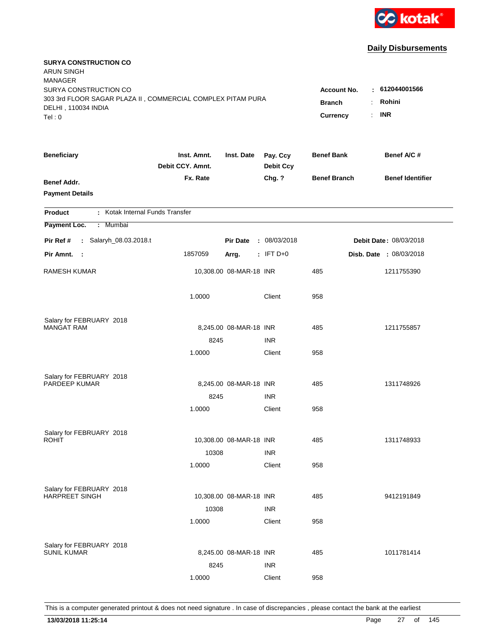

| <b>SURYA CONSTRUCTION CO</b><br><b>ARUN SINGH</b><br><b>MANAGER</b>                  |                                 |                         |                              |                          |                               |
|--------------------------------------------------------------------------------------|---------------------------------|-------------------------|------------------------------|--------------------------|-------------------------------|
| SURYA CONSTRUCTION CO<br>303 3rd FLOOR SAGAR PLAZA II, COMMERCIAL COMPLEX PITAM PURA |                                 |                         |                              | <b>Account No.</b><br>÷. | : 612044001566<br>Rohini      |
| DELHI, 110034 INDIA                                                                  |                                 |                         |                              | <b>Branch</b>            | <b>INR</b>                    |
| Tel: 0                                                                               |                                 |                         |                              | ÷.<br>Currency           |                               |
| <b>Beneficiary</b>                                                                   | Inst. Amnt.<br>Debit CCY. Amnt. | Inst. Date              | Pay. Ccy<br><b>Debit Ccy</b> | <b>Benef Bank</b>        | Benef A/C #                   |
| <b>Benef Addr.</b>                                                                   | Fx. Rate                        |                         | Chg. ?                       | <b>Benef Branch</b>      | <b>Benef Identifier</b>       |
| <b>Payment Details</b>                                                               |                                 |                         |                              |                          |                               |
| : Kotak Internal Funds Transfer<br><b>Product</b>                                    |                                 |                         |                              |                          |                               |
| Payment Loc.<br>: Mumbai                                                             |                                 |                         |                              |                          |                               |
| : Salaryh_08.03.2018.t<br>Pir Ref #                                                  |                                 | <b>Pir Date</b>         | : 08/03/2018                 |                          | <b>Debit Date: 08/03/2018</b> |
| Pir Amnt.<br>$\sim$ 1                                                                | 1857059                         | Arrg.                   | $:$ IFT D+0                  |                          | Disb. Date : 08/03/2018       |
| <b>RAMESH KUMAR</b>                                                                  |                                 | 10,308.00 08-MAR-18 INR |                              | 485                      | 1211755390                    |
|                                                                                      | 1.0000                          |                         | Client                       | 958                      |                               |
| Salary for FEBRUARY 2018                                                             |                                 |                         |                              |                          |                               |
| <b>MANGAT RAM</b>                                                                    |                                 | 8,245.00 08-MAR-18 INR  |                              | 485                      | 1211755857                    |
|                                                                                      | 8245                            |                         | <b>INR</b>                   |                          |                               |
|                                                                                      | 1.0000                          |                         | Client                       | 958                      |                               |
| Salary for FEBRUARY 2018                                                             |                                 |                         |                              |                          |                               |
| PARDEEP KUMAR                                                                        |                                 | 8,245.00 08-MAR-18 INR  |                              | 485                      | 1311748926                    |
|                                                                                      | 8245                            |                         | <b>INR</b>                   |                          |                               |
|                                                                                      | 1.0000                          |                         | Client                       | 958                      |                               |
| Salary for FEBRUARY 2018                                                             |                                 |                         |                              |                          |                               |
| <b>ROHIT</b>                                                                         |                                 | 10,308.00 08-MAR-18 INR |                              | 485                      | 1311748933                    |
|                                                                                      | 10308                           |                         | <b>INR</b>                   |                          |                               |
|                                                                                      | 1.0000                          |                         | Client                       | 958                      |                               |
| Salary for FEBRUARY 2018                                                             |                                 |                         |                              |                          |                               |
| <b>HARPREET SINGH</b>                                                                |                                 | 10,308.00 08-MAR-18 INR |                              | 485                      | 9412191849                    |
|                                                                                      | 10308                           |                         | <b>INR</b>                   |                          |                               |
|                                                                                      | 1.0000                          |                         | Client                       | 958                      |                               |
|                                                                                      |                                 |                         |                              |                          |                               |
| Salary for FEBRUARY 2018<br><b>SUNIL KUMAR</b>                                       |                                 | 8,245.00 08-MAR-18 INR  |                              | 485                      | 1011781414                    |
|                                                                                      | 8245                            |                         | <b>INR</b>                   |                          |                               |
|                                                                                      | 1.0000                          |                         | Client                       | 958                      |                               |
|                                                                                      |                                 |                         |                              |                          |                               |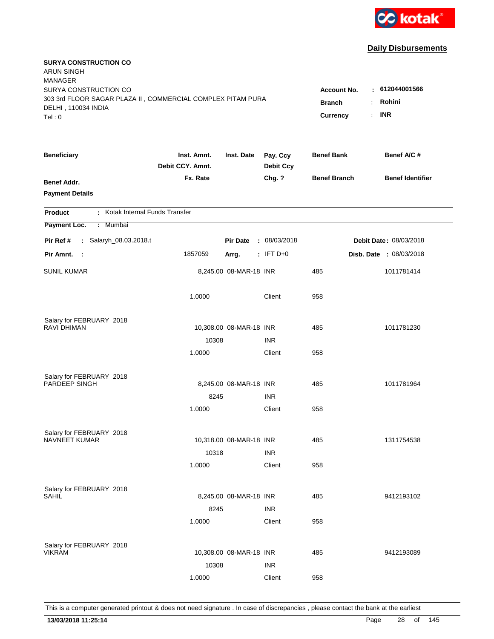

| <b>SURYA CONSTRUCTION CO</b><br><b>ARUN SINGH</b><br><b>MANAGER</b>                                                  |                                                 |                                                        |                              |                     |                         |
|----------------------------------------------------------------------------------------------------------------------|-------------------------------------------------|--------------------------------------------------------|------------------------------|---------------------|-------------------------|
| SURYA CONSTRUCTION CO<br>303 3rd FLOOR SAGAR PLAZA II, COMMERCIAL COMPLEX PITAM PURA<br>DELHI, 110034 INDIA<br>Tel:0 | <b>Account No.</b><br><b>Branch</b><br>Currency | : 612044001566<br>Rohini<br>÷<br><b>INR</b><br>$\cdot$ |                              |                     |                         |
|                                                                                                                      |                                                 |                                                        |                              |                     |                         |
| <b>Beneficiary</b>                                                                                                   | Inst. Amnt.<br>Debit CCY. Amnt.                 | Inst. Date                                             | Pay. Ccy<br><b>Debit Ccy</b> | <b>Benef Bank</b>   | Benef A/C #             |
| <b>Benef Addr.</b><br><b>Payment Details</b>                                                                         | Fx. Rate                                        |                                                        | Chg. ?                       | <b>Benef Branch</b> | <b>Benef Identifier</b> |
| : Kotak Internal Funds Transfer<br><b>Product</b>                                                                    |                                                 |                                                        |                              |                     |                         |
| Payment Loc.<br>: Mumbai                                                                                             |                                                 |                                                        |                              |                     |                         |
| : Salaryh_08.03.2018.t<br>Pir Ref #                                                                                  |                                                 | <b>Pir Date</b>                                        | : 08/03/2018                 |                     | Debit Date: 08/03/2018  |
| Pir Amnt.<br>- 1                                                                                                     | 1857059                                         | Arrg.                                                  | $:$ IFT D+0                  |                     | Disb. Date : 08/03/2018 |
| <b>SUNIL KUMAR</b>                                                                                                   |                                                 | 8,245.00 08-MAR-18 INR                                 |                              | 485                 | 1011781414              |
|                                                                                                                      | 1.0000                                          |                                                        | Client                       | 958                 |                         |
| Salary for FEBRUARY 2018                                                                                             |                                                 |                                                        |                              |                     |                         |
| RAVI DHIMAN                                                                                                          |                                                 | 10,308.00 08-MAR-18 INR                                |                              | 485                 | 1011781230              |
|                                                                                                                      | 10308                                           |                                                        | <b>INR</b>                   |                     |                         |
|                                                                                                                      | 1.0000                                          |                                                        | Client                       | 958                 |                         |
| Salary for FEBRUARY 2018                                                                                             |                                                 |                                                        |                              |                     |                         |
| PARDEEP SINGH                                                                                                        |                                                 | 8,245.00 08-MAR-18 INR                                 |                              | 485                 | 1011781964              |
|                                                                                                                      | 8245                                            |                                                        | <b>INR</b>                   |                     |                         |
|                                                                                                                      | 1.0000                                          |                                                        | Client                       | 958                 |                         |
| Salary for FEBRUARY 2018                                                                                             |                                                 |                                                        |                              |                     |                         |
| NAVNEET KUMAR                                                                                                        |                                                 | 10,318.00 08-MAR-18 INR                                |                              | 485                 | 1311754538              |
|                                                                                                                      | 10318                                           |                                                        | <b>INR</b>                   |                     |                         |
|                                                                                                                      | 1.0000                                          |                                                        | Client                       | 958                 |                         |
| Salary for FEBRUARY 2018                                                                                             |                                                 |                                                        |                              |                     |                         |
| SAHIL                                                                                                                |                                                 | 8,245.00 08-MAR-18 INR                                 |                              | 485                 | 9412193102              |
|                                                                                                                      | 8245                                            |                                                        | <b>INR</b>                   |                     |                         |
|                                                                                                                      | 1.0000                                          |                                                        | Client                       | 958                 |                         |
|                                                                                                                      |                                                 |                                                        |                              |                     |                         |
| Salary for FEBRUARY 2018<br><b>VIKRAM</b>                                                                            |                                                 | 10,308.00 08-MAR-18 INR                                |                              | 485                 | 9412193089              |
|                                                                                                                      | 10308                                           |                                                        | <b>INR</b>                   |                     |                         |
|                                                                                                                      | 1.0000                                          |                                                        | Client                       | 958                 |                         |
|                                                                                                                      |                                                 |                                                        |                              |                     |                         |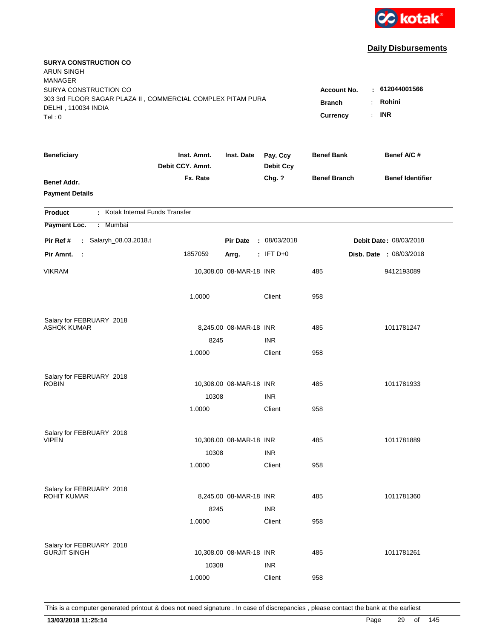

| <b>SURYA CONSTRUCTION CO</b><br><b>ARUN SINGH</b><br><b>MANAGER</b>                                         |                                                 |                                                         |                              |                     |                         |
|-------------------------------------------------------------------------------------------------------------|-------------------------------------------------|---------------------------------------------------------|------------------------------|---------------------|-------------------------|
| SURYA CONSTRUCTION CO<br>303 3rd FLOOR SAGAR PLAZA II, COMMERCIAL COMPLEX PITAM PURA<br>DELHI, 110034 INDIA | <b>Account No.</b><br><b>Branch</b><br>Currency | : 612044001566<br>Rohini<br>÷.<br><b>INR</b><br>$\cdot$ |                              |                     |                         |
| Tel:0                                                                                                       |                                                 |                                                         |                              |                     |                         |
| <b>Beneficiary</b>                                                                                          | Inst. Amnt.<br>Debit CCY. Amnt.                 | Inst. Date                                              | Pay. Ccy<br><b>Debit Ccy</b> | <b>Benef Bank</b>   | Benef A/C #             |
| <b>Benef Addr.</b><br><b>Payment Details</b>                                                                | Fx. Rate                                        |                                                         | Chg. ?                       | <b>Benef Branch</b> | <b>Benef Identifier</b> |
| : Kotak Internal Funds Transfer<br><b>Product</b>                                                           |                                                 |                                                         |                              |                     |                         |
| Payment Loc.<br>: Mumbai                                                                                    |                                                 |                                                         |                              |                     |                         |
| Pir Ref #<br>: Salaryh_08.03.2018.t                                                                         |                                                 | <b>Pir Date</b>                                         | : 08/03/2018                 |                     | Debit Date: 08/03/2018  |
| Pir Amnt.<br>- 11                                                                                           | 1857059                                         | Arrg.                                                   | $:$ IFT D+0                  |                     | Disb. Date : 08/03/2018 |
| <b>VIKRAM</b>                                                                                               |                                                 | 10,308.00 08-MAR-18 INR                                 |                              | 485                 | 9412193089              |
|                                                                                                             | 1.0000                                          |                                                         | Client                       | 958                 |                         |
| Salary for FEBRUARY 2018                                                                                    |                                                 |                                                         |                              |                     |                         |
| <b>ASHOK KUMAR</b>                                                                                          |                                                 | 8,245.00 08-MAR-18 INR                                  |                              | 485                 | 1011781247              |
|                                                                                                             | 8245                                            |                                                         | <b>INR</b>                   |                     |                         |
|                                                                                                             | 1.0000                                          |                                                         | Client                       | 958                 |                         |
| Salary for FEBRUARY 2018                                                                                    |                                                 |                                                         |                              |                     |                         |
| <b>ROBIN</b>                                                                                                |                                                 | 10,308.00 08-MAR-18 INR                                 |                              | 485                 | 1011781933              |
|                                                                                                             | 10308                                           |                                                         | <b>INR</b>                   |                     |                         |
|                                                                                                             | 1.0000                                          |                                                         | Client                       | 958                 |                         |
| Salary for FEBRUARY 2018                                                                                    |                                                 |                                                         |                              |                     |                         |
| <b>VIPEN</b>                                                                                                |                                                 | 10,308.00 08-MAR-18 INR                                 |                              | 485                 | 1011781889              |
|                                                                                                             | 10308                                           |                                                         | <b>INR</b>                   |                     |                         |
|                                                                                                             | 1.0000                                          |                                                         | Client                       | 958                 |                         |
| Salary for FEBRUARY 2018                                                                                    |                                                 |                                                         |                              |                     |                         |
| <b>ROHIT KUMAR</b>                                                                                          |                                                 | 8,245.00 08-MAR-18 INR                                  |                              | 485                 | 1011781360              |
|                                                                                                             | 8245                                            |                                                         | <b>INR</b>                   |                     |                         |
|                                                                                                             | 1.0000                                          |                                                         | Client                       | 958                 |                         |
|                                                                                                             |                                                 |                                                         |                              |                     |                         |
| Salary for FEBRUARY 2018<br><b>GURJIT SINGH</b>                                                             |                                                 | 10,308.00 08-MAR-18 INR                                 |                              | 485                 | 1011781261              |
|                                                                                                             | 10308                                           |                                                         | <b>INR</b>                   |                     |                         |
|                                                                                                             | 1.0000                                          |                                                         | Client                       | 958                 |                         |
|                                                                                                             |                                                 |                                                         |                              |                     |                         |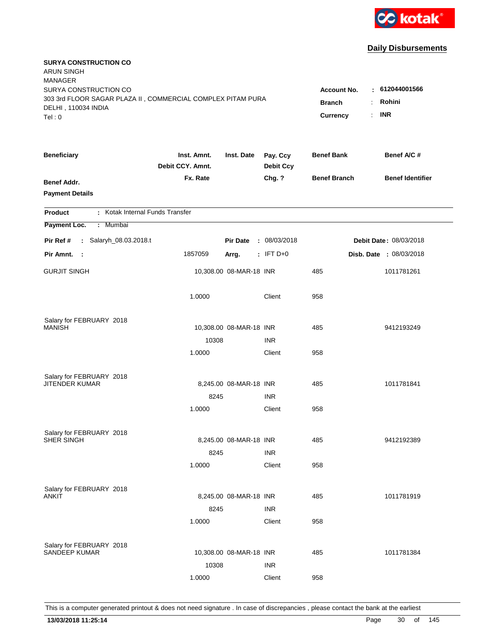

| <b>SURYA CONSTRUCTION CO</b><br><b>ARUN SINGH</b><br><b>MANAGER</b>                |                                 |                         |                              |                     |                               |
|------------------------------------------------------------------------------------|---------------------------------|-------------------------|------------------------------|---------------------|-------------------------------|
| SURYA CONSTRUCTION CO                                                              |                                 |                         |                              | <b>Account No.</b>  | : 612044001566                |
| 303 3rd FLOOR SAGAR PLAZA II, COMMERCIAL COMPLEX PITAM PURA<br>DELHI, 110034 INDIA |                                 |                         |                              | <b>Branch</b>       | Rohini<br>÷.                  |
| Tel: 0                                                                             |                                 |                         |                              | <b>Currency</b>     | <b>INR</b><br>$\mathbf{r}$    |
| <b>Beneficiary</b>                                                                 | Inst. Amnt.<br>Debit CCY. Amnt. | Inst. Date              | Pay. Ccy<br><b>Debit Ccy</b> | <b>Benef Bank</b>   | Benef A/C #                   |
| <b>Benef Addr.</b>                                                                 | Fx. Rate                        |                         | Chg. ?                       | <b>Benef Branch</b> | <b>Benef Identifier</b>       |
| <b>Payment Details</b>                                                             |                                 |                         |                              |                     |                               |
| : Kotak Internal Funds Transfer<br><b>Product</b>                                  |                                 |                         |                              |                     |                               |
| Payment Loc.<br>: Mumbai                                                           |                                 |                         |                              |                     |                               |
| : Salaryh_08.03.2018.t<br>Pir Ref #                                                |                                 | <b>Pir Date</b>         | : 08/03/2018                 |                     | <b>Debit Date: 08/03/2018</b> |
| Pir Amnt. :                                                                        | 1857059                         | Arrg.                   | $:$ IFT D+0                  |                     | Disb. Date : 08/03/2018       |
| <b>GURJIT SINGH</b>                                                                |                                 | 10,308.00 08-MAR-18 INR |                              | 485                 | 1011781261                    |
|                                                                                    | 1.0000                          |                         | Client                       | 958                 |                               |
| Salary for FEBRUARY 2018                                                           |                                 |                         |                              |                     |                               |
| <b>MANISH</b>                                                                      |                                 | 10,308.00 08-MAR-18 INR |                              | 485                 | 9412193249                    |
|                                                                                    | 10308                           |                         | <b>INR</b>                   |                     |                               |
|                                                                                    | 1.0000                          |                         | Client                       | 958                 |                               |
| Salary for FEBRUARY 2018                                                           |                                 |                         |                              |                     |                               |
| <b>JITENDER KUMAR</b>                                                              |                                 | 8,245.00 08-MAR-18 INR  |                              | 485                 | 1011781841                    |
|                                                                                    | 8245                            |                         | <b>INR</b>                   |                     |                               |
|                                                                                    | 1.0000                          |                         | Client                       | 958                 |                               |
| Salary for FEBRUARY 2018                                                           |                                 |                         |                              |                     |                               |
| SHER SINGH                                                                         |                                 | 8,245.00 08-MAR-18 INR  |                              | 485                 | 9412192389                    |
|                                                                                    | 8245                            |                         | <b>INR</b>                   |                     |                               |
|                                                                                    | 1.0000                          |                         | Client                       | 958                 |                               |
| Salary for FEBRUARY 2018                                                           |                                 |                         |                              |                     |                               |
| ANKIT                                                                              |                                 | 8,245.00 08-MAR-18 INR  |                              | 485                 | 1011781919                    |
|                                                                                    | 8245                            |                         | <b>INR</b>                   |                     |                               |
|                                                                                    | 1.0000                          |                         | Client                       | 958                 |                               |
| Salary for FEBRUARY 2018                                                           |                                 |                         |                              |                     |                               |
| <b>SANDEEP KUMAR</b>                                                               |                                 | 10,308.00 08-MAR-18 INR |                              | 485                 | 1011781384                    |
|                                                                                    | 10308                           |                         | <b>INR</b>                   |                     |                               |
|                                                                                    | 1.0000                          |                         | Client                       | 958                 |                               |
|                                                                                    |                                 |                         |                              |                     |                               |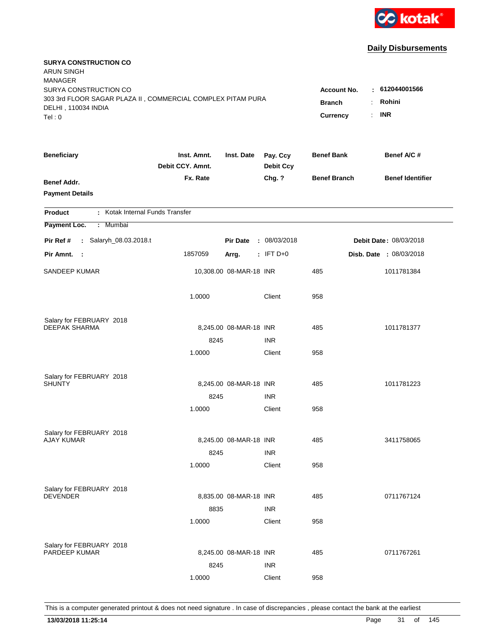

| <b>SURYA CONSTRUCTION CO</b><br><b>ARUN SINGH</b><br><b>MANAGER</b>                |                                 |                         |                              |                     |                               |
|------------------------------------------------------------------------------------|---------------------------------|-------------------------|------------------------------|---------------------|-------------------------------|
| SURYA CONSTRUCTION CO                                                              |                                 |                         |                              | <b>Account No.</b>  | : 612044001566                |
| 303 3rd FLOOR SAGAR PLAZA II, COMMERCIAL COMPLEX PITAM PURA<br>DELHI, 110034 INDIA |                                 |                         |                              | <b>Branch</b>       | Rohini<br>÷.                  |
| Tel: 0                                                                             |                                 |                         |                              | <b>Currency</b>     | <b>INR</b><br>$\mathbf{r}$    |
| <b>Beneficiary</b>                                                                 | Inst. Amnt.<br>Debit CCY. Amnt. | Inst. Date              | Pay. Ccy<br><b>Debit Ccy</b> | <b>Benef Bank</b>   | Benef A/C #                   |
| <b>Benef Addr.</b>                                                                 | Fx. Rate                        |                         | Chg. ?                       | <b>Benef Branch</b> | <b>Benef Identifier</b>       |
| <b>Payment Details</b>                                                             |                                 |                         |                              |                     |                               |
| : Kotak Internal Funds Transfer<br><b>Product</b>                                  |                                 |                         |                              |                     |                               |
| Payment Loc.<br>: Mumbai                                                           |                                 |                         |                              |                     |                               |
| : Salaryh_08.03.2018.t<br>Pir Ref #                                                |                                 | <b>Pir Date</b>         | : 08/03/2018                 |                     | <b>Debit Date: 08/03/2018</b> |
| Pir Amnt.<br>$\sim$ 1                                                              | 1857059                         | Arrg.                   | $:$ IFT D+0                  |                     | Disb. Date : 08/03/2018       |
| SANDEEP KUMAR                                                                      |                                 | 10,308.00 08-MAR-18 INR |                              | 485                 | 1011781384                    |
|                                                                                    | 1.0000                          |                         | Client                       | 958                 |                               |
| Salary for FEBRUARY 2018                                                           |                                 |                         |                              |                     |                               |
| <b>DEEPAK SHARMA</b>                                                               |                                 | 8,245.00 08-MAR-18 INR  |                              | 485                 | 1011781377                    |
|                                                                                    | 8245                            |                         | <b>INR</b>                   |                     |                               |
|                                                                                    | 1.0000                          |                         | Client                       | 958                 |                               |
| Salary for FEBRUARY 2018                                                           |                                 |                         |                              |                     |                               |
| <b>SHUNTY</b>                                                                      |                                 | 8,245.00 08-MAR-18 INR  |                              | 485                 | 1011781223                    |
|                                                                                    | 8245                            |                         | <b>INR</b>                   |                     |                               |
|                                                                                    | 1.0000                          |                         | Client                       | 958                 |                               |
| Salary for FEBRUARY 2018                                                           |                                 |                         |                              |                     |                               |
| <b>AJAY KUMAR</b>                                                                  |                                 | 8,245.00 08-MAR-18 INR  |                              | 485                 | 3411758065                    |
|                                                                                    | 8245                            |                         | <b>INR</b>                   |                     |                               |
|                                                                                    | 1.0000                          |                         | Client                       | 958                 |                               |
| Salary for FEBRUARY 2018                                                           |                                 |                         |                              |                     |                               |
| <b>DEVENDER</b>                                                                    |                                 | 8,835.00 08-MAR-18 INR  |                              | 485                 | 0711767124                    |
|                                                                                    | 8835                            |                         | <b>INR</b>                   |                     |                               |
|                                                                                    | 1.0000                          |                         | Client                       | 958                 |                               |
| Salary for FEBRUARY 2018                                                           |                                 |                         |                              |                     |                               |
| PARDEEP KUMAR                                                                      |                                 | 8,245.00 08-MAR-18 INR  |                              | 485                 | 0711767261                    |
|                                                                                    | 8245                            |                         | <b>INR</b>                   |                     |                               |
|                                                                                    | 1.0000                          |                         | Client                       | 958                 |                               |
|                                                                                    |                                 |                         |                              |                     |                               |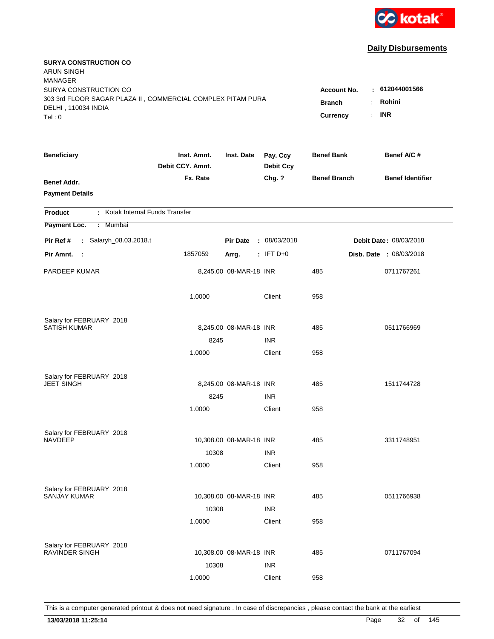

| <b>SURYA CONSTRUCTION CO</b><br><b>ARUN SINGH</b><br><b>MANAGER</b><br>SURYA CONSTRUCTION CO |                                 |                         |                              | <b>Account No.</b>               | $-612044001566$                           |
|----------------------------------------------------------------------------------------------|---------------------------------|-------------------------|------------------------------|----------------------------------|-------------------------------------------|
| 303 3rd FLOOR SAGAR PLAZA II, COMMERCIAL COMPLEX PITAM PURA<br>DELHI, 110034 INDIA<br>Tel: 0 |                                 |                         |                              | <b>Branch</b><br><b>Currency</b> | Rohini<br>÷<br><b>INR</b><br>$\mathbf{r}$ |
| <b>Beneficiary</b>                                                                           | Inst. Amnt.<br>Debit CCY. Amnt. | Inst. Date              | Pay. Ccy<br><b>Debit Ccy</b> | <b>Benef Bank</b>                | Benef A/C #                               |
| <b>Benef Addr.</b><br><b>Payment Details</b>                                                 | Fx. Rate                        |                         | Chg. ?                       | <b>Benef Branch</b>              | <b>Benef Identifier</b>                   |
| : Kotak Internal Funds Transfer<br><b>Product</b>                                            |                                 |                         |                              |                                  |                                           |
| Payment Loc.<br>: Mumbai                                                                     |                                 |                         |                              |                                  |                                           |
| : Salaryh_08.03.2018.t<br>Pir Ref #                                                          |                                 | <b>Pir Date</b>         | : 08/03/2018                 |                                  | <b>Debit Date: 08/03/2018</b>             |
| Pir Amnt.<br>$\sim$ 1                                                                        | 1857059                         | Arrg.                   | $:$ IFT D+0                  |                                  | Disb. Date : 08/03/2018                   |
| PARDEEP KUMAR                                                                                |                                 | 8,245.00 08-MAR-18 INR  |                              | 485                              | 0711767261                                |
|                                                                                              | 1.0000                          |                         | Client                       | 958                              |                                           |
| Salary for FEBRUARY 2018                                                                     |                                 |                         |                              |                                  |                                           |
| <b>SATISH KUMAR</b>                                                                          |                                 | 8,245.00 08-MAR-18 INR  |                              | 485                              | 0511766969                                |
|                                                                                              | 8245                            |                         | <b>INR</b>                   | 958                              |                                           |
|                                                                                              | 1.0000                          |                         | Client                       |                                  |                                           |
| Salary for FEBRUARY 2018                                                                     |                                 |                         |                              |                                  |                                           |
| <b>JEET SINGH</b>                                                                            |                                 | 8,245.00 08-MAR-18 INR  |                              | 485                              | 1511744728                                |
|                                                                                              | 8245                            |                         | <b>INR</b>                   |                                  |                                           |
|                                                                                              | 1.0000                          |                         | Client                       | 958                              |                                           |
| Salary for FEBRUARY 2018                                                                     |                                 |                         |                              |                                  |                                           |
| <b>NAVDEEP</b>                                                                               |                                 | 10,308.00 08-MAR-18 INR |                              | 485                              | 3311748951                                |
|                                                                                              | 10308                           |                         | <b>INR</b>                   |                                  |                                           |
|                                                                                              | 1.0000                          |                         | Client                       | 958                              |                                           |
| Salary for FEBRUARY 2018                                                                     |                                 |                         |                              |                                  |                                           |
| <b>SANJAY KUMAR</b>                                                                          |                                 | 10,308.00 08-MAR-18 INR |                              | 485                              | 0511766938                                |
|                                                                                              | 10308                           |                         | <b>INR</b>                   |                                  |                                           |
|                                                                                              | 1.0000                          |                         | Client                       | 958                              |                                           |
|                                                                                              |                                 |                         |                              |                                  |                                           |
| Salary for FEBRUARY 2018<br><b>RAVINDER SINGH</b>                                            |                                 | 10,308.00 08-MAR-18 INR |                              | 485                              | 0711767094                                |
|                                                                                              | 10308                           |                         | <b>INR</b>                   |                                  |                                           |
|                                                                                              | 1.0000                          |                         | Client                       | 958                              |                                           |
|                                                                                              |                                 |                         |                              |                                  |                                           |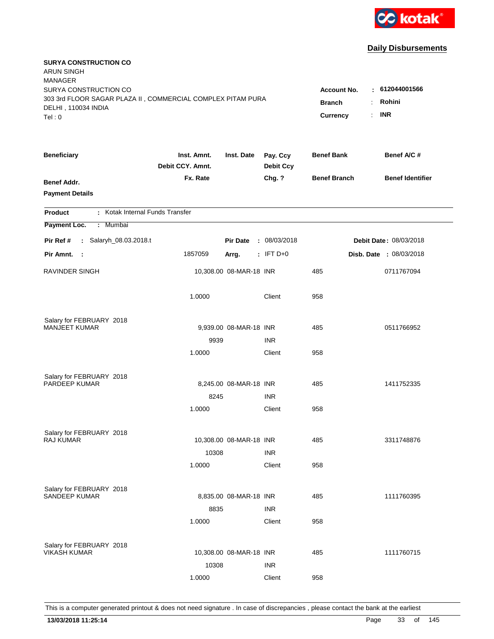

| <b>SURYA CONSTRUCTION CO</b><br><b>ARUN SINGH</b><br><b>MANAGER</b>                  |                                 |                         |                              |                     |                                            |
|--------------------------------------------------------------------------------------|---------------------------------|-------------------------|------------------------------|---------------------|--------------------------------------------|
| SURYA CONSTRUCTION CO<br>303 3rd FLOOR SAGAR PLAZA II, COMMERCIAL COMPLEX PITAM PURA |                                 |                         |                              | <b>Account No.</b>  | $-612044001566$                            |
| DELHI, 110034 INDIA                                                                  |                                 |                         |                              | <b>Branch</b>       | Rohini<br>÷.<br><b>INR</b><br>$\mathbf{r}$ |
| Tel:0                                                                                |                                 |                         |                              | <b>Currency</b>     |                                            |
| <b>Beneficiary</b>                                                                   | Inst. Amnt.<br>Debit CCY. Amnt. | Inst. Date              | Pay. Ccy<br><b>Debit Ccy</b> | <b>Benef Bank</b>   | Benef A/C #                                |
| <b>Benef Addr.</b>                                                                   | Fx. Rate                        |                         | Chg. ?                       | <b>Benef Branch</b> | <b>Benef Identifier</b>                    |
| <b>Payment Details</b>                                                               |                                 |                         |                              |                     |                                            |
| : Kotak Internal Funds Transfer<br><b>Product</b>                                    |                                 |                         |                              |                     |                                            |
| Payment Loc.<br>: Mumbai                                                             |                                 |                         |                              |                     |                                            |
| : Salaryh_08.03.2018.t<br>Pir Ref #                                                  |                                 | <b>Pir Date</b>         | : 08/03/2018                 |                     | <b>Debit Date: 08/03/2018</b>              |
| Pir Amnt. :                                                                          | 1857059                         | Arrg.                   | $:$ IFT D+0                  |                     | Disb. Date : 08/03/2018                    |
| RAVINDER SINGH                                                                       |                                 | 10,308.00 08-MAR-18 INR |                              | 485                 | 0711767094                                 |
|                                                                                      | 1.0000                          |                         | Client                       | 958                 |                                            |
| Salary for FEBRUARY 2018                                                             |                                 |                         |                              |                     |                                            |
| <b>MANJEET KUMAR</b>                                                                 |                                 | 9,939.00 08-MAR-18 INR  |                              | 485                 | 0511766952                                 |
|                                                                                      | 9939                            |                         | <b>INR</b>                   |                     |                                            |
|                                                                                      | 1.0000                          |                         | Client                       | 958                 |                                            |
| Salary for FEBRUARY 2018                                                             |                                 |                         |                              |                     |                                            |
| PARDEEP KUMAR                                                                        |                                 | 8,245.00 08-MAR-18 INR  |                              | 485                 | 1411752335                                 |
|                                                                                      | 8245                            |                         | <b>INR</b>                   |                     |                                            |
|                                                                                      | 1.0000                          |                         | Client                       | 958                 |                                            |
| Salary for FEBRUARY 2018                                                             |                                 |                         |                              |                     |                                            |
| RAJ KUMAR                                                                            |                                 | 10,308.00 08-MAR-18 INR |                              | 485                 | 3311748876                                 |
|                                                                                      | 10308                           |                         | <b>INR</b>                   |                     |                                            |
|                                                                                      | 1.0000                          |                         | Client                       | 958                 |                                            |
| Salary for FEBRUARY 2018                                                             |                                 |                         |                              |                     |                                            |
| SANDEEP KUMAR                                                                        |                                 | 8,835.00 08-MAR-18 INR  |                              | 485                 | 1111760395                                 |
|                                                                                      | 8835                            |                         | <b>INR</b>                   |                     |                                            |
|                                                                                      | 1.0000                          |                         | Client                       | 958                 |                                            |
| Salary for FEBRUARY 2018                                                             |                                 |                         |                              |                     |                                            |
| <b>VIKASH KUMAR</b>                                                                  |                                 | 10,308.00 08-MAR-18 INR |                              | 485                 | 1111760715                                 |
|                                                                                      | 10308                           |                         | <b>INR</b>                   |                     |                                            |
|                                                                                      | 1.0000                          |                         | Client                       | 958                 |                                            |
|                                                                                      |                                 |                         |                              |                     |                                            |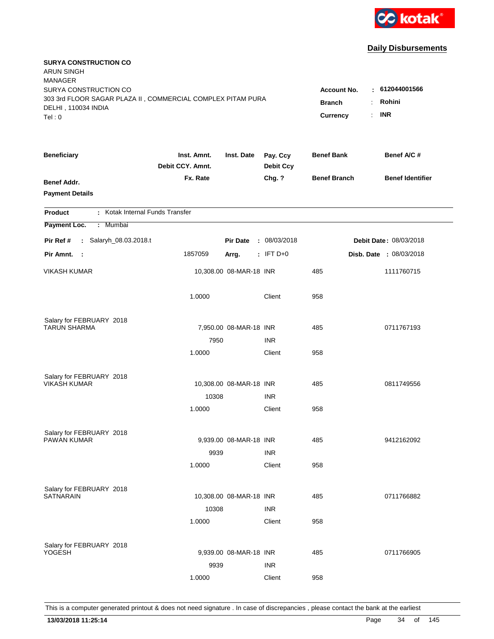

| <b>SURYA CONSTRUCTION CO</b><br><b>ARUN SINGH</b><br><b>MANAGER</b>                                         |                                 |                                     |                               |                     |                               |
|-------------------------------------------------------------------------------------------------------------|---------------------------------|-------------------------------------|-------------------------------|---------------------|-------------------------------|
| SURYA CONSTRUCTION CO<br>303 3rd FLOOR SAGAR PLAZA II, COMMERCIAL COMPLEX PITAM PURA<br>DELHI, 110034 INDIA |                                 | <b>Account No.</b><br><b>Branch</b> | : 612044001566<br>Rohini<br>÷ |                     |                               |
| Tel: 0                                                                                                      |                                 |                                     |                               | Currency            | <b>INR</b><br>$\mathbf{r}$    |
| <b>Beneficiary</b>                                                                                          | Inst. Amnt.<br>Debit CCY. Amnt. | Inst. Date                          | Pay. Ccy<br><b>Debit Ccy</b>  | <b>Benef Bank</b>   | Benef A/C #                   |
| <b>Benef Addr.</b><br><b>Payment Details</b>                                                                | Fx. Rate                        |                                     | Chg. ?                        | <b>Benef Branch</b> | <b>Benef Identifier</b>       |
| : Kotak Internal Funds Transfer<br><b>Product</b>                                                           |                                 |                                     |                               |                     |                               |
| Payment Loc.<br>: Mumbai                                                                                    |                                 |                                     |                               |                     |                               |
| : Salaryh_08.03.2018.t<br>Pir Ref #                                                                         |                                 | <b>Pir Date</b>                     | : 08/03/2018                  |                     | <b>Debit Date: 08/03/2018</b> |
| Pir Amnt. :                                                                                                 | 1857059                         | Arrg.                               | $:$ IFT D+0                   |                     | Disb. Date : 08/03/2018       |
| <b>VIKASH KUMAR</b>                                                                                         |                                 | 10,308.00 08-MAR-18 INR             |                               | 485                 | 1111760715                    |
|                                                                                                             | 1.0000                          |                                     | Client                        | 958                 |                               |
| Salary for FEBRUARY 2018                                                                                    |                                 |                                     |                               |                     |                               |
| <b>TARUN SHARMA</b>                                                                                         |                                 | 7,950.00 08-MAR-18 INR              |                               | 485                 | 0711767193                    |
|                                                                                                             | 7950                            |                                     | <b>INR</b>                    |                     |                               |
|                                                                                                             | 1.0000                          |                                     | Client                        | 958                 |                               |
| Salary for FEBRUARY 2018                                                                                    |                                 |                                     |                               |                     |                               |
| <b>VIKASH KUMAR</b>                                                                                         |                                 | 10,308.00 08-MAR-18 INR             |                               | 485                 | 0811749556                    |
|                                                                                                             | 10308                           |                                     | <b>INR</b>                    |                     |                               |
|                                                                                                             | 1.0000                          |                                     | Client                        | 958                 |                               |
| Salary for FEBRUARY 2018                                                                                    |                                 |                                     |                               |                     |                               |
| <b>PAWAN KUMAR</b>                                                                                          |                                 | 9,939.00 08-MAR-18 INR              |                               | 485                 | 9412162092                    |
|                                                                                                             | 9939                            |                                     | <b>INR</b>                    |                     |                               |
|                                                                                                             | 1.0000                          |                                     | Client                        | 958                 |                               |
| Salary for FEBRUARY 2018                                                                                    |                                 |                                     |                               |                     |                               |
| <b>SATNARAIN</b>                                                                                            |                                 | 10,308.00 08-MAR-18 INR             |                               | 485                 | 0711766882                    |
|                                                                                                             | 10308                           |                                     | <b>INR</b>                    |                     |                               |
|                                                                                                             | 1.0000                          |                                     | Client                        | 958                 |                               |
|                                                                                                             |                                 |                                     |                               |                     |                               |
| Salary for FEBRUARY 2018<br><b>YOGESH</b>                                                                   |                                 | 9,939.00 08-MAR-18 INR              |                               | 485                 | 0711766905                    |
|                                                                                                             | 9939                            |                                     | <b>INR</b>                    |                     |                               |
|                                                                                                             | 1.0000                          |                                     | Client                        | 958                 |                               |
|                                                                                                             |                                 |                                     |                               |                     |                               |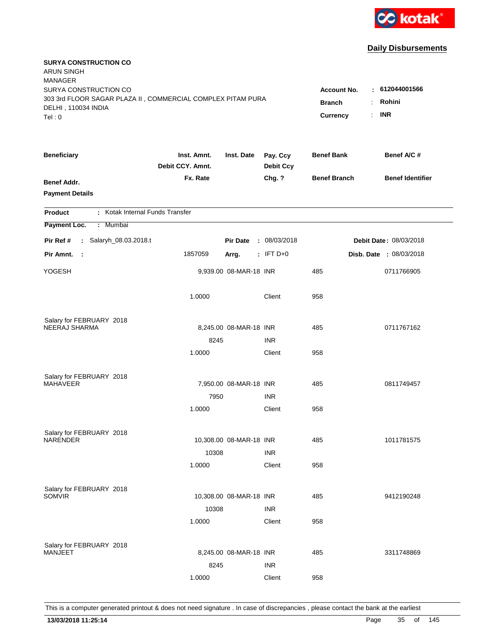

| <b>SURYA CONSTRUCTION CO</b><br><b>ARUN SINGH</b><br><b>MANAGER</b>                                                  |                                                 |                                                         |                              |                     |                         |
|----------------------------------------------------------------------------------------------------------------------|-------------------------------------------------|---------------------------------------------------------|------------------------------|---------------------|-------------------------|
| SURYA CONSTRUCTION CO<br>303 3rd FLOOR SAGAR PLAZA II, COMMERCIAL COMPLEX PITAM PURA<br>DELHI, 110034 INDIA<br>Tel:0 | <b>Account No.</b><br><b>Branch</b><br>Currency | : 612044001566<br>Rohini<br>÷.<br><b>INR</b><br>$\cdot$ |                              |                     |                         |
|                                                                                                                      |                                                 |                                                         |                              |                     |                         |
| <b>Beneficiary</b>                                                                                                   | Inst. Amnt.<br>Debit CCY. Amnt.                 | Inst. Date                                              | Pay. Ccy<br><b>Debit Ccy</b> | <b>Benef Bank</b>   | Benef A/C #             |
| <b>Benef Addr.</b><br><b>Payment Details</b>                                                                         | Fx. Rate                                        |                                                         | Chg. ?                       | <b>Benef Branch</b> | <b>Benef Identifier</b> |
| : Kotak Internal Funds Transfer<br><b>Product</b>                                                                    |                                                 |                                                         |                              |                     |                         |
| Payment Loc.<br>: Mumbai                                                                                             |                                                 |                                                         |                              |                     |                         |
| Pir Ref #<br>: Salaryh_08.03.2018.t                                                                                  |                                                 | <b>Pir Date</b>                                         | : 08/03/2018                 |                     | Debit Date: 08/03/2018  |
| Pir Amnt.<br>- 11                                                                                                    | 1857059                                         | Arrg.                                                   | $:$ IFT D+0                  |                     | Disb. Date : 08/03/2018 |
| YOGESH                                                                                                               |                                                 | 9,939.00 08-MAR-18 INR                                  |                              | 485                 | 0711766905              |
|                                                                                                                      | 1.0000                                          |                                                         | Client                       | 958                 |                         |
| Salary for FEBRUARY 2018                                                                                             |                                                 |                                                         |                              |                     |                         |
| NEERAJ SHARMA                                                                                                        |                                                 | 8,245.00 08-MAR-18 INR                                  |                              | 485                 | 0711767162              |
|                                                                                                                      | 8245<br>1.0000                                  |                                                         | <b>INR</b><br>Client         | 958                 |                         |
|                                                                                                                      |                                                 |                                                         |                              |                     |                         |
| Salary for FEBRUARY 2018                                                                                             |                                                 |                                                         |                              |                     |                         |
| <b>MAHAVEER</b>                                                                                                      |                                                 | 7,950.00 08-MAR-18 INR                                  |                              | 485                 | 0811749457              |
|                                                                                                                      | 7950                                            |                                                         | <b>INR</b>                   |                     |                         |
|                                                                                                                      | 1.0000                                          |                                                         | Client                       | 958                 |                         |
| Salary for FEBRUARY 2018                                                                                             |                                                 |                                                         |                              |                     |                         |
| <b>NARENDER</b>                                                                                                      |                                                 | 10,308.00 08-MAR-18 INR                                 |                              | 485                 | 1011781575              |
|                                                                                                                      | 10308                                           |                                                         | <b>INR</b>                   |                     |                         |
|                                                                                                                      | 1.0000                                          |                                                         | Client                       | 958                 |                         |
| Salary for FEBRUARY 2018                                                                                             |                                                 |                                                         |                              |                     |                         |
| <b>SOMVIR</b>                                                                                                        |                                                 | 10,308.00 08-MAR-18 INR                                 |                              | 485                 | 9412190248              |
|                                                                                                                      | 10308                                           |                                                         | <b>INR</b>                   |                     |                         |
|                                                                                                                      | 1.0000                                          |                                                         | Client                       | 958                 |                         |
|                                                                                                                      |                                                 |                                                         |                              |                     |                         |
| Salary for FEBRUARY 2018<br><b>MANJEET</b>                                                                           |                                                 | 8,245.00 08-MAR-18 INR                                  |                              | 485                 | 3311748869              |
|                                                                                                                      | 8245                                            |                                                         | <b>INR</b>                   |                     |                         |
|                                                                                                                      | 1.0000                                          |                                                         | Client                       | 958                 |                         |
|                                                                                                                      |                                                 |                                                         |                              |                     |                         |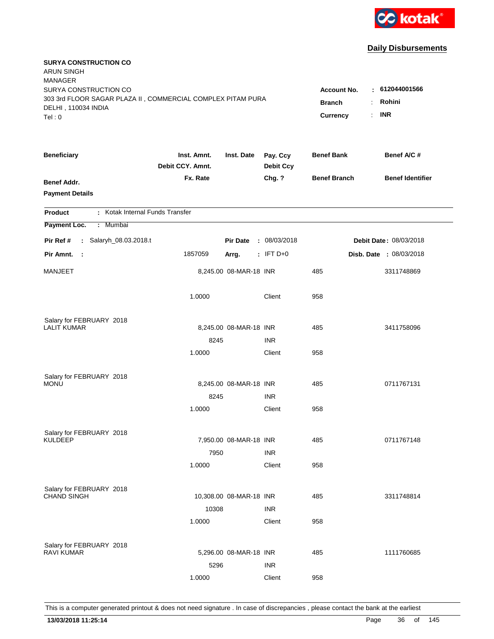

| <b>SURYA CONSTRUCTION CO</b><br><b>ARUN SINGH</b><br><b>MANAGER</b>                                         |                                     |                                                         |                              |                     |                         |
|-------------------------------------------------------------------------------------------------------------|-------------------------------------|---------------------------------------------------------|------------------------------|---------------------|-------------------------|
| SURYA CONSTRUCTION CO<br>303 3rd FLOOR SAGAR PLAZA II, COMMERCIAL COMPLEX PITAM PURA<br>DELHI, 110034 INDIA | <b>Account No.</b><br><b>Branch</b> | : 612044001566<br>Rohini<br>÷.<br><b>INR</b><br>$\cdot$ |                              |                     |                         |
| Tel:0                                                                                                       |                                     |                                                         |                              | Currency            |                         |
| <b>Beneficiary</b>                                                                                          | Inst. Amnt.<br>Debit CCY. Amnt.     | Inst. Date                                              | Pay. Ccy<br><b>Debit Ccy</b> | <b>Benef Bank</b>   | Benef A/C #             |
| <b>Benef Addr.</b><br><b>Payment Details</b>                                                                | Fx. Rate                            |                                                         | Chg. ?                       | <b>Benef Branch</b> | <b>Benef Identifier</b> |
| : Kotak Internal Funds Transfer<br><b>Product</b>                                                           |                                     |                                                         |                              |                     |                         |
| Payment Loc.<br>: Mumbai                                                                                    |                                     |                                                         |                              |                     |                         |
| Pir Ref #<br>: Salaryh_08.03.2018.t                                                                         |                                     | <b>Pir Date</b>                                         | : 08/03/2018                 |                     | Debit Date: 08/03/2018  |
| Pir Amnt.<br>- 11                                                                                           | 1857059                             | Arrg.                                                   | $:$ IFT D+0                  |                     | Disb. Date : 08/03/2018 |
| MANJEET                                                                                                     |                                     | 8,245.00 08-MAR-18 INR                                  |                              | 485                 | 3311748869              |
|                                                                                                             | 1.0000                              |                                                         | Client                       | 958                 |                         |
| Salary for FEBRUARY 2018                                                                                    |                                     |                                                         |                              |                     |                         |
| <b>LALIT KUMAR</b>                                                                                          |                                     | 8,245.00 08-MAR-18 INR                                  |                              | 485                 | 3411758096              |
|                                                                                                             | 8245<br>1.0000                      |                                                         | <b>INR</b><br>Client         | 958                 |                         |
|                                                                                                             |                                     |                                                         |                              |                     |                         |
| Salary for FEBRUARY 2018                                                                                    |                                     |                                                         |                              |                     |                         |
| <b>MONU</b>                                                                                                 |                                     | 8,245.00 08-MAR-18 INR                                  |                              | 485                 | 0711767131              |
|                                                                                                             | 8245                                |                                                         | <b>INR</b>                   |                     |                         |
|                                                                                                             | 1.0000                              |                                                         | Client                       | 958                 |                         |
| Salary for FEBRUARY 2018                                                                                    |                                     |                                                         |                              |                     |                         |
| <b>KULDEEP</b>                                                                                              |                                     | 7,950.00 08-MAR-18 INR                                  |                              | 485                 | 0711767148              |
|                                                                                                             | 7950                                |                                                         | <b>INR</b>                   |                     |                         |
|                                                                                                             | 1.0000                              |                                                         | Client                       | 958                 |                         |
| Salary for FEBRUARY 2018                                                                                    |                                     |                                                         |                              |                     |                         |
| <b>CHAND SINGH</b>                                                                                          |                                     | 10,308.00 08-MAR-18 INR                                 |                              | 485                 | 3311748814              |
|                                                                                                             | 10308                               |                                                         | <b>INR</b>                   |                     |                         |
|                                                                                                             | 1.0000                              |                                                         | Client                       | 958                 |                         |
|                                                                                                             |                                     |                                                         |                              |                     |                         |
| Salary for FEBRUARY 2018<br><b>RAVI KUMAR</b>                                                               |                                     | 5,296.00 08-MAR-18 INR                                  |                              | 485                 | 1111760685              |
|                                                                                                             | 5296                                |                                                         | <b>INR</b>                   |                     |                         |
|                                                                                                             | 1.0000                              |                                                         | Client                       | 958                 |                         |
|                                                                                                             |                                     |                                                         |                              |                     |                         |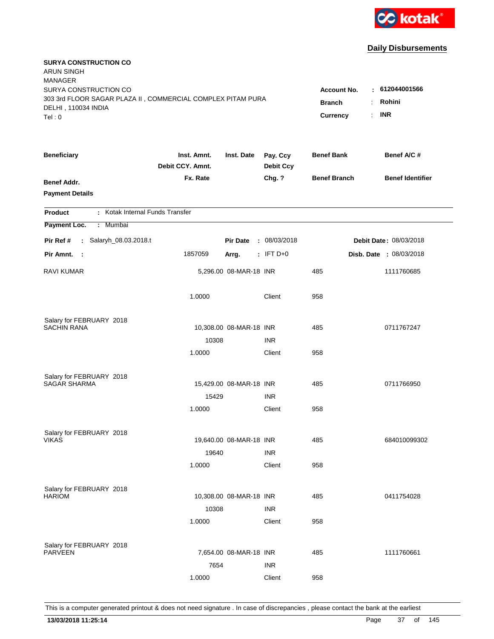

| <b>SURYA CONSTRUCTION CO</b><br><b>ARUN SINGH</b><br><b>MANAGER</b>                  |                                 |                         |                              |                                     |                               |
|--------------------------------------------------------------------------------------|---------------------------------|-------------------------|------------------------------|-------------------------------------|-------------------------------|
| SURYA CONSTRUCTION CO<br>303 3rd FLOOR SAGAR PLAZA II, COMMERCIAL COMPLEX PITAM PURA |                                 |                         |                              | <b>Account No.</b><br><b>Branch</b> | : 612044001566<br>Rohini<br>÷ |
| DELHI, 110034 INDIA<br>Tel: 0                                                        |                                 |                         |                              | Currency                            | <b>INR</b><br>÷.              |
| <b>Beneficiary</b>                                                                   | Inst. Amnt.<br>Debit CCY. Amnt. | Inst. Date              | Pay. Ccy<br><b>Debit Ccy</b> | <b>Benef Bank</b>                   | Benef A/C #                   |
| <b>Benef Addr.</b><br><b>Payment Details</b>                                         | Fx. Rate                        |                         | Chg. ?                       | <b>Benef Branch</b>                 | <b>Benef Identifier</b>       |
| : Kotak Internal Funds Transfer<br><b>Product</b>                                    |                                 |                         |                              |                                     |                               |
| Payment Loc.<br>: Mumbai                                                             |                                 |                         |                              |                                     |                               |
| Pir Ref #<br>: Salaryh_08.03.2018.t                                                  |                                 | <b>Pir Date</b>         | : 08/03/2018                 |                                     | Debit Date: 08/03/2018        |
| Pir Amnt.<br>$\sim$ 1                                                                | 1857059                         | Arrg.                   | $:$ IFT D+0                  |                                     | Disb. Date : 08/03/2018       |
| <b>RAVI KUMAR</b>                                                                    |                                 | 5,296.00 08-MAR-18 INR  |                              | 485                                 | 1111760685                    |
|                                                                                      | 1.0000                          |                         | Client                       | 958                                 |                               |
| Salary for FEBRUARY 2018                                                             |                                 |                         |                              |                                     |                               |
| SACHIN RANA                                                                          |                                 | 10,308.00 08-MAR-18 INR |                              | 485                                 | 0711767247                    |
|                                                                                      | 10308<br>1.0000                 |                         | <b>INR</b><br>Client         | 958                                 |                               |
|                                                                                      |                                 |                         |                              |                                     |                               |
| Salary for FEBRUARY 2018                                                             |                                 |                         |                              |                                     |                               |
| <b>SAGAR SHARMA</b>                                                                  |                                 | 15,429.00 08-MAR-18 INR |                              | 485                                 | 0711766950                    |
|                                                                                      | 15429                           |                         | <b>INR</b>                   |                                     |                               |
|                                                                                      | 1.0000                          |                         | Client                       | 958                                 |                               |
| Salary for FEBRUARY 2018                                                             |                                 |                         |                              |                                     |                               |
| <b>VIKAS</b>                                                                         |                                 | 19,640.00 08-MAR-18 INR |                              | 485                                 | 684010099302                  |
|                                                                                      | 19640                           |                         | <b>INR</b>                   |                                     |                               |
|                                                                                      | 1.0000                          |                         | Client                       | 958                                 |                               |
|                                                                                      |                                 |                         |                              |                                     |                               |
| Salary for FEBRUARY 2018<br><b>HARIOM</b>                                            |                                 | 10,308.00 08-MAR-18 INR |                              | 485                                 | 0411754028                    |
|                                                                                      | 10308                           |                         | <b>INR</b>                   |                                     |                               |
|                                                                                      | 1.0000                          |                         | Client                       | 958                                 |                               |
|                                                                                      |                                 |                         |                              |                                     |                               |
| Salary for FEBRUARY 2018<br><b>PARVEEN</b>                                           |                                 | 7,654.00 08-MAR-18 INR  |                              | 485                                 | 1111760661                    |
|                                                                                      | 7654                            |                         | <b>INR</b>                   |                                     |                               |
|                                                                                      | 1.0000                          |                         | Client                       | 958                                 |                               |
|                                                                                      |                                 |                         |                              |                                     |                               |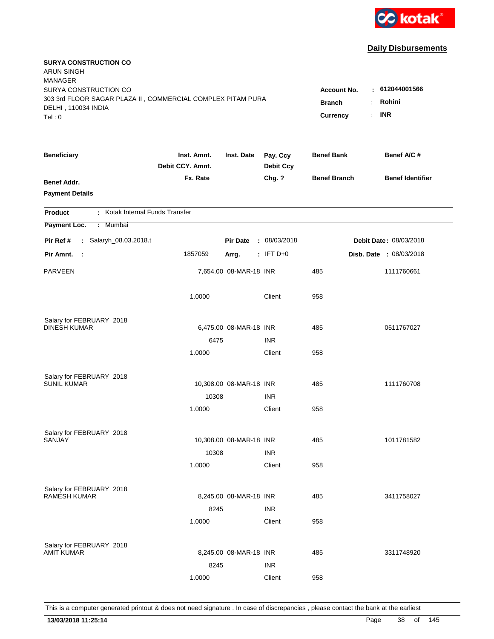

| <b>SURYA CONSTRUCTION CO</b><br><b>ARUN SINGH</b><br><b>MANAGER</b>                                                  |                                                 |                                                         |                              |                     |                         |
|----------------------------------------------------------------------------------------------------------------------|-------------------------------------------------|---------------------------------------------------------|------------------------------|---------------------|-------------------------|
| SURYA CONSTRUCTION CO<br>303 3rd FLOOR SAGAR PLAZA II, COMMERCIAL COMPLEX PITAM PURA<br>DELHI, 110034 INDIA<br>Tel:0 | <b>Account No.</b><br><b>Branch</b><br>Currency | : 612044001566<br>Rohini<br>÷.<br><b>INR</b><br>$\cdot$ |                              |                     |                         |
|                                                                                                                      |                                                 |                                                         |                              |                     |                         |
| <b>Beneficiary</b>                                                                                                   | Inst. Amnt.<br>Debit CCY. Amnt.                 | Inst. Date                                              | Pay. Ccy<br><b>Debit Ccy</b> | <b>Benef Bank</b>   | Benef A/C #             |
| <b>Benef Addr.</b><br><b>Payment Details</b>                                                                         | Fx. Rate                                        |                                                         | Chg. ?                       | <b>Benef Branch</b> | <b>Benef Identifier</b> |
| : Kotak Internal Funds Transfer<br><b>Product</b>                                                                    |                                                 |                                                         |                              |                     |                         |
| Payment Loc.<br>: Mumbai                                                                                             |                                                 |                                                         |                              |                     |                         |
| Pir Ref #<br>: Salaryh_08.03.2018.t                                                                                  |                                                 | <b>Pir Date</b>                                         | : 08/03/2018                 |                     | Debit Date: 08/03/2018  |
| Pir Amnt.<br>$\sim 20$                                                                                               | 1857059                                         | Arrg.                                                   | $:$ IFT D+0                  |                     | Disb. Date : 08/03/2018 |
| <b>PARVEEN</b>                                                                                                       |                                                 | 7,654.00 08-MAR-18 INR                                  |                              | 485                 | 1111760661              |
|                                                                                                                      | 1.0000                                          |                                                         | Client                       | 958                 |                         |
| Salary for FEBRUARY 2018                                                                                             |                                                 |                                                         |                              |                     |                         |
| <b>DINESH KUMAR</b>                                                                                                  |                                                 | 6,475.00 08-MAR-18 INR                                  |                              | 485                 | 0511767027              |
|                                                                                                                      | 6475                                            |                                                         | <b>INR</b>                   |                     |                         |
|                                                                                                                      | 1.0000                                          |                                                         | Client                       | 958                 |                         |
| Salary for FEBRUARY 2018                                                                                             |                                                 |                                                         |                              |                     |                         |
| <b>SUNIL KUMAR</b>                                                                                                   |                                                 | 10,308.00 08-MAR-18 INR                                 |                              | 485                 | 1111760708              |
|                                                                                                                      | 10308                                           |                                                         | <b>INR</b>                   |                     |                         |
|                                                                                                                      | 1.0000                                          |                                                         | Client                       | 958                 |                         |
| Salary for FEBRUARY 2018                                                                                             |                                                 |                                                         |                              |                     |                         |
| <b>SANJAY</b>                                                                                                        |                                                 | 10,308.00 08-MAR-18 INR                                 |                              | 485                 | 1011781582              |
|                                                                                                                      | 10308                                           |                                                         | <b>INR</b>                   |                     |                         |
|                                                                                                                      | 1.0000                                          |                                                         | Client                       | 958                 |                         |
| Salary for FEBRUARY 2018                                                                                             |                                                 |                                                         |                              |                     |                         |
| <b>RAMESH KUMAR</b>                                                                                                  |                                                 | 8,245.00 08-MAR-18 INR                                  |                              | 485                 | 3411758027              |
|                                                                                                                      | 8245                                            |                                                         | <b>INR</b>                   |                     |                         |
|                                                                                                                      | 1.0000                                          |                                                         | Client                       | 958                 |                         |
|                                                                                                                      |                                                 |                                                         |                              |                     |                         |
| Salary for FEBRUARY 2018<br><b>AMIT KUMAR</b>                                                                        |                                                 | 8,245.00 08-MAR-18 INR                                  |                              | 485                 | 3311748920              |
|                                                                                                                      | 8245                                            |                                                         | <b>INR</b>                   |                     |                         |
|                                                                                                                      | 1.0000                                          |                                                         | Client                       | 958                 |                         |
|                                                                                                                      |                                                 |                                                         |                              |                     |                         |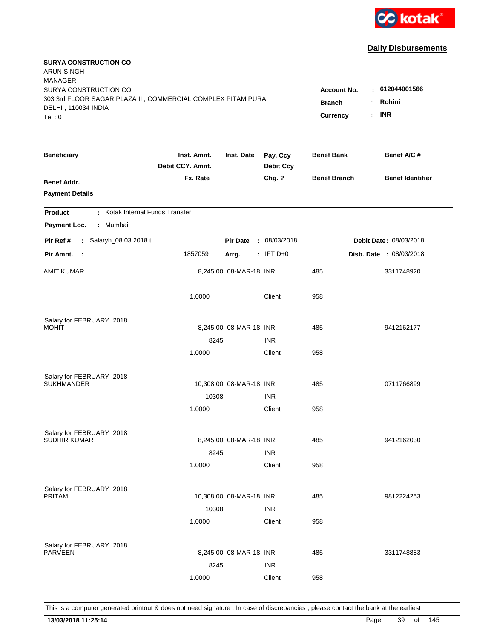

| <b>SURYA CONSTRUCTION CO</b><br><b>ARUN SINGH</b><br><b>MANAGER</b>                  |                                 |                         |                              |                                                             |                          |
|--------------------------------------------------------------------------------------|---------------------------------|-------------------------|------------------------------|-------------------------------------------------------------|--------------------------|
| SURYA CONSTRUCTION CO<br>303 3rd FLOOR SAGAR PLAZA II, COMMERCIAL COMPLEX PITAM PURA |                                 |                         |                              | <b>Account No.</b><br><b>Branch</b><br>$\ddot{\phantom{a}}$ | : 612044001566<br>Rohini |
| DELHI, 110034 INDIA<br>Tel: 0                                                        |                                 |                         |                              | $\mathbf{r}$<br>Currency                                    | <b>INR</b>               |
| <b>Beneficiary</b>                                                                   | Inst. Amnt.<br>Debit CCY. Amnt. | Inst. Date              | Pay. Ccy<br><b>Debit Ccy</b> | <b>Benef Bank</b>                                           | Benef A/C #              |
| <b>Benef Addr.</b><br><b>Payment Details</b>                                         | Fx. Rate                        |                         | Chg. ?                       | <b>Benef Branch</b>                                         | <b>Benef Identifier</b>  |
| : Kotak Internal Funds Transfer<br><b>Product</b>                                    |                                 |                         |                              |                                                             |                          |
| Payment Loc.<br>: Mumbai                                                             |                                 |                         |                              |                                                             |                          |
| Pir Ref #<br>: Salaryh_08.03.2018.t                                                  |                                 | <b>Pir Date</b>         | : 08/03/2018                 |                                                             | Debit Date: 08/03/2018   |
| Pir Amnt.<br>- 1                                                                     | 1857059                         | Arrg.                   | $:$ IFT D+0                  |                                                             | Disb. Date : 08/03/2018  |
| <b>AMIT KUMAR</b>                                                                    |                                 | 8,245.00 08-MAR-18 INR  |                              | 485                                                         | 3311748920               |
|                                                                                      | 1.0000                          |                         | Client                       | 958                                                         |                          |
| Salary for FEBRUARY 2018                                                             |                                 |                         |                              |                                                             |                          |
| <b>MOHIT</b>                                                                         |                                 | 8,245.00 08-MAR-18 INR  |                              | 485                                                         | 9412162177               |
|                                                                                      | 8245                            |                         | <b>INR</b>                   |                                                             |                          |
|                                                                                      | 1.0000                          |                         | Client                       | 958                                                         |                          |
| Salary for FEBRUARY 2018                                                             |                                 |                         |                              |                                                             |                          |
| <b>SUKHMANDER</b>                                                                    |                                 | 10,308.00 08-MAR-18 INR |                              | 485                                                         | 0711766899               |
|                                                                                      | 10308                           |                         | <b>INR</b>                   |                                                             |                          |
|                                                                                      | 1.0000                          |                         | Client                       | 958                                                         |                          |
| Salary for FEBRUARY 2018                                                             |                                 |                         |                              |                                                             |                          |
| <b>SUDHIR KUMAR</b>                                                                  |                                 | 8,245.00 08-MAR-18 INR  |                              | 485                                                         | 9412162030               |
|                                                                                      | 8245                            |                         | <b>INR</b>                   |                                                             |                          |
|                                                                                      | 1.0000                          |                         | Client                       | 958                                                         |                          |
|                                                                                      |                                 |                         |                              |                                                             |                          |
| Salary for FEBRUARY 2018<br>PRITAM                                                   |                                 | 10,308.00 08-MAR-18 INR |                              | 485                                                         | 9812224253               |
|                                                                                      | 10308                           |                         | <b>INR</b>                   |                                                             |                          |
|                                                                                      | 1.0000                          |                         | Client                       | 958                                                         |                          |
|                                                                                      |                                 |                         |                              |                                                             |                          |
| Salary for FEBRUARY 2018<br><b>PARVEEN</b>                                           |                                 | 8,245.00 08-MAR-18 INR  |                              | 485                                                         | 3311748883               |
|                                                                                      | 8245                            |                         | <b>INR</b>                   |                                                             |                          |
|                                                                                      | 1.0000                          |                         | Client                       | 958                                                         |                          |
|                                                                                      |                                 |                         |                              |                                                             |                          |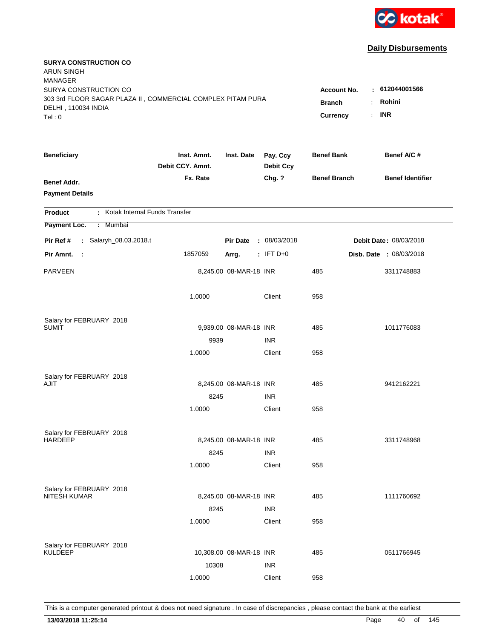

| <b>SURYA CONSTRUCTION CO</b><br><b>ARUN SINGH</b><br><b>MANAGER</b>                                         |                                     |                                |                              |                     |                         |
|-------------------------------------------------------------------------------------------------------------|-------------------------------------|--------------------------------|------------------------------|---------------------|-------------------------|
| SURYA CONSTRUCTION CO<br>303 3rd FLOOR SAGAR PLAZA II, COMMERCIAL COMPLEX PITAM PURA<br>DELHI, 110034 INDIA | <b>Account No.</b><br><b>Branch</b> | : 612044001566<br>Rohini<br>÷. |                              |                     |                         |
| Tel:0                                                                                                       |                                     |                                |                              | Currency            | <b>INR</b><br>÷.        |
| <b>Beneficiary</b>                                                                                          | Inst. Amnt.<br>Debit CCY. Amnt.     | Inst. Date                     | Pay. Ccy<br><b>Debit Ccy</b> | <b>Benef Bank</b>   | Benef A/C #             |
| <b>Benef Addr.</b><br><b>Payment Details</b>                                                                | Fx. Rate                            |                                | Chg. ?                       | <b>Benef Branch</b> | <b>Benef Identifier</b> |
| : Kotak Internal Funds Transfer<br><b>Product</b>                                                           |                                     |                                |                              |                     |                         |
| Payment Loc.<br>: Mumbai                                                                                    |                                     |                                |                              |                     |                         |
| Pir Ref #<br>: Salaryh_08.03.2018.t                                                                         |                                     | <b>Pir Date</b>                | : 08/03/2018                 |                     | Debit Date: 08/03/2018  |
| Pir Amnt.<br>- 1                                                                                            | 1857059                             | Arrg.                          | $:$ IFT D+0                  |                     | Disb. Date : 08/03/2018 |
| <b>PARVEEN</b>                                                                                              |                                     | 8,245.00 08-MAR-18 INR         |                              | 485                 | 3311748883              |
|                                                                                                             | 1.0000                              |                                | Client                       | 958                 |                         |
| Salary for FEBRUARY 2018                                                                                    |                                     |                                |                              |                     |                         |
| SUMIT                                                                                                       |                                     | 9,939.00 08-MAR-18 INR         |                              | 485                 | 1011776083              |
|                                                                                                             | 9939<br>1.0000                      |                                | <b>INR</b><br>Client         | 958                 |                         |
|                                                                                                             |                                     |                                |                              |                     |                         |
| Salary for FEBRUARY 2018                                                                                    |                                     |                                |                              |                     |                         |
| AJIT                                                                                                        |                                     | 8,245.00 08-MAR-18 INR         |                              | 485                 | 9412162221              |
|                                                                                                             | 8245                                |                                | <b>INR</b>                   |                     |                         |
|                                                                                                             | 1.0000                              |                                | Client                       | 958                 |                         |
| Salary for FEBRUARY 2018                                                                                    |                                     |                                |                              |                     |                         |
| <b>HARDEEP</b>                                                                                              |                                     | 8,245.00 08-MAR-18 INR         |                              | 485                 | 3311748968              |
|                                                                                                             | 8245                                |                                | <b>INR</b>                   |                     |                         |
|                                                                                                             | 1.0000                              |                                | Client                       | 958                 |                         |
| Salary for FEBRUARY 2018                                                                                    |                                     |                                |                              |                     |                         |
| NITESH KUMAR                                                                                                |                                     | 8,245.00 08-MAR-18 INR         |                              | 485                 | 1111760692              |
|                                                                                                             | 8245                                |                                | <b>INR</b>                   |                     |                         |
|                                                                                                             | 1.0000                              |                                | Client                       | 958                 |                         |
|                                                                                                             |                                     |                                |                              |                     |                         |
| Salary for FEBRUARY 2018<br><b>KULDEEP</b>                                                                  |                                     | 10,308.00 08-MAR-18 INR        |                              | 485                 | 0511766945              |
|                                                                                                             | 10308                               |                                | <b>INR</b>                   |                     |                         |
|                                                                                                             | 1.0000                              |                                | Client                       | 958                 |                         |
|                                                                                                             |                                     |                                |                              |                     |                         |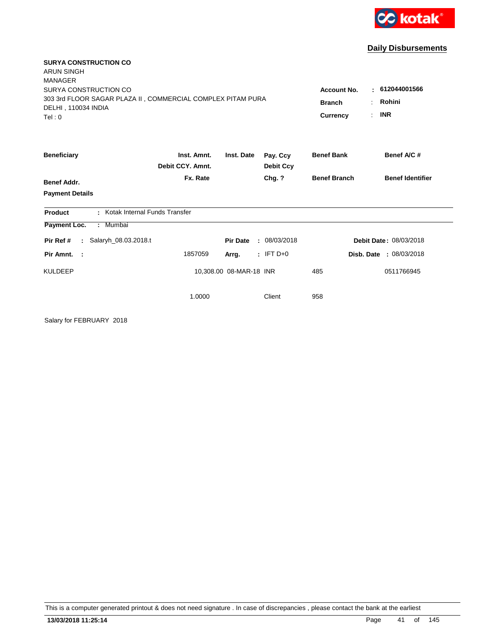

| <b>SURYA CONSTRUCTION CO</b><br><b>ARUN SINGH</b>                                                                                       |                                 |                         |                              |                                                        |                                                 |
|-----------------------------------------------------------------------------------------------------------------------------------------|---------------------------------|-------------------------|------------------------------|--------------------------------------------------------|-------------------------------------------------|
| <b>MANAGER</b><br>SURYA CONSTRUCTION CO<br>303 3rd FLOOR SAGAR PLAZA II, COMMERCIAL COMPLEX PITAM PURA<br>DELHI, 110034 INDIA<br>Tel: 0 |                                 |                         |                              | <b>Account No.</b><br><b>Branch</b><br><b>Currency</b> | 612044001566<br>٠.<br>Rohini<br><b>INR</b><br>÷ |
| <b>Beneficiary</b>                                                                                                                      | Inst. Amnt.<br>Debit CCY. Amnt. | Inst. Date              | Pay. Ccy<br><b>Debit Ccy</b> | <b>Benef Bank</b>                                      | Benef A/C #                                     |
| <b>Benef Addr.</b>                                                                                                                      | Fx. Rate                        |                         | Chg. ?                       | <b>Benef Branch</b>                                    | <b>Benef Identifier</b>                         |
| <b>Payment Details</b>                                                                                                                  |                                 |                         |                              |                                                        |                                                 |
| : Kotak Internal Funds Transfer<br><b>Product</b>                                                                                       |                                 |                         |                              |                                                        |                                                 |
| : Mumbai<br><b>Payment Loc.</b>                                                                                                         |                                 |                         |                              |                                                        |                                                 |
| Salaryh_08.03.2018.t<br>Pir Ref #<br>$\mathcal{L}^{\mathcal{L}}$ .                                                                      |                                 | <b>Pir Date</b>         | : 08/03/2018                 |                                                        | Debit Date: 08/03/2018                          |
| Pir Amnt. :                                                                                                                             | 1857059                         | Arrg.                   | $:$ IFT D+0                  |                                                        | Disb. Date: 08/03/2018                          |
| <b>KULDEEP</b>                                                                                                                          |                                 | 10,308.00 08-MAR-18 INR |                              | 485                                                    | 0511766945                                      |
|                                                                                                                                         | 1.0000                          |                         | Client                       | 958                                                    |                                                 |

Salary for FEBRUARY 2018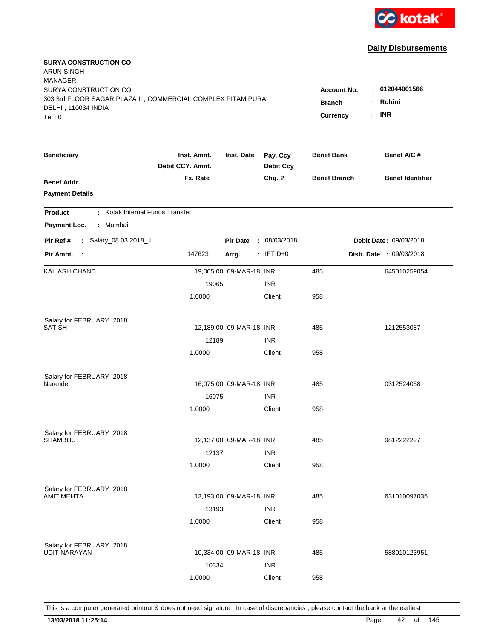

| <b>SURYA CONSTRUCTION CO</b><br><b>ARUN SINGH</b><br><b>MANAGER</b><br>SURYA CONSTRUCTION CO<br>303 3rd FLOOR SAGAR PLAZA II, COMMERCIAL COMPLEX PITAM PURA<br>DELHI, 110034 INDIA<br>Tel:0 | Account No.<br><b>Branch</b><br>Currency | : 612044001566<br>Rohini<br><b>INR</b><br>t. |                              |                     |                                |
|---------------------------------------------------------------------------------------------------------------------------------------------------------------------------------------------|------------------------------------------|----------------------------------------------|------------------------------|---------------------|--------------------------------|
| <b>Beneficiary</b>                                                                                                                                                                          | Inst. Amnt.<br>Debit CCY. Amnt.          | Inst. Date                                   | Pay. Ccy<br><b>Debit Ccy</b> | <b>Benef Bank</b>   | Benef A/C #                    |
| <b>Benef Addr.</b><br><b>Payment Details</b>                                                                                                                                                | Fx. Rate                                 |                                              | Chg. ?                       | <b>Benef Branch</b> | <b>Benef Identifier</b>        |
| : Kotak Internal Funds Transfer<br><b>Product</b>                                                                                                                                           |                                          |                                              |                              |                     |                                |
| Payment Loc.<br>Mumbai<br>÷.                                                                                                                                                                |                                          |                                              |                              |                     |                                |
| Salary_08.03.2018_.t<br>Pir Ref #<br>÷.                                                                                                                                                     |                                          | <b>Pir Date</b>                              | : 08/03/2018                 |                     | Debit Date: 09/03/2018         |
| Pir Amnt. :                                                                                                                                                                                 | 147623                                   | Arrg.                                        | $:$ IFT D+0                  |                     | <b>Disb. Date : 09/03/2018</b> |
| KAILASH CHAND                                                                                                                                                                               |                                          | 19,065.00 09-MAR-18 INR                      |                              | 485                 | 645010259054                   |
|                                                                                                                                                                                             | 19065                                    |                                              | <b>INR</b>                   |                     |                                |
|                                                                                                                                                                                             | 1.0000                                   |                                              | Client                       | 958                 |                                |
| Salary for FEBRUARY 2018                                                                                                                                                                    |                                          |                                              |                              |                     |                                |
| <b>SATISH</b>                                                                                                                                                                               |                                          | 12,189.00 09-MAR-18 INR                      |                              | 485                 | 1212553087                     |
|                                                                                                                                                                                             | 12189                                    |                                              | <b>INR</b>                   |                     |                                |
|                                                                                                                                                                                             | 1.0000                                   |                                              | Client                       | 958                 |                                |
| Salary for FEBRUARY 2018                                                                                                                                                                    |                                          |                                              |                              |                     |                                |
| Narender                                                                                                                                                                                    |                                          | 16,075.00 09-MAR-18 INR                      |                              | 485                 | 0312524058                     |
|                                                                                                                                                                                             | 16075                                    |                                              | <b>INR</b>                   |                     |                                |
|                                                                                                                                                                                             | 1.0000                                   |                                              | Client                       | 958                 |                                |
| Salary for FEBRUARY 2018                                                                                                                                                                    |                                          |                                              |                              |                     |                                |
| <b>SHAMBHU</b>                                                                                                                                                                              |                                          | 12,137.00 09-MAR-18 INR                      |                              | 485                 | 9812222297                     |
|                                                                                                                                                                                             | 12137                                    |                                              | <b>INR</b>                   |                     |                                |
|                                                                                                                                                                                             | 1.0000                                   |                                              | Client                       | 958                 |                                |
| Salary for FEBRUARY 2018                                                                                                                                                                    |                                          |                                              |                              |                     |                                |
| AMIT MEHTA                                                                                                                                                                                  |                                          | 13,193.00 09-MAR-18 INR                      |                              | 485                 | 631010097035                   |
|                                                                                                                                                                                             | 13193                                    |                                              | <b>INR</b>                   |                     |                                |
|                                                                                                                                                                                             | 1.0000                                   |                                              | Client                       | 958                 |                                |
| Salary for FEBRUARY 2018                                                                                                                                                                    |                                          |                                              |                              |                     |                                |
| <b>UDIT NARAYAN</b>                                                                                                                                                                         |                                          | 10,334.00 09-MAR-18 INR                      |                              | 485                 | 588010123951                   |
|                                                                                                                                                                                             | 10334                                    |                                              | <b>INR</b>                   |                     |                                |
|                                                                                                                                                                                             | 1.0000                                   |                                              | Client                       | 958                 |                                |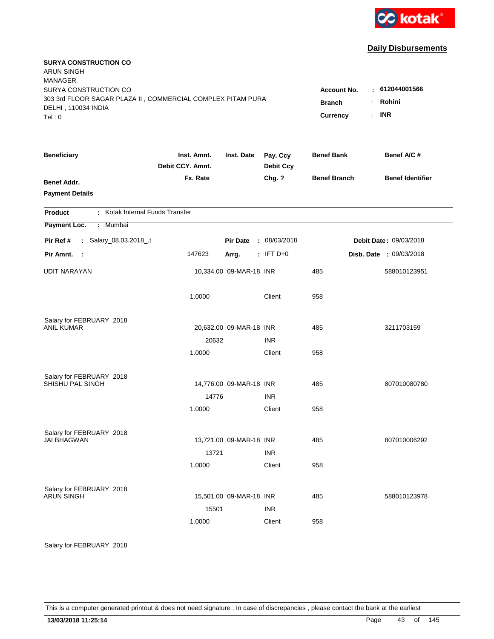

| <b>SURYA CONSTRUCTION CO</b><br><b>ARUN SINGH</b><br><b>MANAGER</b><br>SURYA CONSTRUCTION CO |                                 |                                  |                              | <b>Account No.</b>  | : 612044001566                 |
|----------------------------------------------------------------------------------------------|---------------------------------|----------------------------------|------------------------------|---------------------|--------------------------------|
| 303 3rd FLOOR SAGAR PLAZA II, COMMERCIAL COMPLEX PITAM PURA<br>DELHI, 110034 INDIA<br>Tel: 0 | <b>Branch</b><br>Currency       | Rohini<br>÷.<br><b>INR</b><br>÷. |                              |                     |                                |
|                                                                                              |                                 |                                  |                              |                     |                                |
| <b>Beneficiary</b>                                                                           | Inst. Amnt.<br>Debit CCY. Amnt. | Inst. Date                       | Pay. Ccy<br><b>Debit Ccy</b> | <b>Benef Bank</b>   | Benef A/C #                    |
| <b>Benef Addr.</b>                                                                           | Fx. Rate                        |                                  | Chg. ?                       | <b>Benef Branch</b> | <b>Benef Identifier</b>        |
| <b>Payment Details</b>                                                                       |                                 |                                  |                              |                     |                                |
| : Kotak Internal Funds Transfer<br><b>Product</b>                                            |                                 |                                  |                              |                     |                                |
| Payment Loc.<br>: Mumbai                                                                     |                                 |                                  |                              |                     |                                |
| : Salary_08.03.2018_.t<br>Pir Ref #                                                          |                                 | <b>Pir Date</b>                  | : 08/03/2018                 |                     | Debit Date: 09/03/2018         |
| Pir Amnt. :                                                                                  | 147623                          | Arrg.                            | $:$ IFT D+0                  |                     | <b>Disb. Date : 09/03/2018</b> |
| <b>UDIT NARAYAN</b>                                                                          |                                 | 10,334.00 09-MAR-18 INR          |                              | 485                 | 588010123951                   |
|                                                                                              | 1.0000                          |                                  | Client                       | 958                 |                                |
| Salary for FEBRUARY 2018<br><b>ANIL KUMAR</b>                                                |                                 | 20,632.00 09-MAR-18 INR          |                              | 485                 | 3211703159                     |
|                                                                                              | 20632                           |                                  | <b>INR</b>                   |                     |                                |
|                                                                                              | 1.0000                          |                                  | Client                       | 958                 |                                |
| Salary for FEBRUARY 2018<br>SHISHU PAL SINGH                                                 |                                 | 14,776.00 09-MAR-18 INR          |                              | 485                 | 807010080780                   |
|                                                                                              | 14776                           |                                  | <b>INR</b>                   |                     |                                |
|                                                                                              | 1.0000                          |                                  | Client                       | 958                 |                                |
| Salary for FEBRUARY 2018<br><b>JAI BHAGWAN</b>                                               |                                 | 13,721.00 09-MAR-18 INR          |                              | 485                 | 807010006292                   |
|                                                                                              | 13721                           |                                  | <b>INR</b>                   |                     |                                |
|                                                                                              | 1.0000                          |                                  | Client                       | 958                 |                                |
| Salary for FEBRUARY 2018<br><b>ARUN SINGH</b>                                                | 15501                           | 15,501.00 09-MAR-18 INR          | <b>INR</b>                   | 485                 | 588010123978                   |
|                                                                                              | 1.0000                          |                                  | Client                       | 958                 |                                |

Salary for FEBRUARY 2018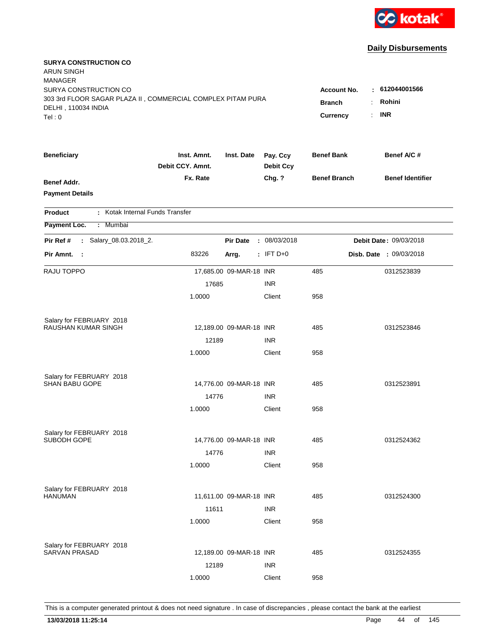

| <b>SURYA CONSTRUCTION CO</b><br><b>ARUN SINGH</b><br><b>MANAGER</b><br>SURYA CONSTRUCTION CO<br>303 3rd FLOOR SAGAR PLAZA II, COMMERCIAL COMPLEX PITAM PURA |                                 |                         |                              | <b>Account No.</b><br><b>Branch</b> |    | 612044001566<br>Rohini  |
|-------------------------------------------------------------------------------------------------------------------------------------------------------------|---------------------------------|-------------------------|------------------------------|-------------------------------------|----|-------------------------|
| DELHI, 110034 INDIA<br>Tel:0                                                                                                                                |                                 |                         |                              | Currency                            | ÷. | <b>INR</b>              |
| <b>Beneficiary</b>                                                                                                                                          | Inst. Amnt.<br>Debit CCY. Amnt. | Inst. Date              | Pay. Ccy<br><b>Debit Ccy</b> | <b>Benef Bank</b>                   |    | Benef A/C #             |
| <b>Benef Addr.</b><br><b>Payment Details</b>                                                                                                                | Fx. Rate                        |                         | Chg. ?                       | <b>Benef Branch</b>                 |    | <b>Benef Identifier</b> |
| : Kotak Internal Funds Transfer<br><b>Product</b>                                                                                                           |                                 |                         |                              |                                     |    |                         |
| Payment Loc.<br>: Mumbai                                                                                                                                    |                                 |                         |                              |                                     |    |                         |
| : Salary_08.03.2018_2.<br>Pir Ref #                                                                                                                         |                                 | <b>Pir Date</b>         | : 08/03/2018                 |                                     |    | Debit Date: 09/03/2018  |
| Pir Amnt. :                                                                                                                                                 | 83226                           | Arrg.                   | $:$ IFT D+0                  |                                     |    | Disb. Date : 09/03/2018 |
| RAJU TOPPO                                                                                                                                                  |                                 | 17,685.00 09-MAR-18 INR |                              | 485                                 |    | 0312523839              |
|                                                                                                                                                             | 17685                           |                         | <b>INR</b>                   |                                     |    |                         |
|                                                                                                                                                             | 1.0000                          |                         | Client                       | 958                                 |    |                         |
| Salary for FEBRUARY 2018                                                                                                                                    |                                 |                         |                              |                                     |    |                         |
| RAUSHAN KUMAR SINGH                                                                                                                                         |                                 | 12,189.00 09-MAR-18 INR |                              | 485                                 |    | 0312523846              |
|                                                                                                                                                             | 12189                           |                         | <b>INR</b>                   |                                     |    |                         |
|                                                                                                                                                             | 1.0000                          |                         | Client                       | 958                                 |    |                         |
| Salary for FEBRUARY 2018                                                                                                                                    |                                 |                         |                              |                                     |    |                         |
| <b>SHAN BABU GOPE</b>                                                                                                                                       |                                 | 14,776.00 09-MAR-18 INR |                              | 485                                 |    | 0312523891              |
|                                                                                                                                                             | 14776                           |                         | <b>INR</b>                   |                                     |    |                         |
|                                                                                                                                                             | 1.0000                          |                         | Client                       | 958                                 |    |                         |
| Salary for FEBRUARY 2018                                                                                                                                    |                                 |                         |                              |                                     |    |                         |
| SUBODH GOPE                                                                                                                                                 |                                 | 14,776.00 09-MAR-18 INR |                              | 485                                 |    | 0312524362              |
|                                                                                                                                                             | 14776                           |                         | <b>INR</b>                   |                                     |    |                         |
|                                                                                                                                                             | 1.0000                          |                         | Client                       | 958                                 |    |                         |
| Salary for FEBRUARY 2018                                                                                                                                    |                                 |                         |                              |                                     |    |                         |
| <b>HANUMAN</b>                                                                                                                                              |                                 | 11,611.00 09-MAR-18 INR |                              | 485                                 |    | 0312524300              |
|                                                                                                                                                             | 11611                           |                         | <b>INR</b>                   |                                     |    |                         |
|                                                                                                                                                             | 1.0000                          |                         | Client                       | 958                                 |    |                         |
| Salary for FEBRUARY 2018                                                                                                                                    |                                 |                         |                              |                                     |    |                         |
| <b>SARVAN PRASAD</b>                                                                                                                                        |                                 | 12,189.00 09-MAR-18 INR |                              | 485                                 |    | 0312524355              |
|                                                                                                                                                             | 12189                           |                         | <b>INR</b>                   |                                     |    |                         |
|                                                                                                                                                             | 1.0000                          |                         | Client                       | 958                                 |    |                         |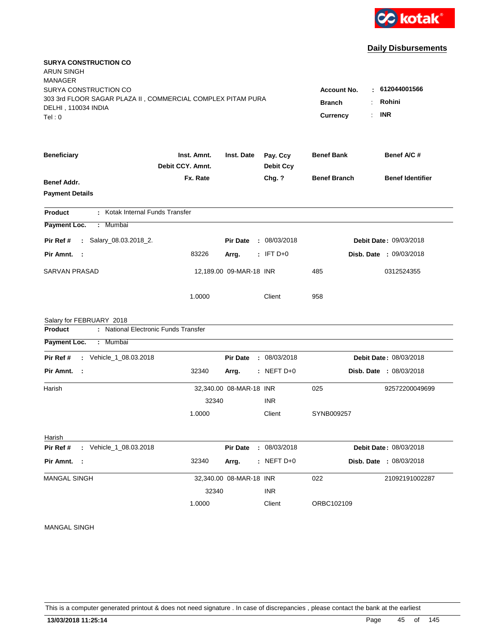

| <b>SURYA CONSTRUCTION CO</b><br>ARUN SINGH                  |                  |                         |                  |                     |                                |
|-------------------------------------------------------------|------------------|-------------------------|------------------|---------------------|--------------------------------|
| <b>MANAGER</b>                                              |                  |                         |                  |                     |                                |
| SURYA CONSTRUCTION CO                                       |                  | <b>Account No.</b>      | 612044001566     |                     |                                |
| 303 3rd FLOOR SAGAR PLAZA II, COMMERCIAL COMPLEX PITAM PURA | <b>Branch</b>    | Rohini                  |                  |                     |                                |
| DELHI, 110034 INDIA<br>Tel:0                                |                  |                         |                  | Currency            | <b>INR</b><br>÷                |
|                                                             |                  |                         |                  |                     |                                |
| <b>Beneficiary</b>                                          | Inst. Amnt.      | Inst. Date              | Pay. Ccy         | <b>Benef Bank</b>   | Benef A/C #                    |
|                                                             | Debit CCY. Amnt. |                         | <b>Debit Ccy</b> |                     |                                |
| Benef Addr.                                                 | Fx. Rate         |                         | Chg. ?           | <b>Benef Branch</b> | <b>Benef Identifier</b>        |
| <b>Payment Details</b>                                      |                  |                         |                  |                     |                                |
| : Kotak Internal Funds Transfer<br><b>Product</b>           |                  |                         |                  |                     |                                |
| Payment Loc.<br>: Mumbai                                    |                  |                         |                  |                     |                                |
| : Salary_08.03.2018_2.<br>Pir Ref #                         |                  | <b>Pir Date</b>         | : 08/03/2018     |                     | <b>Debit Date: 09/03/2018</b>  |
| Pir Amnt.<br>- 1                                            | 83226            | Arrg.                   | $:$ IFT D+0      |                     | <b>Disb. Date : 09/03/2018</b> |
| SARVAN PRASAD                                               |                  | 12,189.00 09-MAR-18 INR |                  | 485                 | 0312524355                     |
|                                                             | 1.0000           |                         | Client           | 958                 |                                |
| Salary for FEBRUARY 2018                                    |                  |                         |                  |                     |                                |
| : National Electronic Funds Transfer<br>Product             |                  |                         |                  |                     |                                |
| Payment Loc.<br>: Mumbai                                    |                  |                         |                  |                     |                                |
| : Vehicle_1_08.03.2018<br>Pir Ref #                         |                  | <b>Pir Date</b>         | : 08/03/2018     |                     | Debit Date: 08/03/2018         |
| Pir Amnt. :                                                 | 32340            | Arrg.                   | $:$ NEFT D+0     |                     | <b>Disb. Date : 08/03/2018</b> |
| Harish                                                      |                  | 32,340.00 08-MAR-18 INR |                  | 025                 | 92572200049699                 |
|                                                             | 32340            |                         | <b>INR</b>       |                     |                                |
|                                                             | 1.0000           |                         | Client           | SYNB009257          |                                |
| Harish                                                      |                  |                         |                  |                     |                                |
| Pir Ref #<br>: Vehicle_1_08.03.2018                         |                  | <b>Pir Date</b>         | : 08/03/2018     |                     | Debit Date: 08/03/2018         |
| Pir Amnt. :                                                 | 32340            | Arrg.                   | $:$ NEFT D+0     |                     | Disb. Date : 08/03/2018        |
| MANGAL SINGH                                                |                  | 32,340.00 08-MAR-18 INR |                  | 022                 | 21092191002287                 |
|                                                             | 32340            |                         | <b>INR</b>       |                     |                                |
|                                                             | 1.0000           |                         | Client           | ORBC102109          |                                |
|                                                             |                  |                         |                  |                     |                                |

#### MANGAL SINGH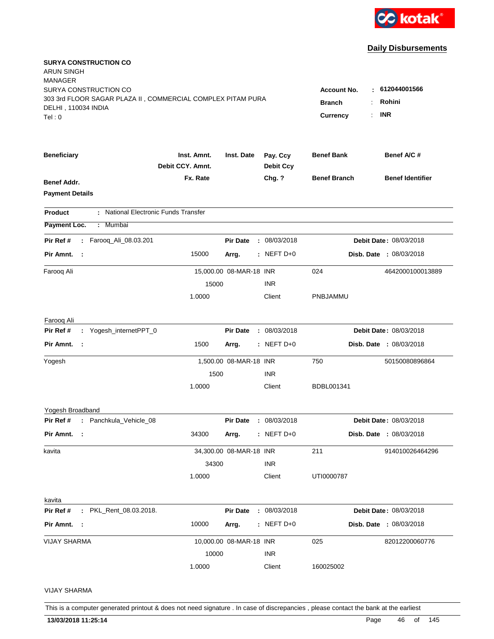

| <b>SURYA CONSTRUCTION CO</b><br>ARUN SINGH<br><b>MANAGER</b><br>SURYA CONSTRUCTION CO<br>303 3rd FLOOR SAGAR PLAZA II, COMMERCIAL COMPLEX PITAM PURA<br>DELHI, 110034 INDIA<br>Tel:0 | <b>Account No.</b><br>к.<br><b>Branch</b><br><b>Currency</b> | 612044001566<br>Rohini<br><b>INR</b> |                              |                     |                                |
|--------------------------------------------------------------------------------------------------------------------------------------------------------------------------------------|--------------------------------------------------------------|--------------------------------------|------------------------------|---------------------|--------------------------------|
| <b>Beneficiary</b>                                                                                                                                                                   | Inst. Amnt.<br>Debit CCY. Amnt.                              | Inst. Date                           | Pay. Ccy<br><b>Debit Ccy</b> | <b>Benef Bank</b>   | Benef A/C #                    |
| Benef Addr.<br><b>Payment Details</b>                                                                                                                                                | Fx. Rate                                                     |                                      | Chg. ?                       | <b>Benef Branch</b> | <b>Benef Identifier</b>        |
| : National Electronic Funds Transfer<br>Product                                                                                                                                      |                                                              |                                      |                              |                     |                                |
| Payment Loc.<br>: Mumbai                                                                                                                                                             |                                                              |                                      |                              |                     |                                |
| : Farooq_Ali_08.03.201<br>Pir Ref #                                                                                                                                                  |                                                              | <b>Pir Date</b>                      | : 08/03/2018                 |                     | Debit Date: 08/03/2018         |
| Pir Amnt. :                                                                                                                                                                          | 15000                                                        | Arrg.                                | $:$ NEFT D+0                 |                     | <b>Disb. Date : 08/03/2018</b> |
| Farooq Ali                                                                                                                                                                           |                                                              | 15,000.00 08-MAR-18 INR              |                              | 024                 | 4642000100013889               |
|                                                                                                                                                                                      | 15000                                                        |                                      | <b>INR</b>                   |                     |                                |
|                                                                                                                                                                                      | 1.0000                                                       |                                      | Client                       | PNBJAMMU            |                                |
| Farooq Ali                                                                                                                                                                           |                                                              |                                      |                              |                     |                                |
| : Yogesh_internetPPT_0<br>Pir Ref #                                                                                                                                                  |                                                              | <b>Pir Date</b>                      | : 08/03/2018                 |                     | Debit Date: 08/03/2018         |
| Pir Amnt. :                                                                                                                                                                          | 1500                                                         | Arrg.                                | $:$ NEFT D+0                 |                     | Disb. Date : 08/03/2018        |
| Yogesh                                                                                                                                                                               |                                                              | 1,500.00 08-MAR-18 INR               |                              | 750                 | 50150080896864                 |
|                                                                                                                                                                                      | 1500                                                         |                                      | <b>INR</b>                   |                     |                                |
|                                                                                                                                                                                      | 1.0000                                                       |                                      | Client                       | BDBL001341          |                                |
| Yogesh Broadband                                                                                                                                                                     |                                                              |                                      |                              |                     |                                |
| Pir Ref # : Panchkula_Vehicle_08                                                                                                                                                     |                                                              | <b>Pir Date</b>                      | : 08/03/2018                 |                     | Debit Date: 08/03/2018         |
| Pir Amnt. :                                                                                                                                                                          | 34300                                                        | Arrg.                                | $:$ NEFT D+0                 |                     | <b>Disb. Date : 08/03/2018</b> |
| kavita                                                                                                                                                                               |                                                              | 34,300.00 08-MAR-18 INR              |                              | 211                 | 914010026464296                |
|                                                                                                                                                                                      | 34300                                                        |                                      | <b>INR</b>                   |                     |                                |
|                                                                                                                                                                                      | 1.0000                                                       |                                      | Client                       | UTI0000787          |                                |
| kavita                                                                                                                                                                               |                                                              |                                      |                              |                     |                                |
| Pir Ref #<br>: PKL_Rent_08.03.2018.                                                                                                                                                  |                                                              | <b>Pir Date</b>                      | : 08/03/2018                 |                     | Debit Date: 08/03/2018         |
| Pir Amnt. :                                                                                                                                                                          | 10000                                                        | Arrg.                                | $:$ NEFT D+0                 |                     | Disb. Date : 08/03/2018        |
| <b>VIJAY SHARMA</b>                                                                                                                                                                  |                                                              | 10,000.00 08-MAR-18 INR              |                              | 025                 | 82012200060776                 |
|                                                                                                                                                                                      | 10000                                                        |                                      | <b>INR</b>                   |                     |                                |
|                                                                                                                                                                                      | 1.0000                                                       |                                      | Client                       | 160025002           |                                |
| <b>VIJAY SHARMA</b>                                                                                                                                                                  |                                                              |                                      |                              |                     |                                |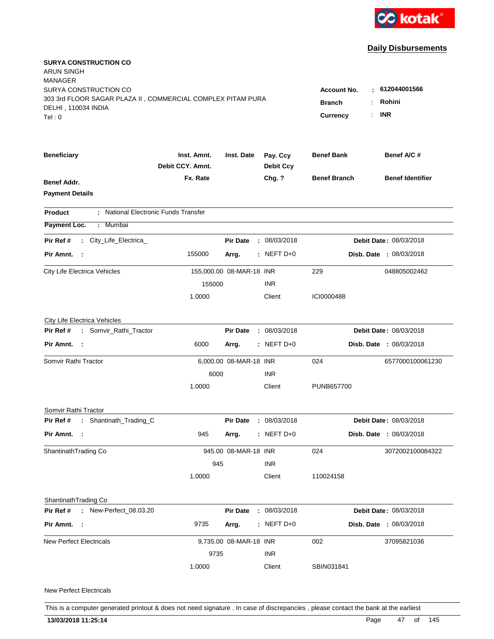

| <b>SURYA CONSTRUCTION CO</b><br>ARUN SINGH<br><b>MANAGER</b><br>SURYA CONSTRUCTION CO<br>303 3rd FLOOR SAGAR PLAZA II, COMMERCIAL COMPLEX PITAM PURA<br>DELHI, 110034 INDIA<br>Tel:0 | : 612044001566<br><b>Account No.</b><br>Rohini<br><b>Branch</b><br><b>INR</b><br><b>Currency</b> |                          |                              |                     |                                |
|--------------------------------------------------------------------------------------------------------------------------------------------------------------------------------------|--------------------------------------------------------------------------------------------------|--------------------------|------------------------------|---------------------|--------------------------------|
| <b>Beneficiary</b>                                                                                                                                                                   | Inst. Amnt.<br>Debit CCY. Amnt.                                                                  | Inst. Date               | Pay. Ccy<br><b>Debit Ccy</b> | <b>Benef Bank</b>   | Benef A/C #                    |
| <b>Benef Addr.</b><br><b>Payment Details</b>                                                                                                                                         | Fx. Rate                                                                                         |                          | Chg. ?                       | <b>Benef Branch</b> | <b>Benef Identifier</b>        |
| : National Electronic Funds Transfer<br><b>Product</b>                                                                                                                               |                                                                                                  |                          |                              |                     |                                |
| Payment Loc.<br>: Mumbai                                                                                                                                                             |                                                                                                  |                          |                              |                     |                                |
| : City_Life_Electrica_<br>Pir Ref #                                                                                                                                                  |                                                                                                  | <b>Pir Date</b>          | : 08/03/2018                 |                     | <b>Debit Date: 08/03/2018</b>  |
| Pir Amnt. :                                                                                                                                                                          | 155000                                                                                           | Arrg.                    | $:$ NEFT D+0                 |                     | <b>Disb. Date : 08/03/2018</b> |
| City Life Electrica Vehicles                                                                                                                                                         |                                                                                                  | 155,000.00 08-MAR-18 INR |                              | 229                 | 048805002462                   |
|                                                                                                                                                                                      | 155000                                                                                           |                          | <b>INR</b>                   |                     |                                |
|                                                                                                                                                                                      | 1.0000                                                                                           |                          | Client                       | ICI0000488          |                                |
| City Life Electrica Vehicles                                                                                                                                                         |                                                                                                  |                          |                              |                     |                                |
| : Somvir_Rathi_Tractor<br>Pir Ref #                                                                                                                                                  |                                                                                                  | <b>Pir Date</b>          | : 08/03/2018                 |                     | Debit Date: 08/03/2018         |
| Pir Amnt. :                                                                                                                                                                          | 6000                                                                                             | Arrg.                    | $:$ NEFT D+0                 |                     | Disb. Date : 08/03/2018        |
| Somvir Rathi Tractor                                                                                                                                                                 |                                                                                                  | 6,000.00 08-MAR-18 INR   |                              | 024                 | 6577000100061230               |
|                                                                                                                                                                                      | 6000                                                                                             |                          | <b>INR</b>                   |                     |                                |
|                                                                                                                                                                                      | 1.0000                                                                                           |                          | Client                       | PUNB657700          |                                |
| Somvir Rathi Tractor                                                                                                                                                                 |                                                                                                  |                          |                              |                     |                                |
| Pir Ref # : Shantinath_Trading_C                                                                                                                                                     |                                                                                                  | <b>Pir Date</b>          | : 08/03/2018                 |                     | Debit Date: 08/03/2018         |
| Pir Amnt. :                                                                                                                                                                          | 945                                                                                              | Arrg.                    | $:$ NEFT D+0                 |                     | <b>Disb. Date : 08/03/2018</b> |
| Shantinath Trading Co                                                                                                                                                                |                                                                                                  | 945.00 08-MAR-18 INR     |                              | 024                 | 3072002100084322               |
|                                                                                                                                                                                      | 945                                                                                              |                          | <b>INR</b>                   |                     |                                |
|                                                                                                                                                                                      | 1.0000                                                                                           |                          | Client                       | 110024158           |                                |
| ShantinathTrading Co                                                                                                                                                                 |                                                                                                  |                          |                              |                     |                                |
| Pir Ref #<br>: New-Perfect_08.03.20                                                                                                                                                  |                                                                                                  | <b>Pir Date</b>          | : 08/03/2018                 |                     | Debit Date: 08/03/2018         |
| Pir Amnt. :                                                                                                                                                                          | 9735                                                                                             | Arrg.                    | $:$ NEFT D+0                 |                     | Disb. Date : 08/03/2018        |
| <b>New Perfect Electricals</b>                                                                                                                                                       |                                                                                                  | 9,735.00 08-MAR-18 INR   |                              | 002                 | 37095821036                    |
|                                                                                                                                                                                      | 9735                                                                                             |                          | <b>INR</b>                   |                     |                                |
|                                                                                                                                                                                      | 1.0000                                                                                           |                          | Client                       | SBIN031841          |                                |
|                                                                                                                                                                                      |                                                                                                  |                          |                              |                     |                                |

New Perfect Electricals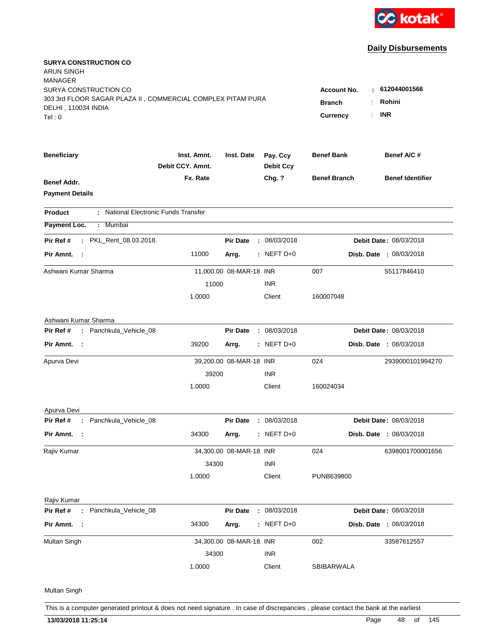

| <b>SURYA CONSTRUCTION CO</b><br><b>ARUN SINGH</b><br><b>MANAGER</b> |                                 |                         |                              |                     |                                |
|---------------------------------------------------------------------|---------------------------------|-------------------------|------------------------------|---------------------|--------------------------------|
| SURYA CONSTRUCTION CO                                               |                                 |                         |                              | <b>Account No.</b>  | : 612044001566                 |
| 303 3rd FLOOR SAGAR PLAZA II, COMMERCIAL COMPLEX PITAM PURA         |                                 |                         |                              | <b>Branch</b>       | Rohini                         |
| DELHI, 110034 INDIA<br>Tel:0                                        |                                 |                         |                              | Currency            | <b>INR</b>                     |
|                                                                     |                                 |                         |                              |                     |                                |
| <b>Beneficiary</b>                                                  | Inst. Amnt.<br>Debit CCY. Amnt. | Inst. Date              | Pay. Ccy<br><b>Debit Ccy</b> | <b>Benef Bank</b>   | Benef A/C#                     |
| Benef Addr.                                                         | Fx. Rate                        |                         | Chg. ?                       | <b>Benef Branch</b> | <b>Benef Identifier</b>        |
| <b>Payment Details</b>                                              |                                 |                         |                              |                     |                                |
| : National Electronic Funds Transfer<br><b>Product</b>              |                                 |                         |                              |                     |                                |
| Payment Loc.<br>: Mumbai                                            |                                 |                         |                              |                     |                                |
| Pir Ref #<br>: PKL_Rent_08.03.2018.                                 |                                 | <b>Pir Date</b>         | : 08/03/2018                 |                     | <b>Debit Date: 08/03/2018</b>  |
| Pir Amnt. :                                                         | 11000                           | Arrg.                   | $:$ NEFT D+0                 |                     | <b>Disb. Date : 08/03/2018</b> |
| Ashwani Kumar Sharma                                                |                                 | 11,000.00 08-MAR-18 INR |                              | 007                 | 55117846410                    |
|                                                                     | 11000                           |                         | <b>INR</b>                   |                     |                                |
|                                                                     | 1.0000                          |                         | Client                       | 160007048           |                                |
| Ashwani Kumar Sharma                                                |                                 |                         |                              |                     |                                |
| : Panchkula_Vehicle_08<br>Pir Ref #                                 |                                 | <b>Pir Date</b>         | : 08/03/2018                 |                     | Debit Date: 08/03/2018         |
| Pir Amnt. :                                                         | 39200                           | Arrg.                   | $:$ NEFT D+0                 |                     | <b>Disb. Date : 08/03/2018</b> |
| Apurva Devi                                                         |                                 | 39,200.00 08-MAR-18 INR |                              | 024                 | 2939000101994270               |
|                                                                     | 39200                           |                         | <b>INR</b>                   |                     |                                |
|                                                                     | 1.0000                          |                         | Client                       | 160024034           |                                |
| Apurva Devi                                                         |                                 |                         |                              |                     |                                |
| : Panchkula_Vehicle_08<br>Pir Ref #                                 |                                 | <b>Pir Date</b>         | : 08/03/2018                 |                     | Debit Date: 08/03/2018         |
| Pir Amnt. :                                                         | 34300                           | Arrg.                   | $:$ NEFT D+0                 |                     | Disb. Date : 08/03/2018        |
| Rajiv Kumar                                                         |                                 | 34,300.00 08-MAR-18 INR |                              | 024                 | 6398001700001656               |
|                                                                     | 34300                           |                         | <b>INR</b>                   |                     |                                |
|                                                                     | 1.0000                          |                         | Client                       | PUNB639800          |                                |
| Rajiv Kumar                                                         |                                 |                         |                              |                     |                                |
| Pir Ref #<br>: Panchkula_Vehicle_08                                 |                                 | <b>Pir Date</b>         | : 08/03/2018                 |                     | Debit Date: 08/03/2018         |
| Pir Amnt. :                                                         | 34300                           | Arrg.                   | : NEFT $D+0$                 |                     | Disb. Date : 08/03/2018        |
| Multan Singh                                                        |                                 | 34,300.00 08-MAR-18 INR |                              | 002                 | 33587612557                    |
|                                                                     | 34300                           |                         | INR                          |                     |                                |
|                                                                     | 1.0000                          |                         | Client                       | SBIBARWALA          |                                |
| Multan Singh                                                        |                                 |                         |                              |                     |                                |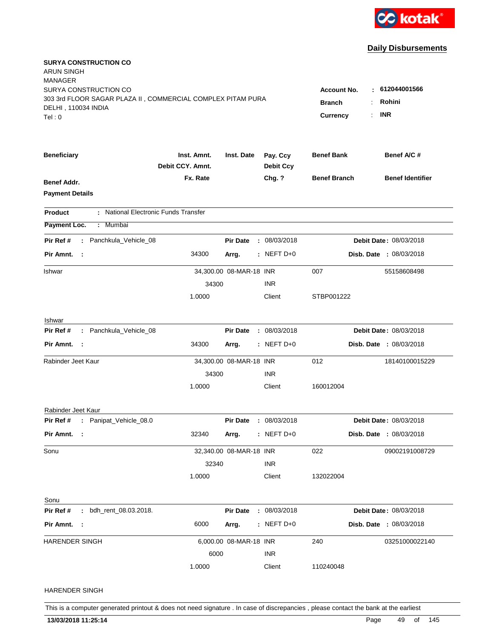

| <b>SURYA CONSTRUCTION CO</b><br><b>ARUN SINGH</b><br><b>MANAGER</b> |                                 |                         |            |                              |                     |                                |
|---------------------------------------------------------------------|---------------------------------|-------------------------|------------|------------------------------|---------------------|--------------------------------|
| SURYA CONSTRUCTION CO                                               |                                 |                         |            |                              | <b>Account No.</b>  | : 612044001566                 |
| 303 3rd FLOOR SAGAR PLAZA II, COMMERCIAL COMPLEX PITAM PURA         |                                 |                         |            |                              | <b>Branch</b>       | Rohini                         |
| DELHI, 110034 INDIA<br>Tel:0                                        |                                 |                         |            |                              | <b>Currency</b>     | <b>INR</b>                     |
|                                                                     |                                 |                         |            |                              |                     |                                |
| <b>Beneficiary</b>                                                  | Inst. Amnt.<br>Debit CCY. Amnt. | Inst. Date              |            | Pay. Ccy<br><b>Debit Ccy</b> | <b>Benef Bank</b>   | Benef A/C #                    |
| Benef Addr.                                                         | Fx. Rate                        |                         |            | Chg. ?                       | <b>Benef Branch</b> | <b>Benef Identifier</b>        |
| <b>Payment Details</b>                                              |                                 |                         |            |                              |                     |                                |
| : National Electronic Funds Transfer<br><b>Product</b>              |                                 |                         |            |                              |                     |                                |
| Payment Loc.<br>: Mumbai                                            |                                 |                         |            |                              |                     |                                |
| : Panchkula_Vehicle_08<br>Pir Ref #                                 |                                 | <b>Pir Date</b>         |            | : 08/03/2018                 |                     | Debit Date: 08/03/2018         |
| Pir Amnt. :                                                         | 34300                           | Arrg.                   |            | $:$ NEFT D+0                 |                     | <b>Disb. Date : 08/03/2018</b> |
| Ishwar                                                              |                                 | 34,300.00 08-MAR-18 INR |            |                              | 007                 | 55158608498                    |
|                                                                     | 34300                           |                         | <b>INR</b> |                              |                     |                                |
|                                                                     | 1.0000                          |                         |            | Client                       | STBP001222          |                                |
| Ishwar                                                              |                                 |                         |            |                              |                     |                                |
| Pir Ref #<br>: Panchkula_Vehicle_08                                 |                                 | <b>Pir Date</b>         |            | : 08/03/2018                 |                     | Debit Date: 08/03/2018         |
| Pir Amnt. :                                                         | 34300                           | Arrg.                   |            | $:$ NEFT D+0                 |                     | Disb. Date : 08/03/2018        |
| Rabinder Jeet Kaur                                                  |                                 | 34,300.00 08-MAR-18 INR |            |                              | 012                 | 18140100015229                 |
|                                                                     | 34300                           |                         | <b>INR</b> |                              |                     |                                |
|                                                                     | 1.0000                          |                         |            | Client                       | 160012004           |                                |
| Rabinder Jeet Kaur                                                  |                                 |                         |            |                              |                     |                                |
| Pir Ref # : Panipat_Vehicle_08.0                                    |                                 | <b>Pir Date</b>         |            | : 08/03/2018                 |                     | Debit Date: 08/03/2018         |
| Pir Amnt. :                                                         | 32340                           | Arrg.                   |            | $:$ NEFT D+0                 |                     | <b>Disb. Date : 08/03/2018</b> |
| Sonu                                                                |                                 | 32,340.00 08-MAR-18 INR |            |                              | 022                 | 09002191008729                 |
|                                                                     | 32340                           |                         | <b>INR</b> |                              |                     |                                |
|                                                                     | 1.0000                          |                         |            | Client                       | 132022004           |                                |
| Sonu                                                                |                                 |                         |            |                              |                     |                                |
| Pir Ref #<br>: bdh_rent_08.03.2018.                                 |                                 | <b>Pir Date</b>         |            | : 08/03/2018                 |                     | Debit Date: 08/03/2018         |
| Pir Amnt. :                                                         | 6000                            | Arrg.                   |            | $:$ NEFT D+0                 |                     | Disb. Date : 08/03/2018        |
| HARENDER SINGH                                                      |                                 | 6,000.00 08-MAR-18 INR  |            |                              | 240                 | 03251000022140                 |
|                                                                     | 6000                            |                         | <b>INR</b> |                              |                     |                                |
|                                                                     | 1.0000                          |                         |            | Client                       | 110240048           |                                |
| HARENDER SINGH                                                      |                                 |                         |            |                              |                     |                                |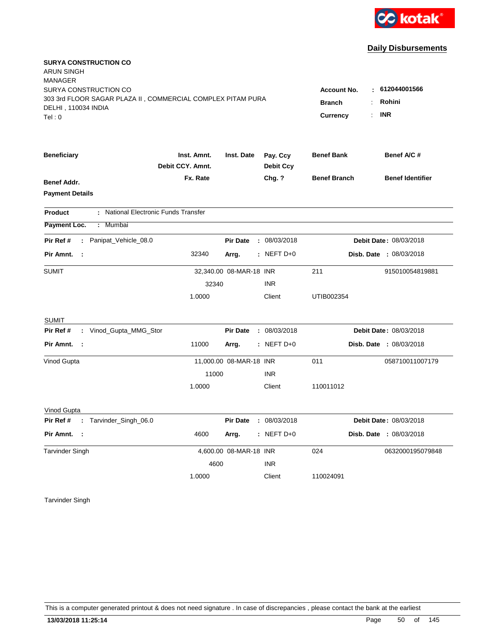

| <b>SURYA CONSTRUCTION CO</b><br>ARUN SINGH<br><b>MANAGER</b>                       |                                      |                         |                            |                     |                                |
|------------------------------------------------------------------------------------|--------------------------------------|-------------------------|----------------------------|---------------------|--------------------------------|
| SURYA CONSTRUCTION CO                                                              |                                      |                         |                            | <b>Account No.</b>  | : 612044001566                 |
| 303 3rd FLOOR SAGAR PLAZA II, COMMERCIAL COMPLEX PITAM PURA<br>DELHI, 110034 INDIA |                                      |                         |                            | <b>Branch</b>       | Rohini                         |
| Tel:0                                                                              |                                      |                         |                            | Currency            | <b>INR</b>                     |
|                                                                                    |                                      |                         |                            |                     |                                |
| <b>Beneficiary</b>                                                                 | Inst. Amnt.<br>Debit CCY. Amnt.      | Inst. Date              | Pay. Ccy                   | <b>Benef Bank</b>   | Benef A/C #                    |
|                                                                                    | Fx. Rate                             |                         | <b>Debit Ccy</b><br>Chg. ? | <b>Benef Branch</b> | <b>Benef Identifier</b>        |
| Benef Addr.                                                                        |                                      |                         |                            |                     |                                |
| <b>Payment Details</b>                                                             |                                      |                         |                            |                     |                                |
| <b>Product</b>                                                                     | : National Electronic Funds Transfer |                         |                            |                     |                                |
| Payment Loc.<br>: Mumbai                                                           |                                      |                         |                            |                     |                                |
| : Panipat_Vehicle_08.0<br>Pir Ref #                                                |                                      | <b>Pir Date</b>         | : 08/03/2018               |                     | Debit Date: 08/03/2018         |
| Pir Amnt. :                                                                        | 32340                                | Arrg.                   | $:$ NEFT D+0               |                     | <b>Disb. Date : 08/03/2018</b> |
| SUMIT                                                                              |                                      | 32,340.00 08-MAR-18 INR |                            | 211                 | 915010054819881                |
|                                                                                    | 32340                                |                         | <b>INR</b>                 |                     |                                |
|                                                                                    | 1.0000                               |                         | Client                     | UTIB002354          |                                |
| <b>SUMIT</b>                                                                       |                                      |                         |                            |                     |                                |
| : Vinod_Gupta_MMG_Stor<br>Pir Ref #                                                |                                      | <b>Pir Date</b>         | : 08/03/2018               |                     | Debit Date: 08/03/2018         |
| Pir Amnt. :                                                                        | 11000                                | Arrg.                   | $:$ NEFT D+0               |                     | <b>Disb. Date : 08/03/2018</b> |
| Vinod Gupta                                                                        |                                      | 11,000.00 08-MAR-18 INR |                            | 011                 | 058710011007179                |
|                                                                                    | 11000                                |                         | <b>INR</b>                 |                     |                                |
|                                                                                    | 1.0000                               |                         | Client                     | 110011012           |                                |
| Vinod Gupta                                                                        |                                      |                         |                            |                     |                                |
| : Tarvinder_Singh_06.0<br>Pir Ref #                                                |                                      | <b>Pir Date</b>         | : 08/03/2018               |                     | Debit Date: 08/03/2018         |
| Pir Amnt. :                                                                        | 4600                                 | Arrg.                   | $:$ NEFT D+0               |                     | Disb. Date : 08/03/2018        |
| <b>Tarvinder Singh</b>                                                             |                                      | 4,600.00 08-MAR-18 INR  |                            | 024                 | 0632000195079848               |
|                                                                                    | 4600                                 |                         | <b>INR</b>                 |                     |                                |
|                                                                                    | 1.0000                               |                         | Client                     | 110024091           |                                |

Tarvinder Singh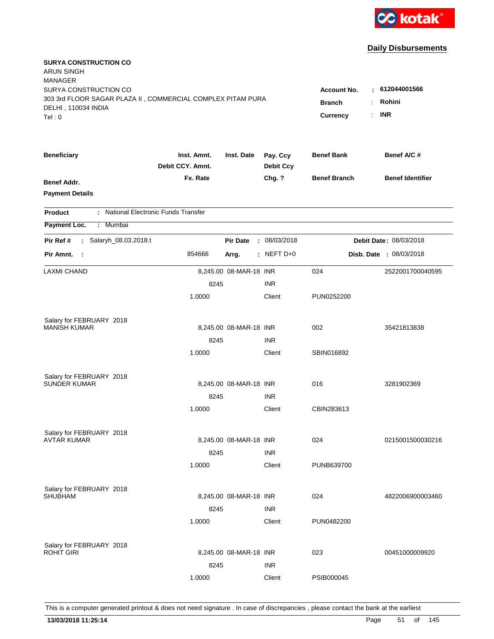

| <b>SURYA CONSTRUCTION CO</b><br><b>ARUN SINGH</b><br><b>MANAGER</b><br>SURYA CONSTRUCTION CO<br>303 3rd FLOOR SAGAR PLAZA II, COMMERCIAL COMPLEX PITAM PURA<br>DELHI, 110034 INDIA<br>Tel:0 |                                      |                        |                              | <b>Account No.</b><br><b>Branch</b><br><b>Currency</b> | 612044001566<br>Rohini<br><b>INR</b><br>÷. |
|---------------------------------------------------------------------------------------------------------------------------------------------------------------------------------------------|--------------------------------------|------------------------|------------------------------|--------------------------------------------------------|--------------------------------------------|
|                                                                                                                                                                                             |                                      |                        |                              |                                                        |                                            |
| <b>Beneficiary</b>                                                                                                                                                                          | Inst. Amnt.<br>Debit CCY. Amnt.      | Inst. Date             | Pay. Ccy<br><b>Debit Ccy</b> | <b>Benef Bank</b>                                      | Benef A/C #                                |
| <b>Benef Addr.</b><br><b>Payment Details</b>                                                                                                                                                | Fx. Rate                             |                        | Chg. ?                       | <b>Benef Branch</b>                                    | <b>Benef Identifier</b>                    |
| <b>Product</b>                                                                                                                                                                              | : National Electronic Funds Transfer |                        |                              |                                                        |                                            |
| Payment Loc.<br>: Mumbai                                                                                                                                                                    |                                      |                        |                              |                                                        |                                            |
| Salaryh_08.03.2018.t<br>Pir Ref #<br>$\mathbf{L}$                                                                                                                                           |                                      | <b>Pir Date</b>        | : 08/03/2018                 |                                                        | Debit Date: 08/03/2018                     |
| Pir Amnt. :                                                                                                                                                                                 | 854666                               | Arrg.                  | : NEFT $D+0$                 |                                                        | Disb. Date : 08/03/2018                    |
| <b>LAXMI CHAND</b>                                                                                                                                                                          |                                      | 8,245.00 08-MAR-18 INR |                              | 024                                                    | 2522001700040595                           |
|                                                                                                                                                                                             | 8245                                 |                        | <b>INR</b>                   |                                                        |                                            |
|                                                                                                                                                                                             | 1.0000                               |                        | Client                       | PUN0252200                                             |                                            |
| Salary for FEBRUARY 2018                                                                                                                                                                    |                                      |                        |                              |                                                        |                                            |
| <b>MANISH KUMAR</b>                                                                                                                                                                         |                                      | 8,245.00 08-MAR-18 INR |                              | 002                                                    | 35421813838                                |
|                                                                                                                                                                                             | 8245                                 |                        | <b>INR</b>                   |                                                        |                                            |
|                                                                                                                                                                                             | 1.0000                               |                        | Client                       | SBIN016892                                             |                                            |
| Salary for FEBRUARY 2018                                                                                                                                                                    |                                      |                        |                              |                                                        |                                            |
| <b>SUNDER KUMAR</b>                                                                                                                                                                         |                                      | 8,245.00 08-MAR-18 INR |                              | 016                                                    | 3281902369                                 |
|                                                                                                                                                                                             | 8245                                 |                        | <b>INR</b>                   |                                                        |                                            |
|                                                                                                                                                                                             | 1.0000                               |                        | Client                       | CBIN283613                                             |                                            |
| Salary for FEBRUARY 2018                                                                                                                                                                    |                                      |                        |                              |                                                        |                                            |
| <b>AVTAR KUMAR</b>                                                                                                                                                                          |                                      | 8,245.00 08-MAR-18 INR |                              | 024                                                    | 0215001500030216                           |
|                                                                                                                                                                                             | 8245                                 |                        | <b>INR</b>                   |                                                        |                                            |
|                                                                                                                                                                                             | 1.0000                               |                        | Client                       | PUNB639700                                             |                                            |
| Salary for FEBRUARY 2018                                                                                                                                                                    |                                      |                        |                              |                                                        |                                            |
| <b>SHUBHAM</b>                                                                                                                                                                              |                                      | 8,245.00 08-MAR-18 INR |                              | 024                                                    | 4822006900003460                           |
|                                                                                                                                                                                             | 8245                                 |                        | <b>INR</b>                   |                                                        |                                            |
|                                                                                                                                                                                             | 1.0000                               |                        | Client                       | PUN0482200                                             |                                            |
| Salary for FEBRUARY 2018                                                                                                                                                                    |                                      |                        |                              |                                                        |                                            |
| <b>ROHIT GIRI</b>                                                                                                                                                                           |                                      | 8,245.00 08-MAR-18 INR |                              | 023                                                    | 00451000009920                             |
|                                                                                                                                                                                             | 8245                                 |                        | <b>INR</b>                   |                                                        |                                            |
|                                                                                                                                                                                             | 1.0000                               |                        | Client                       | PSIB000045                                             |                                            |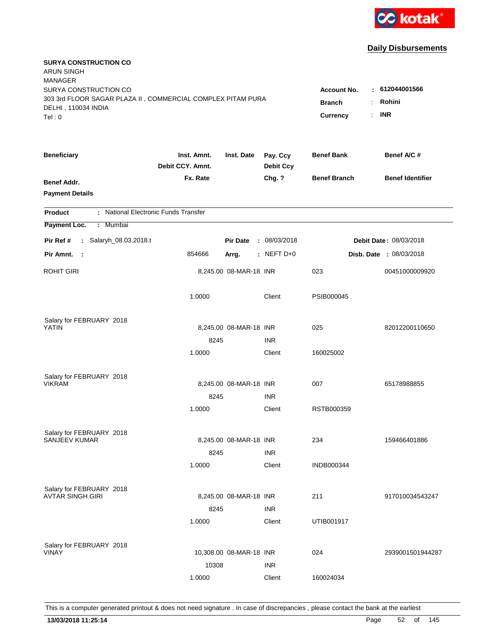

| <b>SURYA CONSTRUCTION CO</b><br><b>ARUN SINGH</b><br><b>MANAGER</b><br>SURYA CONSTRUCTION CO<br>303 3rd FLOOR SAGAR PLAZA II, COMMERCIAL COMPLEX PITAM PURA<br>DELHI, 110034 INDIA<br>Tel: 0 | Account No.<br><b>Branch</b><br>Currency<br>÷. | : 612044001566<br>Rohini<br><b>INR</b> |                              |                     |                                |
|----------------------------------------------------------------------------------------------------------------------------------------------------------------------------------------------|------------------------------------------------|----------------------------------------|------------------------------|---------------------|--------------------------------|
| <b>Beneficiary</b>                                                                                                                                                                           | Inst. Amnt.<br>Debit CCY. Amnt.                | Inst. Date                             | Pay. Ccy<br><b>Debit Ccy</b> | <b>Benef Bank</b>   | Benef A/C#                     |
| Benef Addr.<br><b>Payment Details</b>                                                                                                                                                        | Fx. Rate                                       |                                        | Chg. ?                       | <b>Benef Branch</b> | <b>Benef Identifier</b>        |
| : National Electronic Funds Transfer<br><b>Product</b>                                                                                                                                       |                                                |                                        |                              |                     |                                |
| Payment Loc.<br>: Mumbai                                                                                                                                                                     |                                                |                                        |                              |                     |                                |
| Pir Ref #<br>: Salaryh_08.03.2018.t                                                                                                                                                          |                                                | <b>Pir Date</b>                        | : 08/03/2018                 |                     | Debit Date: 08/03/2018         |
| Pir Amnt.<br>$\sim$ :                                                                                                                                                                        | 854666                                         | Arrg.                                  | : NEFT $D+0$                 |                     | <b>Disb. Date : 08/03/2018</b> |
| ROHIT GIRI                                                                                                                                                                                   |                                                | 8,245.00 08-MAR-18 INR                 |                              | 023                 | 00451000009920                 |
|                                                                                                                                                                                              | 1.0000                                         |                                        | Client                       | PSIB000045          |                                |
| Salary for FEBRUARY 2018<br><b>YATIN</b>                                                                                                                                                     |                                                | 8,245.00 08-MAR-18 INR                 |                              | 025                 | 82012200110650                 |
|                                                                                                                                                                                              | 8245<br>1.0000                                 |                                        | <b>INR</b><br>Client         | 160025002           |                                |
| Salary for FEBRUARY 2018<br><b>VIKRAM</b>                                                                                                                                                    | 8245<br>1.0000                                 | 8,245.00 08-MAR-18 INR                 | <b>INR</b><br>Client         | 007<br>RSTB000359   | 65178988855                    |
| Salary for FEBRUARY 2018                                                                                                                                                                     |                                                |                                        |                              |                     |                                |
| <b>SANJEEV KUMAR</b>                                                                                                                                                                         | 8245                                           | 8,245.00 08-MAR-18 INR                 | <b>INR</b>                   | 234                 | 159466401886                   |
|                                                                                                                                                                                              | 1.0000                                         |                                        | Client                       | <b>INDB000344</b>   |                                |
| Salary for FEBRUARY 2018<br><b>AVTAR SINGH GIRI</b>                                                                                                                                          | 8245                                           | 8,245.00 08-MAR-18 INR                 | <b>INR</b>                   | 211                 | 917010034543247                |
|                                                                                                                                                                                              | 1.0000                                         |                                        | Client                       | UTIB001917          |                                |
| Salary for FEBRUARY 2018<br><b>VINAY</b>                                                                                                                                                     | 10308<br>1.0000                                | 10,308.00 08-MAR-18 INR                | <b>INR</b><br>Client         | 024<br>160024034    | 2939001501944287               |
|                                                                                                                                                                                              |                                                |                                        |                              |                     |                                |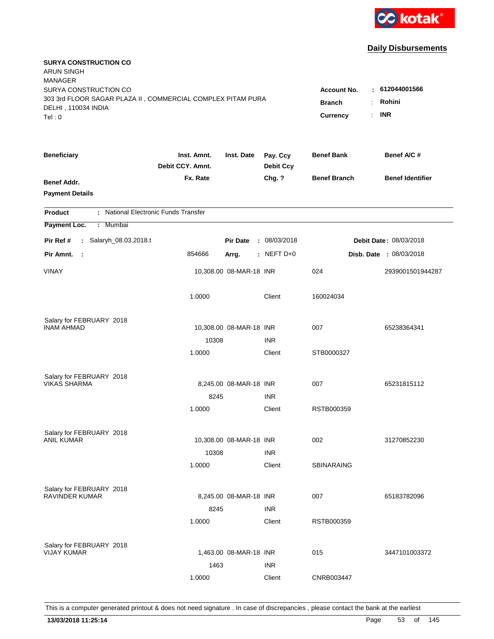

| <b>SURYA CONSTRUCTION CO</b><br>ARUN SINGH                  |                                 |                         |                              |                                       |                                |
|-------------------------------------------------------------|---------------------------------|-------------------------|------------------------------|---------------------------------------|--------------------------------|
| <b>MANAGER</b>                                              |                                 |                         |                              |                                       |                                |
| SURYA CONSTRUCTION CO                                       |                                 |                         |                              | <b>Account No.</b>                    | $-612044001566$                |
| 303 3rd FLOOR SAGAR PLAZA II, COMMERCIAL COMPLEX PITAM PURA |                                 |                         |                              | <b>Branch</b><br>$\ddot{\phantom{a}}$ | Rohini                         |
| DELHI, 110034 INDIA<br>Tel: 0                               |                                 |                         |                              | Currency<br>÷.                        | <b>INR</b>                     |
|                                                             |                                 |                         |                              |                                       |                                |
| <b>Beneficiary</b>                                          | Inst. Amnt.<br>Debit CCY. Amnt. | Inst. Date              | Pay. Ccy<br><b>Debit Ccy</b> | <b>Benef Bank</b>                     | Benef A/C#                     |
| <b>Benef Addr.</b>                                          | Fx. Rate                        |                         | Chg. ?                       | <b>Benef Branch</b>                   | <b>Benef Identifier</b>        |
| <b>Payment Details</b>                                      |                                 |                         |                              |                                       |                                |
| : National Electronic Funds Transfer<br><b>Product</b>      |                                 |                         |                              |                                       |                                |
| Payment Loc.<br>: Mumbai                                    |                                 |                         |                              |                                       |                                |
| Salaryh_08.03.2018.t<br>Pir Ref #<br>÷.                     |                                 | <b>Pir Date</b>         | : 08/03/2018                 |                                       | <b>Debit Date: 08/03/2018</b>  |
| Pir Amnt.<br>$\sim$ 1                                       | 854666                          | Arrg.                   | $:$ NEFT D+0                 |                                       | <b>Disb. Date : 08/03/2018</b> |
| <b>VINAY</b>                                                |                                 | 10,308.00 08-MAR-18 INR |                              | 024                                   | 2939001501944287               |
|                                                             | 1.0000                          |                         | Client                       | 160024034                             |                                |
| Salary for FEBRUARY 2018                                    |                                 |                         |                              |                                       |                                |
| <b>INAM AHMAD</b>                                           |                                 | 10,308.00 08-MAR-18 INR |                              | 007                                   | 65238364341                    |
|                                                             | 10308                           |                         | <b>INR</b>                   |                                       |                                |
|                                                             | 1.0000                          |                         | Client                       | STB0000327                            |                                |
| Salary for FEBRUARY 2018                                    |                                 |                         |                              |                                       |                                |
| <b>VIKAS SHARMA</b>                                         |                                 | 8,245.00 08-MAR-18 INR  |                              | 007                                   | 65231815112                    |
|                                                             | 8245                            |                         | <b>INR</b>                   |                                       |                                |
|                                                             | 1.0000                          |                         | Client                       | RSTB000359                            |                                |
| Salary for FEBRUARY 2018                                    |                                 |                         |                              |                                       |                                |
| <b>ANIL KUMAR</b>                                           |                                 | 10,308.00 08-MAR-18 INR |                              | 002                                   | 31270852230                    |
|                                                             | 10308                           |                         | <b>INR</b>                   |                                       |                                |
|                                                             | 1.0000                          |                         | Client                       | <b>SBINARAING</b>                     |                                |
| Salary for FEBRUARY 2018                                    |                                 |                         |                              |                                       |                                |
| RAVINDER KUMAR                                              |                                 | 8,245.00 08-MAR-18 INR  |                              | 007                                   | 65183782096                    |
|                                                             | 8245                            |                         | <b>INR</b>                   |                                       |                                |
|                                                             | 1.0000                          |                         | Client                       | RSTB000359                            |                                |
| Salary for FEBRUARY 2018                                    |                                 |                         |                              |                                       |                                |
| <b>VIJAY KUMAR</b>                                          |                                 | 1,463.00 08-MAR-18 INR  |                              | 015                                   | 3447101003372                  |
|                                                             | 1463                            |                         | <b>INR</b>                   |                                       |                                |
|                                                             | 1.0000                          |                         | Client                       | CNRB003447                            |                                |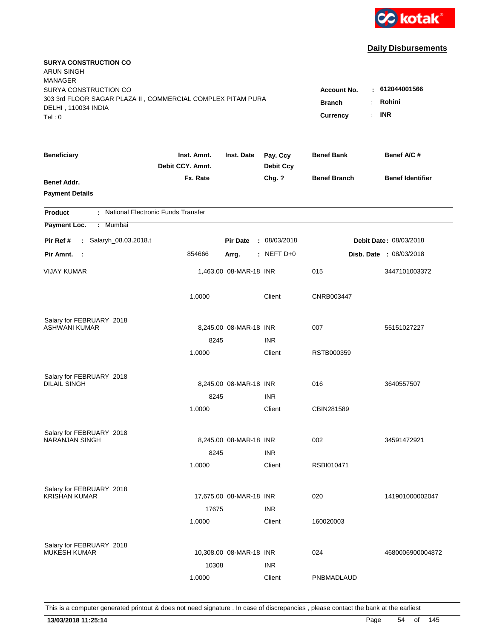

| <b>SURYA CONSTRUCTION CO</b><br><b>ARUN SINGH</b><br><b>MANAGER</b>                          |                                  |                         |                              |                         |                                |
|----------------------------------------------------------------------------------------------|----------------------------------|-------------------------|------------------------------|-------------------------|--------------------------------|
| SURYA CONSTRUCTION CO                                                                        |                                  |                         |                              | <b>Account No.</b><br>÷ | 612044001566                   |
| 303 3rd FLOOR SAGAR PLAZA II, COMMERCIAL COMPLEX PITAM PURA<br>DELHI, 110034 INDIA<br>Tel: 0 | <b>Branch</b><br><b>Currency</b> | Rohini<br><b>INR</b>    |                              |                         |                                |
| <b>Beneficiary</b>                                                                           | Inst. Amnt.<br>Debit CCY. Amnt.  | Inst. Date              | Pay. Ccy<br><b>Debit Ccy</b> | <b>Benef Bank</b>       | Benef A/C#                     |
| Benef Addr.<br><b>Payment Details</b>                                                        | Fx. Rate                         |                         | Chg. ?                       | <b>Benef Branch</b>     | <b>Benef Identifier</b>        |
| : National Electronic Funds Transfer<br><b>Product</b>                                       |                                  |                         |                              |                         |                                |
| Payment Loc.<br>: Mumbai                                                                     |                                  |                         |                              |                         |                                |
| Salaryh_08.03.2018.t<br>Pir Ref #<br>$\mathbf{r}$                                            |                                  | <b>Pir Date</b>         | : 08/03/2018                 |                         | Debit Date: 08/03/2018         |
| Pir Amnt. :                                                                                  | 854666                           | Arrg.                   | : NEFT $D+0$                 |                         | <b>Disb. Date : 08/03/2018</b> |
| <b>VIJAY KUMAR</b>                                                                           |                                  | 1,463.00 08-MAR-18 INR  |                              | 015                     | 3447101003372                  |
|                                                                                              | 1.0000                           |                         | Client                       | CNRB003447              |                                |
| Salary for FEBRUARY 2018                                                                     |                                  |                         |                              |                         |                                |
| ASHWANI KUMAR                                                                                |                                  | 8,245.00 08-MAR-18 INR  |                              | 007                     | 55151027227                    |
|                                                                                              | 8245                             |                         | <b>INR</b>                   |                         |                                |
|                                                                                              | 1.0000                           |                         | Client                       | RSTB000359              |                                |
| Salary for FEBRUARY 2018                                                                     |                                  |                         |                              |                         |                                |
| <b>DILAIL SINGH</b>                                                                          |                                  | 8,245.00 08-MAR-18 INR  |                              | 016                     | 3640557507                     |
|                                                                                              | 8245                             |                         | <b>INR</b>                   |                         |                                |
|                                                                                              | 1.0000                           |                         | Client                       | CBIN281589              |                                |
| Salary for FEBRUARY 2018                                                                     |                                  |                         |                              |                         |                                |
| <b>NARANJAN SINGH</b>                                                                        |                                  | 8,245.00 08-MAR-18 INR  |                              | 002                     | 34591472921                    |
|                                                                                              | 8245                             |                         | <b>INR</b>                   |                         |                                |
|                                                                                              | 1.0000                           |                         | Client                       | RSBI010471              |                                |
| Salary for FEBRUARY 2018                                                                     |                                  |                         |                              |                         |                                |
| <b>KRISHAN KUMAR</b>                                                                         |                                  | 17,675.00 08-MAR-18 INR |                              | 020                     | 141901000002047                |
|                                                                                              | 17675                            |                         | <b>INR</b>                   |                         |                                |
|                                                                                              | 1.0000                           |                         | Client                       | 160020003               |                                |
| Salary for FEBRUARY 2018                                                                     |                                  |                         |                              |                         |                                |
| <b>MUKESH KUMAR</b>                                                                          |                                  | 10,308.00 08-MAR-18 INR |                              | 024                     | 4680006900004872               |
|                                                                                              | 10308                            |                         | <b>INR</b>                   |                         |                                |
|                                                                                              | 1.0000                           |                         | Client                       | PNBMADLAUD              |                                |
|                                                                                              |                                  |                         |                              |                         |                                |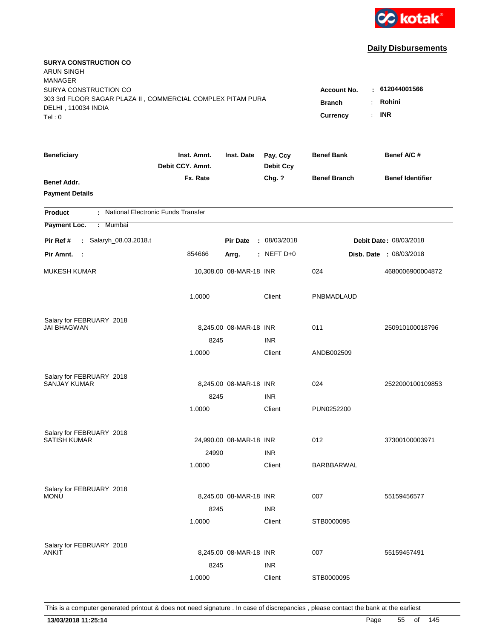

| <b>SURYA CONSTRUCTION CO</b><br><b>ARUN SINGH</b><br>MANAGER |                                 |                         |                              |                     |                                |
|--------------------------------------------------------------|---------------------------------|-------------------------|------------------------------|---------------------|--------------------------------|
| SURYA CONSTRUCTION CO                                        |                                 |                         |                              | <b>Account No.</b>  | : 612044001566                 |
| 303 3rd FLOOR SAGAR PLAZA II, COMMERCIAL COMPLEX PITAM PURA  |                                 |                         |                              | <b>Branch</b><br>÷  | Rohini                         |
| DELHI, 110034 INDIA                                          |                                 |                         |                              |                     |                                |
| Tel: 0                                                       |                                 |                         |                              | ÷.<br>Currency      | <b>INR</b>                     |
| <b>Beneficiary</b>                                           | Inst. Amnt.<br>Debit CCY. Amnt. | Inst. Date              | Pay. Ccy<br><b>Debit Ccy</b> | <b>Benef Bank</b>   | Benef A/C #                    |
| Benef Addr.                                                  | Fx. Rate                        |                         | Chg. ?                       | <b>Benef Branch</b> | <b>Benef Identifier</b>        |
| <b>Payment Details</b>                                       |                                 |                         |                              |                     |                                |
| : National Electronic Funds Transfer<br><b>Product</b>       |                                 |                         |                              |                     |                                |
| Payment Loc.<br>: Mumbai                                     |                                 |                         |                              |                     |                                |
| Salaryh_08.03.2018.t<br>Pir Ref #<br>÷.                      |                                 | <b>Pir Date</b>         | : 08/03/2018                 |                     | Debit Date: 08/03/2018         |
| Pir Amnt.<br>$\sim$ :                                        | 854666                          | Arrg.                   | $:$ NEFT D+0                 |                     | <b>Disb. Date : 08/03/2018</b> |
| <b>MUKESH KUMAR</b>                                          |                                 | 10,308.00 08-MAR-18 INR |                              | 024                 | 4680006900004872               |
|                                                              | 1.0000                          |                         | Client                       | PNBMADLAUD          |                                |
| Salary for FEBRUARY 2018                                     |                                 |                         |                              |                     |                                |
| JAI BHAGWAN                                                  |                                 | 8,245.00 08-MAR-18 INR  |                              | 011                 | 250910100018796                |
|                                                              | 8245                            |                         | <b>INR</b>                   |                     |                                |
|                                                              | 1.0000                          |                         | Client                       | ANDB002509          |                                |
| Salary for FEBRUARY 2018                                     |                                 |                         |                              |                     |                                |
| <b>SANJAY KUMAR</b>                                          |                                 | 8,245.00 08-MAR-18 INR  |                              | 024                 | 2522000100109853               |
|                                                              | 8245                            |                         | <b>INR</b>                   |                     |                                |
|                                                              | 1.0000                          |                         | Client                       | PUN0252200          |                                |
| Salary for FEBRUARY 2018                                     |                                 |                         |                              |                     |                                |
| <b>SATISH KUMAR</b>                                          |                                 | 24,990.00 08-MAR-18 INR |                              | 012                 | 37300100003971                 |
|                                                              | 24990                           |                         | <b>INR</b>                   |                     |                                |
|                                                              | 1.0000                          |                         | Client                       | BARBBARWAL          |                                |
| Salary for FEBRUARY 2018                                     |                                 |                         |                              |                     |                                |
| Monu                                                         |                                 | 8,245.00 08-MAR-18 INR  |                              | 007                 | 55159456577                    |
|                                                              | 8245                            |                         | <b>INR</b>                   |                     |                                |
|                                                              | 1.0000                          |                         | Client                       | STB0000095          |                                |
| Salary for FEBRUARY 2018                                     |                                 |                         |                              |                     |                                |
| ANKIT                                                        |                                 | 8,245.00 08-MAR-18 INR  |                              | 007                 | 55159457491                    |
|                                                              | 8245                            |                         | <b>INR</b>                   |                     |                                |
|                                                              | 1.0000                          |                         | Client                       | STB0000095          |                                |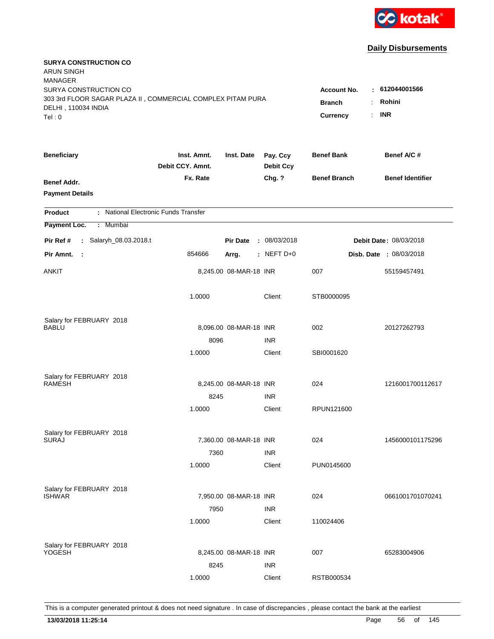

| <b>SURYA CONSTRUCTION CO</b><br><b>ARUN SINGH</b>           |                                 |                        |                              |                       |                         |
|-------------------------------------------------------------|---------------------------------|------------------------|------------------------------|-----------------------|-------------------------|
| <b>MANAGER</b><br>SURYA CONSTRUCTION CO                     |                                 |                        |                              | <b>Account No.</b>    | $\pm 612044001566$      |
| 303 3rd FLOOR SAGAR PLAZA II, COMMERCIAL COMPLEX PITAM PURA |                                 |                        |                              |                       | Rohini                  |
| DELHI, 110034 INDIA                                         |                                 | <b>Branch</b>          |                              |                       |                         |
| Tel: 0                                                      |                                 |                        |                              | <b>Currency</b><br>÷. | <b>INR</b>              |
| <b>Beneficiary</b>                                          | Inst. Amnt.<br>Debit CCY. Amnt. | Inst. Date             | Pay. Ccy<br><b>Debit Ccy</b> | <b>Benef Bank</b>     | Benef A/C #             |
| Benef Addr.                                                 | Fx. Rate                        |                        | Chg. ?                       | <b>Benef Branch</b>   | <b>Benef Identifier</b> |
| <b>Payment Details</b>                                      |                                 |                        |                              |                       |                         |
| : National Electronic Funds Transfer<br><b>Product</b>      |                                 |                        |                              |                       |                         |
| Payment Loc.<br>Mumbai<br>÷.                                |                                 |                        |                              |                       |                         |
| : Salaryh_08.03.2018.t<br>Pir Ref #                         |                                 | <b>Pir Date</b>        | : 08/03/2018                 |                       | Debit Date: 08/03/2018  |
| Pir Amnt.<br>$\mathbb{R}^2$                                 | 854666                          | Arrg.                  | : NEFT $D+0$                 |                       | Disb. Date : 08/03/2018 |
| ANKIT                                                       |                                 | 8,245.00 08-MAR-18 INR |                              | 007                   | 55159457491             |
|                                                             | 1.0000                          |                        | Client                       | STB0000095            |                         |
| Salary for FEBRUARY 2018                                    |                                 |                        |                              |                       |                         |
| <b>BABLU</b>                                                |                                 | 8,096.00 08-MAR-18 INR |                              | 002                   | 20127262793             |
|                                                             | 8096                            |                        | <b>INR</b>                   |                       |                         |
|                                                             | 1.0000                          |                        | Client                       | SBI0001620            |                         |
| Salary for FEBRUARY 2018                                    |                                 |                        |                              |                       |                         |
| <b>RAMESH</b>                                               |                                 | 8,245.00 08-MAR-18 INR |                              | 024                   | 1216001700112617        |
|                                                             | 8245                            |                        | <b>INR</b>                   |                       |                         |
|                                                             | 1.0000                          |                        | Client                       | RPUN121600            |                         |
| Salary for FEBRUARY 2018                                    |                                 |                        |                              |                       |                         |
| <b>SURAJ</b>                                                |                                 | 7,360.00 08-MAR-18 INR |                              | 024                   | 1456000101175296        |
|                                                             | 7360                            |                        | <b>INR</b>                   |                       |                         |
|                                                             | 1.0000                          |                        | Client                       | PUN0145600            |                         |
|                                                             |                                 |                        |                              |                       |                         |
| Salary for FEBRUARY 2018<br><b>ISHWAR</b>                   |                                 | 7,950.00 08-MAR-18 INR |                              | 024                   | 0661001701070241        |
|                                                             | 7950                            |                        | <b>INR</b>                   |                       |                         |
|                                                             | 1.0000                          |                        | Client                       | 110024406             |                         |
|                                                             |                                 |                        |                              |                       |                         |
| Salary for FEBRUARY 2018<br>YOGESH                          |                                 | 8,245.00 08-MAR-18 INR |                              | 007                   | 65283004906             |
|                                                             | 8245                            |                        | <b>INR</b>                   |                       |                         |
|                                                             | 1.0000                          |                        | Client                       | RSTB000534            |                         |
|                                                             |                                 |                        |                              |                       |                         |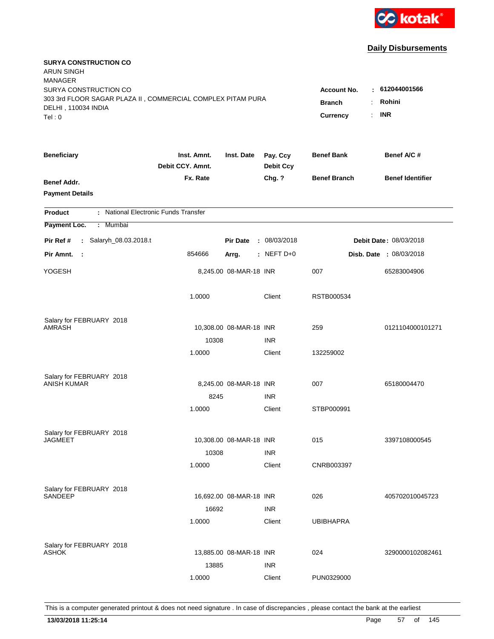

| <b>SURYA CONSTRUCTION CO</b><br><b>ARUN SINGH</b><br><b>MANAGER</b>                          |                                 |                         |                              |                     |                                |
|----------------------------------------------------------------------------------------------|---------------------------------|-------------------------|------------------------------|---------------------|--------------------------------|
| SURYA CONSTRUCTION CO                                                                        |                                 |                         |                              | <b>Account No.</b>  | : 612044001566                 |
| 303 3rd FLOOR SAGAR PLAZA II, COMMERCIAL COMPLEX PITAM PURA<br>DELHI, 110034 INDIA<br>Tel: 0 | <b>Branch</b><br>Currency<br>÷. | Rohini<br><b>INR</b>    |                              |                     |                                |
|                                                                                              |                                 |                         |                              |                     |                                |
| <b>Beneficiary</b>                                                                           | Inst. Amnt.<br>Debit CCY. Amnt. | Inst. Date              | Pay. Ccy<br><b>Debit Ccy</b> | <b>Benef Bank</b>   | Benef A/C #                    |
| Benef Addr.<br><b>Payment Details</b>                                                        | Fx. Rate                        |                         | Chg. ?                       | <b>Benef Branch</b> | <b>Benef Identifier</b>        |
| : National Electronic Funds Transfer<br><b>Product</b>                                       |                                 |                         |                              |                     |                                |
| Payment Loc.<br>: Mumbai                                                                     |                                 |                         |                              |                     |                                |
| Pir Ref #<br>: Salaryh_08.03.2018.t                                                          |                                 | <b>Pir Date</b>         | : 08/03/2018                 |                     | Debit Date: 08/03/2018         |
| Pir Amnt.<br>$\sim$                                                                          | 854666                          | Arrg.                   | : NEFT $D+0$                 |                     | <b>Disb. Date : 08/03/2018</b> |
| YOGESH                                                                                       |                                 | 8,245.00 08-MAR-18 INR  |                              | 007                 | 65283004906                    |
|                                                                                              | 1.0000                          |                         | Client                       | RSTB000534          |                                |
| Salary for FEBRUARY 2018                                                                     |                                 |                         |                              |                     |                                |
| <b>AMRASH</b>                                                                                |                                 | 10,308.00 08-MAR-18 INR |                              | 259                 | 0121104000101271               |
|                                                                                              | 10308                           |                         | <b>INR</b>                   |                     |                                |
|                                                                                              | 1.0000                          |                         | Client                       | 132259002           |                                |
| Salary for FEBRUARY 2018                                                                     |                                 |                         |                              |                     |                                |
| <b>ANISH KUMAR</b>                                                                           |                                 | 8,245.00 08-MAR-18 INR  |                              | 007                 | 65180004470                    |
|                                                                                              | 8245                            |                         | <b>INR</b>                   |                     |                                |
|                                                                                              | 1.0000                          |                         | Client                       | STBP000991          |                                |
| Salary for FEBRUARY 2018                                                                     |                                 |                         |                              |                     |                                |
| <b>JAGMEET</b>                                                                               |                                 | 10,308.00 08-MAR-18 INR |                              | 015                 | 3397108000545                  |
|                                                                                              | 10308                           |                         | <b>INR</b>                   |                     |                                |
|                                                                                              | 1.0000                          |                         | Client                       | CNRB003397          |                                |
| Salary for FEBRUARY 2018                                                                     |                                 |                         |                              |                     |                                |
| <b>SANDEEP</b>                                                                               |                                 | 16,692.00 08-MAR-18 INR |                              | 026                 | 405702010045723                |
|                                                                                              | 16692                           |                         | <b>INR</b>                   |                     |                                |
|                                                                                              | 1.0000                          |                         | Client                       | <b>UBIBHAPRA</b>    |                                |
| Salary for FEBRUARY 2018                                                                     |                                 |                         |                              |                     |                                |
| <b>ASHOK</b>                                                                                 |                                 | 13,885.00 08-MAR-18 INR |                              | 024                 | 3290000102082461               |
|                                                                                              | 13885                           |                         | <b>INR</b>                   |                     |                                |
|                                                                                              | 1.0000                          |                         | Client                       | PUN0329000          |                                |
|                                                                                              |                                 |                         |                              |                     |                                |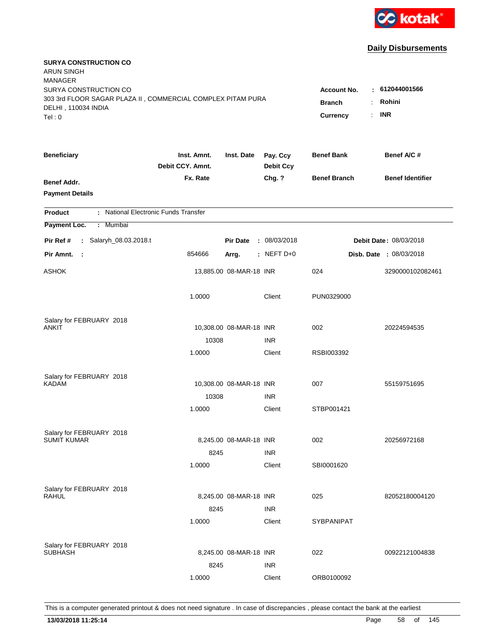

| <b>SURYA CONSTRUCTION CO</b><br><b>ARUN SINGH</b>           |                                 |                         |                              |                     |                                |  |
|-------------------------------------------------------------|---------------------------------|-------------------------|------------------------------|---------------------|--------------------------------|--|
| <b>MANAGER</b><br>SURYA CONSTRUCTION CO                     |                                 |                         |                              | <b>Account No.</b>  | : 612044001566                 |  |
| 303 3rd FLOOR SAGAR PLAZA II, COMMERCIAL COMPLEX PITAM PURA |                                 |                         |                              |                     | Rohini                         |  |
| DELHI, 110034 INDIA                                         | <b>Branch</b><br>÷              |                         |                              |                     |                                |  |
| Tel: 0                                                      |                                 |                         |                              | Currency<br>÷.      | <b>INR</b>                     |  |
| <b>Beneficiary</b>                                          | Inst. Amnt.<br>Debit CCY. Amnt. | Inst. Date              | Pay. Ccy<br><b>Debit Ccy</b> | <b>Benef Bank</b>   | Benef A/C #                    |  |
| Benef Addr.                                                 | Fx. Rate                        |                         | Chg. ?                       | <b>Benef Branch</b> | <b>Benef Identifier</b>        |  |
| <b>Payment Details</b>                                      |                                 |                         |                              |                     |                                |  |
| : National Electronic Funds Transfer<br><b>Product</b>      |                                 |                         |                              |                     |                                |  |
| Payment Loc.<br>: Mumbai                                    |                                 |                         |                              |                     |                                |  |
| : Salaryh_08.03.2018.t<br>Pir Ref #                         |                                 | <b>Pir Date</b>         | : 08/03/2018                 |                     | <b>Debit Date: 08/03/2018</b>  |  |
| Pir Amnt.<br>- 1                                            | 854666                          | Arrg.                   | $:$ NEFT D+0                 |                     | <b>Disb. Date : 08/03/2018</b> |  |
| ASHOK                                                       |                                 | 13,885.00 08-MAR-18 INR |                              | 024                 | 3290000102082461               |  |
|                                                             | 1.0000                          |                         | Client                       | PUN0329000          |                                |  |
| Salary for FEBRUARY 2018                                    |                                 |                         |                              |                     |                                |  |
| ANKIT                                                       |                                 | 10,308.00 08-MAR-18 INR |                              | 002                 | 20224594535                    |  |
|                                                             | 10308                           |                         | <b>INR</b>                   |                     |                                |  |
|                                                             | 1.0000                          |                         | Client                       | RSBI003392          |                                |  |
| Salary for FEBRUARY 2018                                    |                                 |                         |                              |                     |                                |  |
| <b>KADAM</b>                                                |                                 | 10,308.00 08-MAR-18 INR |                              | 007                 | 55159751695                    |  |
|                                                             | 10308                           |                         | <b>INR</b>                   |                     |                                |  |
|                                                             | 1.0000                          |                         | Client                       | STBP001421          |                                |  |
| Salary for FEBRUARY 2018                                    |                                 |                         |                              |                     |                                |  |
| <b>SUMIT KUMAR</b>                                          |                                 | 8,245.00 08-MAR-18 INR  |                              | 002                 | 20256972168                    |  |
|                                                             | 8245                            |                         | <b>INR</b>                   |                     |                                |  |
|                                                             | 1.0000                          |                         | Client                       | SBI0001620          |                                |  |
| Salary for FEBRUARY 2018                                    |                                 |                         |                              |                     |                                |  |
| RAHUL                                                       |                                 | 8,245.00 08-MAR-18 INR  |                              | 025                 | 82052180004120                 |  |
|                                                             | 8245                            |                         | <b>INR</b>                   |                     |                                |  |
|                                                             | 1.0000                          |                         | Client                       | <b>SYBPANIPAT</b>   |                                |  |
| Salary for FEBRUARY 2018                                    |                                 |                         |                              |                     |                                |  |
| <b>SUBHASH</b>                                              |                                 | 8,245.00 08-MAR-18 INR  |                              | 022                 | 00922121004838                 |  |
|                                                             | 8245                            |                         | <b>INR</b>                   |                     |                                |  |
|                                                             | 1.0000                          |                         | Client                       | ORB0100092          |                                |  |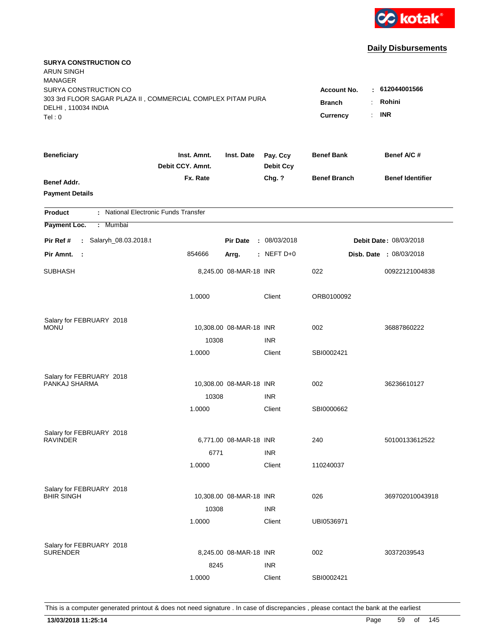

| <b>SURYA CONSTRUCTION CO</b><br>ARUN SINGH<br><b>MANAGER</b>                                                |                                                             |                                         |                              |                     |                                |
|-------------------------------------------------------------------------------------------------------------|-------------------------------------------------------------|-----------------------------------------|------------------------------|---------------------|--------------------------------|
| SURYA CONSTRUCTION CO<br>303 3rd FLOOR SAGAR PLAZA II, COMMERCIAL COMPLEX PITAM PURA<br>DELHI, 110034 INDIA | <b>Account No.</b><br><b>Branch</b><br>÷.<br>Currency<br>÷. | $-612044001566$<br>Rohini<br><b>INR</b> |                              |                     |                                |
| Tel: 0                                                                                                      |                                                             |                                         |                              |                     |                                |
| <b>Beneficiary</b>                                                                                          | Inst. Amnt.<br>Debit CCY. Amnt.                             | Inst. Date                              | Pay. Ccy<br><b>Debit Ccy</b> | <b>Benef Bank</b>   | Benef A/C #                    |
| Benef Addr.<br><b>Payment Details</b>                                                                       | Fx. Rate                                                    |                                         | Chg. ?                       | <b>Benef Branch</b> | <b>Benef Identifier</b>        |
| : National Electronic Funds Transfer<br><b>Product</b>                                                      |                                                             |                                         |                              |                     |                                |
| Payment Loc.<br>: Mumbai                                                                                    |                                                             |                                         |                              |                     |                                |
| Salaryh_08.03.2018.t<br>Pir Ref #<br>$\mathbf{L}$                                                           |                                                             | <b>Pir Date</b>                         | : 08/03/2018                 |                     | Debit Date: 08/03/2018         |
| Pir Amnt.<br>$\mathbf{L}$                                                                                   | 854666                                                      | Arrg.                                   | : NEFT $D+0$                 |                     | <b>Disb. Date : 08/03/2018</b> |
| SUBHASH                                                                                                     |                                                             | 8,245.00 08-MAR-18 INR                  |                              | 022                 | 00922121004838                 |
|                                                                                                             | 1.0000                                                      |                                         | Client                       | ORB0100092          |                                |
| Salary for FEBRUARY 2018                                                                                    |                                                             |                                         |                              |                     |                                |
| Monu                                                                                                        |                                                             | 10,308.00 08-MAR-18 INR                 |                              | 002                 | 36887860222                    |
|                                                                                                             | 10308<br>1.0000                                             |                                         | <b>INR</b><br>Client         | SBI0002421          |                                |
|                                                                                                             |                                                             |                                         |                              |                     |                                |
| Salary for FEBRUARY 2018                                                                                    |                                                             |                                         |                              |                     |                                |
| PANKAJ SHARMA                                                                                               |                                                             | 10,308.00 08-MAR-18 INR                 |                              | 002                 | 36236610127                    |
|                                                                                                             | 10308                                                       |                                         | <b>INR</b>                   |                     |                                |
|                                                                                                             | 1.0000                                                      |                                         | Client                       | SBI0000662          |                                |
| Salary for FEBRUARY 2018                                                                                    |                                                             |                                         |                              |                     |                                |
| <b>RAVINDER</b>                                                                                             |                                                             | 6,771.00 08-MAR-18 INR                  |                              | 240                 | 50100133612522                 |
|                                                                                                             | 6771                                                        |                                         | <b>INR</b>                   |                     |                                |
|                                                                                                             | 1.0000                                                      |                                         | Client                       | 110240037           |                                |
|                                                                                                             |                                                             |                                         |                              |                     |                                |
| Salary for FEBRUARY 2018<br><b>BHIR SINGH</b>                                                               |                                                             | 10,308.00 08-MAR-18 INR                 |                              | 026                 | 369702010043918                |
|                                                                                                             | 10308                                                       |                                         | <b>INR</b>                   |                     |                                |
|                                                                                                             | 1.0000                                                      |                                         | Client                       | UBI0536971          |                                |
|                                                                                                             |                                                             |                                         |                              |                     |                                |
| Salary for FEBRUARY 2018<br><b>SURENDER</b>                                                                 |                                                             | 8,245.00 08-MAR-18 INR                  |                              | 002                 | 30372039543                    |
|                                                                                                             | 8245                                                        |                                         | <b>INR</b>                   |                     |                                |
|                                                                                                             | 1.0000                                                      |                                         | Client                       | SBI0002421          |                                |
|                                                                                                             |                                                             |                                         |                              |                     |                                |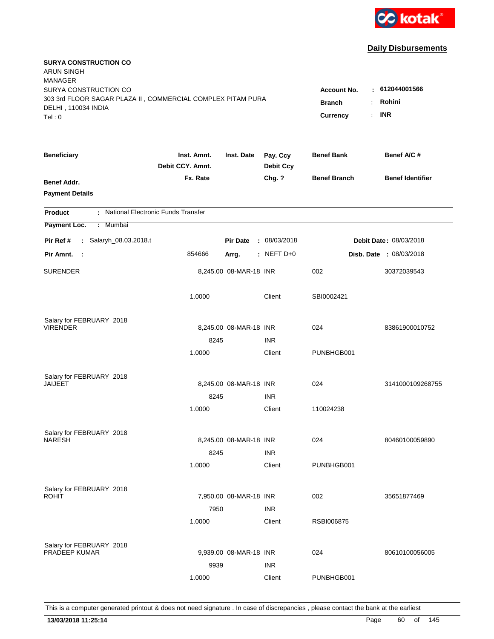

| <b>SURYA CONSTRUCTION CO</b><br>ARUN SINGH                                         |                                 |                        |                              |                     |                                |
|------------------------------------------------------------------------------------|---------------------------------|------------------------|------------------------------|---------------------|--------------------------------|
| <b>MANAGER</b>                                                                     |                                 |                        |                              |                     |                                |
| SURYA CONSTRUCTION CO                                                              |                                 |                        |                              | <b>Account No.</b>  | : 612044001566                 |
| 303 3rd FLOOR SAGAR PLAZA II, COMMERCIAL COMPLEX PITAM PURA<br>DELHI, 110034 INDIA |                                 |                        |                              | <b>Branch</b><br>÷. | Rohini                         |
| Tel: 0                                                                             |                                 |                        |                              | Currency<br>÷.      | <b>INR</b>                     |
|                                                                                    |                                 |                        |                              |                     |                                |
| <b>Beneficiary</b>                                                                 | Inst. Amnt.<br>Debit CCY. Amnt. | Inst. Date             | Pay. Ccy<br><b>Debit Ccy</b> | <b>Benef Bank</b>   | Benef A/C #                    |
| Benef Addr.                                                                        | Fx. Rate                        |                        | Chg. ?                       | <b>Benef Branch</b> | <b>Benef Identifier</b>        |
| <b>Payment Details</b>                                                             |                                 |                        |                              |                     |                                |
| : National Electronic Funds Transfer<br><b>Product</b>                             |                                 |                        |                              |                     |                                |
| Payment Loc.<br>: Mumbai                                                           |                                 |                        |                              |                     |                                |
| Salaryh_08.03.2018.t<br>Pir Ref #<br>$\mathbf{L}$                                  |                                 | <b>Pir Date</b>        | : 08/03/2018                 |                     | Debit Date: 08/03/2018         |
| Pir Amnt. :                                                                        | 854666                          | Arrg.                  | $:$ NEFT D+0                 |                     | <b>Disb. Date : 08/03/2018</b> |
| <b>SURENDER</b>                                                                    |                                 | 8,245.00 08-MAR-18 INR |                              | 002                 | 30372039543                    |
|                                                                                    | 1.0000                          |                        | Client                       | SBI0002421          |                                |
| Salary for FEBRUARY 2018                                                           |                                 |                        |                              |                     |                                |
| <b>VIRENDER</b>                                                                    |                                 | 8,245.00 08-MAR-18 INR |                              | 024                 | 83861900010752                 |
|                                                                                    | 8245                            |                        | <b>INR</b>                   |                     |                                |
|                                                                                    | 1.0000                          |                        | Client                       | PUNBHGB001          |                                |
| Salary for FEBRUARY 2018                                                           |                                 |                        |                              |                     |                                |
| JAIJEET                                                                            |                                 | 8,245.00 08-MAR-18 INR |                              | 024                 | 3141000109268755               |
|                                                                                    | 8245                            |                        | <b>INR</b>                   |                     |                                |
|                                                                                    | 1.0000                          |                        | Client                       | 110024238           |                                |
| Salary for FEBRUARY 2018                                                           |                                 |                        |                              |                     |                                |
| <b>NARESH</b>                                                                      |                                 | 8,245.00 08-MAR-18 INR |                              | 024                 | 80460100059890                 |
|                                                                                    | 8245                            |                        | <b>INR</b>                   |                     |                                |
|                                                                                    | 1.0000                          |                        | Client                       | PUNBHGB001          |                                |
| Salary for FEBRUARY 2018                                                           |                                 |                        |                              |                     |                                |
| ROHIT                                                                              |                                 | 7,950.00 08-MAR-18 INR |                              | 002                 | 35651877469                    |
|                                                                                    | 7950                            |                        | <b>INR</b>                   |                     |                                |
|                                                                                    | 1.0000                          |                        | Client                       | RSBI006875          |                                |
| Salary for FEBRUARY 2018                                                           |                                 |                        |                              |                     |                                |
| <b>PRADEEP KUMAR</b>                                                               |                                 | 9,939.00 08-MAR-18 INR |                              | 024                 | 80610100056005                 |
|                                                                                    | 9939                            |                        | <b>INR</b>                   |                     |                                |
|                                                                                    | 1.0000                          |                        | Client                       | PUNBHGB001          |                                |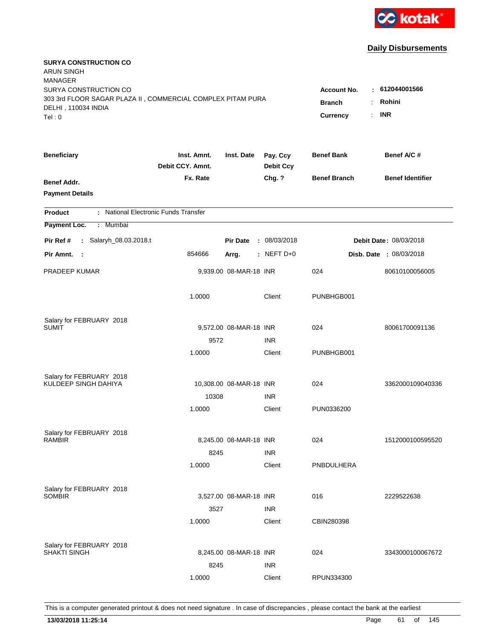

| <b>SURYA CONSTRUCTION CO</b><br><b>ARUN SINGH</b>           |                                 |                         |                              |                       |                                |
|-------------------------------------------------------------|---------------------------------|-------------------------|------------------------------|-----------------------|--------------------------------|
| <b>MANAGER</b><br>SURYA CONSTRUCTION CO                     |                                 |                         |                              |                       | $\pm 612044001566$             |
| 303 3rd FLOOR SAGAR PLAZA II, COMMERCIAL COMPLEX PITAM PURA |                                 | <b>Account No.</b>      |                              |                       |                                |
| DELHI, 110034 INDIA                                         |                                 |                         |                              | <b>Branch</b>         | Rohini                         |
| Tel: 0                                                      |                                 |                         |                              | <b>Currency</b><br>÷. | <b>INR</b>                     |
| <b>Beneficiary</b>                                          | Inst. Amnt.<br>Debit CCY. Amnt. | Inst. Date              | Pay. Ccy<br><b>Debit Ccy</b> | <b>Benef Bank</b>     | Benef A/C #                    |
| Benef Addr.                                                 | Fx. Rate                        |                         | Chg. ?                       | <b>Benef Branch</b>   | <b>Benef Identifier</b>        |
| <b>Payment Details</b>                                      |                                 |                         |                              |                       |                                |
| : National Electronic Funds Transfer<br><b>Product</b>      |                                 |                         |                              |                       |                                |
| Payment Loc.<br>Mumbai<br>÷.                                |                                 |                         |                              |                       |                                |
| : Salaryh_08.03.2018.t<br>Pir Ref #                         |                                 | <b>Pir Date</b>         | : 08/03/2018                 |                       | Debit Date: 08/03/2018         |
| Pir Amnt.<br>$\sim$ 1                                       | 854666                          | Arrg.                   | : NEFT $D+0$                 |                       | <b>Disb. Date : 08/03/2018</b> |
| PRADEEP KUMAR                                               |                                 | 9,939.00 08-MAR-18 INR  |                              | 024                   | 80610100056005                 |
|                                                             | 1.0000                          |                         | Client                       | PUNBHGB001            |                                |
| Salary for FEBRUARY 2018                                    |                                 |                         |                              |                       |                                |
| <b>SUMIT</b>                                                |                                 | 9,572.00 08-MAR-18 INR  |                              | 024                   | 80061700091136                 |
|                                                             | 9572                            |                         | <b>INR</b>                   |                       |                                |
|                                                             | 1.0000                          |                         | Client                       | PUNBHGB001            |                                |
| Salary for FEBRUARY 2018                                    |                                 |                         |                              |                       |                                |
| KULDEEP SINGH DAHIYA                                        |                                 | 10,308.00 08-MAR-18 INR |                              | 024                   | 3362000109040336               |
|                                                             | 10308                           |                         | <b>INR</b>                   |                       |                                |
|                                                             | 1.0000                          |                         | Client                       | PUN0336200            |                                |
| Salary for FEBRUARY 2018                                    |                                 |                         |                              |                       |                                |
| <b>RAMBIR</b>                                               |                                 | 8,245.00 08-MAR-18 INR  |                              | 024                   | 1512000100595520               |
|                                                             | 8245                            |                         | <b>INR</b>                   |                       |                                |
|                                                             | 1.0000                          |                         | Client                       | PNBDULHERA            |                                |
|                                                             |                                 |                         |                              |                       |                                |
| Salary for FEBRUARY 2018<br><b>SOMBIR</b>                   |                                 | 3.527.00 08-MAR-18 INR  |                              | 016                   | 2229522638                     |
|                                                             | 3527                            |                         | <b>INR</b>                   |                       |                                |
|                                                             | 1.0000                          |                         | Client                       | CBIN280398            |                                |
|                                                             |                                 |                         |                              |                       |                                |
| Salary for FEBRUARY 2018<br>SHAKTI SINGH                    |                                 | 8,245.00 08-MAR-18 INR  |                              | 024                   | 3343000100067672               |
|                                                             | 8245                            |                         | <b>INR</b>                   |                       |                                |
|                                                             | 1.0000                          |                         | Client                       | RPUN334300            |                                |
|                                                             |                                 |                         |                              |                       |                                |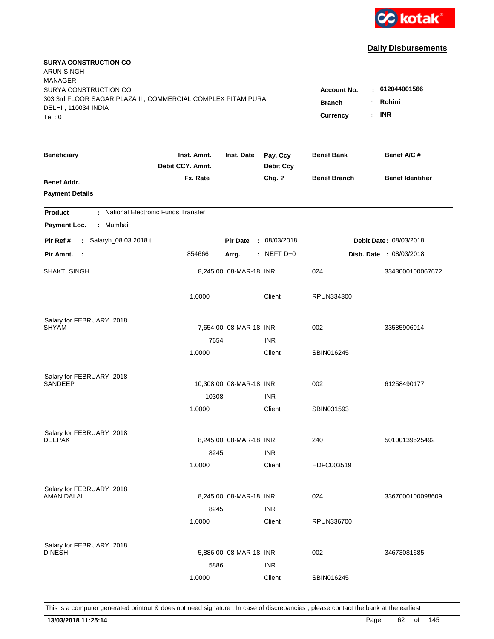

| <b>SURYA CONSTRUCTION CO</b><br>ARUN SINGH                  |                                 |                         |                              |                                       |                         |
|-------------------------------------------------------------|---------------------------------|-------------------------|------------------------------|---------------------------------------|-------------------------|
| <b>MANAGER</b>                                              |                                 |                         |                              |                                       |                         |
| SURYA CONSTRUCTION CO                                       |                                 |                         |                              | <b>Account No.</b>                    | : 612044001566          |
| 303 3rd FLOOR SAGAR PLAZA II, COMMERCIAL COMPLEX PITAM PURA |                                 |                         |                              | <b>Branch</b><br>$\ddot{\phantom{a}}$ | Rohini                  |
| DELHI, 110034 INDIA<br>Tel: 0                               |                                 |                         |                              | Currency<br>÷.                        | <b>INR</b>              |
|                                                             |                                 |                         |                              |                                       |                         |
| <b>Beneficiary</b>                                          | Inst. Amnt.<br>Debit CCY. Amnt. | Inst. Date              | Pay. Ccy<br><b>Debit Ccy</b> | <b>Benef Bank</b>                     | Benef A/C#              |
| Benef Addr.                                                 | Fx. Rate                        |                         | Chg. ?                       | <b>Benef Branch</b>                   | <b>Benef Identifier</b> |
| <b>Payment Details</b>                                      |                                 |                         |                              |                                       |                         |
| : National Electronic Funds Transfer<br><b>Product</b>      |                                 |                         |                              |                                       |                         |
| Payment Loc.<br>: Mumbai                                    |                                 |                         |                              |                                       |                         |
| Salaryh_08.03.2018.t<br>Pir Ref #<br>$\mathbf{r}$           |                                 | <b>Pir Date</b>         | : 08/03/2018                 |                                       | Debit Date: 08/03/2018  |
| Pir Amnt. :                                                 | 854666                          | Arrg.                   | $:$ NEFT D+0                 |                                       | Disb. Date : 08/03/2018 |
| SHAKTI SINGH                                                |                                 | 8,245.00 08-MAR-18 INR  |                              | 024                                   | 3343000100067672        |
|                                                             | 1.0000                          |                         | Client                       | RPUN334300                            |                         |
| Salary for FEBRUARY 2018                                    |                                 |                         |                              |                                       |                         |
| SHYAM                                                       |                                 | 7,654.00 08-MAR-18 INR  |                              | 002                                   | 33585906014             |
|                                                             | 7654                            |                         | <b>INR</b>                   |                                       |                         |
|                                                             | 1.0000                          |                         | Client                       | SBIN016245                            |                         |
| Salary for FEBRUARY 2018                                    |                                 |                         |                              |                                       |                         |
| SANDEEP                                                     |                                 | 10,308.00 08-MAR-18 INR |                              | 002                                   | 61258490177             |
|                                                             | 10308                           |                         | <b>INR</b>                   |                                       |                         |
|                                                             | 1.0000                          |                         | Client                       | SBIN031593                            |                         |
| Salary for FEBRUARY 2018                                    |                                 |                         |                              |                                       |                         |
| <b>DEEPAK</b>                                               |                                 | 8,245.00 08-MAR-18 INR  |                              | 240                                   | 50100139525492          |
|                                                             | 8245                            |                         | <b>INR</b>                   |                                       |                         |
|                                                             | 1.0000                          |                         | Client                       | HDFC003519                            |                         |
| Salary for FEBRUARY 2018                                    |                                 |                         |                              |                                       |                         |
| <b>AMAN DALAL</b>                                           |                                 | 8,245.00 08-MAR-18 INR  |                              | 024                                   | 3367000100098609        |
|                                                             | 8245                            |                         | <b>INR</b>                   |                                       |                         |
|                                                             | 1.0000                          |                         | Client                       | RPUN336700                            |                         |
|                                                             |                                 |                         |                              |                                       |                         |
| Salary for FEBRUARY 2018<br><b>DINESH</b>                   |                                 | 5,886.00 08-MAR-18 INR  |                              | 002                                   | 34673081685             |
|                                                             | 5886                            |                         | <b>INR</b>                   |                                       |                         |
|                                                             | 1.0000                          |                         | Client                       | SBIN016245                            |                         |
|                                                             |                                 |                         |                              |                                       |                         |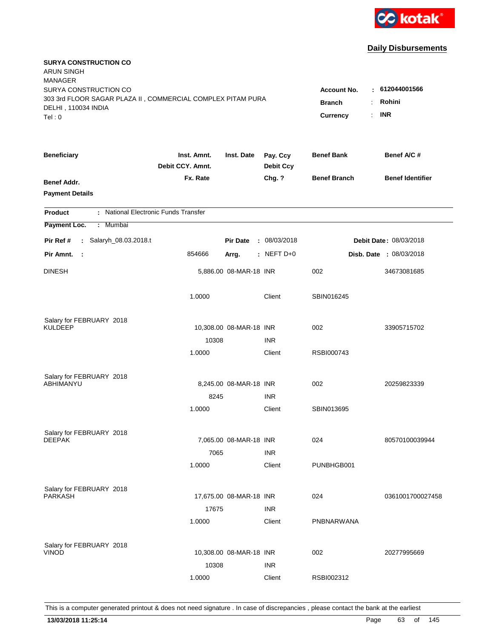

| <b>SURYA CONSTRUCTION CO</b><br><b>ARUN SINGH</b>           |                                 |                         |                              |                     |                                |
|-------------------------------------------------------------|---------------------------------|-------------------------|------------------------------|---------------------|--------------------------------|
| <b>MANAGER</b><br>SURYA CONSTRUCTION CO                     |                                 |                         |                              |                     | : 612044001566                 |
| 303 3rd FLOOR SAGAR PLAZA II, COMMERCIAL COMPLEX PITAM PURA |                                 | <b>Account No.</b>      |                              |                     |                                |
| DELHI, 110034 INDIA                                         |                                 |                         |                              | <b>Branch</b>       | Rohini                         |
| Tel: 0                                                      |                                 |                         |                              | Currency<br>÷.      | <b>INR</b>                     |
| <b>Beneficiary</b>                                          | Inst. Amnt.<br>Debit CCY. Amnt. | Inst. Date              | Pay. Ccy<br><b>Debit Ccy</b> | <b>Benef Bank</b>   | Benef A/C #                    |
| Benef Addr.                                                 | Fx. Rate                        |                         | Chg. ?                       | <b>Benef Branch</b> | <b>Benef Identifier</b>        |
| <b>Payment Details</b>                                      |                                 |                         |                              |                     |                                |
| : National Electronic Funds Transfer<br><b>Product</b>      |                                 |                         |                              |                     |                                |
| Payment Loc.<br>: Mumbai                                    |                                 |                         |                              |                     |                                |
| Pir Ref #<br>: Salaryh_08.03.2018.t                         |                                 | <b>Pir Date</b>         | : 08/03/2018                 |                     | Debit Date: 08/03/2018         |
| Pir Amnt.<br>$\mathbb{R}^2$                                 | 854666                          | Arrg.                   | : NEFT $D+0$                 |                     | <b>Disb. Date : 08/03/2018</b> |
| <b>DINESH</b>                                               |                                 | 5,886.00 08-MAR-18 INR  |                              | 002                 | 34673081685                    |
|                                                             | 1.0000                          |                         | Client                       | SBIN016245          |                                |
| Salary for FEBRUARY 2018                                    |                                 |                         |                              |                     |                                |
| KULDEEP                                                     |                                 | 10,308.00 08-MAR-18 INR |                              | 002                 | 33905715702                    |
|                                                             | 10308                           |                         | <b>INR</b>                   |                     |                                |
|                                                             | 1.0000                          |                         | Client                       | RSBI000743          |                                |
| Salary for FEBRUARY 2018                                    |                                 |                         |                              |                     |                                |
| ABHIMANYU                                                   |                                 | 8,245.00 08-MAR-18 INR  |                              | 002                 | 20259823339                    |
|                                                             | 8245                            |                         | <b>INR</b>                   |                     |                                |
|                                                             | 1.0000                          |                         | Client                       | SBIN013695          |                                |
| Salary for FEBRUARY 2018                                    |                                 |                         |                              |                     |                                |
| <b>DEEPAK</b>                                               |                                 | 7,065.00 08-MAR-18 INR  |                              | 024                 | 80570100039944                 |
|                                                             | 7065                            |                         | <b>INR</b>                   |                     |                                |
|                                                             | 1.0000                          |                         | Client                       | PUNBHGB001          |                                |
| Salary for FEBRUARY 2018                                    |                                 |                         |                              |                     |                                |
| <b>PARKASH</b>                                              |                                 | 17,675.00 08-MAR-18 INR |                              | 024                 | 0361001700027458               |
|                                                             | 17675                           |                         | <b>INR</b>                   |                     |                                |
|                                                             | 1.0000                          |                         | Client                       | PNBNARWANA          |                                |
| Salary for FEBRUARY 2018                                    |                                 |                         |                              |                     |                                |
| <b>VINOD</b>                                                |                                 | 10,308.00 08-MAR-18 INR |                              | 002                 | 20277995669                    |
|                                                             | 10308                           |                         | <b>INR</b>                   |                     |                                |
|                                                             | 1.0000                          |                         | Client                       | RSBI002312          |                                |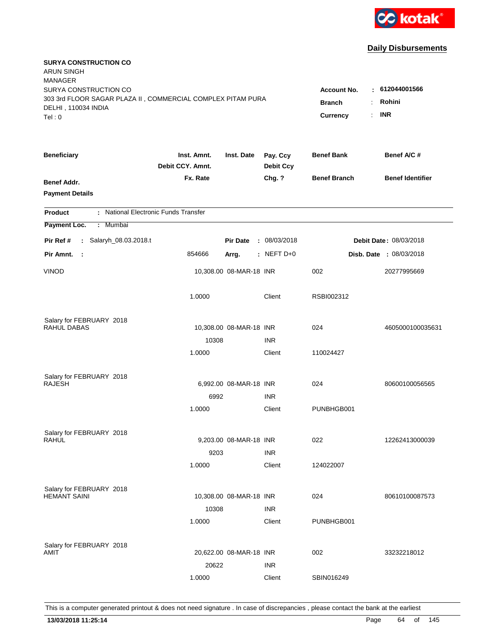

| <b>SURYA CONSTRUCTION CO</b><br><b>ARUN SINGH</b>           |                                 |                         |                              |                     |                                |
|-------------------------------------------------------------|---------------------------------|-------------------------|------------------------------|---------------------|--------------------------------|
| <b>MANAGER</b>                                              |                                 |                         |                              |                     |                                |
| SURYA CONSTRUCTION CO                                       |                                 | <b>Account No.</b>      | : 612044001566               |                     |                                |
| 303 3rd FLOOR SAGAR PLAZA II, COMMERCIAL COMPLEX PITAM PURA |                                 |                         |                              | <b>Branch</b>       | Rohini                         |
| DELHI, 110034 INDIA<br>Tel: 0                               |                                 |                         |                              | Currency<br>÷.      | <b>INR</b>                     |
|                                                             |                                 |                         |                              |                     |                                |
| <b>Beneficiary</b>                                          | Inst. Amnt.<br>Debit CCY. Amnt. | Inst. Date              | Pay. Ccy<br><b>Debit Ccy</b> | <b>Benef Bank</b>   | Benef A/C #                    |
| Benef Addr.                                                 | Fx. Rate                        |                         | Chg. ?                       | <b>Benef Branch</b> | <b>Benef Identifier</b>        |
| <b>Payment Details</b>                                      |                                 |                         |                              |                     |                                |
| : National Electronic Funds Transfer<br><b>Product</b>      |                                 |                         |                              |                     |                                |
| Payment Loc.<br>Mumbai<br>÷.                                |                                 |                         |                              |                     |                                |
| : Salaryh_08.03.2018.t<br>Pir Ref #                         |                                 | <b>Pir Date</b>         | : 08/03/2018                 |                     | Debit Date: 08/03/2018         |
| Pir Amnt.<br>- 1                                            | 854666                          | Arrg.                   | $:$ NEFT D+0                 |                     | <b>Disb. Date : 08/03/2018</b> |
| <b>VINOD</b>                                                |                                 | 10,308.00 08-MAR-18 INR |                              | 002                 | 20277995669                    |
|                                                             | 1.0000                          |                         | Client                       | RSBI002312          |                                |
| Salary for FEBRUARY 2018                                    |                                 |                         |                              |                     |                                |
| RAHUL DABAS                                                 |                                 | 10,308.00 08-MAR-18 INR |                              | 024                 | 4605000100035631               |
|                                                             | 10308                           |                         | <b>INR</b>                   |                     |                                |
|                                                             | 1.0000                          |                         | Client                       | 110024427           |                                |
| Salary for FEBRUARY 2018                                    |                                 |                         |                              |                     |                                |
| <b>RAJESH</b>                                               |                                 | 6,992.00 08-MAR-18 INR  |                              | 024                 | 80600100056565                 |
|                                                             | 6992                            |                         | <b>INR</b>                   |                     |                                |
|                                                             | 1.0000                          |                         | Client                       | PUNBHGB001          |                                |
| Salary for FEBRUARY 2018                                    |                                 |                         |                              |                     |                                |
| RAHUL                                                       |                                 | 9,203.00 08-MAR-18 INR  |                              | 022                 | 12262413000039                 |
|                                                             | 9203                            |                         | <b>INR</b>                   |                     |                                |
|                                                             | 1.0000                          |                         | Client                       | 124022007           |                                |
| Salary for FEBRUARY 2018                                    |                                 |                         |                              |                     |                                |
| <b>HEMANT SAINI</b>                                         |                                 | 10,308.00 08-MAR-18 INR |                              | 024                 | 80610100087573                 |
|                                                             | 10308                           |                         | <b>INR</b>                   |                     |                                |
|                                                             | 1.0000                          |                         | Client                       | PUNBHGB001          |                                |
| Salary for FEBRUARY 2018                                    |                                 |                         |                              |                     |                                |
| AMIT                                                        |                                 | 20,622.00 08-MAR-18 INR |                              | 002                 | 33232218012                    |
|                                                             | 20622                           |                         | <b>INR</b>                   |                     |                                |
|                                                             | 1.0000                          |                         | Client                       | SBIN016249          |                                |
|                                                             |                                 |                         |                              |                     |                                |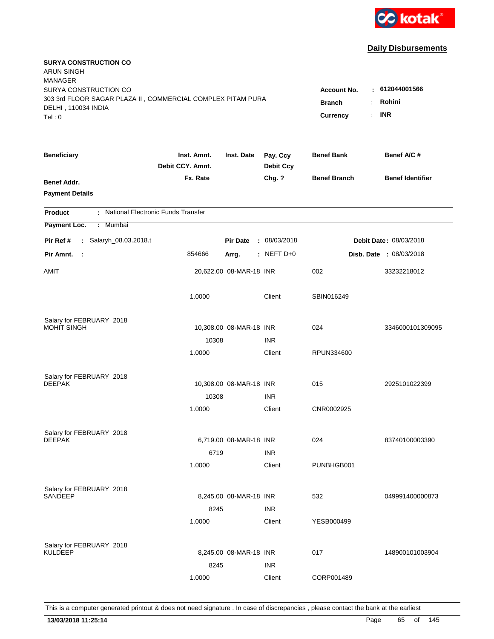

| <b>SURYA CONSTRUCTION CO</b><br>ARUN SINGH<br><b>MANAGER</b>                         |                                 |                                           |                              |                     |                                |
|--------------------------------------------------------------------------------------|---------------------------------|-------------------------------------------|------------------------------|---------------------|--------------------------------|
| SURYA CONSTRUCTION CO<br>303 3rd FLOOR SAGAR PLAZA II, COMMERCIAL COMPLEX PITAM PURA |                                 | <b>Account No.</b><br><b>Branch</b><br>÷. | $-612044001566$<br>Rohini    |                     |                                |
| DELHI, 110034 INDIA<br>Tel: 0                                                        |                                 | Currency<br>÷.                            | <b>INR</b>                   |                     |                                |
| <b>Beneficiary</b>                                                                   | Inst. Amnt.<br>Debit CCY. Amnt. | Inst. Date                                | Pay. Ccy<br><b>Debit Ccy</b> | <b>Benef Bank</b>   | Benef A/C #                    |
| Benef Addr.<br><b>Payment Details</b>                                                | Fx. Rate                        |                                           | Chg. ?                       | <b>Benef Branch</b> | <b>Benef Identifier</b>        |
| : National Electronic Funds Transfer<br><b>Product</b>                               |                                 |                                           |                              |                     |                                |
| Payment Loc.<br>: Mumbai                                                             |                                 |                                           |                              |                     |                                |
| Salaryh_08.03.2018.t<br>Pir Ref #<br>$\mathbf{L}$                                    |                                 | <b>Pir Date</b>                           | : 08/03/2018                 |                     | Debit Date: 08/03/2018         |
| Pir Amnt.<br>$\mathbf{L}$                                                            | 854666                          | Arrg.                                     | : NEFT $D+0$                 |                     | <b>Disb. Date : 08/03/2018</b> |
| AMIT                                                                                 |                                 | 20,622.00 08-MAR-18 INR                   |                              | 002                 | 33232218012                    |
|                                                                                      | 1.0000                          |                                           | Client                       | SBIN016249          |                                |
| Salary for FEBRUARY 2018                                                             |                                 |                                           |                              |                     |                                |
| <b>MOHIT SINGH</b>                                                                   |                                 | 10,308.00 08-MAR-18 INR                   |                              | 024                 | 3346000101309095               |
|                                                                                      | 10308                           |                                           | <b>INR</b>                   |                     |                                |
|                                                                                      | 1.0000                          |                                           | Client                       | RPUN334600          |                                |
| Salary for FEBRUARY 2018                                                             |                                 |                                           |                              |                     |                                |
| <b>DEEPAK</b>                                                                        |                                 | 10,308.00 08-MAR-18 INR                   |                              | 015                 | 2925101022399                  |
|                                                                                      | 10308                           |                                           | <b>INR</b>                   |                     |                                |
|                                                                                      | 1.0000                          |                                           | Client                       | CNR0002925          |                                |
| Salary for FEBRUARY 2018                                                             |                                 |                                           |                              |                     |                                |
| <b>DEEPAK</b>                                                                        |                                 | 6,719.00 08-MAR-18 INR                    |                              | 024                 | 83740100003390                 |
|                                                                                      | 6719                            |                                           | <b>INR</b>                   |                     |                                |
|                                                                                      | 1.0000                          |                                           | Client                       | PUNBHGB001          |                                |
| Salary for FEBRUARY 2018                                                             |                                 |                                           |                              |                     |                                |
| SANDEEP                                                                              |                                 | 8,245.00 08-MAR-18 INR                    |                              | 532                 | 049991400000873                |
|                                                                                      | 8245                            |                                           | <b>INR</b>                   |                     |                                |
|                                                                                      | 1.0000                          |                                           | Client                       | YESB000499          |                                |
|                                                                                      |                                 |                                           |                              |                     |                                |
| Salary for FEBRUARY 2018<br><b>KULDEEP</b>                                           |                                 | 8,245.00 08-MAR-18 INR                    |                              | 017                 | 148900101003904                |
|                                                                                      | 8245                            |                                           | <b>INR</b>                   |                     |                                |
|                                                                                      | 1.0000                          |                                           | Client                       | CORP001489          |                                |
|                                                                                      |                                 |                                           |                              |                     |                                |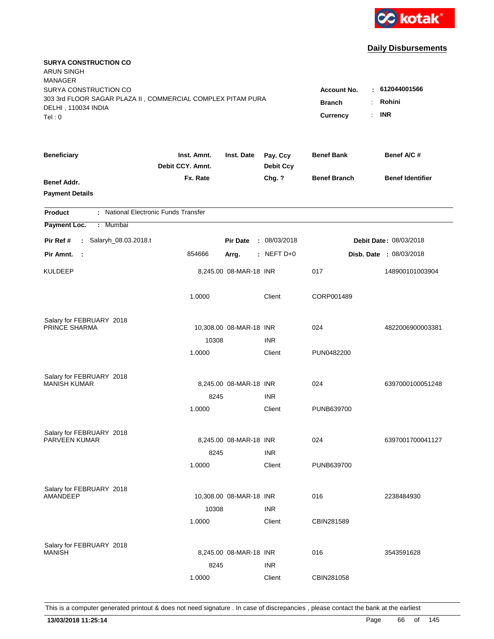

| <b>SURYA CONSTRUCTION CO</b><br>ARUN SINGH                  |                                       |                         |                              |                     |                         |
|-------------------------------------------------------------|---------------------------------------|-------------------------|------------------------------|---------------------|-------------------------|
| <b>MANAGER</b>                                              |                                       |                         |                              |                     |                         |
| SURYA CONSTRUCTION CO                                       |                                       |                         |                              | <b>Account No.</b>  | $-612044001566$         |
| 303 3rd FLOOR SAGAR PLAZA II, COMMERCIAL COMPLEX PITAM PURA | <b>Branch</b><br>$\ddot{\phantom{a}}$ | Rohini                  |                              |                     |                         |
| DELHI, 110034 INDIA<br>Tel: 0                               |                                       |                         |                              | Currency<br>÷.      | <b>INR</b>              |
|                                                             |                                       |                         |                              |                     |                         |
| <b>Beneficiary</b>                                          | Inst. Amnt.<br>Debit CCY. Amnt.       | Inst. Date              | Pay. Ccy<br><b>Debit Ccy</b> | <b>Benef Bank</b>   | Benef A/C#              |
| Benef Addr.                                                 | Fx. Rate                              |                         | Chg. ?                       | <b>Benef Branch</b> | <b>Benef Identifier</b> |
| <b>Payment Details</b>                                      |                                       |                         |                              |                     |                         |
| : National Electronic Funds Transfer<br><b>Product</b>      |                                       |                         |                              |                     |                         |
| Payment Loc.<br>: Mumbai                                    |                                       |                         |                              |                     |                         |
| Salaryh_08.03.2018.t<br>Pir Ref #<br>÷.                     |                                       | <b>Pir Date</b>         | : 08/03/2018                 |                     | Debit Date: 08/03/2018  |
| Pir Amnt.<br>$\sim$ :                                       | 854666                                | Arrg.                   | $:$ NEFT D+0                 |                     | Disb. Date : 08/03/2018 |
| KULDEEP                                                     |                                       | 8,245.00 08-MAR-18 INR  |                              | 017                 | 148900101003904         |
|                                                             | 1.0000                                |                         | Client                       | CORP001489          |                         |
| Salary for FEBRUARY 2018                                    |                                       |                         |                              |                     |                         |
| PRINCE SHARMA                                               |                                       | 10,308.00 08-MAR-18 INR |                              | 024                 | 4822006900003381        |
|                                                             | 10308                                 |                         | <b>INR</b>                   |                     |                         |
|                                                             | 1.0000                                |                         | Client                       | PUN0482200          |                         |
| Salary for FEBRUARY 2018                                    |                                       |                         |                              |                     |                         |
| <b>MANISH KUMAR</b>                                         |                                       | 8,245.00 08-MAR-18 INR  |                              | 024                 | 6397000100051248        |
|                                                             | 8245                                  |                         | <b>INR</b>                   |                     |                         |
|                                                             | 1.0000                                |                         | Client                       | PUNB639700          |                         |
| Salary for FEBRUARY 2018                                    |                                       |                         |                              |                     |                         |
| PARVEEN KUMAR                                               |                                       | 8,245.00 08-MAR-18 INR  |                              | 024                 | 6397001700041127        |
|                                                             | 8245                                  |                         | <b>INR</b>                   |                     |                         |
|                                                             | 1.0000                                |                         | Client                       | PUNB639700          |                         |
| Salary for FEBRUARY 2018                                    |                                       |                         |                              |                     |                         |
| AMANDEEP                                                    |                                       | 10,308.00 08-MAR-18 INR |                              | 016                 | 2238484930              |
|                                                             | 10308                                 |                         | <b>INR</b>                   |                     |                         |
|                                                             | 1.0000                                |                         | Client                       | CBIN281589          |                         |
| Salary for FEBRUARY 2018                                    |                                       |                         |                              |                     |                         |
| <b>MANISH</b>                                               |                                       | 8,245.00 08-MAR-18 INR  |                              | 016                 | 3543591628              |
|                                                             | 8245                                  |                         | <b>INR</b>                   |                     |                         |
|                                                             | 1.0000                                |                         | Client                       | CBIN281058          |                         |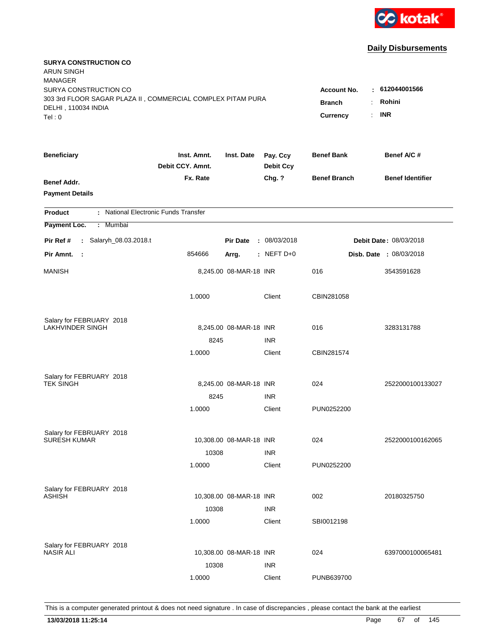

| <b>SURYA CONSTRUCTION CO</b><br>ARUN SINGH<br><b>MANAGER</b>                         |                                 |                                     |                              |                     |                                |
|--------------------------------------------------------------------------------------|---------------------------------|-------------------------------------|------------------------------|---------------------|--------------------------------|
| SURYA CONSTRUCTION CO<br>303 3rd FLOOR SAGAR PLAZA II, COMMERCIAL COMPLEX PITAM PURA |                                 | <b>Account No.</b><br><b>Branch</b> | 612044001566<br>Rohini       |                     |                                |
| DELHI, 110034 INDIA<br>Tel: 0                                                        |                                 |                                     |                              | <b>Currency</b>     | <b>INR</b>                     |
| <b>Beneficiary</b>                                                                   | Inst. Amnt.<br>Debit CCY. Amnt. | Inst. Date                          | Pay. Ccy<br><b>Debit Ccy</b> | <b>Benef Bank</b>   | Benef A/C #                    |
| Benef Addr.<br><b>Payment Details</b>                                                | Fx. Rate                        |                                     | Chg. ?                       | <b>Benef Branch</b> | <b>Benef Identifier</b>        |
| : National Electronic Funds Transfer<br><b>Product</b>                               |                                 |                                     |                              |                     |                                |
| Payment Loc.<br>Mumbai<br>÷.                                                         |                                 |                                     |                              |                     |                                |
| Salaryh_08.03.2018.t<br>Pir Ref #<br>$\mathbf{L}$                                    |                                 | <b>Pir Date</b>                     | : 08/03/2018                 |                     | Debit Date: 08/03/2018         |
| Pir Amnt.<br>$\mathbf{L}$                                                            | 854666                          | Arrg.                               | : NEFT D+0                   |                     | <b>Disb. Date : 08/03/2018</b> |
| <b>MANISH</b>                                                                        |                                 | 8,245.00 08-MAR-18 INR              |                              | 016                 | 3543591628                     |
|                                                                                      | 1.0000                          |                                     | Client                       | CBIN281058          |                                |
| Salary for FEBRUARY 2018                                                             |                                 |                                     |                              |                     |                                |
| <b>LAKHVINDER SINGH</b>                                                              |                                 | 8,245.00 08-MAR-18 INR              |                              | 016                 | 3283131788                     |
|                                                                                      | 8245<br>1.0000                  |                                     | <b>INR</b><br>Client         | CBIN281574          |                                |
|                                                                                      |                                 |                                     |                              |                     |                                |
| Salary for FEBRUARY 2018                                                             |                                 |                                     |                              |                     |                                |
| <b>TEK SINGH</b>                                                                     |                                 | 8,245.00 08-MAR-18 INR              |                              | 024                 | 2522000100133027               |
|                                                                                      | 8245                            |                                     | <b>INR</b>                   |                     |                                |
|                                                                                      | 1.0000                          |                                     | Client                       | PUN0252200          |                                |
| Salary for FEBRUARY 2018                                                             |                                 |                                     |                              |                     |                                |
| <b>SURESH KUMAR</b>                                                                  |                                 | 10,308.00 08-MAR-18 INR             |                              | 024                 | 2522000100162065               |
|                                                                                      | 10308                           |                                     | <b>INR</b>                   |                     |                                |
|                                                                                      | 1.0000                          |                                     | Client                       | PUN0252200          |                                |
| Salary for FEBRUARY 2018                                                             |                                 |                                     |                              |                     |                                |
| ASHISH                                                                               |                                 | 10,308.00 08-MAR-18 INR             |                              | 002                 | 20180325750                    |
|                                                                                      | 10308                           |                                     | <b>INR</b>                   |                     |                                |
|                                                                                      | 1.0000                          |                                     | Client                       | SBI0012198          |                                |
|                                                                                      |                                 |                                     |                              |                     |                                |
| Salary for FEBRUARY 2018<br><b>NASIR ALI</b>                                         |                                 | 10,308.00 08-MAR-18 INR             |                              | 024                 | 6397000100065481               |
|                                                                                      | 10308                           |                                     | <b>INR</b>                   |                     |                                |
|                                                                                      | 1.0000                          |                                     | Client                       | PUNB639700          |                                |
|                                                                                      |                                 |                                     |                              |                     |                                |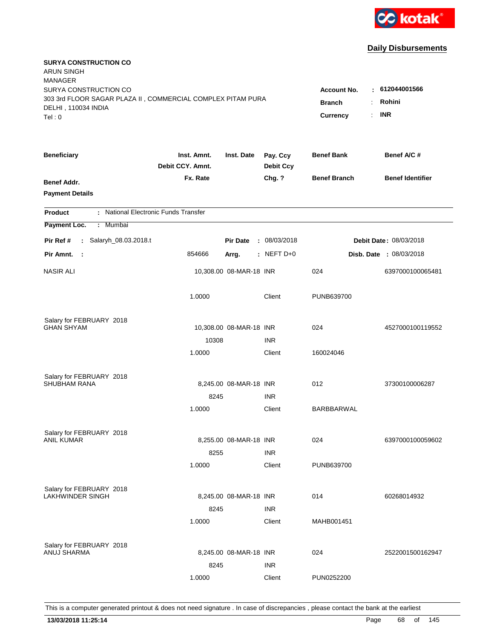

| <b>SURYA CONSTRUCTION CO</b><br><b>ARUN SINGH</b><br><b>MANAGER</b>                  |                                          |                          |                              |                     |                         |
|--------------------------------------------------------------------------------------|------------------------------------------|--------------------------|------------------------------|---------------------|-------------------------|
| SURYA CONSTRUCTION CO<br>303 3rd FLOOR SAGAR PLAZA II, COMMERCIAL COMPLEX PITAM PURA | <b>Account No.</b><br><b>Branch</b><br>÷ | : 612044001566<br>Rohini |                              |                     |                         |
| DELHI, 110034 INDIA<br>Tel: 0                                                        |                                          |                          |                              | Currency<br>÷.      | <b>INR</b>              |
| <b>Beneficiary</b>                                                                   | Inst. Amnt.<br>Debit CCY. Amnt.          | Inst. Date               | Pay. Ccy<br><b>Debit Ccy</b> | <b>Benef Bank</b>   | Benef A/C #             |
| Benef Addr.<br><b>Payment Details</b>                                                | Fx. Rate                                 |                          | Chg. ?                       | <b>Benef Branch</b> | <b>Benef Identifier</b> |
| : National Electronic Funds Transfer<br><b>Product</b>                               |                                          |                          |                              |                     |                         |
| Payment Loc.<br><b>Mumbai</b><br>÷.                                                  |                                          |                          |                              |                     |                         |
| : Salaryh_08.03.2018.t<br>Pir Ref #                                                  |                                          | <b>Pir Date</b>          | : 08/03/2018                 |                     | Debit Date: 08/03/2018  |
| Pir Amnt.<br>- 1                                                                     | 854666                                   | Arrg.                    | $:$ NEFT D+0                 |                     | Disb. Date: 08/03/2018  |
| <b>NASIR ALI</b>                                                                     |                                          | 10,308.00 08-MAR-18 INR  |                              | 024                 | 6397000100065481        |
|                                                                                      | 1.0000                                   |                          | Client                       | PUNB639700          |                         |
| Salary for FEBRUARY 2018                                                             |                                          |                          |                              |                     |                         |
| <b>GHAN SHYAM</b>                                                                    |                                          | 10,308.00 08-MAR-18 INR  |                              | 024                 | 4527000100119552        |
|                                                                                      | 10308                                    |                          | <b>INR</b>                   |                     |                         |
|                                                                                      | 1.0000                                   |                          | Client                       | 160024046           |                         |
| Salary for FEBRUARY 2018                                                             |                                          |                          |                              |                     |                         |
| <b>SHUBHAM RANA</b>                                                                  |                                          | 8,245.00 08-MAR-18 INR   |                              | 012                 | 37300100006287          |
|                                                                                      | 8245                                     |                          | <b>INR</b>                   |                     |                         |
|                                                                                      | 1.0000                                   |                          | Client                       | BARBBARWAL          |                         |
| Salary for FEBRUARY 2018                                                             |                                          |                          |                              |                     |                         |
| <b>ANIL KUMAR</b>                                                                    |                                          | 8,255.00 08-MAR-18 INR   |                              | 024                 | 6397000100059602        |
|                                                                                      | 8255                                     |                          | <b>INR</b>                   |                     |                         |
|                                                                                      | 1.0000                                   |                          | Client                       | PUNB639700          |                         |
| Salary for FEBRUARY 2018                                                             |                                          |                          |                              |                     |                         |
| LAKHWINDER SINGH                                                                     |                                          | 8,245.00 08-MAR-18 INR   |                              | 014                 | 60268014932             |
|                                                                                      | 8245                                     |                          | <b>INR</b>                   |                     |                         |
|                                                                                      | 1.0000                                   |                          | Client                       | MAHB001451          |                         |
|                                                                                      |                                          |                          |                              |                     |                         |
| Salary for FEBRUARY 2018<br>ANUJ SHARMA                                              |                                          | 8,245.00 08-MAR-18 INR   |                              | 024                 | 2522001500162947        |
|                                                                                      | 8245                                     |                          | <b>INR</b>                   |                     |                         |
|                                                                                      | 1.0000                                   |                          | Client                       | PUN0252200          |                         |
|                                                                                      |                                          |                          |                              |                     |                         |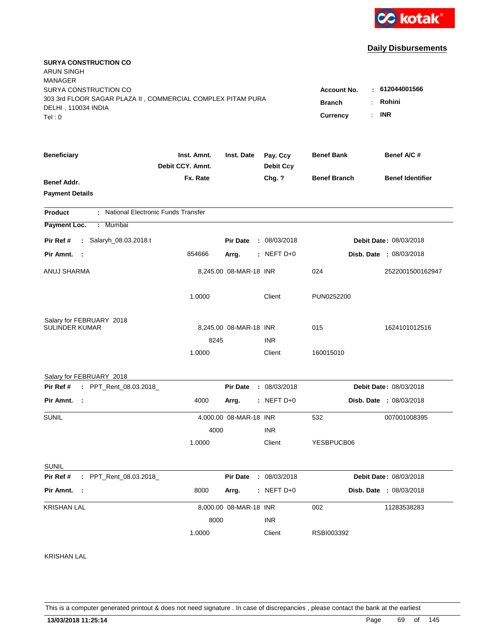

| <b>SURYA CONSTRUCTION CO</b><br><b>ARUN SINGH</b><br><b>MANAGER</b>                                                  |                                                        |                                           |                              |                     |                                |
|----------------------------------------------------------------------------------------------------------------------|--------------------------------------------------------|-------------------------------------------|------------------------------|---------------------|--------------------------------|
| SURYA CONSTRUCTION CO<br>303 3rd FLOOR SAGAR PLAZA II, COMMERCIAL COMPLEX PITAM PURA<br>DELHI, 110034 INDIA<br>Tel:0 | <b>Account No.</b><br><b>Branch</b><br><b>Currency</b> | 612044001566<br>÷<br>Rohini<br><b>INR</b> |                              |                     |                                |
|                                                                                                                      |                                                        |                                           |                              |                     |                                |
| <b>Beneficiary</b>                                                                                                   | Inst. Amnt.<br>Debit CCY. Amnt.                        | Inst. Date                                | Pay. Ccy<br><b>Debit Ccy</b> | <b>Benef Bank</b>   | Benef A/C #                    |
|                                                                                                                      | Fx. Rate                                               |                                           | Chg. ?                       | <b>Benef Branch</b> | <b>Benef Identifier</b>        |
| <b>Benef Addr.</b><br><b>Payment Details</b>                                                                         |                                                        |                                           |                              |                     |                                |
|                                                                                                                      |                                                        |                                           |                              |                     |                                |
| : National Electronic Funds Transfer<br><b>Product</b><br>Payment Loc.<br>: Mumbai                                   |                                                        |                                           |                              |                     |                                |
| : Salaryh_08.03.2018.t<br>Pir Ref #                                                                                  |                                                        | <b>Pir Date</b>                           | : 08/03/2018                 |                     | Debit Date: 08/03/2018         |
| Pir Amnt. :                                                                                                          | 854666                                                 | Arrg.                                     | $:$ NEFT D+0                 |                     | <b>Disb. Date : 08/03/2018</b> |
| ANUJ SHARMA                                                                                                          |                                                        | 8,245.00 08-MAR-18 INR                    |                              | 024                 | 2522001500162947               |
|                                                                                                                      | 1.0000                                                 |                                           | Client                       | PUN0252200          |                                |
| Salary for FEBRUARY 2018<br><b>SULINDER KUMAR</b>                                                                    |                                                        | 8,245.00 08-MAR-18 INR                    |                              | 015                 | 1624101012516                  |
|                                                                                                                      | 8245                                                   |                                           | <b>INR</b>                   |                     |                                |
|                                                                                                                      | 1.0000                                                 |                                           | Client                       | 160015010           |                                |
| Salary for FEBRUARY 2018                                                                                             |                                                        |                                           |                              |                     |                                |
| : PPT_Rent_08.03.2018_<br>Pir Ref #                                                                                  |                                                        | <b>Pir Date</b>                           | : 08/03/2018                 |                     | Debit Date: 08/03/2018         |
| Pir Amnt.<br>- 1                                                                                                     | 4000                                                   | Arrg.                                     | $:$ NEFT D+0                 |                     | <b>Disb. Date : 08/03/2018</b> |
| SUNIL                                                                                                                |                                                        | 4,000.00 08-MAR-18 INR                    |                              | 532                 | 007001008395                   |
|                                                                                                                      | 4000                                                   |                                           | <b>INR</b>                   |                     |                                |
|                                                                                                                      | 1.0000                                                 |                                           | Client                       | YESBPUCB06          |                                |
| <b>SUNIL</b>                                                                                                         |                                                        |                                           |                              |                     |                                |
| : PPT_Rent_08.03.2018_<br>Pir Ref #                                                                                  |                                                        | <b>Pir Date</b>                           | : 08/03/2018                 |                     | Debit Date: 08/03/2018         |
| Pir Amnt. :                                                                                                          | 8000                                                   | Arrg.                                     | $:$ NEFT D+0                 |                     | Disb. Date : 08/03/2018        |
| <b>KRISHAN LAL</b>                                                                                                   |                                                        | 8,000.00 08-MAR-18 INR                    |                              | 002                 | 11283538283                    |
|                                                                                                                      | 8000                                                   |                                           | <b>INR</b>                   |                     |                                |
|                                                                                                                      | 1.0000                                                 |                                           | Client                       | RSBI003392          |                                |
|                                                                                                                      |                                                        |                                           |                              |                     |                                |

KRISHAN LAL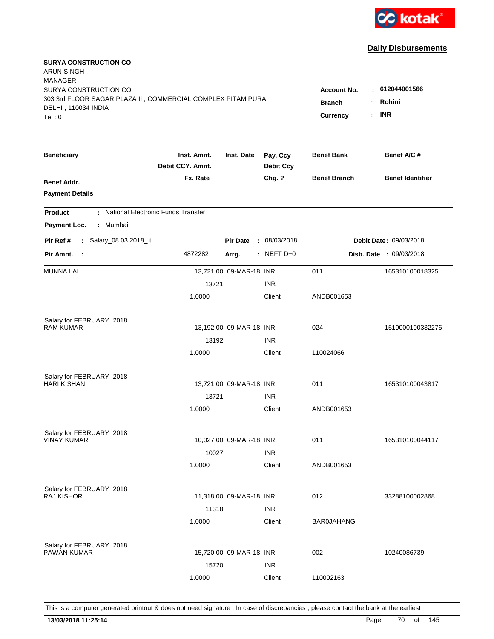

| <b>SURYA CONSTRUCTION CO</b><br>ARUN SINGH<br><b>MANAGER</b><br>SURYA CONSTRUCTION CO<br>303 3rd FLOOR SAGAR PLAZA II, COMMERCIAL COMPLEX PITAM PURA<br>DELHI, 110034 INDIA<br>Tel:0 | <b>Account No.</b><br><b>Branch</b><br><b>Currency</b><br>÷. | : 612044001566<br>Rohini<br><b>INR</b> |                              |                     |                         |
|--------------------------------------------------------------------------------------------------------------------------------------------------------------------------------------|--------------------------------------------------------------|----------------------------------------|------------------------------|---------------------|-------------------------|
| <b>Beneficiary</b>                                                                                                                                                                   | Inst. Amnt.<br>Debit CCY, Amnt.                              | Inst. Date                             | Pay. Ccy<br><b>Debit Ccy</b> | <b>Benef Bank</b>   | Benef A/C #             |
| <b>Benef Addr.</b><br><b>Payment Details</b>                                                                                                                                         | Fx. Rate                                                     |                                        | Chg. ?                       | <b>Benef Branch</b> | <b>Benef Identifier</b> |
| <b>Product</b>                                                                                                                                                                       | : National Electronic Funds Transfer                         |                                        |                              |                     |                         |
| Payment Loc.<br>: Mumbai                                                                                                                                                             |                                                              |                                        |                              |                     |                         |
| Salary_08.03.2018_.t<br>Pir Ref #<br>÷.                                                                                                                                              |                                                              | <b>Pir Date</b>                        | : 08/03/2018                 |                     | Debit Date: 09/03/2018  |
| Pir Amnt. :                                                                                                                                                                          | 4872282                                                      | Arrg.                                  | : NEFT $D+0$                 |                     | Disb. Date : 09/03/2018 |
| MUNNA LAL                                                                                                                                                                            |                                                              | 13,721.00 09-MAR-18 INR                |                              | 011                 | 165310100018325         |
|                                                                                                                                                                                      | 13721                                                        |                                        | <b>INR</b>                   |                     |                         |
|                                                                                                                                                                                      | 1.0000                                                       |                                        | Client                       | ANDB001653          |                         |
| Salary for FEBRUARY 2018                                                                                                                                                             |                                                              |                                        |                              |                     |                         |
| <b>RAM KUMAR</b>                                                                                                                                                                     |                                                              | 13,192.00 09-MAR-18 INR                |                              | 024                 | 1519000100332276        |
|                                                                                                                                                                                      | 13192                                                        |                                        | <b>INR</b>                   |                     |                         |
|                                                                                                                                                                                      | 1.0000                                                       |                                        | Client                       | 110024066           |                         |
| Salary for FEBRUARY 2018                                                                                                                                                             |                                                              |                                        |                              |                     |                         |
| <b>HARI KISHAN</b>                                                                                                                                                                   |                                                              | 13,721.00 09-MAR-18 INR                |                              | 011                 | 165310100043817         |
|                                                                                                                                                                                      | 13721                                                        |                                        | <b>INR</b>                   |                     |                         |
|                                                                                                                                                                                      | 1.0000                                                       |                                        | Client                       | ANDB001653          |                         |
| Salary for FEBRUARY 2018                                                                                                                                                             |                                                              |                                        |                              |                     |                         |
| <b>VINAY KUMAR</b>                                                                                                                                                                   |                                                              | 10,027.00 09-MAR-18 INR                |                              | 011                 | 165310100044117         |
|                                                                                                                                                                                      | 10027                                                        |                                        | <b>INR</b>                   |                     |                         |
|                                                                                                                                                                                      | 1.0000                                                       |                                        | Client                       | ANDB001653          |                         |
| Salary for FEBRUARY 2018                                                                                                                                                             |                                                              |                                        |                              |                     |                         |
| <b>RAJ KISHOR</b>                                                                                                                                                                    |                                                              | 11,318.00 09-MAR-18 INR                |                              | 012                 | 33288100002868          |
|                                                                                                                                                                                      | 11318                                                        |                                        | <b>INR</b>                   |                     |                         |
|                                                                                                                                                                                      | 1.0000                                                       |                                        | Client                       | <b>BAR0JAHANG</b>   |                         |
| Salary for FEBRUARY 2018                                                                                                                                                             |                                                              |                                        |                              |                     |                         |
| PAWAN KUMAR                                                                                                                                                                          |                                                              | 15,720.00 09-MAR-18 INR                |                              | 002                 | 10240086739             |
|                                                                                                                                                                                      | 15720                                                        |                                        | <b>INR</b>                   |                     |                         |
|                                                                                                                                                                                      | 1.0000                                                       |                                        | Client                       | 110002163           |                         |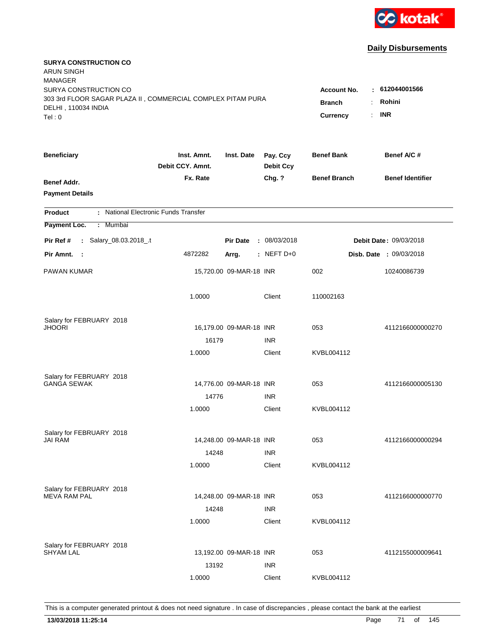

| <b>SURYA CONSTRUCTION CO</b><br><b>ARUN SINGH</b><br><b>MANAGER</b><br>SURYA CONSTRUCTION CO |                                       |                         |                              | <b>Account No.</b>  | : 612044001566          |
|----------------------------------------------------------------------------------------------|---------------------------------------|-------------------------|------------------------------|---------------------|-------------------------|
| 303 3rd FLOOR SAGAR PLAZA II, COMMERCIAL COMPLEX PITAM PURA<br>DELHI, 110034 INDIA<br>Tel: 0 | <b>Branch</b><br>÷.<br>÷.<br>Currency | Rohini<br><b>INR</b>    |                              |                     |                         |
| <b>Beneficiary</b>                                                                           | Inst. Amnt.<br>Debit CCY. Amnt.       | Inst. Date              | Pay. Ccy<br><b>Debit Ccy</b> | <b>Benef Bank</b>   | Benef A/C #             |
| <b>Benef Addr.</b><br><b>Payment Details</b>                                                 | Fx. Rate                              |                         | Chg. ?                       | <b>Benef Branch</b> | <b>Benef Identifier</b> |
| : National Electronic Funds Transfer<br><b>Product</b>                                       |                                       |                         |                              |                     |                         |
| Mumbai<br>Payment Loc.<br>÷.                                                                 |                                       |                         |                              |                     |                         |
| : Salary_08.03.2018_.t<br>Pir Ref #                                                          |                                       | <b>Pir Date</b>         | : 08/03/2018                 |                     | Debit Date: 09/03/2018  |
| Pir Amnt. :                                                                                  | 4872282                               | Arrg.                   | $:$ NEFT D+0                 |                     | Disb. Date : 09/03/2018 |
| PAWAN KUMAR                                                                                  |                                       | 15,720.00 09-MAR-18 INR |                              | 002                 | 10240086739             |
|                                                                                              | 1.0000                                |                         | Client                       | 110002163           |                         |
| Salary for FEBRUARY 2018                                                                     |                                       |                         |                              |                     |                         |
| JHOORI                                                                                       | 16179                                 | 16,179.00 09-MAR-18 INR | <b>INR</b>                   | 053                 | 4112166000000270        |
|                                                                                              | 1.0000                                |                         | Client                       | KVBL004112          |                         |
| Salary for FEBRUARY 2018<br><b>GANGA SEWAK</b>                                               |                                       | 14,776.00 09-MAR-18 INR |                              | 053                 | 4112166000005130        |
|                                                                                              | 14776<br>1.0000                       |                         | <b>INR</b><br>Client         | KVBL004112          |                         |
| Salary for FEBRUARY 2018<br><b>JAI RAM</b>                                                   | 14248                                 | 14,248.00 09-MAR-18 INR | <b>INR</b>                   | 053                 | 4112166000000294        |
|                                                                                              | 1.0000                                |                         | Client                       | KVBL004112          |                         |
| Salary for FEBRUARY 2018<br><b>MEVA RAM PAL</b>                                              | 14248                                 | 14,248.00 09-MAR-18 INR | <b>INR</b>                   | 053                 | 4112166000000770        |
|                                                                                              | 1.0000                                |                         | Client                       | KVBL004112          |                         |
| Salary for FEBRUARY 2018<br><b>SHYAM LAL</b>                                                 | 13192                                 | 13,192.00 09-MAR-18 INR | <b>INR</b>                   | 053                 | 4112155000009641        |
|                                                                                              | 1.0000                                |                         | Client                       | KVBL004112          |                         |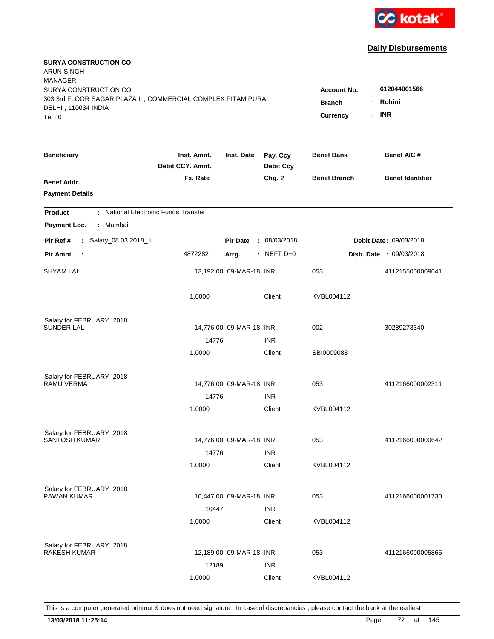

| <b>SURYA CONSTRUCTION CO</b><br><b>ARUN SINGH</b><br><b>MANAGER</b>                                                   |                                                                                                      |                         |                              |                     |                         |
|-----------------------------------------------------------------------------------------------------------------------|------------------------------------------------------------------------------------------------------|-------------------------|------------------------------|---------------------|-------------------------|
| SURYA CONSTRUCTION CO<br>303 3rd FLOOR SAGAR PLAZA II, COMMERCIAL COMPLEX PITAM PURA<br>DELHI, 110034 INDIA<br>Tel: 0 | : 612044001566<br><b>Account No.</b><br>Rohini<br><b>Branch</b><br>÷<br><b>INR</b><br>Currency<br>÷. |                         |                              |                     |                         |
| <b>Beneficiary</b>                                                                                                    | Inst. Amnt.<br>Debit CCY. Amnt.                                                                      | Inst. Date              | Pay. Ccy<br><b>Debit Ccy</b> | <b>Benef Bank</b>   | Benef A/C #             |
| Benef Addr.<br><b>Payment Details</b>                                                                                 | Fx. Rate                                                                                             |                         | Chg. ?                       | <b>Benef Branch</b> | <b>Benef Identifier</b> |
| : National Electronic Funds Transfer<br><b>Product</b>                                                                |                                                                                                      |                         |                              |                     |                         |
| Payment Loc.<br><b>Mumbai</b><br>÷.                                                                                   |                                                                                                      |                         |                              |                     |                         |
| : Salary_08.03.2018_.t<br>Pir Ref #                                                                                   |                                                                                                      | <b>Pir Date</b>         | : 08/03/2018                 |                     | Debit Date: 09/03/2018  |
| Pir Amnt. :                                                                                                           | 4872282                                                                                              | Arrg.                   | $:$ NEFT D+0                 |                     | Disb. Date: 09/03/2018  |
| <b>SHYAM LAL</b>                                                                                                      |                                                                                                      | 13,192.00 09-MAR-18 INR |                              | 053                 | 4112155000009641        |
|                                                                                                                       | 1.0000                                                                                               |                         | Client                       | KVBL004112          |                         |
| Salary for FEBRUARY 2018                                                                                              |                                                                                                      |                         |                              |                     |                         |
| <b>SUNDER LAL</b>                                                                                                     |                                                                                                      | 14,776.00 09-MAR-18 INR |                              | 002                 | 30289273340             |
|                                                                                                                       | 14776<br>1.0000                                                                                      |                         | <b>INR</b><br>Client         | SBI0009083          |                         |
|                                                                                                                       |                                                                                                      |                         |                              |                     |                         |
| Salary for FEBRUARY 2018                                                                                              |                                                                                                      |                         |                              |                     |                         |
| RAMU VERMA                                                                                                            |                                                                                                      | 14,776.00 09-MAR-18 INR |                              | 053                 | 4112166000002311        |
|                                                                                                                       | 14776<br>1.0000                                                                                      |                         | <b>INR</b>                   |                     |                         |
|                                                                                                                       |                                                                                                      |                         | Client                       | KVBL004112          |                         |
| Salary for FEBRUARY 2018                                                                                              |                                                                                                      |                         |                              |                     |                         |
| SANTOSH KUMAR                                                                                                         |                                                                                                      | 14,776.00 09-MAR-18 INR |                              | 053                 | 4112166000000642        |
|                                                                                                                       | 14776                                                                                                |                         | <b>INR</b>                   |                     |                         |
|                                                                                                                       | 1.0000                                                                                               |                         | Client                       | KVBL004112          |                         |
| Salary for FEBRUARY 2018                                                                                              |                                                                                                      |                         |                              |                     |                         |
| <b>PAWAN KUMAR</b>                                                                                                    |                                                                                                      | 10,447.00 09-MAR-18 INR |                              | 053                 | 4112166000001730        |
|                                                                                                                       | 10447                                                                                                |                         | <b>INR</b>                   |                     |                         |
|                                                                                                                       | 1.0000                                                                                               |                         | Client                       | KVBL004112          |                         |
| Salary for FEBRUARY 2018                                                                                              |                                                                                                      |                         |                              |                     |                         |
| <b>RAKESH KUMAR</b>                                                                                                   |                                                                                                      | 12,189.00 09-MAR-18 INR |                              | 053                 | 4112166000005865        |
|                                                                                                                       | 12189                                                                                                |                         | <b>INR</b>                   |                     |                         |
|                                                                                                                       | 1.0000                                                                                               |                         | Client                       | KVBL004112          |                         |
|                                                                                                                       |                                                                                                      |                         |                              |                     |                         |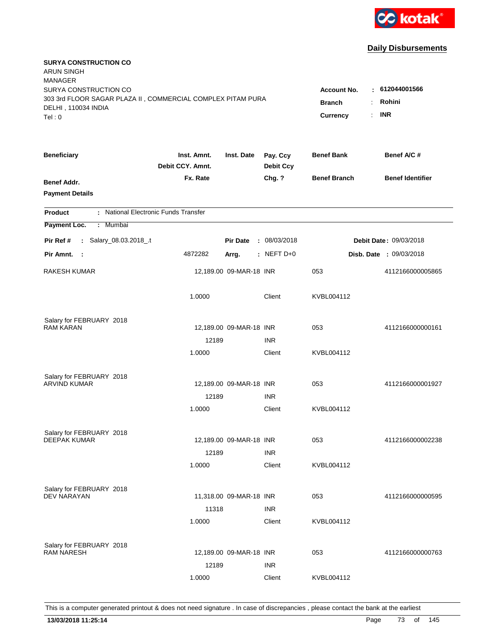

| <b>SURYA CONSTRUCTION CO</b><br><b>ARUN SINGH</b><br><b>MANAGER</b><br>SURYA CONSTRUCTION CO<br>303 3rd FLOOR SAGAR PLAZA II, COMMERCIAL COMPLEX PITAM PURA<br>DELHI, 110034 INDIA |                                 |                         |                              | <b>Account No.</b><br><b>Branch</b> | : 612044001566<br>Rohini      |  |
|------------------------------------------------------------------------------------------------------------------------------------------------------------------------------------|---------------------------------|-------------------------|------------------------------|-------------------------------------|-------------------------------|--|
| Tel: 0                                                                                                                                                                             |                                 |                         |                              | ÷.<br>Currency                      | <b>INR</b>                    |  |
| <b>Beneficiary</b>                                                                                                                                                                 | Inst. Amnt.<br>Debit CCY. Amnt. | Inst. Date              | Pay. Ccy<br><b>Debit Ccy</b> | <b>Benef Bank</b>                   | Benef A/C #                   |  |
| <b>Benef Addr.</b><br><b>Payment Details</b>                                                                                                                                       | Fx. Rate                        |                         | Chg. ?                       | <b>Benef Branch</b>                 | <b>Benef Identifier</b>       |  |
| : National Electronic Funds Transfer<br><b>Product</b>                                                                                                                             |                                 |                         |                              |                                     |                               |  |
| <b>Mumbai</b><br>Payment Loc.<br>÷.                                                                                                                                                |                                 |                         |                              |                                     |                               |  |
| : Salary_08.03.2018_.t<br>Pir Ref #                                                                                                                                                |                                 | <b>Pir Date</b>         | : 08/03/2018                 |                                     | <b>Debit Date: 09/03/2018</b> |  |
| Pir Amnt. :                                                                                                                                                                        | 4872282                         | Arrg.                   | : NEFT D+0                   |                                     | Disb. Date : 09/03/2018       |  |
| <b>RAKESH KUMAR</b>                                                                                                                                                                |                                 | 12,189.00 09-MAR-18 INR |                              | 053                                 | 4112166000005865              |  |
|                                                                                                                                                                                    | 1.0000                          |                         | Client                       | KVBL004112                          |                               |  |
| Salary for FEBRUARY 2018                                                                                                                                                           |                                 |                         |                              |                                     |                               |  |
| <b>RAM KARAN</b>                                                                                                                                                                   |                                 | 12,189.00 09-MAR-18 INR |                              | 053                                 | 4112166000000161              |  |
|                                                                                                                                                                                    | 12189<br>1.0000                 |                         | <b>INR</b><br>Client         | KVBL004112                          |                               |  |
|                                                                                                                                                                                    |                                 |                         |                              |                                     |                               |  |
| Salary for FEBRUARY 2018                                                                                                                                                           |                                 |                         |                              |                                     |                               |  |
| <b>ARVIND KUMAR</b>                                                                                                                                                                |                                 | 12,189.00 09-MAR-18 INR |                              | 053                                 | 4112166000001927              |  |
|                                                                                                                                                                                    | 12189                           |                         | <b>INR</b>                   |                                     |                               |  |
|                                                                                                                                                                                    | 1.0000                          |                         | Client                       | KVBL004112                          |                               |  |
| Salary for FEBRUARY 2018                                                                                                                                                           |                                 |                         |                              |                                     |                               |  |
| <b>DEEPAK KUMAR</b>                                                                                                                                                                |                                 | 12,189.00 09-MAR-18 INR |                              | 053                                 | 4112166000002238              |  |
|                                                                                                                                                                                    | 12189                           |                         | <b>INR</b>                   |                                     |                               |  |
|                                                                                                                                                                                    | 1.0000                          |                         | Client                       | KVBL004112                          |                               |  |
| Salary for FEBRUARY 2018                                                                                                                                                           |                                 |                         |                              |                                     |                               |  |
| <b>DEV NARAYAN</b>                                                                                                                                                                 |                                 | 11,318.00 09-MAR-18 INR |                              | 053                                 | 4112166000000595              |  |
|                                                                                                                                                                                    | 11318                           |                         | <b>INR</b>                   |                                     |                               |  |
|                                                                                                                                                                                    | 1.0000                          |                         | Client                       | KVBL004112                          |                               |  |
|                                                                                                                                                                                    |                                 |                         |                              |                                     |                               |  |
| Salary for FEBRUARY 2018<br><b>RAM NARESH</b>                                                                                                                                      |                                 | 12,189.00 09-MAR-18 INR |                              | 053                                 | 4112166000000763              |  |
|                                                                                                                                                                                    | 12189                           |                         | <b>INR</b>                   |                                     |                               |  |
|                                                                                                                                                                                    | 1.0000                          |                         | Client                       | KVBL004112                          |                               |  |
|                                                                                                                                                                                    |                                 |                         |                              |                                     |                               |  |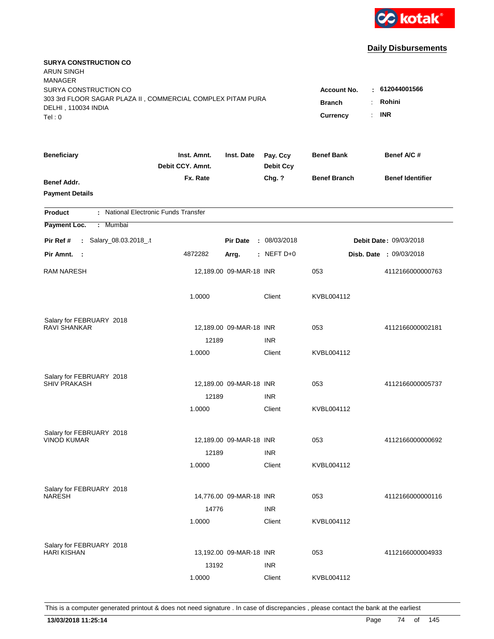

| <b>SURYA CONSTRUCTION CO</b><br><b>ARUN SINGH</b><br><b>MANAGER</b> |                                 |                         |                              |                                              |                                |
|---------------------------------------------------------------------|---------------------------------|-------------------------|------------------------------|----------------------------------------------|--------------------------------|
| SURYA CONSTRUCTION CO                                               |                                 |                         |                              | <b>Account No.</b>                           | : 612044001566                 |
| 303 3rd FLOOR SAGAR PLAZA II, COMMERCIAL COMPLEX PITAM PURA         |                                 |                         |                              | <b>Branch</b><br>÷.                          | Rohini                         |
| DELHI, 110034 INDIA<br>Tel: 0                                       |                                 |                         |                              | $\mathbb{R}^{\mathbb{Z}}$<br><b>Currency</b> | <b>INR</b>                     |
|                                                                     |                                 |                         |                              |                                              |                                |
| <b>Beneficiary</b>                                                  | Inst. Amnt.<br>Debit CCY, Amnt. | Inst. Date              | Pay. Ccy<br><b>Debit Ccy</b> | <b>Benef Bank</b>                            | Benef A/C #                    |
| Benef Addr.                                                         | Fx. Rate                        |                         | Chg. ?                       | <b>Benef Branch</b>                          | <b>Benef Identifier</b>        |
| <b>Payment Details</b>                                              |                                 |                         |                              |                                              |                                |
| : National Electronic Funds Transfer<br><b>Product</b>              |                                 |                         |                              |                                              |                                |
| Payment Loc.<br>Mumbai<br>÷.                                        |                                 |                         |                              |                                              |                                |
| : Salary_08.03.2018_.t<br>Pir Ref #                                 |                                 | <b>Pir Date</b>         | : 08/03/2018                 |                                              | Debit Date: 09/03/2018         |
| Pir Amnt. :                                                         | 4872282                         | Arrg.                   | $:$ NEFT D+0                 |                                              | <b>Disb. Date : 09/03/2018</b> |
| <b>RAM NARESH</b>                                                   |                                 | 12,189.00 09-MAR-18 INR |                              | 053                                          | 4112166000000763               |
|                                                                     | 1.0000                          |                         | Client                       | KVBL004112                                   |                                |
| Salary for FEBRUARY 2018                                            |                                 |                         |                              |                                              |                                |
| RAVI SHANKAR                                                        |                                 | 12,189.00 09-MAR-18 INR |                              | 053                                          | 4112166000002181               |
|                                                                     | 12189                           |                         | <b>INR</b>                   |                                              |                                |
|                                                                     | 1.0000                          |                         | Client                       | KVBL004112                                   |                                |
| Salary for FEBRUARY 2018                                            |                                 |                         |                              |                                              |                                |
| <b>SHIV PRAKASH</b>                                                 |                                 | 12,189.00 09-MAR-18 INR |                              | 053                                          | 4112166000005737               |
|                                                                     | 12189                           |                         | <b>INR</b>                   |                                              |                                |
|                                                                     | 1.0000                          |                         | Client                       | KVBL004112                                   |                                |
| Salary for FEBRUARY 2018                                            |                                 |                         |                              |                                              |                                |
| <b>VINOD KUMAR</b>                                                  |                                 | 12,189.00 09-MAR-18 INR |                              | 053                                          | 4112166000000692               |
|                                                                     | 12189                           |                         | <b>INR</b>                   |                                              |                                |
|                                                                     | 1.0000                          |                         | Client                       | KVBL004112                                   |                                |
| Salary for FEBRUARY 2018                                            |                                 |                         |                              |                                              |                                |
| <b>NARESH</b>                                                       |                                 | 14,776.00 09-MAR-18 INR |                              | 053                                          | 4112166000000116               |
|                                                                     | 14776                           |                         | <b>INR</b>                   |                                              |                                |
|                                                                     | 1.0000                          |                         | Client                       | KVBL004112                                   |                                |
| Salary for FEBRUARY 2018                                            |                                 |                         |                              |                                              |                                |
| <b>HARI KISHAN</b>                                                  |                                 | 13,192.00 09-MAR-18 INR |                              | 053                                          | 4112166000004933               |
|                                                                     | 13192                           |                         | <b>INR</b>                   |                                              |                                |
|                                                                     | 1.0000                          |                         | Client                       | KVBL004112                                   |                                |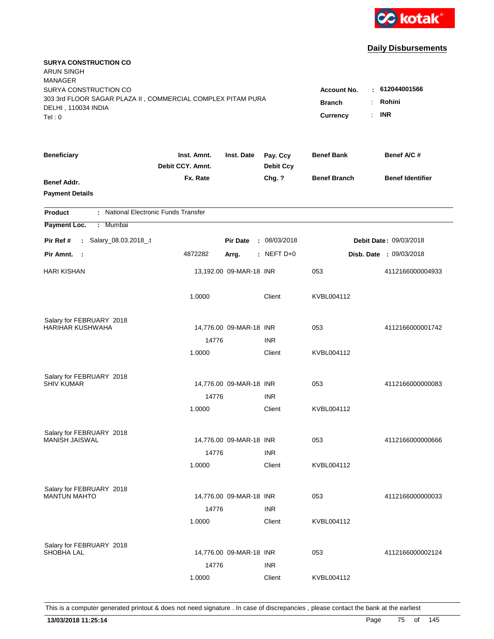

| <b>SURYA CONSTRUCTION CO</b><br><b>ARUN SINGH</b><br><b>MANAGER</b>                                                   |                                                                                           |                                        |                              |                     |                                |
|-----------------------------------------------------------------------------------------------------------------------|-------------------------------------------------------------------------------------------|----------------------------------------|------------------------------|---------------------|--------------------------------|
| SURYA CONSTRUCTION CO<br>303 3rd FLOOR SAGAR PLAZA II, COMMERCIAL COMPLEX PITAM PURA<br>DELHI, 110034 INDIA<br>Tel: 0 | <b>Account No.</b><br><b>Branch</b><br>÷.<br>$\mathbb{R}^{\mathbb{Z}}$<br><b>Currency</b> | : 612044001566<br>Rohini<br><b>INR</b> |                              |                     |                                |
|                                                                                                                       |                                                                                           |                                        |                              |                     |                                |
| <b>Beneficiary</b>                                                                                                    | Inst. Amnt.<br>Debit CCY, Amnt.                                                           | Inst. Date                             | Pay. Ccy<br><b>Debit Ccy</b> | <b>Benef Bank</b>   | Benef A/C #                    |
| Benef Addr.<br><b>Payment Details</b>                                                                                 | Fx. Rate                                                                                  |                                        | Chg. ?                       | <b>Benef Branch</b> | <b>Benef Identifier</b>        |
| : National Electronic Funds Transfer<br><b>Product</b>                                                                |                                                                                           |                                        |                              |                     |                                |
| Payment Loc.<br>Mumbai<br>÷.                                                                                          |                                                                                           |                                        |                              |                     |                                |
| : Salary_08.03.2018_.t<br>Pir Ref #                                                                                   |                                                                                           | <b>Pir Date</b>                        | : 08/03/2018                 |                     | Debit Date: 09/03/2018         |
| Pir Amnt. :                                                                                                           | 4872282                                                                                   | Arrg.                                  | $:$ NEFT D+0                 |                     | <b>Disb. Date : 09/03/2018</b> |
| <b>HARI KISHAN</b>                                                                                                    |                                                                                           | 13,192.00 09-MAR-18 INR                |                              | 053                 | 4112166000004933               |
|                                                                                                                       | 1.0000                                                                                    |                                        | Client                       | KVBL004112          |                                |
| Salary for FEBRUARY 2018                                                                                              |                                                                                           |                                        |                              |                     |                                |
| HARIHAR KUSHWAHA                                                                                                      |                                                                                           | 14,776.00 09-MAR-18 INR                |                              | 053                 | 4112166000001742               |
|                                                                                                                       | 14776<br>1.0000                                                                           |                                        | <b>INR</b><br>Client         | KVBL004112          |                                |
| Salary for FEBRUARY 2018                                                                                              |                                                                                           |                                        |                              |                     |                                |
| <b>SHIV KUMAR</b>                                                                                                     |                                                                                           | 14,776.00 09-MAR-18 INR                |                              | 053                 | 4112166000000083               |
|                                                                                                                       | 14776                                                                                     |                                        | <b>INR</b>                   |                     |                                |
|                                                                                                                       | 1.0000                                                                                    |                                        | Client                       | KVBL004112          |                                |
| Salary for FEBRUARY 2018                                                                                              |                                                                                           |                                        |                              |                     |                                |
| MANISH JAISWAL                                                                                                        |                                                                                           | 14,776.00 09-MAR-18 INR                |                              | 053                 | 4112166000000666               |
|                                                                                                                       | 14776                                                                                     |                                        | <b>INR</b>                   |                     |                                |
|                                                                                                                       | 1.0000                                                                                    |                                        | Client                       | KVBL004112          |                                |
| Salary for FEBRUARY 2018                                                                                              |                                                                                           |                                        |                              |                     |                                |
| <b>MANTUN MAHTO</b>                                                                                                   |                                                                                           | 14,776.00 09-MAR-18 INR                |                              | 053                 | 4112166000000033               |
|                                                                                                                       | 14776<br>1.0000                                                                           |                                        | <b>INR</b><br>Client         | KVBL004112          |                                |
|                                                                                                                       |                                                                                           |                                        |                              |                     |                                |
| Salary for FEBRUARY 2018<br><b>SHOBHA LAL</b>                                                                         |                                                                                           | 14,776.00 09-MAR-18 INR                |                              | 053                 | 4112166000002124               |
|                                                                                                                       | 14776                                                                                     |                                        | <b>INR</b>                   |                     |                                |
|                                                                                                                       | 1.0000                                                                                    |                                        | Client                       | KVBL004112          |                                |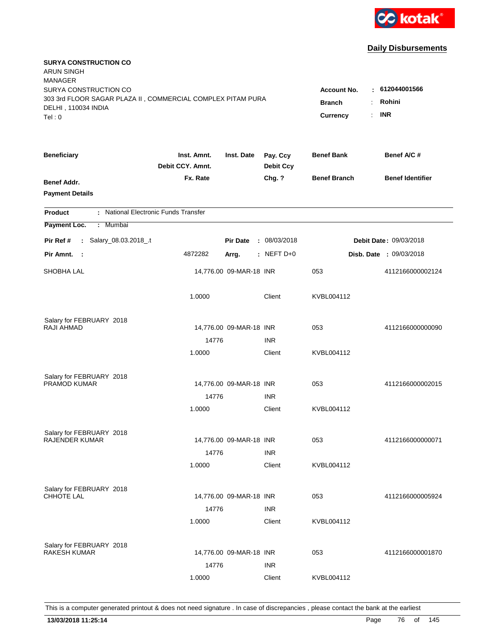

| <b>SURYA CONSTRUCTION CO</b><br><b>ARUN SINGH</b><br><b>MANAGER</b><br>SURYA CONSTRUCTION CO |                                 |                         |                              | <b>Account No.</b>  | $-612044001566$         |
|----------------------------------------------------------------------------------------------|---------------------------------|-------------------------|------------------------------|---------------------|-------------------------|
| 303 3rd FLOOR SAGAR PLAZA II, COMMERCIAL COMPLEX PITAM PURA<br>DELHI, 110034 INDIA<br>Tel: 0 | <b>Branch</b><br>Currency<br>÷. | Rohini<br><b>INR</b>    |                              |                     |                         |
| <b>Beneficiary</b>                                                                           | Inst. Amnt.<br>Debit CCY. Amnt. | Inst. Date              | Pay. Ccy<br><b>Debit Ccy</b> | <b>Benef Bank</b>   | Benef A/C #             |
| Benef Addr.<br><b>Payment Details</b>                                                        | Fx. Rate                        |                         | Chg. ?                       | <b>Benef Branch</b> | <b>Benef Identifier</b> |
| : National Electronic Funds Transfer<br><b>Product</b>                                       |                                 |                         |                              |                     |                         |
| Payment Loc.<br><b>Mumbai</b><br>÷.                                                          |                                 |                         |                              |                     |                         |
| : Salary_08.03.2018_.t<br>Pir Ref #                                                          |                                 | <b>Pir Date</b>         | : 08/03/2018                 |                     | Debit Date: 09/03/2018  |
| Pir Amnt. :                                                                                  | 4872282                         | Arrg.                   | $:$ NEFT D+0                 |                     | Disb. Date: 09/03/2018  |
| SHOBHA LAL                                                                                   |                                 | 14,776.00 09-MAR-18 INR |                              | 053                 | 4112166000002124        |
|                                                                                              | 1.0000                          |                         | Client                       | KVBL004112          |                         |
| Salary for FEBRUARY 2018<br><b>RAJI AHMAD</b>                                                |                                 |                         |                              | 053                 |                         |
|                                                                                              | 14776                           | 14,776.00 09-MAR-18 INR | <b>INR</b>                   |                     | 4112166000000090        |
|                                                                                              | 1.0000                          |                         | Client                       | KVBL004112          |                         |
| Salary for FEBRUARY 2018<br>PRAMOD KUMAR                                                     |                                 | 14,776.00 09-MAR-18 INR |                              | 053                 | 4112166000002015        |
|                                                                                              | 14776                           |                         | <b>INR</b>                   |                     |                         |
|                                                                                              | 1.0000                          |                         | Client                       | KVBL004112          |                         |
| Salary for FEBRUARY 2018                                                                     |                                 |                         |                              |                     |                         |
| <b>RAJENDER KUMAR</b>                                                                        |                                 | 14,776.00 09-MAR-18 INR |                              | 053                 | 4112166000000071        |
|                                                                                              | 14776<br>1.0000                 |                         | <b>INR</b><br>Client         | KVBL004112          |                         |
| Salary for FEBRUARY 2018<br>CHHOTE LAL                                                       |                                 | 14,776.00 09-MAR-18 INR |                              | 053                 | 4112166000005924        |
|                                                                                              | 14776                           |                         | <b>INR</b>                   |                     |                         |
|                                                                                              | 1.0000                          |                         | Client                       | KVBL004112          |                         |
| Salary for FEBRUARY 2018<br><b>RAKESH KUMAR</b>                                              | 14776                           | 14,776.00 09-MAR-18 INR | <b>INR</b>                   | 053                 | 4112166000001870        |
|                                                                                              | 1.0000                          |                         | Client                       | KVBL004112          |                         |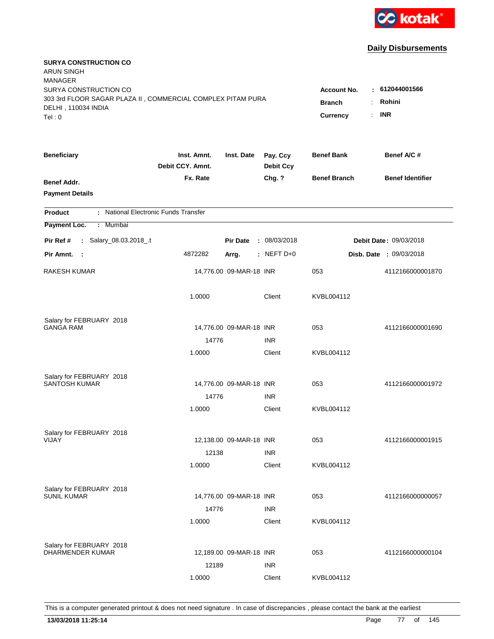

| <b>SURYA CONSTRUCTION CO</b><br>ARUN SINGH                  |                                 |                         |                              |                                       |                         |
|-------------------------------------------------------------|---------------------------------|-------------------------|------------------------------|---------------------------------------|-------------------------|
| <b>MANAGER</b><br>SURYA CONSTRUCTION CO                     |                                 |                         |                              | <b>Account No.</b>                    | : 612044001566          |
| 303 3rd FLOOR SAGAR PLAZA II, COMMERCIAL COMPLEX PITAM PURA |                                 |                         |                              | <b>Branch</b><br>$\ddot{\phantom{a}}$ | Rohini                  |
| DELHI, 110034 INDIA                                         |                                 |                         |                              |                                       | <b>INR</b>              |
| Tel: 0                                                      |                                 |                         |                              | Currency<br>÷.                        |                         |
| <b>Beneficiary</b>                                          | Inst. Amnt.<br>Debit CCY. Amnt. | Inst. Date              | Pay. Ccy<br><b>Debit Ccy</b> | <b>Benef Bank</b>                     | Benef A/C#              |
| Benef Addr.                                                 | Fx. Rate                        |                         | Chg. ?                       | <b>Benef Branch</b>                   | <b>Benef Identifier</b> |
| <b>Payment Details</b>                                      |                                 |                         |                              |                                       |                         |
| : National Electronic Funds Transfer<br><b>Product</b>      |                                 |                         |                              |                                       |                         |
| Payment Loc.<br>: Mumbai                                    |                                 |                         |                              |                                       |                         |
| Salary_08.03.2018_.t<br>Pir Ref #<br>$\mathbf{L}$           |                                 | <b>Pir Date</b>         | : 08/03/2018                 |                                       | Debit Date: 09/03/2018  |
| Pir Amnt. :                                                 | 4872282                         | Arrg.                   | $:$ NEFT D+0                 |                                       | Disb. Date : 09/03/2018 |
| RAKESH KUMAR                                                |                                 | 14,776.00 09-MAR-18 INR |                              | 053                                   | 4112166000001870        |
|                                                             | 1.0000                          |                         | Client                       | KVBL004112                            |                         |
| Salary for FEBRUARY 2018                                    |                                 |                         |                              |                                       |                         |
| <b>GANGA RAM</b>                                            |                                 | 14,776.00 09-MAR-18 INR |                              | 053                                   | 4112166000001690        |
|                                                             | 14776                           |                         | <b>INR</b>                   |                                       |                         |
|                                                             | 1.0000                          |                         | Client                       | KVBL004112                            |                         |
| Salary for FEBRUARY 2018                                    |                                 |                         |                              |                                       |                         |
| <b>SANTOSH KUMAR</b>                                        |                                 | 14,776.00 09-MAR-18 INR |                              | 053                                   | 4112166000001972        |
|                                                             | 14776                           |                         | <b>INR</b>                   |                                       |                         |
|                                                             | 1.0000                          |                         | Client                       | KVBL004112                            |                         |
| Salary for FEBRUARY 2018                                    |                                 |                         |                              |                                       |                         |
| VIJAY                                                       |                                 | 12,138.00 09-MAR-18 INR |                              | 053                                   | 4112166000001915        |
|                                                             | 12138                           |                         | <b>INR</b>                   |                                       |                         |
|                                                             | 1.0000                          |                         | Client                       | KVBL004112                            |                         |
| Salary for FEBRUARY 2018                                    |                                 |                         |                              |                                       |                         |
| <b>SUNIL KUMAR</b>                                          |                                 | 14,776.00 09-MAR-18 INR |                              | 053                                   | 4112166000000057        |
|                                                             | 14776                           |                         | <b>INR</b>                   |                                       |                         |
|                                                             | 1.0000                          |                         | Client                       | KVBL004112                            |                         |
| Salary for FEBRUARY 2018                                    |                                 |                         |                              |                                       |                         |
| DHARMENDER KUMAR                                            |                                 | 12,189.00 09-MAR-18 INR |                              | 053                                   | 4112166000000104        |
|                                                             | 12189                           |                         | <b>INR</b>                   |                                       |                         |
|                                                             | 1.0000                          |                         | Client                       | KVBL004112                            |                         |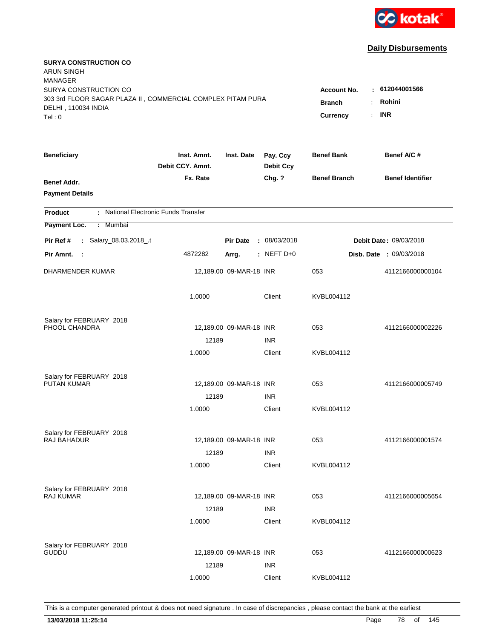

| <b>SURYA CONSTRUCTION CO</b><br><b>ARUN SINGH</b><br><b>MANAGER</b>                                                   |                                                                                           |                                        |                              |                     |                                |
|-----------------------------------------------------------------------------------------------------------------------|-------------------------------------------------------------------------------------------|----------------------------------------|------------------------------|---------------------|--------------------------------|
| SURYA CONSTRUCTION CO<br>303 3rd FLOOR SAGAR PLAZA II, COMMERCIAL COMPLEX PITAM PURA<br>DELHI, 110034 INDIA<br>Tel: 0 | <b>Account No.</b><br><b>Branch</b><br>÷.<br>$\mathbb{R}^{\mathbb{Z}}$<br><b>Currency</b> | : 612044001566<br>Rohini<br><b>INR</b> |                              |                     |                                |
|                                                                                                                       |                                                                                           |                                        |                              |                     |                                |
| <b>Beneficiary</b>                                                                                                    | Inst. Amnt.<br>Debit CCY, Amnt.                                                           | Inst. Date                             | Pay. Ccy<br><b>Debit Ccy</b> | <b>Benef Bank</b>   | Benef A/C #                    |
| Benef Addr.<br><b>Payment Details</b>                                                                                 | Fx. Rate                                                                                  |                                        | Chg. ?                       | <b>Benef Branch</b> | <b>Benef Identifier</b>        |
| : National Electronic Funds Transfer<br><b>Product</b>                                                                |                                                                                           |                                        |                              |                     |                                |
| Payment Loc.<br>Mumbai<br>÷.                                                                                          |                                                                                           |                                        |                              |                     |                                |
| : Salary_08.03.2018_.t<br>Pir Ref #                                                                                   |                                                                                           | <b>Pir Date</b>                        | : 08/03/2018                 |                     | Debit Date: 09/03/2018         |
| Pir Amnt. :                                                                                                           | 4872282                                                                                   | Arrg.                                  | $:$ NEFT D+0                 |                     | <b>Disb. Date : 09/03/2018</b> |
| DHARMENDER KUMAR                                                                                                      |                                                                                           | 12,189.00 09-MAR-18 INR                |                              | 053                 | 4112166000000104               |
|                                                                                                                       | 1.0000                                                                                    |                                        | Client                       | KVBL004112          |                                |
| Salary for FEBRUARY 2018                                                                                              |                                                                                           |                                        |                              |                     |                                |
| PHOOL CHANDRA                                                                                                         |                                                                                           | 12,189.00 09-MAR-18 INR                |                              | 053                 | 4112166000002226               |
|                                                                                                                       | 12189<br>1.0000                                                                           |                                        | <b>INR</b><br>Client         | KVBL004112          |                                |
|                                                                                                                       |                                                                                           |                                        |                              |                     |                                |
| Salary for FEBRUARY 2018                                                                                              |                                                                                           |                                        |                              |                     |                                |
| <b>PUTAN KUMAR</b>                                                                                                    |                                                                                           | 12,189.00 09-MAR-18 INR                |                              | 053                 | 4112166000005749               |
|                                                                                                                       | 12189                                                                                     |                                        | <b>INR</b>                   |                     |                                |
|                                                                                                                       | 1.0000                                                                                    |                                        | Client                       | KVBL004112          |                                |
| Salary for FEBRUARY 2018                                                                                              |                                                                                           |                                        |                              |                     |                                |
| RAJ BAHADUR                                                                                                           |                                                                                           | 12,189.00 09-MAR-18 INR                |                              | 053                 | 4112166000001574               |
|                                                                                                                       | 12189                                                                                     |                                        | <b>INR</b>                   |                     |                                |
|                                                                                                                       | 1.0000                                                                                    |                                        | Client                       | KVBL004112          |                                |
| Salary for FEBRUARY 2018                                                                                              |                                                                                           |                                        |                              |                     |                                |
| <b>RAJ KUMAR</b>                                                                                                      |                                                                                           | 12,189.00 09-MAR-18 INR                |                              | 053                 | 4112166000005654               |
|                                                                                                                       | 12189                                                                                     |                                        | <b>INR</b>                   |                     |                                |
|                                                                                                                       | 1.0000                                                                                    |                                        | Client                       | KVBL004112          |                                |
|                                                                                                                       |                                                                                           |                                        |                              |                     |                                |
| Salary for FEBRUARY 2018<br><b>GUDDU</b>                                                                              |                                                                                           | 12,189.00 09-MAR-18 INR                |                              | 053                 | 4112166000000623               |
|                                                                                                                       | 12189                                                                                     |                                        | <b>INR</b>                   |                     |                                |
|                                                                                                                       | 1.0000                                                                                    |                                        | Client                       | KVBL004112          |                                |
|                                                                                                                       |                                                                                           |                                        |                              |                     |                                |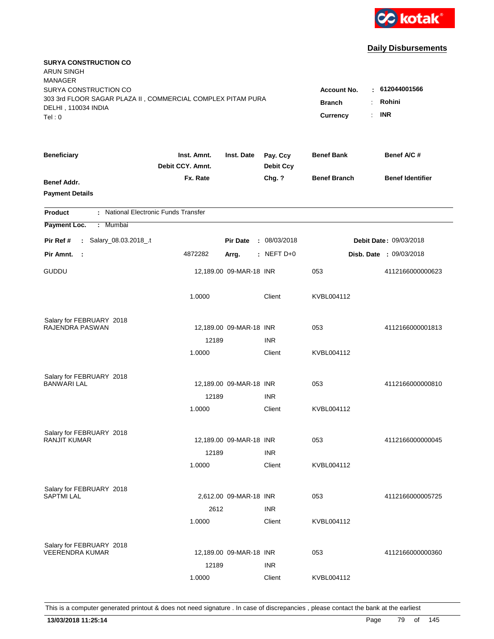

| <b>SURYA CONSTRUCTION CO</b><br><b>ARUN SINGH</b><br><b>MANAGER</b><br>SURYA CONSTRUCTION CO |                                 |                         |                              | <b>Account No.</b>  | : 612044001566          |
|----------------------------------------------------------------------------------------------|---------------------------------|-------------------------|------------------------------|---------------------|-------------------------|
| 303 3rd FLOOR SAGAR PLAZA II, COMMERCIAL COMPLEX PITAM PURA<br>DELHI, 110034 INDIA<br>Tel: 0 | <b>Branch</b><br>Currency<br>÷. | Rohini<br><b>INR</b>    |                              |                     |                         |
| <b>Beneficiary</b>                                                                           | Inst. Amnt.<br>Debit CCY. Amnt. | Inst. Date              | Pay. Ccy<br><b>Debit Ccy</b> | <b>Benef Bank</b>   | Benef A/C #             |
| Benef Addr.<br><b>Payment Details</b>                                                        | Fx. Rate                        |                         | Chg. ?                       | <b>Benef Branch</b> | <b>Benef Identifier</b> |
| : National Electronic Funds Transfer<br><b>Product</b>                                       |                                 |                         |                              |                     |                         |
| Payment Loc.<br><b>Mumbai</b><br>÷.                                                          |                                 |                         |                              |                     |                         |
| : Salary_08.03.2018_.t<br>Pir Ref #                                                          |                                 | <b>Pir Date</b>         | : 08/03/2018                 |                     | Debit Date: 09/03/2018  |
| Pir Amnt.<br>- 1                                                                             | 4872282                         | Arrg.                   | $:$ NEFT D+0                 |                     | Disb. Date: 09/03/2018  |
| GUDDU                                                                                        |                                 | 12,189.00 09-MAR-18 INR |                              | 053                 | 4112166000000623        |
|                                                                                              | 1.0000                          |                         | Client                       | KVBL004112          |                         |
| Salary for FEBRUARY 2018<br>RAJENDRA PASWAN                                                  |                                 |                         |                              | 053                 |                         |
|                                                                                              | 12189                           | 12,189.00 09-MAR-18 INR | <b>INR</b>                   |                     | 4112166000001813        |
|                                                                                              | 1.0000                          |                         | Client                       | KVBL004112          |                         |
| Salary for FEBRUARY 2018<br><b>BANWARI LAL</b>                                               |                                 | 12,189.00 09-MAR-18 INR |                              | 053                 | 4112166000000810        |
|                                                                                              | 12189                           |                         | <b>INR</b>                   |                     |                         |
|                                                                                              | 1.0000                          |                         | Client                       | KVBL004112          |                         |
| Salary for FEBRUARY 2018                                                                     |                                 |                         |                              |                     |                         |
| <b>RANJIT KUMAR</b>                                                                          |                                 | 12,189.00 09-MAR-18 INR |                              | 053                 | 4112166000000045        |
|                                                                                              | 12189<br>1.0000                 |                         | <b>INR</b><br>Client         | KVBL004112          |                         |
| Salary for FEBRUARY 2018                                                                     |                                 |                         |                              |                     |                         |
| <b>SAPTMI LAL</b>                                                                            |                                 | 2,612.00 09-MAR-18 INR  |                              | 053                 | 4112166000005725        |
|                                                                                              | 2612                            |                         | <b>INR</b>                   |                     |                         |
|                                                                                              | 1.0000                          |                         | Client                       | KVBL004112          |                         |
| Salary for FEBRUARY 2018                                                                     |                                 |                         |                              |                     |                         |
| <b>VEERENDRA KUMAR</b>                                                                       |                                 | 12,189.00 09-MAR-18 INR |                              | 053                 | 4112166000000360        |
|                                                                                              | 12189                           |                         | <b>INR</b>                   |                     |                         |
|                                                                                              | 1.0000                          |                         | Client                       | KVBL004112          |                         |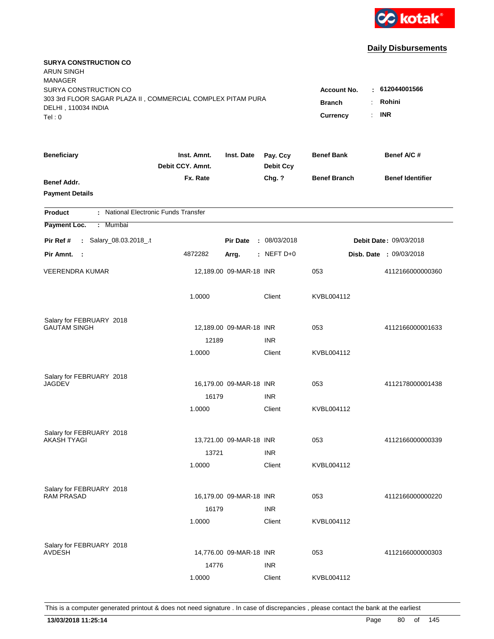

| <b>SURYA CONSTRUCTION CO</b><br><b>ARUN SINGH</b><br><b>MANAGER</b> |                                 |                         |                              |                       |                                |
|---------------------------------------------------------------------|---------------------------------|-------------------------|------------------------------|-----------------------|--------------------------------|
| SURYA CONSTRUCTION CO                                               |                                 |                         |                              | <b>Account No.</b>    | $-612044001566$                |
| 303 3rd FLOOR SAGAR PLAZA II, COMMERCIAL COMPLEX PITAM PURA         | <b>Branch</b><br>$\ddot{\cdot}$ | Rohini                  |                              |                       |                                |
| DELHI, 110034 INDIA<br>Tel: 0                                       |                                 |                         |                              | <b>Currency</b><br>÷. | <b>INR</b>                     |
|                                                                     |                                 |                         |                              |                       |                                |
| <b>Beneficiary</b>                                                  | Inst. Amnt.<br>Debit CCY. Amnt. | Inst. Date              | Pay. Ccy<br><b>Debit Ccy</b> | <b>Benef Bank</b>     | Benef A/C#                     |
| Benef Addr.                                                         | Fx. Rate                        |                         | Chg. ?                       | <b>Benef Branch</b>   | <b>Benef Identifier</b>        |
| <b>Payment Details</b>                                              |                                 |                         |                              |                       |                                |
| : National Electronic Funds Transfer<br><b>Product</b>              |                                 |                         |                              |                       |                                |
| Payment Loc.<br>: Mumbai                                            |                                 |                         |                              |                       |                                |
| : Salary_08.03.2018_.t<br>Pir Ref #                                 |                                 | <b>Pir Date</b>         | : 08/03/2018                 |                       | Debit Date: 09/03/2018         |
| Pir Amnt. :                                                         | 4872282                         | Arrg.                   | $:$ NEFT D+0                 |                       | <b>Disb. Date : 09/03/2018</b> |
| <b>VEERENDRA KUMAR</b>                                              |                                 | 12,189.00 09-MAR-18 INR |                              | 053                   | 4112166000000360               |
|                                                                     | 1.0000                          |                         | Client                       | KVBL004112            |                                |
| Salary for FEBRUARY 2018                                            |                                 |                         |                              |                       |                                |
| <b>GAUTAM SINGH</b>                                                 |                                 | 12,189.00 09-MAR-18 INR |                              | 053                   | 4112166000001633               |
|                                                                     | 12189                           |                         | <b>INR</b>                   |                       |                                |
|                                                                     | 1.0000                          |                         | Client                       | KVBL004112            |                                |
| Salary for FEBRUARY 2018                                            |                                 |                         |                              |                       |                                |
| JAGDEV                                                              |                                 | 16,179.00 09-MAR-18 INR |                              | 053                   | 4112178000001438               |
|                                                                     | 16179                           |                         | <b>INR</b>                   |                       |                                |
|                                                                     | 1.0000                          |                         | Client                       | KVBL004112            |                                |
| Salary for FEBRUARY 2018                                            |                                 |                         |                              |                       |                                |
| AKASH TYAGI                                                         |                                 | 13,721.00 09-MAR-18 INR |                              | 053                   | 4112166000000339               |
|                                                                     | 13721                           |                         | <b>INR</b>                   |                       |                                |
|                                                                     | 1.0000                          |                         | Client                       | KVBL004112            |                                |
| Salary for FEBRUARY 2018                                            |                                 |                         |                              |                       |                                |
| <b>RAM PRASAD</b>                                                   |                                 | 16,179.00 09-MAR-18 INR |                              | 053                   | 4112166000000220               |
|                                                                     | 16179                           |                         | <b>INR</b>                   |                       |                                |
|                                                                     | 1.0000                          |                         | Client                       | KVBL004112            |                                |
| Salary for FEBRUARY 2018                                            |                                 |                         |                              |                       |                                |
| <b>AVDESH</b>                                                       |                                 | 14,776.00 09-MAR-18 INR |                              | 053                   | 4112166000000303               |
|                                                                     | 14776                           |                         | <b>INR</b>                   |                       |                                |
|                                                                     | 1.0000                          |                         | Client                       | KVBL004112            |                                |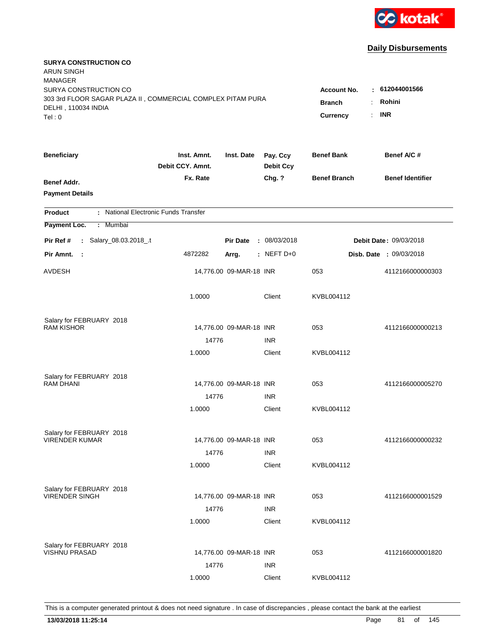

| <b>SURYA CONSTRUCTION CO</b><br>ARUN SINGH<br><b>MANAGER</b>                                                          |                                                             |                                        |                              |                     |                                |
|-----------------------------------------------------------------------------------------------------------------------|-------------------------------------------------------------|----------------------------------------|------------------------------|---------------------|--------------------------------|
| SURYA CONSTRUCTION CO<br>303 3rd FLOOR SAGAR PLAZA II, COMMERCIAL COMPLEX PITAM PURA<br>DELHI, 110034 INDIA<br>Tel: 0 | <b>Account No.</b><br><b>Branch</b><br>÷.<br>Currency<br>÷. | : 612044001566<br>Rohini<br><b>INR</b> |                              |                     |                                |
|                                                                                                                       |                                                             |                                        |                              |                     |                                |
| <b>Beneficiary</b>                                                                                                    | Inst. Amnt.<br>Debit CCY. Amnt.                             | Inst. Date                             | Pay. Ccy<br><b>Debit Ccy</b> | <b>Benef Bank</b>   | Benef A/C #                    |
| Benef Addr.<br><b>Payment Details</b>                                                                                 | Fx. Rate                                                    |                                        | Chg. ?                       | <b>Benef Branch</b> | <b>Benef Identifier</b>        |
| : National Electronic Funds Transfer<br><b>Product</b>                                                                |                                                             |                                        |                              |                     |                                |
| Payment Loc.<br>: Mumbai                                                                                              |                                                             |                                        |                              |                     |                                |
| : Salary_08.03.2018_.t<br>Pir Ref #                                                                                   |                                                             | <b>Pir Date</b>                        | : 08/03/2018                 |                     | Debit Date: 09/03/2018         |
| Pir Amnt.<br>- 1                                                                                                      | 4872282                                                     | Arrg.                                  | $:$ NEFT D+0                 |                     | <b>Disb. Date : 09/03/2018</b> |
| AVDESH                                                                                                                |                                                             | 14,776.00 09-MAR-18 INR                |                              | 053                 | 4112166000000303               |
|                                                                                                                       | 1.0000                                                      |                                        | Client                       | KVBL004112          |                                |
| Salary for FEBRUARY 2018                                                                                              |                                                             |                                        |                              |                     |                                |
| <b>RAM KISHOR</b>                                                                                                     |                                                             | 14,776.00 09-MAR-18 INR                |                              | 053                 | 4112166000000213               |
|                                                                                                                       | 14776<br>1.0000                                             |                                        | <b>INR</b><br>Client         | KVBL004112          |                                |
|                                                                                                                       |                                                             |                                        |                              |                     |                                |
| Salary for FEBRUARY 2018                                                                                              |                                                             |                                        |                              |                     |                                |
| <b>RAM DHANI</b>                                                                                                      |                                                             | 14,776.00 09-MAR-18 INR                |                              | 053                 | 4112166000005270               |
|                                                                                                                       | 14776                                                       |                                        | <b>INR</b>                   |                     |                                |
|                                                                                                                       | 1.0000                                                      |                                        | Client                       | KVBL004112          |                                |
| Salary for FEBRUARY 2018                                                                                              |                                                             |                                        |                              |                     |                                |
| <b>VIRENDER KUMAR</b>                                                                                                 |                                                             | 14,776.00 09-MAR-18 INR                |                              | 053                 | 4112166000000232               |
|                                                                                                                       | 14776                                                       |                                        | <b>INR</b>                   |                     |                                |
|                                                                                                                       | 1.0000                                                      |                                        | Client                       | KVBL004112          |                                |
| Salary for FEBRUARY 2018                                                                                              |                                                             |                                        |                              |                     |                                |
| <b>VIRENDER SINGH</b>                                                                                                 |                                                             | 14,776.00 09-MAR-18 INR                |                              | 053                 | 4112166000001529               |
|                                                                                                                       | 14776                                                       |                                        | <b>INR</b>                   |                     |                                |
|                                                                                                                       | 1.0000                                                      |                                        | Client                       | KVBL004112          |                                |
|                                                                                                                       |                                                             |                                        |                              |                     |                                |
| Salary for FEBRUARY 2018<br><b>VISHNU PRASAD</b>                                                                      |                                                             | 14,776.00 09-MAR-18 INR                |                              | 053                 | 4112166000001820               |
|                                                                                                                       | 14776                                                       |                                        | <b>INR</b>                   |                     |                                |
|                                                                                                                       | 1.0000                                                      |                                        | Client                       | KVBL004112          |                                |
|                                                                                                                       |                                                             |                                        |                              |                     |                                |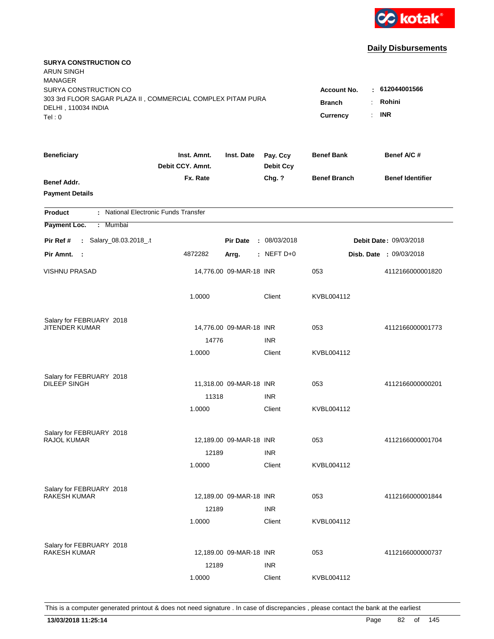

| <b>SURYA CONSTRUCTION CO</b><br><b>ARUN SINGH</b><br><b>MANAGER</b>                  |                                 |                         |                              |                                              |                                |
|--------------------------------------------------------------------------------------|---------------------------------|-------------------------|------------------------------|----------------------------------------------|--------------------------------|
| SURYA CONSTRUCTION CO<br>303 3rd FLOOR SAGAR PLAZA II, COMMERCIAL COMPLEX PITAM PURA |                                 |                         |                              | <b>Account No.</b><br><b>Branch</b><br>÷.    | : 612044001566<br>Rohini       |
| DELHI, 110034 INDIA<br>Tel: 0                                                        |                                 |                         |                              | $\mathbb{R}^{\mathbb{Z}}$<br><b>Currency</b> | <b>INR</b>                     |
| <b>Beneficiary</b>                                                                   | Inst. Amnt.<br>Debit CCY, Amnt. | Inst. Date              | Pay. Ccy<br><b>Debit Ccy</b> | <b>Benef Bank</b>                            | Benef A/C #                    |
| Benef Addr.<br><b>Payment Details</b>                                                | Fx. Rate                        |                         | Chg. ?                       | <b>Benef Branch</b>                          | <b>Benef Identifier</b>        |
| : National Electronic Funds Transfer<br><b>Product</b>                               |                                 |                         |                              |                                              |                                |
| Payment Loc.<br>Mumbai<br>÷.                                                         |                                 |                         |                              |                                              |                                |
| : Salary_08.03.2018_.t<br>Pir Ref #                                                  |                                 | <b>Pir Date</b>         | : 08/03/2018                 |                                              | <b>Debit Date: 09/03/2018</b>  |
| Pir Amnt. :                                                                          | 4872282                         | Arrg.                   | $:$ NEFT D+0                 |                                              | <b>Disb. Date : 09/03/2018</b> |
| <b>VISHNU PRASAD</b>                                                                 |                                 | 14,776.00 09-MAR-18 INR |                              | 053                                          | 4112166000001820               |
|                                                                                      | 1.0000                          |                         | Client                       | KVBL004112                                   |                                |
| Salary for FEBRUARY 2018                                                             |                                 |                         |                              |                                              |                                |
| <b>JITENDER KUMAR</b>                                                                |                                 | 14,776.00 09-MAR-18 INR |                              | 053                                          | 4112166000001773               |
|                                                                                      | 14776<br>1.0000                 |                         | <b>INR</b><br>Client         | KVBL004112                                   |                                |
|                                                                                      |                                 |                         |                              |                                              |                                |
| Salary for FEBRUARY 2018                                                             |                                 |                         |                              |                                              |                                |
| <b>DILEEP SINGH</b>                                                                  |                                 | 11,318.00 09-MAR-18 INR |                              | 053                                          | 4112166000000201               |
|                                                                                      | 11318                           |                         | <b>INR</b>                   |                                              |                                |
|                                                                                      | 1.0000                          |                         | Client                       | KVBL004112                                   |                                |
| Salary for FEBRUARY 2018                                                             |                                 |                         |                              |                                              |                                |
| RAJOL KUMAR                                                                          |                                 | 12,189.00 09-MAR-18 INR |                              | 053                                          | 4112166000001704               |
|                                                                                      | 12189                           |                         | <b>INR</b>                   |                                              |                                |
|                                                                                      | 1.0000                          |                         | Client                       | KVBL004112                                   |                                |
| Salary for FEBRUARY 2018                                                             |                                 |                         |                              |                                              |                                |
| <b>RAKESH KUMAR</b>                                                                  |                                 | 12,189.00 09-MAR-18 INR |                              | 053                                          | 4112166000001844               |
|                                                                                      | 12189                           |                         | <b>INR</b>                   |                                              |                                |
|                                                                                      | 1.0000                          |                         | Client                       | KVBL004112                                   |                                |
|                                                                                      |                                 |                         |                              |                                              |                                |
| Salary for FEBRUARY 2018<br><b>RAKESH KUMAR</b>                                      |                                 | 12,189.00 09-MAR-18 INR |                              | 053                                          | 4112166000000737               |
|                                                                                      | 12189                           |                         | <b>INR</b>                   |                                              |                                |
|                                                                                      | 1.0000                          |                         | Client                       | KVBL004112                                   |                                |
|                                                                                      |                                 |                         |                              |                                              |                                |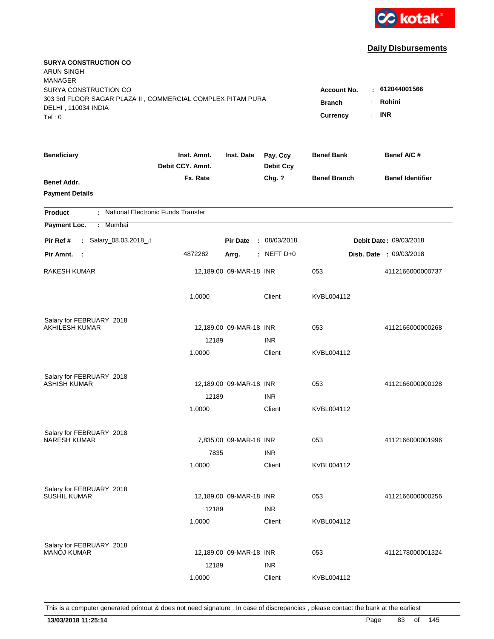

| <b>SURYA CONSTRUCTION CO</b><br><b>ARUN SINGH</b><br><b>MANAGER</b>                                                   |                                                       |                                        |                              |                     |                         |
|-----------------------------------------------------------------------------------------------------------------------|-------------------------------------------------------|----------------------------------------|------------------------------|---------------------|-------------------------|
| SURYA CONSTRUCTION CO<br>303 3rd FLOOR SAGAR PLAZA II, COMMERCIAL COMPLEX PITAM PURA<br>DELHI, 110034 INDIA<br>Tel: 0 | <b>Account No.</b><br><b>Branch</b><br>Currency<br>÷. | : 612044001566<br>Rohini<br><b>INR</b> |                              |                     |                         |
| <b>Beneficiary</b>                                                                                                    | Inst. Amnt.<br>Debit CCY. Amnt.                       | Inst. Date                             | Pay. Ccy<br><b>Debit Ccy</b> | <b>Benef Bank</b>   | Benef A/C #             |
| Benef Addr.<br><b>Payment Details</b>                                                                                 | Fx. Rate                                              |                                        | Chg. ?                       | <b>Benef Branch</b> | <b>Benef Identifier</b> |
| : National Electronic Funds Transfer<br><b>Product</b>                                                                |                                                       |                                        |                              |                     |                         |
| Payment Loc.<br>: Mumbai                                                                                              |                                                       |                                        |                              |                     |                         |
| : Salary_08.03.2018_.t<br>Pir Ref #                                                                                   |                                                       | <b>Pir Date</b>                        | : 08/03/2018                 |                     | Debit Date: 09/03/2018  |
| Pir Amnt.<br>$\sim$ 1                                                                                                 | 4872282                                               | Arrg.                                  | $:$ NEFT D+0                 |                     | Disb. Date: 09/03/2018  |
| RAKESH KUMAR                                                                                                          |                                                       | 12,189.00 09-MAR-18 INR                |                              | 053                 | 4112166000000737        |
|                                                                                                                       | 1.0000                                                |                                        | Client                       | KVBL004112          |                         |
| Salary for FEBRUARY 2018                                                                                              |                                                       |                                        |                              |                     |                         |
| <b>AKHILESH KUMAR</b>                                                                                                 |                                                       | 12,189.00 09-MAR-18 INR                |                              | 053                 | 4112166000000268        |
|                                                                                                                       | 12189<br>1.0000                                       |                                        | <b>INR</b><br>Client         | KVBL004112          |                         |
|                                                                                                                       |                                                       |                                        |                              |                     |                         |
| Salary for FEBRUARY 2018                                                                                              |                                                       |                                        |                              |                     |                         |
| <b>ASHISH KUMAR</b>                                                                                                   |                                                       | 12,189.00 09-MAR-18 INR                |                              | 053                 | 4112166000000128        |
|                                                                                                                       | 12189                                                 |                                        | <b>INR</b>                   |                     |                         |
|                                                                                                                       | 1.0000                                                |                                        | Client                       | KVBL004112          |                         |
| Salary for FEBRUARY 2018                                                                                              |                                                       |                                        |                              |                     |                         |
| <b>NARESH KUMAR</b>                                                                                                   |                                                       | 7,835.00 09-MAR-18 INR                 |                              | 053                 | 4112166000001996        |
|                                                                                                                       | 7835                                                  |                                        | <b>INR</b>                   |                     |                         |
|                                                                                                                       | 1.0000                                                |                                        | Client                       | KVBL004112          |                         |
| Salary for FEBRUARY 2018                                                                                              |                                                       |                                        |                              |                     |                         |
| <b>SUSHIL KUMAR</b>                                                                                                   |                                                       | 12,189.00 09-MAR-18 INR                |                              | 053                 | 4112166000000256        |
|                                                                                                                       | 12189                                                 |                                        | <b>INR</b>                   |                     |                         |
|                                                                                                                       | 1.0000                                                |                                        | Client                       | KVBL004112          |                         |
|                                                                                                                       |                                                       |                                        |                              |                     |                         |
| Salary for FEBRUARY 2018<br><b>MANOJ KUMAR</b>                                                                        |                                                       | 12,189.00 09-MAR-18 INR                |                              | 053                 | 4112178000001324        |
|                                                                                                                       | 12189                                                 |                                        | <b>INR</b>                   |                     |                         |
|                                                                                                                       | 1.0000                                                |                                        | Client                       | KVBL004112          |                         |
|                                                                                                                       |                                                       |                                        |                              |                     |                         |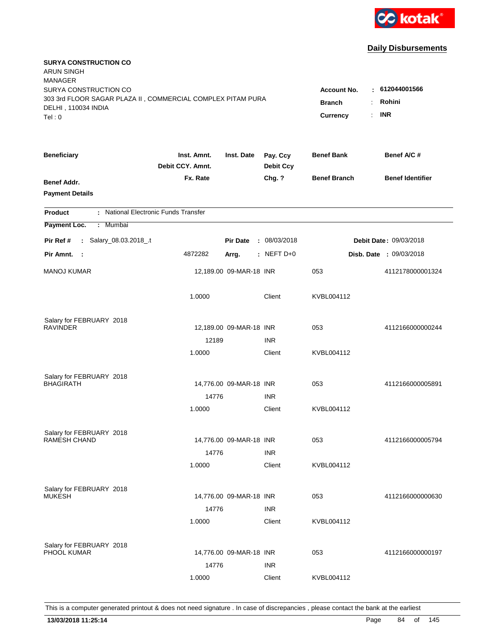

| <b>SURYA CONSTRUCTION CO</b><br><b>ARUN SINGH</b><br><b>MANAGER</b> |                                 |                         |                              |                                              |                                |
|---------------------------------------------------------------------|---------------------------------|-------------------------|------------------------------|----------------------------------------------|--------------------------------|
| SURYA CONSTRUCTION CO                                               |                                 |                         |                              | <b>Account No.</b>                           | : 612044001566                 |
| 303 3rd FLOOR SAGAR PLAZA II, COMMERCIAL COMPLEX PITAM PURA         |                                 |                         |                              | <b>Branch</b><br>÷.                          | Rohini                         |
| DELHI, 110034 INDIA<br>Tel: 0                                       |                                 |                         |                              | $\mathbb{R}^{\mathbb{Z}}$<br><b>Currency</b> | <b>INR</b>                     |
|                                                                     |                                 |                         |                              |                                              |                                |
| <b>Beneficiary</b>                                                  | Inst. Amnt.<br>Debit CCY, Amnt. | Inst. Date              | Pay. Ccy<br><b>Debit Ccy</b> | <b>Benef Bank</b>                            | Benef A/C #                    |
| Benef Addr.                                                         | Fx. Rate                        |                         | Chg. ?                       | <b>Benef Branch</b>                          | <b>Benef Identifier</b>        |
| <b>Payment Details</b>                                              |                                 |                         |                              |                                              |                                |
| : National Electronic Funds Transfer<br><b>Product</b>              |                                 |                         |                              |                                              |                                |
| Payment Loc.<br>Mumbai<br>÷.                                        |                                 |                         |                              |                                              |                                |
| : Salary_08.03.2018_.t<br>Pir Ref #                                 |                                 | <b>Pir Date</b>         | : 08/03/2018                 |                                              | Debit Date: 09/03/2018         |
| Pir Amnt. :                                                         | 4872282                         | Arrg.                   | $:$ NEFT D+0                 |                                              | <b>Disb. Date : 09/03/2018</b> |
| <b>MANOJ KUMAR</b>                                                  |                                 | 12,189.00 09-MAR-18 INR |                              | 053                                          | 4112178000001324               |
|                                                                     | 1.0000                          |                         | Client                       | KVBL004112                                   |                                |
| Salary for FEBRUARY 2018                                            |                                 |                         |                              |                                              |                                |
| <b>RAVINDER</b>                                                     |                                 | 12,189.00 09-MAR-18 INR |                              | 053                                          | 4112166000000244               |
|                                                                     | 12189                           |                         | <b>INR</b>                   |                                              |                                |
|                                                                     | 1.0000                          |                         | Client                       | KVBL004112                                   |                                |
| Salary for FEBRUARY 2018                                            |                                 |                         |                              |                                              |                                |
| <b>BHAGIRATH</b>                                                    |                                 | 14,776.00 09-MAR-18 INR |                              | 053                                          | 4112166000005891               |
|                                                                     | 14776                           |                         | <b>INR</b>                   |                                              |                                |
|                                                                     | 1.0000                          |                         | Client                       | KVBL004112                                   |                                |
| Salary for FEBRUARY 2018                                            |                                 |                         |                              |                                              |                                |
| <b>RAMESH CHAND</b>                                                 |                                 | 14,776.00 09-MAR-18 INR |                              | 053                                          | 4112166000005794               |
|                                                                     | 14776                           |                         | <b>INR</b>                   |                                              |                                |
|                                                                     | 1.0000                          |                         | Client                       | KVBL004112                                   |                                |
| Salary for FEBRUARY 2018                                            |                                 |                         |                              |                                              |                                |
| <b>MUKESH</b>                                                       |                                 | 14,776.00 09-MAR-18 INR |                              | 053                                          | 4112166000000630               |
|                                                                     | 14776                           |                         | <b>INR</b>                   |                                              |                                |
|                                                                     | 1.0000                          |                         | Client                       | KVBL004112                                   |                                |
| Salary for FEBRUARY 2018                                            |                                 |                         |                              |                                              |                                |
| PHOOL KUMAR                                                         |                                 | 14,776.00 09-MAR-18 INR |                              | 053                                          | 4112166000000197               |
|                                                                     | 14776                           |                         | <b>INR</b>                   |                                              |                                |
|                                                                     | 1.0000                          |                         | Client                       | KVBL004112                                   |                                |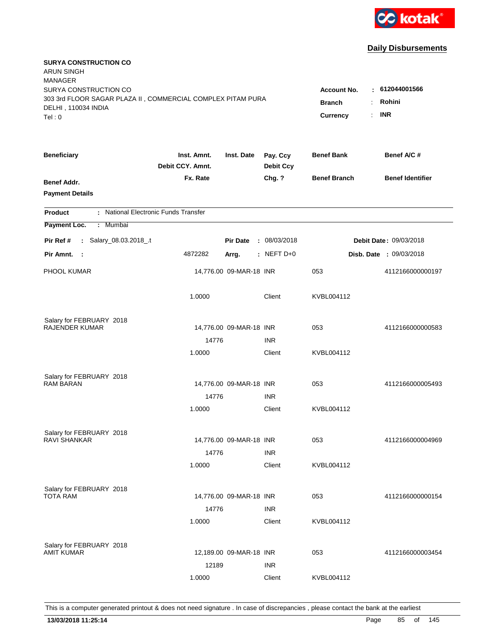

| <b>SURYA CONSTRUCTION CO</b><br><b>ARUN SINGH</b><br><b>MANAGER</b>                                                   |                                                                                                       |                         |                              |                     |                         |
|-----------------------------------------------------------------------------------------------------------------------|-------------------------------------------------------------------------------------------------------|-------------------------|------------------------------|---------------------|-------------------------|
| SURYA CONSTRUCTION CO<br>303 3rd FLOOR SAGAR PLAZA II, COMMERCIAL COMPLEX PITAM PURA<br>DELHI, 110034 INDIA<br>Tel: 0 | $-612044001566$<br><b>Account No.</b><br>Rohini<br><b>Branch</b><br>÷<br><b>INR</b><br>Currency<br>÷. |                         |                              |                     |                         |
| <b>Beneficiary</b>                                                                                                    | Inst. Amnt.<br>Debit CCY. Amnt.                                                                       | Inst. Date              | Pay. Ccy<br><b>Debit Ccy</b> | <b>Benef Bank</b>   | Benef A/C #             |
| Benef Addr.<br><b>Payment Details</b>                                                                                 | Fx. Rate                                                                                              |                         | Chg. ?                       | <b>Benef Branch</b> | <b>Benef Identifier</b> |
| : National Electronic Funds Transfer<br><b>Product</b>                                                                |                                                                                                       |                         |                              |                     |                         |
| Payment Loc.<br><b>Mumbai</b><br>÷.                                                                                   |                                                                                                       |                         |                              |                     |                         |
| : Salary_08.03.2018_.t<br>Pir Ref #                                                                                   |                                                                                                       | <b>Pir Date</b>         | : 08/03/2018                 |                     | Debit Date: 09/03/2018  |
| Pir Amnt.<br>$\sim$ 1                                                                                                 | 4872282                                                                                               | Arrg.                   | $:$ NEFT D+0                 |                     | Disb. Date: 09/03/2018  |
| PHOOL KUMAR                                                                                                           |                                                                                                       | 14,776.00 09-MAR-18 INR |                              | 053                 | 4112166000000197        |
|                                                                                                                       | 1.0000                                                                                                |                         | Client                       | KVBL004112          |                         |
| Salary for FEBRUARY 2018                                                                                              |                                                                                                       |                         |                              |                     |                         |
| <b>RAJENDER KUMAR</b>                                                                                                 |                                                                                                       | 14,776.00 09-MAR-18 INR |                              | 053                 | 4112166000000583        |
|                                                                                                                       | 14776<br>1.0000                                                                                       |                         | <b>INR</b><br>Client         | KVBL004112          |                         |
|                                                                                                                       |                                                                                                       |                         |                              |                     |                         |
| Salary for FEBRUARY 2018                                                                                              |                                                                                                       |                         |                              |                     |                         |
| <b>RAM BARAN</b>                                                                                                      |                                                                                                       | 14,776.00 09-MAR-18 INR |                              | 053                 | 4112166000005493        |
|                                                                                                                       | 14776                                                                                                 |                         | <b>INR</b>                   |                     |                         |
|                                                                                                                       | 1.0000                                                                                                |                         | Client                       | KVBL004112          |                         |
| Salary for FEBRUARY 2018                                                                                              |                                                                                                       |                         |                              |                     |                         |
| RAVI SHANKAR                                                                                                          |                                                                                                       | 14,776.00 09-MAR-18 INR |                              | 053                 | 4112166000004969        |
|                                                                                                                       | 14776                                                                                                 |                         | <b>INR</b>                   |                     |                         |
|                                                                                                                       | 1.0000                                                                                                |                         | Client                       | KVBL004112          |                         |
| Salary for FEBRUARY 2018                                                                                              |                                                                                                       |                         |                              |                     |                         |
| TOTA RAM                                                                                                              |                                                                                                       | 14,776.00 09-MAR-18 INR |                              | 053                 | 4112166000000154        |
|                                                                                                                       | 14776                                                                                                 |                         | <b>INR</b>                   |                     |                         |
|                                                                                                                       | 1.0000                                                                                                |                         | Client                       | KVBL004112          |                         |
| Salary for FEBRUARY 2018                                                                                              |                                                                                                       |                         |                              |                     |                         |
| <b>AMIT KUMAR</b>                                                                                                     |                                                                                                       | 12,189.00 09-MAR-18 INR |                              | 053                 | 4112166000003454        |
|                                                                                                                       | 12189                                                                                                 |                         | <b>INR</b>                   |                     |                         |
|                                                                                                                       | 1.0000                                                                                                |                         | Client                       | KVBL004112          |                         |
|                                                                                                                       |                                                                                                       |                         |                              |                     |                         |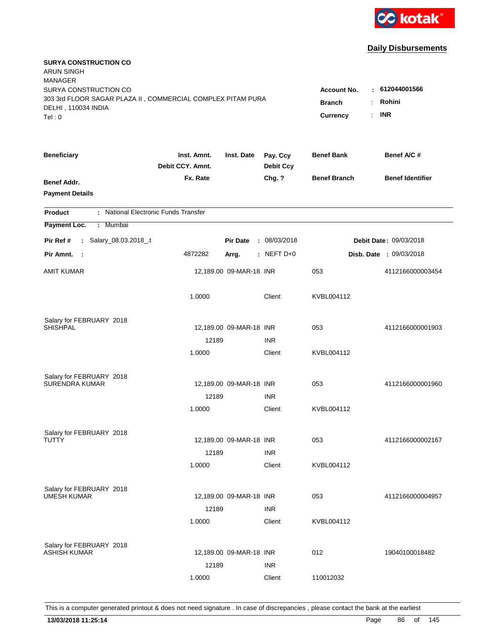

| <b>SURYA CONSTRUCTION CO</b><br><b>ARUN SINGH</b><br><b>MANAGER</b> |                                 |                         |                              |                                              |                                |
|---------------------------------------------------------------------|---------------------------------|-------------------------|------------------------------|----------------------------------------------|--------------------------------|
| SURYA CONSTRUCTION CO                                               |                                 |                         |                              | <b>Account No.</b>                           | : 612044001566                 |
| 303 3rd FLOOR SAGAR PLAZA II, COMMERCIAL COMPLEX PITAM PURA         |                                 |                         |                              | <b>Branch</b><br>÷.                          | Rohini                         |
| DELHI, 110034 INDIA<br>Tel: 0                                       |                                 |                         |                              | $\mathbb{R}^{\mathbb{Z}}$<br><b>Currency</b> | <b>INR</b>                     |
|                                                                     |                                 |                         |                              |                                              |                                |
| <b>Beneficiary</b>                                                  | Inst. Amnt.<br>Debit CCY, Amnt. | Inst. Date              | Pay. Ccy<br><b>Debit Ccy</b> | <b>Benef Bank</b>                            | Benef A/C #                    |
| Benef Addr.                                                         | Fx. Rate                        |                         | Chg. ?                       | <b>Benef Branch</b>                          | <b>Benef Identifier</b>        |
| <b>Payment Details</b>                                              |                                 |                         |                              |                                              |                                |
| : National Electronic Funds Transfer<br><b>Product</b>              |                                 |                         |                              |                                              |                                |
| Payment Loc.<br>Mumbai<br>÷.                                        |                                 |                         |                              |                                              |                                |
| : Salary_08.03.2018_.t<br>Pir Ref #                                 |                                 | <b>Pir Date</b>         | : 08/03/2018                 |                                              | Debit Date: 09/03/2018         |
| Pir Amnt. :                                                         | 4872282                         | Arrg.                   | $:$ NEFT D+0                 |                                              | <b>Disb. Date : 09/03/2018</b> |
| <b>AMIT KUMAR</b>                                                   |                                 | 12,189.00 09-MAR-18 INR |                              | 053                                          | 4112166000003454               |
|                                                                     | 1.0000                          |                         | Client                       | KVBL004112                                   |                                |
| Salary for FEBRUARY 2018                                            |                                 |                         |                              |                                              |                                |
| SHISHPAL                                                            |                                 | 12,189.00 09-MAR-18 INR |                              | 053                                          | 4112166000001903               |
|                                                                     | 12189                           |                         | <b>INR</b>                   |                                              |                                |
|                                                                     | 1.0000                          |                         | Client                       | KVBL004112                                   |                                |
| Salary for FEBRUARY 2018                                            |                                 |                         |                              |                                              |                                |
| <b>SURENDRA KUMAR</b>                                               |                                 | 12,189.00 09-MAR-18 INR |                              | 053                                          | 4112166000001960               |
|                                                                     | 12189                           |                         | <b>INR</b>                   |                                              |                                |
|                                                                     | 1.0000                          |                         | Client                       | KVBL004112                                   |                                |
| Salary for FEBRUARY 2018                                            |                                 |                         |                              |                                              |                                |
| TUTTY                                                               |                                 | 12,189.00 09-MAR-18 INR |                              | 053                                          | 4112166000002167               |
|                                                                     | 12189                           |                         | <b>INR</b>                   |                                              |                                |
|                                                                     | 1.0000                          |                         | Client                       | KVBL004112                                   |                                |
| Salary for FEBRUARY 2018                                            |                                 |                         |                              |                                              |                                |
| <b>UMESH KUMAR</b>                                                  |                                 | 12,189.00 09-MAR-18 INR |                              | 053                                          | 4112166000004957               |
|                                                                     | 12189                           |                         | <b>INR</b>                   |                                              |                                |
|                                                                     | 1.0000                          |                         | Client                       | KVBL004112                                   |                                |
| Salary for FEBRUARY 2018                                            |                                 |                         |                              |                                              |                                |
| <b>ASHISH KUMAR</b>                                                 |                                 | 12,189.00 09-MAR-18 INR |                              | 012                                          | 19040100018482                 |
|                                                                     | 12189                           |                         | <b>INR</b>                   |                                              |                                |
|                                                                     | 1.0000                          |                         | Client                       | 110012032                                    |                                |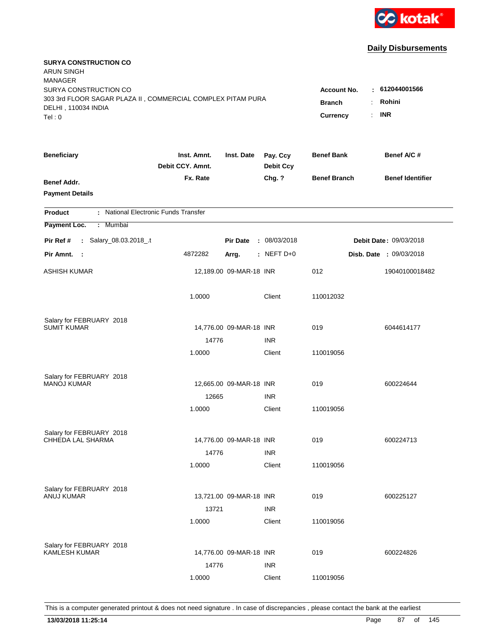

| <b>SURYA CONSTRUCTION CO</b><br><b>ARUN SINGH</b>                                            |                                      |                         |                              |                     |                                |
|----------------------------------------------------------------------------------------------|--------------------------------------|-------------------------|------------------------------|---------------------|--------------------------------|
| <b>MANAGER</b><br>SURYA CONSTRUCTION CO                                                      |                                      |                         |                              | <b>Account No.</b>  | $-612044001566$                |
| 303 3rd FLOOR SAGAR PLAZA II, COMMERCIAL COMPLEX PITAM PURA<br>DELHI, 110034 INDIA<br>Tel: 0 | <b>Branch</b><br>÷<br>÷.<br>Currency | Rohini<br><b>INR</b>    |                              |                     |                                |
|                                                                                              |                                      |                         |                              |                     |                                |
| <b>Beneficiary</b>                                                                           | Inst. Amnt.<br>Debit CCY. Amnt.      | Inst. Date              | Pay. Ccy<br><b>Debit Ccy</b> | <b>Benef Bank</b>   | Benef A/C #                    |
| Benef Addr.                                                                                  | Fx. Rate                             |                         | Chg. ?                       | <b>Benef Branch</b> | <b>Benef Identifier</b>        |
| <b>Payment Details</b>                                                                       |                                      |                         |                              |                     |                                |
| : National Electronic Funds Transfer<br><b>Product</b>                                       |                                      |                         |                              |                     |                                |
| Payment Loc.<br>: Mumbai                                                                     |                                      |                         |                              |                     |                                |
| Salary_08.03.2018_.t<br>Pir Ref #<br>$\mathbb{Z}^{\times}$                                   |                                      | <b>Pir Date</b>         | : 08/03/2018                 |                     | Debit Date: 09/03/2018         |
| Pir Amnt.<br>$\sim$ :                                                                        | 4872282                              | Arrg.                   | $:$ NEFT D+0                 |                     | <b>Disb. Date : 09/03/2018</b> |
| ASHISH KUMAR                                                                                 |                                      | 12,189.00 09-MAR-18 INR |                              | 012                 | 19040100018482                 |
|                                                                                              | 1.0000                               |                         | Client                       | 110012032           |                                |
| Salary for FEBRUARY 2018                                                                     |                                      |                         |                              |                     |                                |
| <b>SUMIT KUMAR</b>                                                                           |                                      | 14,776.00 09-MAR-18 INR |                              | 019                 | 6044614177                     |
|                                                                                              | 14776                                |                         | <b>INR</b>                   |                     |                                |
|                                                                                              | 1.0000                               |                         | Client                       | 110019056           |                                |
| Salary for FEBRUARY 2018                                                                     |                                      |                         |                              |                     |                                |
| <b>MANOJ KUMAR</b>                                                                           |                                      | 12,665.00 09-MAR-18 INR |                              | 019                 | 600224644                      |
|                                                                                              | 12665                                |                         | <b>INR</b>                   |                     |                                |
|                                                                                              | 1.0000                               |                         | Client                       | 110019056           |                                |
| Salary for FEBRUARY 2018                                                                     |                                      |                         |                              |                     |                                |
| CHHEDA LAL SHARMA                                                                            |                                      | 14,776.00 09-MAR-18 INR |                              | 019                 | 600224713                      |
|                                                                                              | 14776                                |                         | <b>INR</b>                   |                     |                                |
|                                                                                              | 1.0000                               |                         | Client                       | 110019056           |                                |
| Salary for FEBRUARY 2018                                                                     |                                      |                         |                              |                     |                                |
| <b>ANUJ KUMAR</b>                                                                            |                                      | 13,721.00 09-MAR-18 INR |                              | 019                 | 600225127                      |
|                                                                                              | 13721                                |                         | <b>INR</b>                   |                     |                                |
|                                                                                              | 1.0000                               |                         | Client                       | 110019056           |                                |
| Salary for FEBRUARY 2018                                                                     |                                      |                         |                              |                     |                                |
| <b>KAMLESH KUMAR</b>                                                                         |                                      | 14,776.00 09-MAR-18 INR |                              | 019                 | 600224826                      |
|                                                                                              | 14776                                |                         | <b>INR</b>                   |                     |                                |
|                                                                                              | 1.0000                               |                         | Client                       | 110019056           |                                |
|                                                                                              |                                      |                         |                              |                     |                                |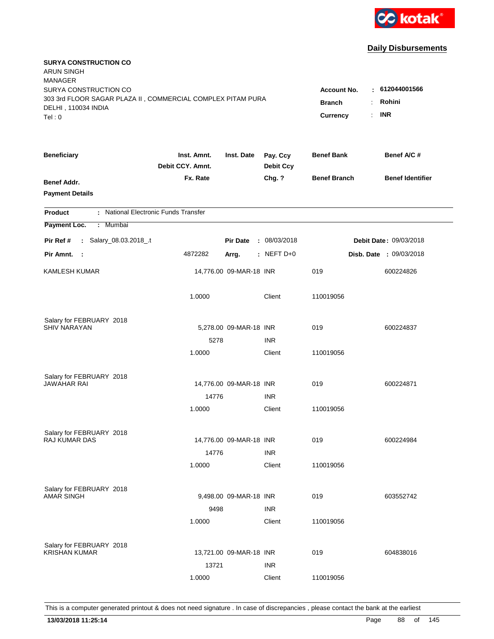

| <b>SURYA CONSTRUCTION CO</b><br>ARUN SINGH<br><b>MANAGER</b><br>SURYA CONSTRUCTION CO<br>303 3rd FLOOR SAGAR PLAZA II, COMMERCIAL COMPLEX PITAM PURA |                                 |                         |                              | <b>Account No.</b>  | : 612044001566                 |
|------------------------------------------------------------------------------------------------------------------------------------------------------|---------------------------------|-------------------------|------------------------------|---------------------|--------------------------------|
| DELHI, 110034 INDIA<br>Tel: 0                                                                                                                        | <b>Branch</b><br>Currency       | Rohini<br>÷.<br>$:$ INR |                              |                     |                                |
| <b>Beneficiary</b>                                                                                                                                   | Inst. Amnt.<br>Debit CCY. Amnt. | Inst. Date              | Pay. Ccy<br><b>Debit Ccy</b> | <b>Benef Bank</b>   | Benef A/C #                    |
| Benef Addr.<br><b>Payment Details</b>                                                                                                                | Fx. Rate                        |                         | Chg. ?                       | <b>Benef Branch</b> | <b>Benef Identifier</b>        |
| : National Electronic Funds Transfer<br><b>Product</b>                                                                                               |                                 |                         |                              |                     |                                |
| Payment Loc.<br>: Mumbai                                                                                                                             |                                 |                         |                              |                     |                                |
| : Salary_08.03.2018_.t<br>Pir Ref #                                                                                                                  |                                 | <b>Pir Date</b>         | : 08/03/2018                 |                     | Debit Date: 09/03/2018         |
| Pir Amnt.<br>$\sim$ :                                                                                                                                | 4872282                         | Arrg.                   | : NEFT $D+0$                 |                     | <b>Disb. Date : 09/03/2018</b> |
| KAMLESH KUMAR                                                                                                                                        |                                 | 14,776.00 09-MAR-18 INR |                              | 019                 | 600224826                      |
|                                                                                                                                                      | 1.0000                          |                         | Client                       | 110019056           |                                |
| Salary for FEBRUARY 2018                                                                                                                             |                                 |                         |                              |                     |                                |
| <b>SHIV NARAYAN</b>                                                                                                                                  | 5278                            | 5,278.00 09-MAR-18 INR  | <b>INR</b>                   | 019                 | 600224837                      |
|                                                                                                                                                      | 1.0000                          |                         | Client                       | 110019056           |                                |
| Salary for FEBRUARY 2018<br>JAWAHAR RAI                                                                                                              |                                 | 14,776.00 09-MAR-18 INR |                              | 019                 | 600224871                      |
|                                                                                                                                                      | 14776                           |                         | <b>INR</b>                   |                     |                                |
|                                                                                                                                                      | 1.0000                          |                         | Client                       | 110019056           |                                |
| Salary for FEBRUARY 2018<br><b>RAJ KUMAR DAS</b>                                                                                                     |                                 | 14,776.00 09-MAR-18 INR |                              | 019                 | 600224984                      |
|                                                                                                                                                      | 14776                           |                         | <b>INR</b>                   |                     |                                |
|                                                                                                                                                      | 1.0000                          |                         | Client                       | 110019056           |                                |
| Salary for FEBRUARY 2018<br><b>AMAR SINGH</b>                                                                                                        |                                 | 9,498.00 09-MAR-18 INR  |                              | 019                 | 603552742                      |
|                                                                                                                                                      | 9498                            |                         | <b>INR</b>                   |                     |                                |
|                                                                                                                                                      | 1.0000                          |                         | Client                       | 110019056           |                                |
| Salary for FEBRUARY 2018<br><b>KRISHAN KUMAR</b>                                                                                                     |                                 | 13,721.00 09-MAR-18 INR |                              | 019                 | 604838016                      |
|                                                                                                                                                      | 13721                           |                         | <b>INR</b>                   |                     |                                |
|                                                                                                                                                      | 1.0000                          |                         | Client                       | 110019056           |                                |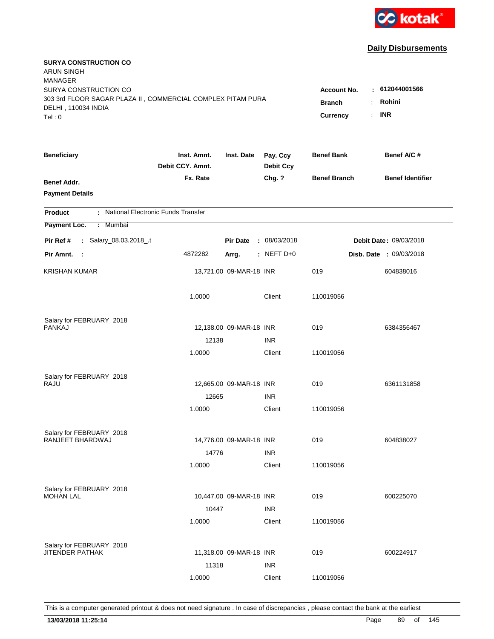

| <b>SURYA CONSTRUCTION CO</b><br><b>ARUN SINGH</b><br><b>MANAGER</b> |                                 |                         |                              |                     |                         |
|---------------------------------------------------------------------|---------------------------------|-------------------------|------------------------------|---------------------|-------------------------|
| SURYA CONSTRUCTION CO                                               |                                 |                         |                              | <b>Account No.</b>  | : 612044001566          |
| 303 3rd FLOOR SAGAR PLAZA II, COMMERCIAL COMPLEX PITAM PURA         | <b>Branch</b>                   | Rohini<br>÷             |                              |                     |                         |
| DELHI, 110034 INDIA                                                 |                                 |                         |                              | Currency            | <b>INR</b><br>÷.        |
| Tel: 0                                                              |                                 |                         |                              |                     |                         |
| <b>Beneficiary</b>                                                  | Inst. Amnt.<br>Debit CCY. Amnt. | Inst. Date              | Pay. Ccy<br><b>Debit Ccy</b> | <b>Benef Bank</b>   | Benef A/C #             |
| Benef Addr.                                                         | Fx. Rate                        |                         | Chg. ?                       | <b>Benef Branch</b> | <b>Benef Identifier</b> |
| <b>Payment Details</b>                                              |                                 |                         |                              |                     |                         |
| : National Electronic Funds Transfer<br><b>Product</b>              |                                 |                         |                              |                     |                         |
| Payment Loc.<br>: Mumbai                                            |                                 |                         |                              |                     |                         |
| : Salary_08.03.2018_.t<br>Pir Ref #                                 |                                 | <b>Pir Date</b>         | : 08/03/2018                 |                     | Debit Date: 09/03/2018  |
| Pir Amnt. :                                                         | 4872282                         | Arrg.                   | : NEFT $D+0$                 |                     | Disb. Date : 09/03/2018 |
| <b>KRISHAN KUMAR</b>                                                |                                 | 13,721.00 09-MAR-18 INR |                              | 019                 |                         |
|                                                                     |                                 |                         |                              |                     | 604838016               |
|                                                                     | 1.0000                          |                         | Client                       | 110019056           |                         |
|                                                                     |                                 |                         |                              |                     |                         |
| Salary for FEBRUARY 2018<br><b>PANKAJ</b>                           |                                 | 12,138.00 09-MAR-18 INR |                              | 019                 | 6384356467              |
|                                                                     | 12138                           |                         | <b>INR</b>                   |                     |                         |
|                                                                     | 1.0000                          |                         | Client                       | 110019056           |                         |
|                                                                     |                                 |                         |                              |                     |                         |
| Salary for FEBRUARY 2018                                            |                                 |                         |                              |                     |                         |
| RAJU                                                                |                                 | 12,665.00 09-MAR-18 INR |                              | 019                 | 6361131858              |
|                                                                     | 12665                           |                         | <b>INR</b>                   |                     |                         |
|                                                                     | 1.0000                          |                         | Client                       | 110019056           |                         |
| Salary for FEBRUARY 2018                                            |                                 |                         |                              |                     |                         |
| RANJEET BHARDWAJ                                                    |                                 | 14,776.00 09-MAR-18 INR |                              | 019                 | 604838027               |
|                                                                     | 14776                           |                         | <b>INR</b>                   |                     |                         |
|                                                                     | 1.0000                          |                         | Client                       | 110019056           |                         |
|                                                                     |                                 |                         |                              |                     |                         |
| Salary for FEBRUARY 2018<br><b>MOHAN LAL</b>                        |                                 | 10,447.00 09-MAR-18 INR |                              | 019                 | 600225070               |
|                                                                     | 10447                           |                         | <b>INR</b>                   |                     |                         |
|                                                                     | 1.0000                          |                         | Client                       | 110019056           |                         |
|                                                                     |                                 |                         |                              |                     |                         |
| Salary for FEBRUARY 2018<br><b>JITENDER PATHAK</b>                  |                                 | 11,318.00 09-MAR-18 INR |                              | 019                 | 600224917               |
|                                                                     | 11318                           |                         | <b>INR</b>                   |                     |                         |
|                                                                     | 1.0000                          |                         | Client                       | 110019056           |                         |
|                                                                     |                                 |                         |                              |                     |                         |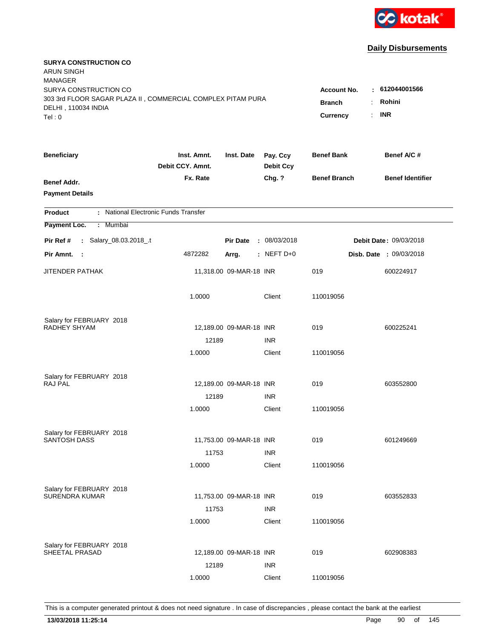

| <b>SURYA CONSTRUCTION CO</b><br><b>ARUN SINGH</b><br><b>MANAGER</b><br>SURYA CONSTRUCTION CO<br>303 3rd FLOOR SAGAR PLAZA II, COMMERCIAL COMPLEX PITAM PURA<br>DELHI, 110034 INDIA<br>Tel: 0 | Account No.<br><b>Branch</b><br>Currency | $\pm 612044001566$<br>Rohini<br><b>INR</b><br>÷. |                              |                     |                         |
|----------------------------------------------------------------------------------------------------------------------------------------------------------------------------------------------|------------------------------------------|--------------------------------------------------|------------------------------|---------------------|-------------------------|
| <b>Beneficiary</b>                                                                                                                                                                           | Inst. Amnt.<br>Debit CCY. Amnt.          | Inst. Date                                       | Pay. Ccy<br><b>Debit Ccy</b> | <b>Benef Bank</b>   | Benef A/C #             |
| Benef Addr.<br><b>Payment Details</b>                                                                                                                                                        | Fx. Rate                                 |                                                  | Chg. ?                       | <b>Benef Branch</b> | <b>Benef Identifier</b> |
| : National Electronic Funds Transfer<br><b>Product</b>                                                                                                                                       |                                          |                                                  |                              |                     |                         |
| Payment Loc.<br>: Mumbai                                                                                                                                                                     |                                          |                                                  |                              |                     |                         |
| : Salary_08.03.2018_.t<br>Pir Ref #                                                                                                                                                          |                                          | <b>Pir Date</b>                                  | : 08/03/2018                 |                     | Debit Date: 09/03/2018  |
| Pir Amnt.<br>$\sim$ 1                                                                                                                                                                        | 4872282                                  | Arrg.                                            | : NEFT D+0                   |                     | Disb. Date : 09/03/2018 |
| JITENDER PATHAK                                                                                                                                                                              |                                          | 11,318.00 09-MAR-18 INR                          |                              | 019                 | 600224917               |
|                                                                                                                                                                                              | 1.0000                                   |                                                  | Client                       | 110019056           |                         |
| Salary for FEBRUARY 2018                                                                                                                                                                     |                                          |                                                  |                              |                     |                         |
| RADHEY SHYAM                                                                                                                                                                                 |                                          | 12,189.00 09-MAR-18 INR                          |                              | 019                 | 600225241               |
|                                                                                                                                                                                              | 12189<br>1.0000                          |                                                  | <b>INR</b><br>Client         | 110019056           |                         |
|                                                                                                                                                                                              |                                          |                                                  |                              |                     |                         |
| Salary for FEBRUARY 2018                                                                                                                                                                     |                                          |                                                  |                              |                     |                         |
| <b>RAJ PAL</b>                                                                                                                                                                               |                                          | 12,189.00 09-MAR-18 INR                          |                              | 019                 | 603552800               |
|                                                                                                                                                                                              | 12189                                    |                                                  | <b>INR</b>                   |                     |                         |
|                                                                                                                                                                                              | 1.0000                                   |                                                  | Client                       | 110019056           |                         |
| Salary for FEBRUARY 2018                                                                                                                                                                     |                                          |                                                  |                              |                     |                         |
| <b>SANTOSH DASS</b>                                                                                                                                                                          |                                          | 11,753.00 09-MAR-18 INR                          |                              | 019                 | 601249669               |
|                                                                                                                                                                                              | 11753                                    |                                                  | <b>INR</b>                   |                     |                         |
|                                                                                                                                                                                              | 1.0000                                   |                                                  | Client                       | 110019056           |                         |
| Salary for FEBRUARY 2018                                                                                                                                                                     |                                          |                                                  |                              |                     |                         |
| <b>SURENDRA KUMAR</b>                                                                                                                                                                        |                                          | 11,753.00 09-MAR-18 INR                          |                              | 019                 | 603552833               |
|                                                                                                                                                                                              | 11753                                    |                                                  | <b>INR</b>                   |                     |                         |
|                                                                                                                                                                                              | 1.0000                                   |                                                  | Client                       | 110019056           |                         |
|                                                                                                                                                                                              |                                          |                                                  |                              |                     |                         |
| Salary for FEBRUARY 2018<br>SHEETAL PRASAD                                                                                                                                                   |                                          | 12,189.00 09-MAR-18 INR                          |                              | 019                 | 602908383               |
|                                                                                                                                                                                              | 12189                                    |                                                  | <b>INR</b>                   |                     |                         |
|                                                                                                                                                                                              | 1.0000                                   |                                                  | Client                       | 110019056           |                         |
|                                                                                                                                                                                              |                                          |                                                  |                              |                     |                         |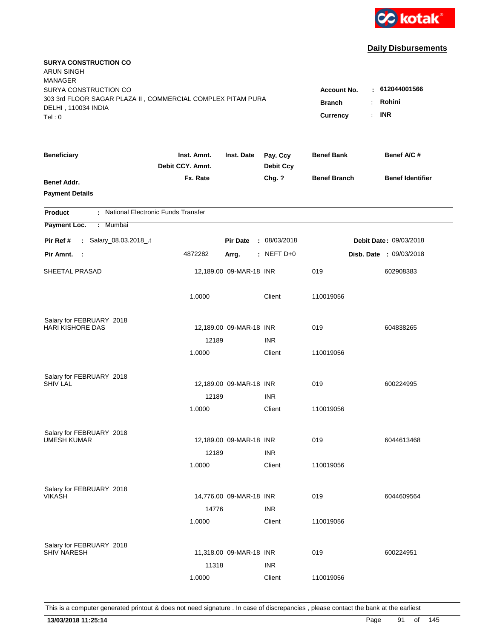

| <b>SURYA CONSTRUCTION CO</b><br><b>ARUN SINGH</b><br><b>MANAGER</b> |                                 |                         |                              |                     |                                |
|---------------------------------------------------------------------|---------------------------------|-------------------------|------------------------------|---------------------|--------------------------------|
| SURYA CONSTRUCTION CO                                               |                                 |                         |                              | <b>Account No.</b>  | : 612044001566                 |
| 303 3rd FLOOR SAGAR PLAZA II, COMMERCIAL COMPLEX PITAM PURA         | <b>Branch</b><br>÷.             | Rohini                  |                              |                     |                                |
| DELHI, 110034 INDIA<br>Tel: 0                                       |                                 |                         |                              | Currency<br>÷.      | <b>INR</b>                     |
|                                                                     |                                 |                         |                              |                     |                                |
| <b>Beneficiary</b>                                                  | Inst. Amnt.<br>Debit CCY. Amnt. | Inst. Date              | Pay. Ccy<br><b>Debit Ccy</b> | <b>Benef Bank</b>   | Benef A/C #                    |
| Benef Addr.                                                         | Fx. Rate                        |                         | Chg. ?                       | <b>Benef Branch</b> | <b>Benef Identifier</b>        |
| <b>Payment Details</b>                                              |                                 |                         |                              |                     |                                |
| : National Electronic Funds Transfer<br><b>Product</b>              |                                 |                         |                              |                     |                                |
| Payment Loc.<br>: Mumbai                                            |                                 |                         |                              |                     |                                |
| : Salary_08.03.2018_.t<br>Pir Ref #                                 |                                 | <b>Pir Date</b>         | : 08/03/2018                 |                     | Debit Date: 09/03/2018         |
| Pir Amnt.<br>$\sim$ 1                                               | 4872282                         | Arrg.                   | : NEFT D+0                   |                     | <b>Disb. Date : 09/03/2018</b> |
| SHEETAL PRASAD                                                      |                                 | 12,189.00 09-MAR-18 INR |                              | 019                 | 602908383                      |
|                                                                     | 1.0000                          |                         | Client                       | 110019056           |                                |
| Salary for FEBRUARY 2018                                            |                                 |                         |                              |                     |                                |
| <b>HARI KISHORE DAS</b>                                             |                                 | 12,189.00 09-MAR-18 INR |                              | 019                 | 604838265                      |
|                                                                     | 12189                           |                         | <b>INR</b>                   |                     |                                |
|                                                                     | 1.0000                          |                         | Client                       | 110019056           |                                |
| Salary for FEBRUARY 2018                                            |                                 |                         |                              |                     |                                |
| <b>SHIV LAL</b>                                                     |                                 | 12,189.00 09-MAR-18 INR |                              | 019                 | 600224995                      |
|                                                                     | 12189                           |                         | <b>INR</b>                   |                     |                                |
|                                                                     | 1.0000                          |                         | Client                       | 110019056           |                                |
| Salary for FEBRUARY 2018                                            |                                 |                         |                              |                     |                                |
| <b>UMESH KUMAR</b>                                                  |                                 | 12,189.00 09-MAR-18 INR |                              | 019                 | 6044613468                     |
|                                                                     | 12189                           |                         | <b>INR</b>                   |                     |                                |
|                                                                     | 1.0000                          |                         | Client                       | 110019056           |                                |
|                                                                     |                                 |                         |                              |                     |                                |
| Salary for FEBRUARY 2018<br><b>VIKASH</b>                           |                                 | 14,776.00 09-MAR-18 INR |                              | 019                 | 6044609564                     |
|                                                                     | 14776                           |                         | <b>INR</b>                   |                     |                                |
|                                                                     | 1.0000                          |                         | Client                       | 110019056           |                                |
|                                                                     |                                 |                         |                              |                     |                                |
| Salary for FEBRUARY 2018<br><b>SHIV NARESH</b>                      |                                 | 11,318.00 09-MAR-18 INR |                              | 019                 | 600224951                      |
|                                                                     | 11318                           |                         | <b>INR</b>                   |                     |                                |
|                                                                     | 1.0000                          |                         | Client                       | 110019056           |                                |
|                                                                     |                                 |                         |                              |                     |                                |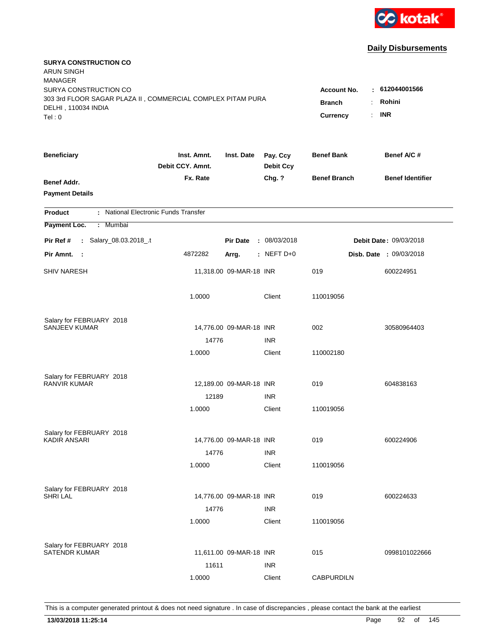

| <b>SURYA CONSTRUCTION CO</b><br><b>ARUN SINGH</b><br><b>MANAGER</b>                  |                                 |                         |                              |                              |                              |
|--------------------------------------------------------------------------------------|---------------------------------|-------------------------|------------------------------|------------------------------|------------------------------|
| SURYA CONSTRUCTION CO<br>303 3rd FLOOR SAGAR PLAZA II, COMMERCIAL COMPLEX PITAM PURA |                                 |                         |                              | Account No.<br><b>Branch</b> | $\pm 612044001566$<br>Rohini |
| DELHI, 110034 INDIA<br>Tel: 0                                                        |                                 |                         |                              | <b>Currency</b><br>÷.        | <b>INR</b>                   |
| <b>Beneficiary</b>                                                                   | Inst. Amnt.<br>Debit CCY. Amnt. | Inst. Date              | Pay. Ccy<br><b>Debit Ccy</b> | <b>Benef Bank</b>            | Benef A/C #                  |
| Benef Addr.<br><b>Payment Details</b>                                                | Fx. Rate                        |                         | Chg. ?                       | <b>Benef Branch</b>          | <b>Benef Identifier</b>      |
| : National Electronic Funds Transfer<br><b>Product</b>                               |                                 |                         |                              |                              |                              |
| Payment Loc.<br>: Mumbai                                                             |                                 |                         |                              |                              |                              |
| : Salary_08.03.2018_.t<br>Pir Ref #                                                  |                                 | <b>Pir Date</b>         | : 08/03/2018                 |                              | Debit Date: 09/03/2018       |
| Pir Amnt. :                                                                          | 4872282                         | Arrg.                   | : NEFT D+0                   |                              | Disb. Date : 09/03/2018      |
| <b>SHIV NARESH</b>                                                                   |                                 | 11,318.00 09-MAR-18 INR |                              | 019                          | 600224951                    |
|                                                                                      | 1.0000                          |                         | Client                       | 110019056                    |                              |
| Salary for FEBRUARY 2018                                                             |                                 |                         |                              |                              |                              |
| <b>SANJEEV KUMAR</b>                                                                 |                                 | 14,776.00 09-MAR-18 INR |                              | 002                          | 30580964403                  |
|                                                                                      | 14776                           |                         | <b>INR</b>                   |                              |                              |
|                                                                                      | 1.0000                          |                         | Client                       | 110002180                    |                              |
| Salary for FEBRUARY 2018                                                             |                                 |                         |                              |                              |                              |
| <b>RANVIR KUMAR</b>                                                                  |                                 | 12,189.00 09-MAR-18 INR |                              | 019                          | 604838163                    |
|                                                                                      | 12189                           |                         | <b>INR</b>                   |                              |                              |
|                                                                                      | 1.0000                          |                         | Client                       | 110019056                    |                              |
| Salary for FEBRUARY 2018                                                             |                                 |                         |                              |                              |                              |
| <b>KADIR ANSARI</b>                                                                  |                                 | 14,776.00 09-MAR-18 INR |                              | 019                          | 600224906                    |
|                                                                                      | 14776                           |                         | <b>INR</b>                   |                              |                              |
|                                                                                      | 1.0000                          |                         | Client                       | 110019056                    |                              |
| Salary for FEBRUARY 2018                                                             |                                 |                         |                              |                              |                              |
| <b>SHRI LAL</b>                                                                      |                                 | 14,776.00 09-MAR-18 INR |                              | 019                          | 600224633                    |
|                                                                                      | 14776                           |                         | <b>INR</b>                   |                              |                              |
|                                                                                      | 1.0000                          |                         | Client                       | 110019056                    |                              |
|                                                                                      |                                 |                         |                              |                              |                              |
| Salary for FEBRUARY 2018<br><b>SATENDR KUMAR</b>                                     |                                 | 11,611.00 09-MAR-18 INR |                              | 015                          | 0998101022666                |
|                                                                                      | 11611                           |                         | <b>INR</b>                   |                              |                              |
|                                                                                      | 1.0000                          |                         | Client                       | <b>CABPURDILN</b>            |                              |
|                                                                                      |                                 |                         |                              |                              |                              |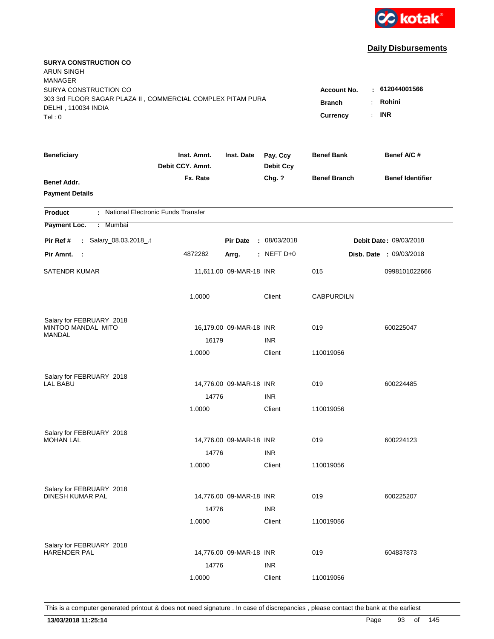

| <b>SURYA CONSTRUCTION CO</b><br><b>ARUN SINGH</b><br><b>MANAGER</b>                                                   |                                                 |                                                    |                              |                     |                                |
|-----------------------------------------------------------------------------------------------------------------------|-------------------------------------------------|----------------------------------------------------|------------------------------|---------------------|--------------------------------|
| SURYA CONSTRUCTION CO<br>303 3rd FLOOR SAGAR PLAZA II, COMMERCIAL COMPLEX PITAM PURA<br>DELHI, 110034 INDIA<br>Tel: 0 | <b>Account No.</b><br><b>Branch</b><br>Currency | $-612044001566$<br>Rohini<br>÷<br><b>INR</b><br>÷. |                              |                     |                                |
| <b>Beneficiary</b>                                                                                                    | Inst. Amnt.<br>Debit CCY. Amnt.                 | Inst. Date                                         | Pay. Ccy<br><b>Debit Ccy</b> | <b>Benef Bank</b>   | Benef A/C#                     |
| Benef Addr.<br><b>Payment Details</b>                                                                                 | Fx. Rate                                        |                                                    | Chg. ?                       | <b>Benef Branch</b> | <b>Benef Identifier</b>        |
| : National Electronic Funds Transfer<br><b>Product</b>                                                                |                                                 |                                                    |                              |                     |                                |
| Payment Loc.<br>: Mumbai                                                                                              |                                                 |                                                    |                              |                     |                                |
| : Salary_08.03.2018_.t<br>Pir Ref #                                                                                   |                                                 | <b>Pir Date</b>                                    | : 08/03/2018                 |                     | Debit Date: 09/03/2018         |
| Pir Amnt. :                                                                                                           | 4872282                                         | Arrg.                                              | $:$ NEFT D+0                 |                     | <b>Disb. Date : 09/03/2018</b> |
| <b>SATENDR KUMAR</b>                                                                                                  |                                                 | 11,611.00 09-MAR-18 INR                            |                              | 015                 | 0998101022666                  |
|                                                                                                                       | 1.0000                                          |                                                    | Client                       | <b>CABPURDILN</b>   |                                |
| Salary for FEBRUARY 2018                                                                                              |                                                 |                                                    |                              |                     |                                |
| MINTOO MANDAL MITO<br><b>MANDAL</b>                                                                                   |                                                 | 16,179.00 09-MAR-18 INR                            |                              | 019                 | 600225047                      |
|                                                                                                                       | 16179                                           |                                                    | <b>INR</b>                   |                     |                                |
|                                                                                                                       | 1.0000                                          |                                                    | Client                       | 110019056           |                                |
| Salary for FEBRUARY 2018                                                                                              |                                                 |                                                    |                              |                     |                                |
| <b>LAL BABU</b>                                                                                                       |                                                 | 14,776.00 09-MAR-18 INR                            |                              | 019                 | 600224485                      |
|                                                                                                                       | 14776                                           |                                                    | <b>INR</b>                   |                     |                                |
|                                                                                                                       | 1.0000                                          |                                                    | Client                       | 110019056           |                                |
| Salary for FEBRUARY 2018                                                                                              |                                                 |                                                    |                              |                     |                                |
| <b>MOHAN LAL</b>                                                                                                      |                                                 | 14,776.00 09-MAR-18 INR                            |                              | 019                 | 600224123                      |
|                                                                                                                       | 14776                                           |                                                    | <b>INR</b>                   |                     |                                |
|                                                                                                                       | 1.0000                                          |                                                    | Client                       | 110019056           |                                |
|                                                                                                                       |                                                 |                                                    |                              |                     |                                |
| Salary for FEBRUARY 2018<br>DINESH KUMAR PAL                                                                          |                                                 | 14,776.00 09-MAR-18 INR                            |                              | 019                 | 600225207                      |
|                                                                                                                       | 14776                                           |                                                    | <b>INR</b>                   |                     |                                |
|                                                                                                                       | 1.0000                                          |                                                    | Client                       | 110019056           |                                |
|                                                                                                                       |                                                 |                                                    |                              |                     |                                |
| Salary for FEBRUARY 2018<br>HARENDER PAL                                                                              |                                                 | 14,776.00 09-MAR-18 INR                            |                              | 019                 | 604837873                      |
|                                                                                                                       | 14776                                           |                                                    | <b>INR</b>                   |                     |                                |
|                                                                                                                       | 1.0000                                          |                                                    | Client                       | 110019056           |                                |
|                                                                                                                       |                                                 |                                                    |                              |                     |                                |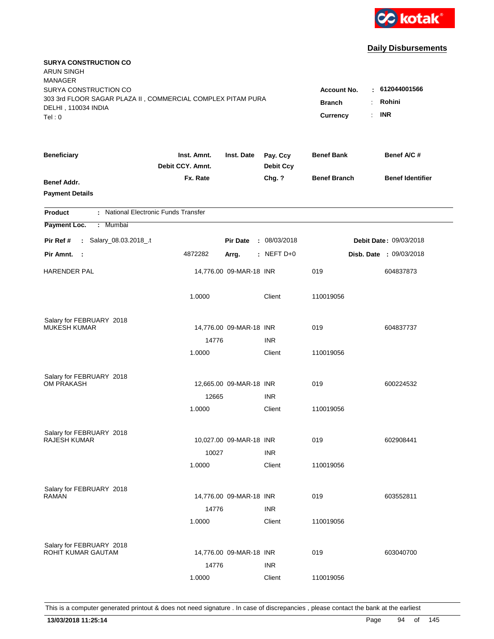

| <b>SURYA CONSTRUCTION CO</b><br><b>ARUN SINGH</b><br><b>MANAGER</b><br>SURYA CONSTRUCTION CO |                                                 |                                  |                              |                     | : 612044001566                 |
|----------------------------------------------------------------------------------------------|-------------------------------------------------|----------------------------------|------------------------------|---------------------|--------------------------------|
| 303 3rd FLOOR SAGAR PLAZA II, COMMERCIAL COMPLEX PITAM PURA<br>DELHI, 110034 INDIA<br>Tel: 0 | <b>Account No.</b><br><b>Branch</b><br>Currency | Rohini<br>÷.<br><b>INR</b><br>÷. |                              |                     |                                |
| <b>Beneficiary</b>                                                                           | Inst. Amnt.<br>Debit CCY. Amnt.                 | Inst. Date                       | Pay. Ccy<br><b>Debit Ccy</b> | <b>Benef Bank</b>   | Benef A/C #                    |
| Benef Addr.<br><b>Payment Details</b>                                                        | Fx. Rate                                        |                                  | Chg. ?                       | <b>Benef Branch</b> | <b>Benef Identifier</b>        |
| : National Electronic Funds Transfer<br><b>Product</b>                                       |                                                 |                                  |                              |                     |                                |
| Payment Loc.<br>: Mumbai                                                                     |                                                 |                                  |                              |                     |                                |
| : Salary_08.03.2018_.t<br>Pir Ref #                                                          |                                                 | <b>Pir Date</b>                  | : 08/03/2018                 |                     | Debit Date: 09/03/2018         |
| Pir Amnt. :                                                                                  | 4872282                                         | Arrg.                            | : NEFT $D+0$                 |                     | <b>Disb. Date : 09/03/2018</b> |
| <b>HARENDER PAL</b>                                                                          |                                                 | 14,776.00 09-MAR-18 INR          |                              | 019                 | 604837873                      |
|                                                                                              | 1.0000                                          |                                  | Client                       | 110019056           |                                |
| Salary for FEBRUARY 2018                                                                     |                                                 |                                  |                              |                     |                                |
| <b>MUKESH KUMAR</b>                                                                          |                                                 | 14,776.00 09-MAR-18 INR          |                              | 019                 | 604837737                      |
|                                                                                              | 14776                                           |                                  | <b>INR</b>                   |                     |                                |
|                                                                                              | 1.0000                                          |                                  | Client                       | 110019056           |                                |
| Salary for FEBRUARY 2018                                                                     |                                                 |                                  |                              |                     |                                |
| <b>OM PRAKASH</b>                                                                            |                                                 | 12,665.00 09-MAR-18 INR          |                              | 019                 | 600224532                      |
|                                                                                              | 12665                                           |                                  | <b>INR</b>                   |                     |                                |
|                                                                                              | 1.0000                                          |                                  | Client                       | 110019056           |                                |
| Salary for FEBRUARY 2018                                                                     |                                                 |                                  |                              |                     |                                |
| <b>RAJESH KUMAR</b>                                                                          |                                                 | 10,027.00 09-MAR-18 INR          |                              | 019                 | 602908441                      |
|                                                                                              | 10027                                           |                                  | <b>INR</b>                   |                     |                                |
|                                                                                              | 1.0000                                          |                                  | Client                       | 110019056           |                                |
| Salary for FEBRUARY 2018                                                                     |                                                 |                                  |                              |                     |                                |
| <b>RAMAN</b>                                                                                 |                                                 | 14,776.00 09-MAR-18 INR          |                              | 019                 | 603552811                      |
|                                                                                              | 14776                                           |                                  | <b>INR</b>                   |                     |                                |
|                                                                                              | 1.0000                                          |                                  | Client                       | 110019056           |                                |
| Salary for FEBRUARY 2018                                                                     |                                                 |                                  |                              |                     |                                |
| ROHIT KUMAR GAUTAM                                                                           |                                                 | 14,776.00 09-MAR-18 INR          |                              | 019                 | 603040700                      |
|                                                                                              | 14776                                           |                                  | <b>INR</b>                   |                     |                                |
|                                                                                              | 1.0000                                          |                                  | Client                       | 110019056           |                                |
|                                                                                              |                                                 |                                  |                              |                     |                                |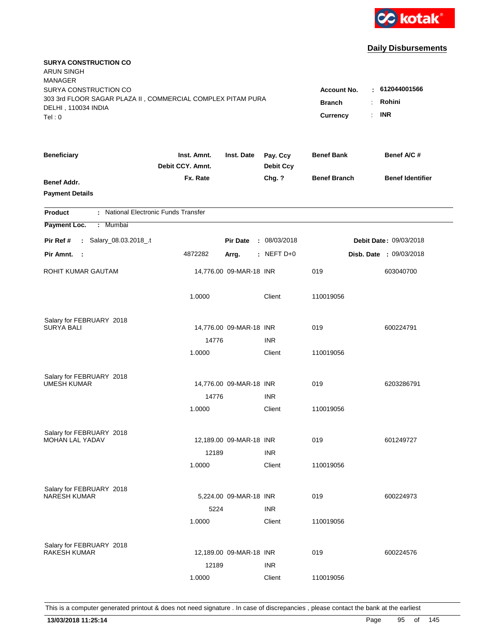

| <b>SURYA CONSTRUCTION CO</b><br><b>ARUN SINGH</b><br><b>MANAGER</b>                                                   |                                                 |                                                    |                              |                     |                                |
|-----------------------------------------------------------------------------------------------------------------------|-------------------------------------------------|----------------------------------------------------|------------------------------|---------------------|--------------------------------|
| SURYA CONSTRUCTION CO<br>303 3rd FLOOR SAGAR PLAZA II, COMMERCIAL COMPLEX PITAM PURA<br>DELHI, 110034 INDIA<br>Tel: 0 | <b>Account No.</b><br><b>Branch</b><br>Currency | : 612044001566<br>Rohini<br>÷.<br><b>INR</b><br>÷. |                              |                     |                                |
|                                                                                                                       |                                                 |                                                    |                              |                     |                                |
| <b>Beneficiary</b>                                                                                                    | Inst. Amnt.<br>Debit CCY. Amnt.                 | Inst. Date                                         | Pay. Ccy<br><b>Debit Ccy</b> | <b>Benef Bank</b>   | Benef A/C #                    |
| Benef Addr.<br><b>Payment Details</b>                                                                                 | Fx. Rate                                        |                                                    | Chg. ?                       | <b>Benef Branch</b> | <b>Benef Identifier</b>        |
| : National Electronic Funds Transfer<br><b>Product</b>                                                                |                                                 |                                                    |                              |                     |                                |
| Payment Loc.<br>: Mumbai                                                                                              |                                                 |                                                    |                              |                     |                                |
| : Salary_08.03.2018_.t<br>Pir Ref #                                                                                   |                                                 | <b>Pir Date</b>                                    | : 08/03/2018                 |                     | Debit Date: 09/03/2018         |
| Pir Amnt. :                                                                                                           | 4872282                                         | Arrg.                                              | $:$ NEFT D+0                 |                     | <b>Disb. Date : 09/03/2018</b> |
| ROHIT KUMAR GAUTAM                                                                                                    |                                                 | 14,776.00 09-MAR-18 INR                            |                              | 019                 | 603040700                      |
|                                                                                                                       | 1.0000                                          |                                                    | Client                       | 110019056           |                                |
| Salary for FEBRUARY 2018                                                                                              |                                                 |                                                    |                              |                     |                                |
| <b>SURYA BALI</b>                                                                                                     |                                                 | 14,776.00 09-MAR-18 INR                            |                              | 019                 | 600224791                      |
|                                                                                                                       | 14776<br>1.0000                                 |                                                    | <b>INR</b><br>Client         | 110019056           |                                |
|                                                                                                                       |                                                 |                                                    |                              |                     |                                |
| Salary for FEBRUARY 2018                                                                                              |                                                 |                                                    |                              |                     |                                |
| <b>UMESH KUMAR</b>                                                                                                    |                                                 | 14,776.00 09-MAR-18 INR                            |                              | 019                 | 6203286791                     |
|                                                                                                                       | 14776                                           |                                                    | <b>INR</b>                   |                     |                                |
|                                                                                                                       | 1.0000                                          |                                                    | Client                       | 110019056           |                                |
| Salary for FEBRUARY 2018                                                                                              |                                                 |                                                    |                              |                     |                                |
| <b>MOHAN LAL YADAV</b>                                                                                                |                                                 | 12,189.00 09-MAR-18 INR                            |                              | 019                 | 601249727                      |
|                                                                                                                       | 12189                                           |                                                    | <b>INR</b>                   |                     |                                |
|                                                                                                                       | 1.0000                                          |                                                    | Client                       | 110019056           |                                |
| Salary for FEBRUARY 2018                                                                                              |                                                 |                                                    |                              |                     |                                |
| <b>NARESH KUMAR</b>                                                                                                   |                                                 | 5,224.00 09-MAR-18 INR                             |                              | 019                 | 600224973                      |
|                                                                                                                       | 5224                                            |                                                    | <b>INR</b>                   |                     |                                |
|                                                                                                                       | 1.0000                                          |                                                    | Client                       | 110019056           |                                |
|                                                                                                                       |                                                 |                                                    |                              |                     |                                |
| Salary for FEBRUARY 2018<br><b>RAKESH KUMAR</b>                                                                       |                                                 | 12,189.00 09-MAR-18 INR                            |                              | 019                 | 600224576                      |
|                                                                                                                       | 12189                                           |                                                    | <b>INR</b>                   |                     |                                |
|                                                                                                                       | 1.0000                                          |                                                    | Client                       | 110019056           |                                |
|                                                                                                                       |                                                 |                                                    |                              |                     |                                |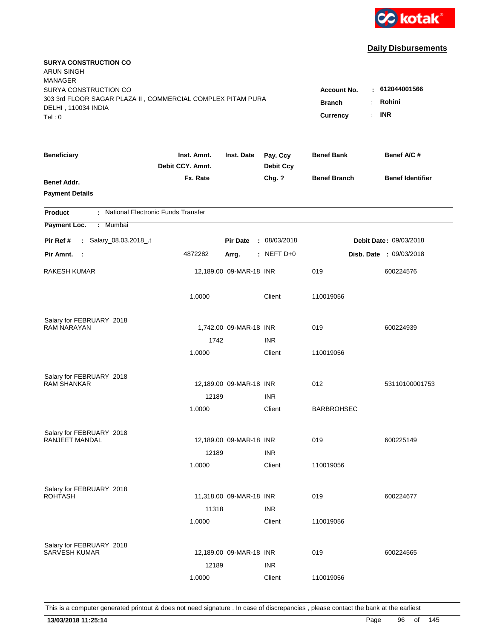

| <b>SURYA CONSTRUCTION CO</b><br>ARUN SINGH                                         |                                 |                         |                              |                     |                                |
|------------------------------------------------------------------------------------|---------------------------------|-------------------------|------------------------------|---------------------|--------------------------------|
| <b>MANAGER</b>                                                                     |                                 |                         |                              |                     |                                |
| SURYA CONSTRUCTION CO                                                              |                                 |                         |                              | <b>Account No.</b>  | : 612044001566                 |
| 303 3rd FLOOR SAGAR PLAZA II, COMMERCIAL COMPLEX PITAM PURA<br>DELHI, 110034 INDIA | <b>Branch</b><br>÷.             | Rohini                  |                              |                     |                                |
| Tel: 0                                                                             |                                 |                         |                              | Currency            | <b>INR</b><br>t.               |
|                                                                                    |                                 |                         |                              |                     |                                |
| <b>Beneficiary</b>                                                                 | Inst. Amnt.<br>Debit CCY. Amnt. | Inst. Date              | Pay. Ccy<br><b>Debit Ccy</b> | <b>Benef Bank</b>   | Benef A/C #                    |
| Benef Addr.                                                                        | Fx. Rate                        |                         | Chg. ?                       | <b>Benef Branch</b> | <b>Benef Identifier</b>        |
| <b>Payment Details</b>                                                             |                                 |                         |                              |                     |                                |
| : National Electronic Funds Transfer<br><b>Product</b>                             |                                 |                         |                              |                     |                                |
| Payment Loc.<br>: Mumbai                                                           |                                 |                         |                              |                     |                                |
| : Salary_08.03.2018_.t<br>Pir Ref #                                                |                                 | <b>Pir Date</b>         | : 08/03/2018                 |                     | Debit Date: 09/03/2018         |
| Pir Amnt. :                                                                        | 4872282                         | Arrg.                   | $:$ NEFT D+0                 |                     | <b>Disb. Date : 09/03/2018</b> |
| RAKESH KUMAR                                                                       |                                 | 12,189.00 09-MAR-18 INR |                              | 019                 | 600224576                      |
|                                                                                    | 1.0000                          |                         | Client                       | 110019056           |                                |
| Salary for FEBRUARY 2018                                                           |                                 |                         |                              |                     |                                |
| <b>RAM NARAYAN</b>                                                                 |                                 | 1,742.00 09-MAR-18 INR  |                              | 019                 | 600224939                      |
|                                                                                    | 1742                            |                         | <b>INR</b>                   |                     |                                |
|                                                                                    | 1.0000                          |                         | Client                       | 110019056           |                                |
| Salary for FEBRUARY 2018                                                           |                                 |                         |                              |                     |                                |
| <b>RAM SHANKAR</b>                                                                 |                                 | 12,189.00 09-MAR-18 INR |                              | 012                 | 53110100001753                 |
|                                                                                    | 12189                           |                         | <b>INR</b>                   |                     |                                |
|                                                                                    | 1.0000                          |                         | Client                       | <b>BARBROHSEC</b>   |                                |
| Salary for FEBRUARY 2018                                                           |                                 |                         |                              |                     |                                |
| RANJEET MANDAL                                                                     |                                 | 12,189.00 09-MAR-18 INR |                              | 019                 | 600225149                      |
|                                                                                    | 12189                           |                         | <b>INR</b>                   |                     |                                |
|                                                                                    | 1.0000                          |                         | Client                       | 110019056           |                                |
| Salary for FEBRUARY 2018                                                           |                                 |                         |                              |                     |                                |
| <b>ROHTASH</b>                                                                     |                                 | 11,318.00 09-MAR-18 INR |                              | 019                 | 600224677                      |
|                                                                                    | 11318                           |                         | <b>INR</b>                   |                     |                                |
|                                                                                    | 1.0000                          |                         | Client                       | 110019056           |                                |
| Salary for FEBRUARY 2018                                                           |                                 |                         |                              |                     |                                |
| <b>SARVESH KUMAR</b>                                                               |                                 | 12,189.00 09-MAR-18 INR |                              | 019                 | 600224565                      |
|                                                                                    | 12189                           |                         | <b>INR</b>                   |                     |                                |
|                                                                                    | 1.0000                          |                         | Client                       | 110019056           |                                |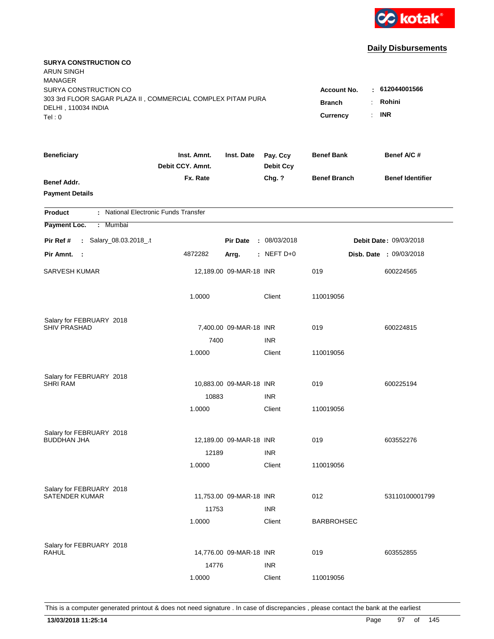

| <b>SURYA CONSTRUCTION CO</b><br>ARUN SINGH<br><b>MANAGER</b><br>SURYA CONSTRUCTION CO<br>303 3rd FLOOR SAGAR PLAZA II, COMMERCIAL COMPLEX PITAM PURA |                                 |                         |                              | <b>Account No.</b><br><b>Branch</b> | : 612044001566<br>Rohini       |
|------------------------------------------------------------------------------------------------------------------------------------------------------|---------------------------------|-------------------------|------------------------------|-------------------------------------|--------------------------------|
| DELHI, 110034 INDIA<br>Tel: 0                                                                                                                        |                                 |                         |                              | <b>Currency</b><br>÷.               | <b>INR</b>                     |
| <b>Beneficiary</b>                                                                                                                                   | Inst. Amnt.<br>Debit CCY. Amnt. | Inst. Date              | Pay. Ccy<br><b>Debit Ccy</b> | <b>Benef Bank</b>                   | Benef A/C #                    |
| Benef Addr.<br><b>Payment Details</b>                                                                                                                | Fx. Rate                        |                         | Chg. ?                       | <b>Benef Branch</b>                 | <b>Benef Identifier</b>        |
| : National Electronic Funds Transfer<br><b>Product</b>                                                                                               |                                 |                         |                              |                                     |                                |
| Payment Loc.<br>Mumbai<br>$\mathbb{Z}^{\mathbb{Z}}$                                                                                                  |                                 |                         |                              |                                     |                                |
| : Salary_08.03.2018_.t<br>Pir Ref #                                                                                                                  |                                 | <b>Pir Date</b>         | : 08/03/2018                 |                                     | Debit Date: 09/03/2018         |
| Pir Amnt.<br>$\sim$ :                                                                                                                                | 4872282                         | Arrg.                   | : NEFT D+0                   |                                     | <b>Disb. Date : 09/03/2018</b> |
| SARVESH KUMAR                                                                                                                                        |                                 | 12,189.00 09-MAR-18 INR |                              | 019                                 | 600224565                      |
|                                                                                                                                                      | 1.0000                          |                         | Client                       | 110019056                           |                                |
| Salary for FEBRUARY 2018                                                                                                                             |                                 |                         |                              |                                     |                                |
| <b>SHIV PRASHAD</b>                                                                                                                                  |                                 | 7,400.00 09-MAR-18 INR  |                              | 019                                 | 600224815                      |
|                                                                                                                                                      | 7400<br>1.0000                  |                         | <b>INR</b><br>Client         | 110019056                           |                                |
| Salary for FEBRUARY 2018<br><b>SHRI RAM</b>                                                                                                          |                                 | 10,883.00 09-MAR-18 INR |                              | 019                                 | 600225194                      |
|                                                                                                                                                      | 10883                           |                         | <b>INR</b>                   |                                     |                                |
|                                                                                                                                                      | 1.0000                          |                         | Client                       | 110019056                           |                                |
| Salary for FEBRUARY 2018<br><b>BUDDHAN JHA</b>                                                                                                       |                                 | 12,189.00 09-MAR-18 INR |                              | 019                                 | 603552276                      |
|                                                                                                                                                      | 12189                           |                         | <b>INR</b>                   |                                     |                                |
|                                                                                                                                                      | 1.0000                          |                         | Client                       | 110019056                           |                                |
| Salary for FEBRUARY 2018<br><b>SATENDER KUMAR</b>                                                                                                    | 11753                           | 11,753.00 09-MAR-18 INR | <b>INR</b>                   | 012                                 | 53110100001799                 |
|                                                                                                                                                      | 1.0000                          |                         | Client                       | <b>BARBROHSEC</b>                   |                                |
| Salary for FEBRUARY 2018<br><b>RAHUL</b>                                                                                                             | 14776                           | 14,776.00 09-MAR-18 INR | <b>INR</b>                   | 019                                 | 603552855                      |
|                                                                                                                                                      | 1.0000                          |                         | Client                       | 110019056                           |                                |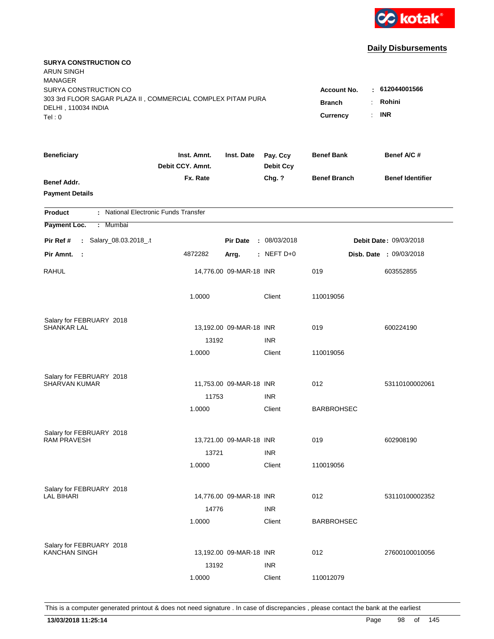

| <b>SURYA CONSTRUCTION CO</b><br><b>ARUN SINGH</b><br><b>MANAGER</b> |                                 |                         |                              |                     |                                |
|---------------------------------------------------------------------|---------------------------------|-------------------------|------------------------------|---------------------|--------------------------------|
| SURYA CONSTRUCTION CO                                               |                                 |                         |                              | <b>Account No.</b>  | $-612044001566$                |
| 303 3rd FLOOR SAGAR PLAZA II, COMMERCIAL COMPLEX PITAM PURA         |                                 |                         |                              | <b>Branch</b>       | Rohini                         |
| DELHI, 110034 INDIA                                                 |                                 |                         |                              | Currency<br>÷.      | <b>INR</b>                     |
| Tel: 0                                                              |                                 |                         |                              |                     |                                |
| <b>Beneficiary</b>                                                  | Inst. Amnt.<br>Debit CCY. Amnt. | Inst. Date              | Pay. Ccy<br><b>Debit Ccy</b> | <b>Benef Bank</b>   | Benef A/C #                    |
| Benef Addr.                                                         | Fx. Rate                        |                         | Chg. ?                       | <b>Benef Branch</b> | <b>Benef Identifier</b>        |
| <b>Payment Details</b>                                              |                                 |                         |                              |                     |                                |
| : National Electronic Funds Transfer<br><b>Product</b>              |                                 |                         |                              |                     |                                |
| Payment Loc.<br>: Mumbai                                            |                                 |                         |                              |                     |                                |
| : Salary_08.03.2018_.t<br>Pir Ref #                                 |                                 | <b>Pir Date</b>         | : 08/03/2018                 |                     | Debit Date: 09/03/2018         |
| Pir Amnt.<br>- 1                                                    | 4872282                         | Arrg.                   | : NEFT $D+0$                 |                     | <b>Disb. Date : 09/03/2018</b> |
| <b>RAHUL</b>                                                        |                                 | 14,776.00 09-MAR-18 INR |                              | 019                 | 603552855                      |
|                                                                     | 1.0000                          |                         | Client                       | 110019056           |                                |
| Salary for FEBRUARY 2018                                            |                                 |                         |                              |                     |                                |
| <b>SHANKAR LAL</b>                                                  |                                 | 13,192.00 09-MAR-18 INR |                              | 019                 | 600224190                      |
|                                                                     | 13192                           |                         | <b>INR</b>                   |                     |                                |
|                                                                     | 1.0000                          |                         | Client                       | 110019056           |                                |
| Salary for FEBRUARY 2018                                            |                                 |                         |                              |                     |                                |
| SHARVAN KUMAR                                                       |                                 | 11,753.00 09-MAR-18 INR |                              | 012                 | 53110100002061                 |
|                                                                     | 11753                           |                         | <b>INR</b>                   |                     |                                |
|                                                                     | 1.0000                          |                         | Client                       | <b>BARBROHSEC</b>   |                                |
| Salary for FEBRUARY 2018                                            |                                 |                         |                              |                     |                                |
| <b>RAM PRAVESH</b>                                                  |                                 | 13,721.00 09-MAR-18 INR |                              | 019                 | 602908190                      |
|                                                                     | 13721                           |                         | <b>INR</b>                   |                     |                                |
|                                                                     | 1.0000                          |                         | Client                       | 110019056           |                                |
| Salary for FEBRUARY 2018                                            |                                 |                         |                              |                     |                                |
| <b>LAL BIHARI</b>                                                   |                                 | 14,776.00 09-MAR-18 INR |                              | 012                 | 53110100002352                 |
|                                                                     | 14776                           |                         | <b>INR</b>                   |                     |                                |
|                                                                     | 1.0000                          |                         | Client                       | <b>BARBROHSEC</b>   |                                |
| Salary for FEBRUARY 2018                                            |                                 |                         |                              |                     |                                |
| <b>KANCHAN SINGH</b>                                                |                                 | 13,192.00 09-MAR-18 INR |                              | 012                 | 27600100010056                 |
|                                                                     | 13192                           |                         | <b>INR</b>                   |                     |                                |
|                                                                     | 1.0000                          |                         | Client                       | 110012079           |                                |
|                                                                     |                                 |                         |                              |                     |                                |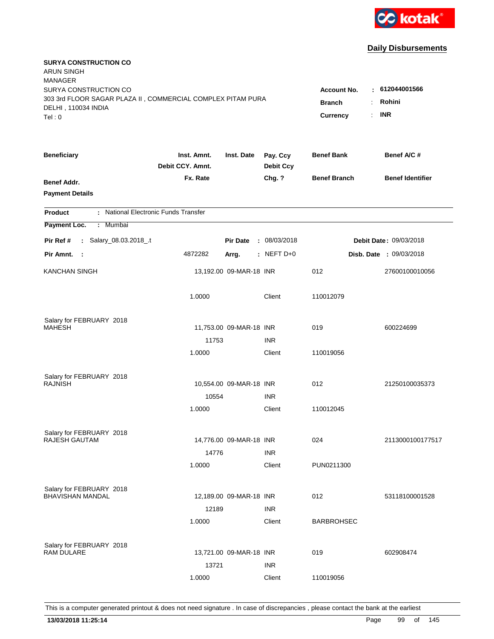

| <b>SURYA CONSTRUCTION CO</b><br><b>ARUN SINGH</b><br><b>MANAGER</b>                                                   |                                               |                                      |                  |                     |                                |
|-----------------------------------------------------------------------------------------------------------------------|-----------------------------------------------|--------------------------------------|------------------|---------------------|--------------------------------|
| SURYA CONSTRUCTION CO<br>303 3rd FLOOR SAGAR PLAZA II, COMMERCIAL COMPLEX PITAM PURA<br>DELHI, 110034 INDIA<br>Tel: 0 | Account No.<br>÷<br><b>Branch</b><br>Currency | 612044001566<br>Rohini<br><b>INR</b> |                  |                     |                                |
| <b>Beneficiary</b>                                                                                                    | Inst. Amnt.                                   | Inst. Date                           | Pay. Ccy         | <b>Benef Bank</b>   | Benef A/C #                    |
|                                                                                                                       | Debit CCY. Amnt.                              |                                      | <b>Debit Ccy</b> |                     |                                |
| Benef Addr.<br><b>Payment Details</b>                                                                                 | Fx. Rate                                      |                                      | Chg. ?           | <b>Benef Branch</b> | <b>Benef Identifier</b>        |
| : National Electronic Funds Transfer<br><b>Product</b>                                                                |                                               |                                      |                  |                     |                                |
| Payment Loc.<br>: Mumbai                                                                                              |                                               |                                      |                  |                     |                                |
| : Salary_08.03.2018_.t<br>Pir Ref #                                                                                   |                                               | <b>Pir Date</b>                      | : 08/03/2018     |                     | Debit Date: 09/03/2018         |
| Pir Amnt. :                                                                                                           | 4872282                                       | Arrg.                                | $:$ NEFT D+0     |                     | <b>Disb. Date : 09/03/2018</b> |
| <b>KANCHAN SINGH</b>                                                                                                  |                                               | 13,192.00 09-MAR-18 INR              |                  | 012                 | 27600100010056                 |
|                                                                                                                       | 1.0000                                        |                                      | Client           | 110012079           |                                |
| Salary for FEBRUARY 2018                                                                                              |                                               |                                      |                  |                     |                                |
| <b>MAHESH</b>                                                                                                         |                                               | 11,753.00 09-MAR-18 INR              |                  | 019                 | 600224699                      |
|                                                                                                                       | 11753                                         |                                      | <b>INR</b>       |                     |                                |
|                                                                                                                       | 1.0000                                        |                                      | Client           | 110019056           |                                |
| Salary for FEBRUARY 2018                                                                                              |                                               |                                      |                  |                     |                                |
| <b>RAJNISH</b>                                                                                                        |                                               | 10,554.00 09-MAR-18 INR              |                  | 012                 | 21250100035373                 |
|                                                                                                                       | 10554                                         |                                      | <b>INR</b>       |                     |                                |
|                                                                                                                       | 1.0000                                        |                                      | Client           | 110012045           |                                |
| Salary for FEBRUARY 2018                                                                                              |                                               |                                      |                  |                     |                                |
| <b>RAJESH GAUTAM</b>                                                                                                  |                                               | 14,776.00 09-MAR-18 INR              |                  | 024                 | 2113000100177517               |
|                                                                                                                       | 14776                                         |                                      | <b>INR</b>       |                     |                                |
|                                                                                                                       | 1.0000                                        |                                      | Client           | PUN0211300          |                                |
| Salary for FEBRUARY 2018                                                                                              |                                               |                                      |                  |                     |                                |
| <b>BHAVISHAN MANDAL</b>                                                                                               |                                               | 12,189.00 09-MAR-18 INR              |                  | 012                 | 53118100001528                 |
|                                                                                                                       | 12189                                         |                                      | <b>INR</b>       |                     |                                |
|                                                                                                                       | 1.0000                                        |                                      | Client           | <b>BARBROHSEC</b>   |                                |
| Salary for FEBRUARY 2018                                                                                              |                                               |                                      |                  |                     |                                |
| <b>RAM DULARE</b>                                                                                                     |                                               | 13,721.00 09-MAR-18 INR              |                  | 019                 | 602908474                      |
|                                                                                                                       | 13721                                         |                                      | <b>INR</b>       |                     |                                |
|                                                                                                                       | 1.0000                                        |                                      | Client           | 110019056           |                                |
|                                                                                                                       |                                               |                                      |                  |                     |                                |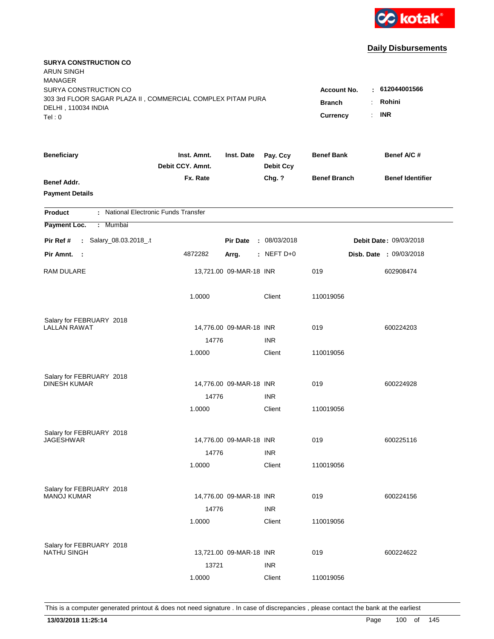

| <b>SURYA CONSTRUCTION CO</b><br><b>ARUN SINGH</b>           |                                 |                         |                              |                     |                                |
|-------------------------------------------------------------|---------------------------------|-------------------------|------------------------------|---------------------|--------------------------------|
| <b>MANAGER</b><br>SURYA CONSTRUCTION CO                     |                                 |                         |                              | <b>Account No.</b>  | : 612044001566                 |
| 303 3rd FLOOR SAGAR PLAZA II, COMMERCIAL COMPLEX PITAM PURA |                                 |                         |                              | <b>Branch</b>       | Rohini<br>÷.                   |
| DELHI, 110034 INDIA                                         |                                 | <b>INR</b>              |                              |                     |                                |
| Tel: 0                                                      |                                 |                         |                              | Currency            | ÷.                             |
| <b>Beneficiary</b>                                          | Inst. Amnt.<br>Debit CCY. Amnt. | Inst. Date              | Pay. Ccy<br><b>Debit Ccy</b> | <b>Benef Bank</b>   | Benef A/C #                    |
| Benef Addr.                                                 | Fx. Rate                        |                         | Chg. ?                       | <b>Benef Branch</b> | <b>Benef Identifier</b>        |
| <b>Payment Details</b>                                      |                                 |                         |                              |                     |                                |
| : National Electronic Funds Transfer<br><b>Product</b>      |                                 |                         |                              |                     |                                |
| Payment Loc.<br>: Mumbai                                    |                                 |                         |                              |                     |                                |
| : Salary_08.03.2018_.t<br>Pir Ref #                         |                                 | <b>Pir Date</b>         | : 08/03/2018                 |                     | Debit Date: 09/03/2018         |
| Pir Amnt. :                                                 | 4872282                         | Arrg.                   | : NEFT $D+0$                 |                     | <b>Disb. Date : 09/03/2018</b> |
| RAM DULARE                                                  |                                 | 13,721.00 09-MAR-18 INR |                              | 019                 | 602908474                      |
|                                                             | 1.0000                          |                         | Client                       | 110019056           |                                |
| Salary for FEBRUARY 2018                                    |                                 |                         |                              |                     |                                |
| <b>LALLAN RAWAT</b>                                         |                                 | 14,776.00 09-MAR-18 INR |                              | 019                 | 600224203                      |
|                                                             | 14776                           |                         | <b>INR</b>                   |                     |                                |
|                                                             | 1.0000                          |                         | Client                       | 110019056           |                                |
| Salary for FEBRUARY 2018                                    |                                 |                         |                              |                     |                                |
| <b>DINESH KUMAR</b>                                         |                                 | 14,776.00 09-MAR-18 INR |                              | 019                 | 600224928                      |
|                                                             | 14776                           |                         | <b>INR</b>                   |                     |                                |
|                                                             | 1.0000                          |                         | Client                       | 110019056           |                                |
| Salary for FEBRUARY 2018                                    |                                 |                         |                              |                     |                                |
| <b>JAGESHWAR</b>                                            |                                 | 14,776.00 09-MAR-18 INR |                              | 019                 | 600225116                      |
|                                                             | 14776                           |                         | <b>INR</b>                   |                     |                                |
|                                                             | 1.0000                          |                         | Client                       | 110019056           |                                |
| Salary for FEBRUARY 2018                                    |                                 |                         |                              |                     |                                |
| <b>MANOJ KUMAR</b>                                          |                                 | 14,776.00 09-MAR-18 INR |                              | 019                 | 600224156                      |
|                                                             | 14776                           |                         | <b>INR</b>                   |                     |                                |
|                                                             | 1.0000                          |                         | Client                       | 110019056           |                                |
| Salary for FEBRUARY 2018                                    |                                 |                         |                              |                     |                                |
| <b>NATHU SINGH</b>                                          |                                 | 13,721.00 09-MAR-18 INR |                              | 019                 | 600224622                      |
|                                                             | 13721                           |                         | <b>INR</b>                   |                     |                                |
|                                                             | 1.0000                          |                         | Client                       | 110019056           |                                |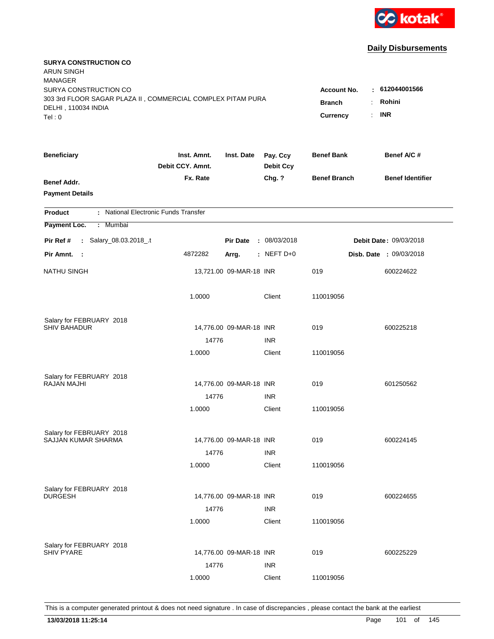

| <b>SURYA CONSTRUCTION CO</b><br><b>ARUN SINGH</b><br><b>MANAGER</b>                |                                 |                         |                              |                     |                         |
|------------------------------------------------------------------------------------|---------------------------------|-------------------------|------------------------------|---------------------|-------------------------|
| SURYA CONSTRUCTION CO                                                              |                                 |                         |                              | <b>Account No.</b>  | : 612044001566          |
| 303 3rd FLOOR SAGAR PLAZA II, COMMERCIAL COMPLEX PITAM PURA<br>DELHI, 110034 INDIA |                                 |                         |                              | <b>Branch</b><br>÷  | Rohini                  |
| Tel:0                                                                              |                                 |                         |                              | ÷.<br>Currency      | <b>INR</b>              |
|                                                                                    |                                 |                         |                              |                     |                         |
| <b>Beneficiary</b>                                                                 | Inst. Amnt.<br>Debit CCY. Amnt. | Inst. Date              | Pay. Ccy<br><b>Debit Ccy</b> | <b>Benef Bank</b>   | Benef A/C #             |
| <b>Benef Addr.</b>                                                                 | Fx. Rate                        |                         | Chg. ?                       | <b>Benef Branch</b> | <b>Benef Identifier</b> |
| <b>Payment Details</b>                                                             |                                 |                         |                              |                     |                         |
| : National Electronic Funds Transfer<br><b>Product</b>                             |                                 |                         |                              |                     |                         |
| : Mumbai<br>Payment Loc.                                                           |                                 |                         |                              |                     |                         |
| : Salary_08.03.2018_.t<br>Pir Ref #                                                |                                 | <b>Pir Date</b>         | : 08/03/2018                 |                     | Debit Date: 09/03/2018  |
| Pir Amnt. :                                                                        | 4872282                         | Arrg.                   | : NEFT $D+0$                 |                     | Disb. Date : 09/03/2018 |
| <b>NATHU SINGH</b>                                                                 |                                 | 13,721.00 09-MAR-18 INR |                              | 019                 | 600224622               |
|                                                                                    | 1.0000                          |                         | Client                       | 110019056           |                         |
| Salary for FEBRUARY 2018                                                           |                                 |                         |                              |                     |                         |
| <b>SHIV BAHADUR</b>                                                                |                                 | 14,776.00 09-MAR-18 INR |                              | 019                 | 600225218               |
|                                                                                    | 14776                           |                         | <b>INR</b>                   |                     |                         |
|                                                                                    | 1.0000                          |                         | Client                       | 110019056           |                         |
| Salary for FEBRUARY 2018                                                           |                                 |                         |                              |                     |                         |
| <b>RAJAN MAJHI</b>                                                                 |                                 | 14,776.00 09-MAR-18 INR |                              | 019                 | 601250562               |
|                                                                                    | 14776                           |                         | <b>INR</b>                   |                     |                         |
|                                                                                    | 1.0000                          |                         | Client                       | 110019056           |                         |
| Salary for FEBRUARY 2018                                                           |                                 |                         |                              |                     |                         |
| SAJJAN KUMAR SHARMA                                                                |                                 | 14,776.00 09-MAR-18 INR |                              | 019                 | 600224145               |
|                                                                                    | 14776                           |                         | <b>INR</b>                   |                     |                         |
|                                                                                    | 1.0000                          |                         | Client                       | 110019056           |                         |
| Salary for FEBRUARY 2018                                                           |                                 |                         |                              |                     |                         |
| <b>DURGESH</b>                                                                     |                                 | 14,776.00 09-MAR-18 INR |                              | 019                 | 600224655               |
|                                                                                    | 14776                           |                         | <b>INR</b>                   |                     |                         |
|                                                                                    | 1.0000                          |                         | Client                       | 110019056           |                         |
| Salary for FEBRUARY 2018                                                           |                                 |                         |                              |                     |                         |
| <b>SHIV PYARE</b>                                                                  |                                 | 14,776.00 09-MAR-18 INR |                              | 019                 | 600225229               |
|                                                                                    | 14776                           |                         | <b>INR</b>                   |                     |                         |
|                                                                                    | 1.0000                          |                         | Client                       | 110019056           |                         |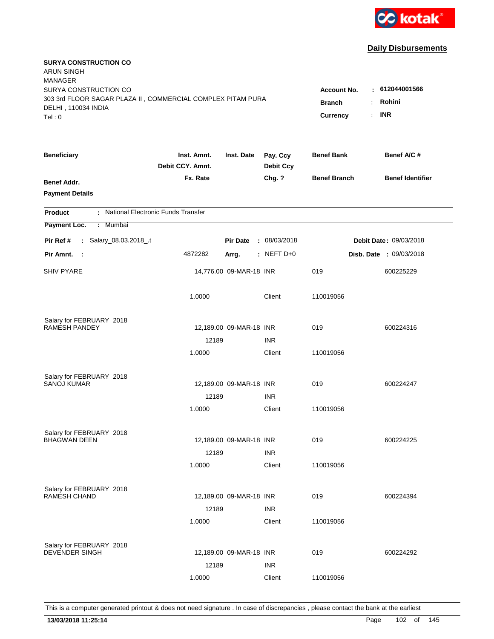

| <b>SURYA CONSTRUCTION CO</b><br>ARUN SINGH<br><b>MANAGER</b><br>SURYA CONSTRUCTION CO<br>303 3rd FLOOR SAGAR PLAZA II, COMMERCIAL COMPLEX PITAM PURA<br>DELHI, 110034 INDIA<br>Tel: 0 | <b>Account No.</b><br><b>Branch</b><br>Currency | : 612044001566<br>Rohini<br>÷.<br>$:$ INR |                              |                     |                                |
|---------------------------------------------------------------------------------------------------------------------------------------------------------------------------------------|-------------------------------------------------|-------------------------------------------|------------------------------|---------------------|--------------------------------|
| <b>Beneficiary</b>                                                                                                                                                                    | Inst. Amnt.<br>Debit CCY. Amnt.                 | Inst. Date                                | Pay. Ccy<br><b>Debit Ccy</b> | <b>Benef Bank</b>   | Benef A/C #                    |
| Benef Addr.<br><b>Payment Details</b>                                                                                                                                                 | Fx. Rate                                        |                                           | Chg. ?                       | <b>Benef Branch</b> | <b>Benef Identifier</b>        |
| : National Electronic Funds Transfer<br><b>Product</b>                                                                                                                                |                                                 |                                           |                              |                     |                                |
| Payment Loc.<br>: Mumbai                                                                                                                                                              |                                                 |                                           |                              |                     |                                |
| : Salary_08.03.2018_.t<br>Pir Ref #                                                                                                                                                   |                                                 | <b>Pir Date</b>                           | : 08/03/2018                 |                     | Debit Date: 09/03/2018         |
| Pir Amnt.<br>$\sim$ 1                                                                                                                                                                 | 4872282                                         | Arrg.                                     | : NEFT $D+0$                 |                     | <b>Disb. Date : 09/03/2018</b> |
| <b>SHIV PYARE</b>                                                                                                                                                                     |                                                 | 14,776.00 09-MAR-18 INR                   |                              | 019                 | 600225229                      |
|                                                                                                                                                                                       | 1.0000                                          |                                           | Client                       | 110019056           |                                |
| Salary for FEBRUARY 2018                                                                                                                                                              |                                                 |                                           |                              |                     |                                |
| <b>RAMESH PANDEY</b>                                                                                                                                                                  |                                                 | 12,189.00 09-MAR-18 INR                   |                              | 019                 | 600224316                      |
|                                                                                                                                                                                       | 12189<br>1.0000                                 |                                           | <b>INR</b><br>Client         | 110019056           |                                |
|                                                                                                                                                                                       |                                                 |                                           |                              |                     |                                |
| Salary for FEBRUARY 2018                                                                                                                                                              |                                                 |                                           |                              |                     |                                |
| SANOJ KUMAR                                                                                                                                                                           |                                                 | 12,189.00 09-MAR-18 INR                   |                              | 019                 | 600224247                      |
|                                                                                                                                                                                       | 12189                                           |                                           | <b>INR</b>                   |                     |                                |
|                                                                                                                                                                                       | 1.0000                                          |                                           | Client                       | 110019056           |                                |
| Salary for FEBRUARY 2018                                                                                                                                                              |                                                 |                                           |                              |                     |                                |
| <b>BHAGWAN DEEN</b>                                                                                                                                                                   |                                                 | 12,189.00 09-MAR-18 INR                   |                              | 019                 | 600224225                      |
|                                                                                                                                                                                       | 12189                                           |                                           | <b>INR</b>                   |                     |                                |
|                                                                                                                                                                                       | 1.0000                                          |                                           | Client                       | 110019056           |                                |
| Salary for FEBRUARY 2018                                                                                                                                                              |                                                 |                                           |                              |                     |                                |
| <b>RAMESH CHAND</b>                                                                                                                                                                   |                                                 | 12,189.00 09-MAR-18 INR                   |                              | 019                 | 600224394                      |
|                                                                                                                                                                                       | 12189                                           |                                           | <b>INR</b>                   |                     |                                |
|                                                                                                                                                                                       | 1.0000                                          |                                           | Client                       | 110019056           |                                |
|                                                                                                                                                                                       |                                                 |                                           |                              |                     |                                |
| Salary for FEBRUARY 2018<br><b>DEVENDER SINGH</b>                                                                                                                                     |                                                 | 12,189.00 09-MAR-18 INR                   |                              | 019                 | 600224292                      |
|                                                                                                                                                                                       | 12189                                           |                                           | <b>INR</b>                   |                     |                                |
|                                                                                                                                                                                       | 1.0000                                          |                                           | Client                       | 110019056           |                                |
|                                                                                                                                                                                       |                                                 |                                           |                              |                     |                                |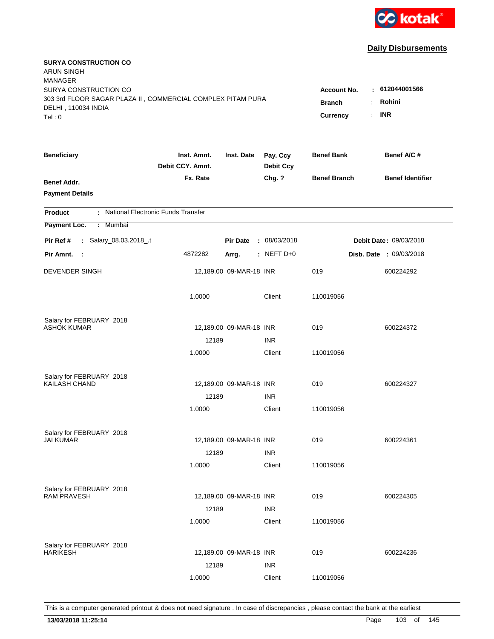

| <b>SURYA CONSTRUCTION CO</b><br><b>ARUN SINGH</b><br><b>MANAGER</b>                  |                                 |                         |                              |                                     |                                |
|--------------------------------------------------------------------------------------|---------------------------------|-------------------------|------------------------------|-------------------------------------|--------------------------------|
| SURYA CONSTRUCTION CO<br>303 3rd FLOOR SAGAR PLAZA II, COMMERCIAL COMPLEX PITAM PURA |                                 |                         |                              | <b>Account No.</b><br><b>Branch</b> | : 612044001566<br>Rohini<br>÷. |
| DELHI, 110034 INDIA<br>Tel: 0                                                        |                                 |                         |                              | Currency                            | <b>INR</b><br>÷.               |
| <b>Beneficiary</b>                                                                   | Inst. Amnt.<br>Debit CCY. Amnt. | Inst. Date              | Pay. Ccy<br><b>Debit Ccy</b> | <b>Benef Bank</b>                   | Benef A/C #                    |
| Benef Addr.<br><b>Payment Details</b>                                                | Fx. Rate                        |                         | Chg. ?                       | <b>Benef Branch</b>                 | <b>Benef Identifier</b>        |
| : National Electronic Funds Transfer<br><b>Product</b>                               |                                 |                         |                              |                                     |                                |
| Payment Loc.<br>: Mumbai                                                             |                                 |                         |                              |                                     |                                |
| : Salary_08.03.2018_.t<br>Pir Ref #                                                  |                                 | <b>Pir Date</b>         | : 08/03/2018                 |                                     | Debit Date: 09/03/2018         |
| Pir Amnt. :                                                                          | 4872282                         | Arrg.                   | $:$ NEFT D+0                 |                                     | <b>Disb. Date : 09/03/2018</b> |
| DEVENDER SINGH                                                                       |                                 | 12,189.00 09-MAR-18 INR |                              | 019                                 | 600224292                      |
|                                                                                      | 1.0000                          |                         | Client                       | 110019056                           |                                |
| Salary for FEBRUARY 2018                                                             |                                 |                         |                              |                                     |                                |
| <b>ASHOK KUMAR</b>                                                                   |                                 | 12,189.00 09-MAR-18 INR |                              | 019                                 | 600224372                      |
|                                                                                      | 12189                           |                         | <b>INR</b>                   |                                     |                                |
|                                                                                      | 1.0000                          |                         | Client                       | 110019056                           |                                |
| Salary for FEBRUARY 2018                                                             |                                 |                         |                              |                                     |                                |
| KAILASH CHAND                                                                        |                                 | 12,189.00 09-MAR-18 INR |                              | 019                                 | 600224327                      |
|                                                                                      | 12189                           |                         | <b>INR</b>                   |                                     |                                |
|                                                                                      | 1.0000                          |                         | Client                       | 110019056                           |                                |
| Salary for FEBRUARY 2018                                                             |                                 |                         |                              |                                     |                                |
| <b>JAI KUMAR</b>                                                                     |                                 | 12,189.00 09-MAR-18 INR |                              | 019                                 | 600224361                      |
|                                                                                      | 12189                           |                         | <b>INR</b>                   |                                     |                                |
|                                                                                      | 1.0000                          |                         | Client                       | 110019056                           |                                |
| Salary for FEBRUARY 2018                                                             |                                 |                         |                              |                                     |                                |
| <b>RAM PRAVESH</b>                                                                   |                                 | 12,189.00 09-MAR-18 INR |                              | 019                                 | 600224305                      |
|                                                                                      | 12189                           |                         | <b>INR</b>                   |                                     |                                |
|                                                                                      | 1.0000                          |                         | Client                       | 110019056                           |                                |
| Salary for FEBRUARY 2018                                                             |                                 |                         |                              |                                     |                                |
| <b>HARIKESH</b>                                                                      |                                 | 12,189.00 09-MAR-18 INR |                              | 019                                 | 600224236                      |
|                                                                                      | 12189                           |                         | <b>INR</b>                   |                                     |                                |
|                                                                                      | 1.0000                          |                         | Client                       | 110019056                           |                                |
|                                                                                      |                                 |                         |                              |                                     |                                |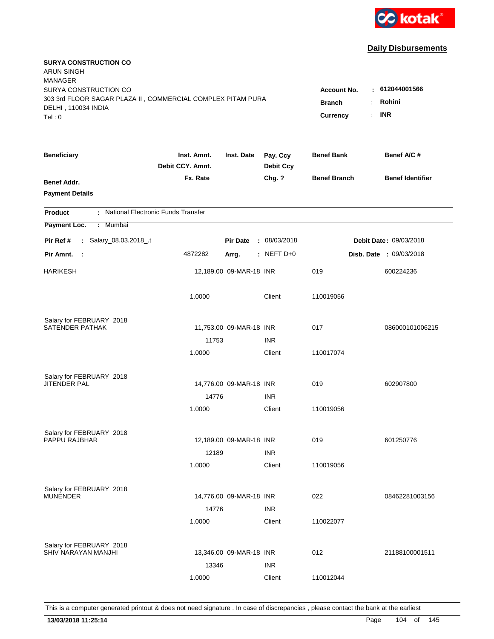

| <b>SURYA CONSTRUCTION CO</b><br><b>ARUN SINGH</b><br><b>MANAGER</b><br>SURYA CONSTRUCTION CO<br>303 3rd FLOOR SAGAR PLAZA II, COMMERCIAL COMPLEX PITAM PURA |                                 |                         |                              | <b>Account No.</b>        | : 612044001566<br>Rohini         |
|-------------------------------------------------------------------------------------------------------------------------------------------------------------|---------------------------------|-------------------------|------------------------------|---------------------------|----------------------------------|
| DELHI, 110034 INDIA<br>Tel: 0                                                                                                                               |                                 |                         |                              | <b>Branch</b><br>Currency | ÷.<br><b>INR</b><br>$\mathbf{r}$ |
| <b>Beneficiary</b>                                                                                                                                          | Inst. Amnt.<br>Debit CCY. Amnt. | Inst. Date              | Pay. Ccy<br><b>Debit Ccy</b> | <b>Benef Bank</b>         | Benef A/C #                      |
| Benef Addr.<br><b>Payment Details</b>                                                                                                                       | Fx. Rate                        |                         | Chg. ?                       | <b>Benef Branch</b>       | <b>Benef Identifier</b>          |
| : National Electronic Funds Transfer<br><b>Product</b>                                                                                                      |                                 |                         |                              |                           |                                  |
| Payment Loc.<br>Mumbai<br>÷.                                                                                                                                |                                 |                         |                              |                           |                                  |
| : Salary_08.03.2018_.t<br>Pir Ref #                                                                                                                         |                                 | <b>Pir Date</b>         | : 08/03/2018                 |                           | Debit Date: 09/03/2018           |
| Pir Amnt. :                                                                                                                                                 | 4872282                         | Arrg.                   | $:$ NEFT D+0                 |                           | <b>Disb. Date : 09/03/2018</b>   |
| <b>HARIKESH</b>                                                                                                                                             |                                 | 12,189.00 09-MAR-18 INR |                              | 019                       | 600224236                        |
|                                                                                                                                                             | 1.0000                          |                         | Client                       | 110019056                 |                                  |
| Salary for FEBRUARY 2018                                                                                                                                    |                                 |                         |                              |                           |                                  |
| SATENDER PATHAK                                                                                                                                             |                                 | 11,753.00 09-MAR-18 INR |                              | 017                       | 086000101006215                  |
|                                                                                                                                                             | 11753<br>1.0000                 |                         | <b>INR</b><br>Client         | 110017074                 |                                  |
|                                                                                                                                                             |                                 |                         |                              |                           |                                  |
| Salary for FEBRUARY 2018                                                                                                                                    |                                 |                         |                              |                           |                                  |
| <b>JITENDER PAL</b>                                                                                                                                         |                                 | 14,776.00 09-MAR-18 INR |                              | 019                       | 602907800                        |
|                                                                                                                                                             | 14776                           |                         | <b>INR</b>                   |                           |                                  |
|                                                                                                                                                             | 1.0000                          |                         | Client                       | 110019056                 |                                  |
| Salary for FEBRUARY 2018                                                                                                                                    |                                 |                         |                              |                           |                                  |
| PAPPU RAJBHAR                                                                                                                                               |                                 | 12,189.00 09-MAR-18 INR |                              | 019                       | 601250776                        |
|                                                                                                                                                             | 12189                           |                         | <b>INR</b>                   |                           |                                  |
|                                                                                                                                                             | 1.0000                          |                         | Client                       | 110019056                 |                                  |
| Salary for FEBRUARY 2018                                                                                                                                    |                                 |                         |                              |                           |                                  |
| <b>MUNENDER</b>                                                                                                                                             |                                 | 14,776.00 09-MAR-18 INR |                              | 022                       | 08462281003156                   |
|                                                                                                                                                             | 14776                           |                         | <b>INR</b>                   |                           |                                  |
|                                                                                                                                                             | 1.0000                          |                         | Client                       | 110022077                 |                                  |
| Salary for FEBRUARY 2018                                                                                                                                    |                                 |                         |                              |                           |                                  |
| SHIV NARAYAN MANJHI                                                                                                                                         |                                 | 13,346.00 09-MAR-18 INR |                              | 012                       | 21188100001511                   |
|                                                                                                                                                             | 13346                           |                         | <b>INR</b>                   |                           |                                  |
|                                                                                                                                                             | 1.0000                          |                         | Client                       | 110012044                 |                                  |
|                                                                                                                                                             |                                 |                         |                              |                           |                                  |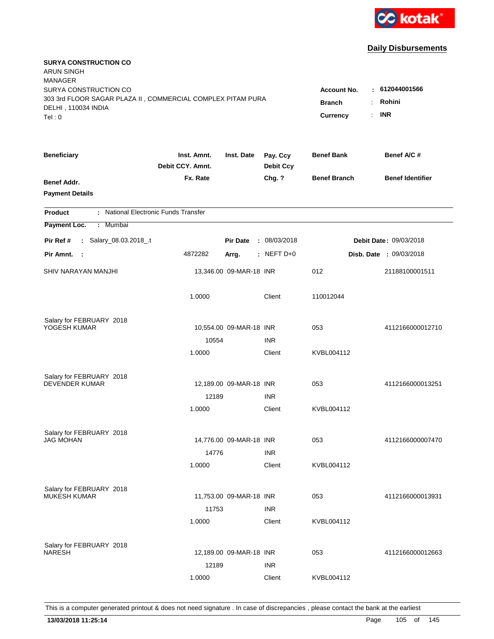

| <b>SURYA CONSTRUCTION CO</b><br><b>ARUN SINGH</b><br><b>MANAGER</b>                                                  |                                          |                                                    |                              |                     |                         |
|----------------------------------------------------------------------------------------------------------------------|------------------------------------------|----------------------------------------------------|------------------------------|---------------------|-------------------------|
| SURYA CONSTRUCTION CO<br>303 3rd FLOOR SAGAR PLAZA II, COMMERCIAL COMPLEX PITAM PURA<br>DELHI, 110034 INDIA<br>Tel:0 | Account No.<br><b>Branch</b><br>Currency | : 612044001566<br>Rohini<br>÷.<br><b>INR</b><br>÷. |                              |                     |                         |
| <b>Beneficiary</b>                                                                                                   | Inst. Amnt.<br>Debit CCY. Amnt.          | Inst. Date                                         | Pay. Ccy<br><b>Debit Ccy</b> | <b>Benef Bank</b>   | Benef A/C#              |
| Benef Addr.<br><b>Payment Details</b>                                                                                | Fx. Rate                                 |                                                    | Chg. ?                       | <b>Benef Branch</b> | <b>Benef Identifier</b> |
| : National Electronic Funds Transfer<br><b>Product</b>                                                               |                                          |                                                    |                              |                     |                         |
| Payment Loc.<br>: Mumbai                                                                                             |                                          |                                                    |                              |                     |                         |
| : Salary_08.03.2018_.t<br>Pir Ref #                                                                                  |                                          | <b>Pir Date</b>                                    | : 08/03/2018                 |                     | Debit Date: 09/03/2018  |
| Pir Amnt. :                                                                                                          | 4872282                                  | Arrg.                                              | $:$ NEFT D+0                 |                     | Disb. Date : 09/03/2018 |
| SHIV NARAYAN MANJHI                                                                                                  |                                          | 13,346.00 09-MAR-18 INR                            |                              | 012                 | 21188100001511          |
|                                                                                                                      | 1.0000                                   |                                                    | Client                       | 110012044           |                         |
| Salary for FEBRUARY 2018                                                                                             |                                          |                                                    |                              |                     |                         |
| YOGESH KUMAR                                                                                                         |                                          | 10,554.00 09-MAR-18 INR                            |                              | 053                 | 4112166000012710        |
|                                                                                                                      | 10554                                    |                                                    | <b>INR</b>                   |                     |                         |
|                                                                                                                      | 1.0000                                   |                                                    | Client                       | KVBL004112          |                         |
| Salary for FEBRUARY 2018                                                                                             |                                          |                                                    |                              |                     |                         |
| <b>DEVENDER KUMAR</b>                                                                                                |                                          | 12,189.00 09-MAR-18 INR                            |                              | 053                 | 4112166000013251        |
|                                                                                                                      | 12189                                    |                                                    | <b>INR</b>                   |                     |                         |
|                                                                                                                      | 1.0000                                   |                                                    | Client                       | KVBL004112          |                         |
| Salary for FEBRUARY 2018                                                                                             |                                          |                                                    |                              |                     |                         |
| <b>JAG MOHAN</b>                                                                                                     |                                          | 14,776.00 09-MAR-18 INR                            |                              | 053                 | 4112166000007470        |
|                                                                                                                      | 14776                                    |                                                    | <b>INR</b>                   |                     |                         |
|                                                                                                                      | 1.0000                                   |                                                    | Client                       | KVBL004112          |                         |
| Salary for FEBRUARY 2018                                                                                             |                                          |                                                    |                              |                     |                         |
| <b>MUKESH KUMAR</b>                                                                                                  |                                          | 11,753.00 09-MAR-18 INR                            |                              | 053                 | 4112166000013931        |
|                                                                                                                      | 11753                                    |                                                    | <b>INR</b>                   |                     |                         |
|                                                                                                                      | 1.0000                                   |                                                    | Client                       | KVBL004112          |                         |
| Salary for FEBRUARY 2018                                                                                             |                                          |                                                    |                              |                     |                         |
| <b>NARESH</b>                                                                                                        |                                          | 12,189.00 09-MAR-18 INR                            |                              | 053                 | 4112166000012663        |
|                                                                                                                      | 12189                                    |                                                    | <b>INR</b>                   |                     |                         |
|                                                                                                                      | 1.0000                                   |                                                    | Client                       | KVBL004112          |                         |
|                                                                                                                      |                                          |                                                    |                              |                     |                         |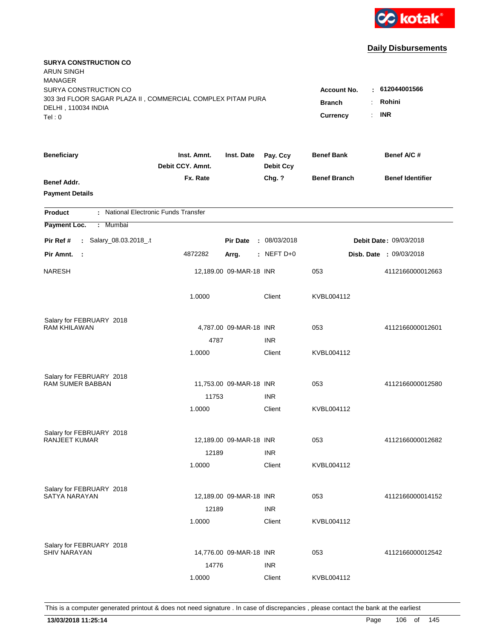

| <b>SURYA CONSTRUCTION CO</b><br><b>ARUN SINGH</b><br><b>MANAGER</b>                                         |                                 |                                     |                              |                     |                                |
|-------------------------------------------------------------------------------------------------------------|---------------------------------|-------------------------------------|------------------------------|---------------------|--------------------------------|
| SURYA CONSTRUCTION CO<br>303 3rd FLOOR SAGAR PLAZA II, COMMERCIAL COMPLEX PITAM PURA<br>DELHI, 110034 INDIA |                                 | <b>Account No.</b><br><b>Branch</b> | : 612044001566<br>Rohini     |                     |                                |
| Tel: 0                                                                                                      |                                 |                                     |                              | Currency<br>÷.      | <b>INR</b>                     |
| <b>Beneficiary</b>                                                                                          | Inst. Amnt.<br>Debit CCY. Amnt. | Inst. Date                          | Pay. Ccy<br><b>Debit Ccy</b> | <b>Benef Bank</b>   | Benef A/C #                    |
| Benef Addr.<br><b>Payment Details</b>                                                                       | Fx. Rate                        |                                     | Chg. ?                       | <b>Benef Branch</b> | <b>Benef Identifier</b>        |
| : National Electronic Funds Transfer<br><b>Product</b>                                                      |                                 |                                     |                              |                     |                                |
| Payment Loc.<br><b>Mumbai</b><br>÷.                                                                         |                                 |                                     |                              |                     |                                |
| : Salary_08.03.2018_.t<br>Pir Ref #                                                                         |                                 | <b>Pir Date</b>                     | : 08/03/2018                 |                     | Debit Date: 09/03/2018         |
| Pir Amnt.<br>- 1                                                                                            | 4872282                         | Arrg.                               | : NEFT D+0                   |                     | <b>Disb. Date : 09/03/2018</b> |
| <b>NARESH</b>                                                                                               |                                 | 12,189.00 09-MAR-18 INR             |                              | 053                 | 4112166000012663               |
|                                                                                                             | 1.0000                          |                                     | Client                       | KVBL004112          |                                |
| Salary for FEBRUARY 2018                                                                                    |                                 |                                     |                              |                     |                                |
| <b>RAM KHILAWAN</b>                                                                                         |                                 | 4,787.00 09-MAR-18 INR              |                              | 053                 | 4112166000012601               |
|                                                                                                             | 4787<br>1.0000                  |                                     | <b>INR</b><br>Client         | KVBL004112          |                                |
|                                                                                                             |                                 |                                     |                              |                     |                                |
| Salary for FEBRUARY 2018                                                                                    |                                 |                                     |                              |                     |                                |
| <b>RAM SUMER BABBAN</b>                                                                                     |                                 | 11,753.00 09-MAR-18 INR             |                              | 053                 | 4112166000012580               |
|                                                                                                             | 11753                           |                                     | <b>INR</b>                   |                     |                                |
|                                                                                                             | 1.0000                          |                                     | Client                       | KVBL004112          |                                |
| Salary for FEBRUARY 2018                                                                                    |                                 |                                     |                              |                     |                                |
| <b>RANJEET KUMAR</b>                                                                                        |                                 | 12,189.00 09-MAR-18 INR             |                              | 053                 | 4112166000012682               |
|                                                                                                             | 12189                           |                                     | <b>INR</b>                   |                     |                                |
|                                                                                                             | 1.0000                          |                                     | Client                       | KVBL004112          |                                |
| Salary for FEBRUARY 2018                                                                                    |                                 |                                     |                              |                     |                                |
| SATYA NARAYAN                                                                                               |                                 | 12,189.00 09-MAR-18 INR             |                              | 053                 | 4112166000014152               |
|                                                                                                             | 12189                           |                                     | <b>INR</b>                   |                     |                                |
|                                                                                                             | 1.0000                          |                                     | Client                       | KVBL004112          |                                |
|                                                                                                             |                                 |                                     |                              |                     |                                |
| Salary for FEBRUARY 2018<br><b>SHIV NARAYAN</b>                                                             |                                 | 14,776.00 09-MAR-18 INR             |                              | 053                 | 4112166000012542               |
|                                                                                                             | 14776                           |                                     | <b>INR</b>                   |                     |                                |
|                                                                                                             | 1.0000                          |                                     | Client                       | KVBL004112          |                                |
|                                                                                                             |                                 |                                     |                              |                     |                                |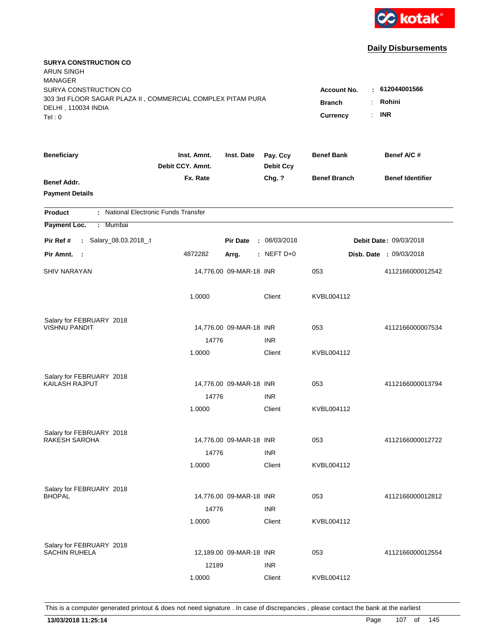

| <b>SURYA CONSTRUCTION CO</b><br><b>ARUN SINGH</b><br><b>MANAGER</b> |                                 |                         |                              |                                              |                                |
|---------------------------------------------------------------------|---------------------------------|-------------------------|------------------------------|----------------------------------------------|--------------------------------|
| SURYA CONSTRUCTION CO                                               |                                 |                         |                              | <b>Account No.</b>                           | : 612044001566                 |
| 303 3rd FLOOR SAGAR PLAZA II, COMMERCIAL COMPLEX PITAM PURA         |                                 |                         |                              | <b>Branch</b><br>÷.                          | Rohini                         |
| DELHI, 110034 INDIA<br>Tel: 0                                       |                                 |                         |                              | $\mathbb{R}^{\mathbb{Z}}$<br><b>Currency</b> | <b>INR</b>                     |
|                                                                     |                                 |                         |                              |                                              |                                |
| <b>Beneficiary</b>                                                  | Inst. Amnt.<br>Debit CCY, Amnt. | Inst. Date              | Pay. Ccy<br><b>Debit Ccy</b> | <b>Benef Bank</b>                            | Benef A/C #                    |
| Benef Addr.                                                         | Fx. Rate                        |                         | Chg. ?                       | <b>Benef Branch</b>                          | <b>Benef Identifier</b>        |
| <b>Payment Details</b>                                              |                                 |                         |                              |                                              |                                |
| : National Electronic Funds Transfer<br><b>Product</b>              |                                 |                         |                              |                                              |                                |
| Payment Loc.<br>Mumbai<br>÷.                                        |                                 |                         |                              |                                              |                                |
| : Salary_08.03.2018_.t<br>Pir Ref #                                 |                                 | <b>Pir Date</b>         | : 08/03/2018                 |                                              | Debit Date: 09/03/2018         |
| Pir Amnt. :                                                         | 4872282                         | Arrg.                   | $:$ NEFT D+0                 |                                              | <b>Disb. Date : 09/03/2018</b> |
| <b>SHIV NARAYAN</b>                                                 |                                 | 14,776.00 09-MAR-18 INR |                              | 053                                          | 4112166000012542               |
|                                                                     | 1.0000                          |                         | Client                       | KVBL004112                                   |                                |
| Salary for FEBRUARY 2018                                            |                                 |                         |                              |                                              |                                |
| <b>VISHNU PANDIT</b>                                                |                                 | 14,776.00 09-MAR-18 INR |                              | 053                                          | 4112166000007534               |
|                                                                     | 14776                           |                         | <b>INR</b>                   |                                              |                                |
|                                                                     | 1.0000                          |                         | Client                       | KVBL004112                                   |                                |
| Salary for FEBRUARY 2018                                            |                                 |                         |                              |                                              |                                |
| <b>KAILASH RAJPUT</b>                                               |                                 | 14,776.00 09-MAR-18 INR |                              | 053                                          | 4112166000013794               |
|                                                                     | 14776                           |                         | <b>INR</b>                   |                                              |                                |
|                                                                     | 1.0000                          |                         | Client                       | KVBL004112                                   |                                |
| Salary for FEBRUARY 2018                                            |                                 |                         |                              |                                              |                                |
| <b>RAKESH SAROHA</b>                                                |                                 | 14,776.00 09-MAR-18 INR |                              | 053                                          | 4112166000012722               |
|                                                                     | 14776                           |                         | <b>INR</b>                   |                                              |                                |
|                                                                     | 1.0000                          |                         | Client                       | KVBL004112                                   |                                |
| Salary for FEBRUARY 2018                                            |                                 |                         |                              |                                              |                                |
| <b>BHOPAL</b>                                                       |                                 | 14,776.00 09-MAR-18 INR |                              | 053                                          | 4112166000012812               |
|                                                                     | 14776                           |                         | <b>INR</b>                   |                                              |                                |
|                                                                     | 1.0000                          |                         | Client                       | KVBL004112                                   |                                |
| Salary for FEBRUARY 2018                                            |                                 |                         |                              |                                              |                                |
| <b>SACHIN RUHELA</b>                                                |                                 | 12,189.00 09-MAR-18 INR |                              | 053                                          | 4112166000012554               |
|                                                                     | 12189                           |                         | <b>INR</b>                   |                                              |                                |
|                                                                     | 1.0000                          |                         | Client                       | KVBL004112                                   |                                |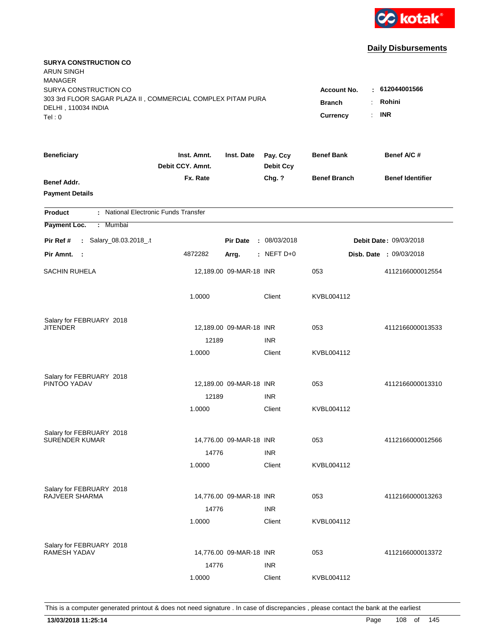

| <b>SURYA CONSTRUCTION CO</b><br><b>ARUN SINGH</b><br><b>MANAGER</b><br>SURYA CONSTRUCTION CO |                                 |                                 |                              | <b>Account No.</b>  | $-612044001566$         |
|----------------------------------------------------------------------------------------------|---------------------------------|---------------------------------|------------------------------|---------------------|-------------------------|
| 303 3rd FLOOR SAGAR PLAZA II, COMMERCIAL COMPLEX PITAM PURA<br>DELHI, 110034 INDIA<br>Tel: 0 | <b>Branch</b><br>Currency       | Rohini<br>÷<br><b>INR</b><br>÷. |                              |                     |                         |
| <b>Beneficiary</b>                                                                           | Inst. Amnt.<br>Debit CCY. Amnt. | Inst. Date                      | Pay. Ccy<br><b>Debit Ccy</b> | <b>Benef Bank</b>   | Benef A/C#              |
| Benef Addr.<br><b>Payment Details</b>                                                        | Fx. Rate                        |                                 | Chg. ?                       | <b>Benef Branch</b> | <b>Benef Identifier</b> |
| : National Electronic Funds Transfer<br><b>Product</b>                                       |                                 |                                 |                              |                     |                         |
| Payment Loc.<br>: Mumbai                                                                     |                                 |                                 |                              |                     |                         |
| : Salary_08.03.2018_.t<br>Pir Ref #                                                          |                                 | <b>Pir Date</b>                 | : 08/03/2018                 |                     | Debit Date: 09/03/2018  |
| Pir Amnt. :                                                                                  | 4872282                         | Arrg.                           | $:$ NEFT D+0                 |                     | Disb. Date : 09/03/2018 |
| <b>SACHIN RUHELA</b>                                                                         |                                 | 12,189.00 09-MAR-18 INR         |                              | 053                 | 4112166000012554        |
|                                                                                              | 1.0000                          |                                 | Client                       | KVBL004112          |                         |
| Salary for FEBRUARY 2018                                                                     |                                 |                                 |                              |                     |                         |
| <b>JITENDER</b>                                                                              | 12189                           | 12,189.00 09-MAR-18 INR         | <b>INR</b>                   | 053                 | 4112166000013533        |
|                                                                                              | 1.0000                          |                                 | Client                       | KVBL004112          |                         |
| Salary for FEBRUARY 2018<br>PINTOO YADAV                                                     |                                 | 12,189.00 09-MAR-18 INR         |                              | 053                 | 4112166000013310        |
|                                                                                              | 12189<br>1.0000                 |                                 | <b>INR</b><br>Client         | KVBL004112          |                         |
| Salary for FEBRUARY 2018<br><b>SURENDER KUMAR</b>                                            | 14776                           | 14,776.00 09-MAR-18 INR         | <b>INR</b>                   | 053                 | 4112166000012566        |
|                                                                                              | 1.0000                          |                                 | Client                       | KVBL004112          |                         |
| Salary for FEBRUARY 2018<br>RAJVEER SHARMA                                                   | 14776                           | 14,776.00 09-MAR-18 INR         | <b>INR</b>                   | 053                 | 4112166000013263        |
| Salary for FEBRUARY 2018                                                                     | 1.0000                          |                                 | Client                       | KVBL004112          |                         |
| <b>RAMESH YADAV</b>                                                                          | 14776<br>1.0000                 | 14,776.00 09-MAR-18 INR         | <b>INR</b><br>Client         | 053<br>KVBL004112   | 4112166000013372        |
|                                                                                              |                                 |                                 |                              |                     |                         |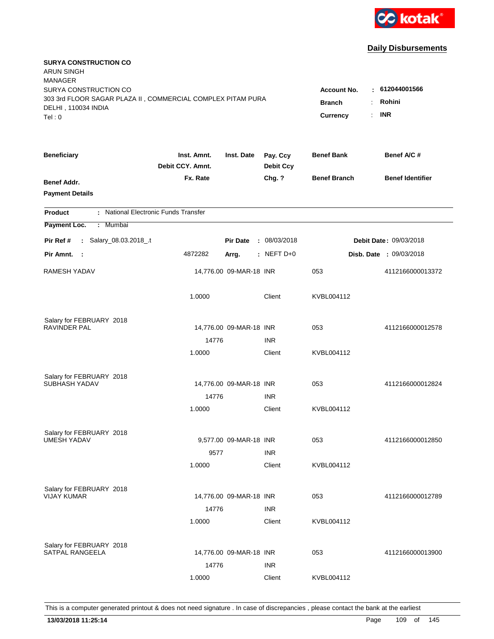

| <b>SURYA CONSTRUCTION CO</b><br><b>ARUN SINGH</b><br><b>MANAGER</b>                                                   |                                                            |                                        |                              |                     |                         |
|-----------------------------------------------------------------------------------------------------------------------|------------------------------------------------------------|----------------------------------------|------------------------------|---------------------|-------------------------|
| SURYA CONSTRUCTION CO<br>303 3rd FLOOR SAGAR PLAZA II, COMMERCIAL COMPLEX PITAM PURA<br>DELHI, 110034 INDIA<br>Tel: 0 | <b>Account No.</b><br><b>Branch</b><br>÷<br>Currency<br>÷. | : 612044001566<br>Rohini<br><b>INR</b> |                              |                     |                         |
| <b>Beneficiary</b>                                                                                                    | Inst. Amnt.<br>Debit CCY. Amnt.                            | Inst. Date                             | Pay. Ccy<br><b>Debit Ccy</b> | <b>Benef Bank</b>   | Benef A/C#              |
| Benef Addr.<br><b>Payment Details</b>                                                                                 | Fx. Rate                                                   |                                        | Chg. ?                       | <b>Benef Branch</b> | <b>Benef Identifier</b> |
| : National Electronic Funds Transfer<br><b>Product</b>                                                                |                                                            |                                        |                              |                     |                         |
| Payment Loc.<br>: Mumbai                                                                                              |                                                            |                                        |                              |                     |                         |
| : Salary_08.03.2018_.t<br>Pir Ref #                                                                                   |                                                            | <b>Pir Date</b>                        | : 08/03/2018                 |                     | Debit Date: 09/03/2018  |
| Pir Amnt. :                                                                                                           | 4872282                                                    | Arrg.                                  | $:$ NEFT D+0                 |                     | Disb. Date : 09/03/2018 |
| RAMESH YADAV                                                                                                          |                                                            | 14,776.00 09-MAR-18 INR                |                              | 053                 | 4112166000013372        |
|                                                                                                                       | 1.0000                                                     |                                        | Client                       | KVBL004112          |                         |
| Salary for FEBRUARY 2018                                                                                              |                                                            |                                        |                              |                     |                         |
| <b>RAVINDER PAL</b>                                                                                                   |                                                            | 14,776.00 09-MAR-18 INR                |                              | 053                 | 4112166000012578        |
|                                                                                                                       | 14776<br>1.0000                                            |                                        | <b>INR</b><br>Client         | KVBL004112          |                         |
|                                                                                                                       |                                                            |                                        |                              |                     |                         |
| Salary for FEBRUARY 2018                                                                                              |                                                            |                                        |                              |                     |                         |
| SUBHASH YADAV                                                                                                         |                                                            | 14,776.00 09-MAR-18 INR                |                              | 053                 | 4112166000012824        |
|                                                                                                                       | 14776<br>1.0000                                            |                                        | <b>INR</b>                   |                     |                         |
|                                                                                                                       |                                                            |                                        | Client                       | KVBL004112          |                         |
| Salary for FEBRUARY 2018                                                                                              |                                                            |                                        |                              |                     |                         |
| <b>UMESH YADAV</b>                                                                                                    |                                                            | 9,577.00 09-MAR-18 INR                 |                              | 053                 | 4112166000012850        |
|                                                                                                                       | 9577                                                       |                                        | <b>INR</b>                   |                     |                         |
|                                                                                                                       | 1.0000                                                     |                                        | Client                       | KVBL004112          |                         |
| Salary for FEBRUARY 2018                                                                                              |                                                            |                                        |                              |                     |                         |
| <b>VIJAY KUMAR</b>                                                                                                    |                                                            | 14,776.00 09-MAR-18 INR                |                              | 053                 | 4112166000012789        |
|                                                                                                                       | 14776                                                      |                                        | <b>INR</b>                   |                     |                         |
|                                                                                                                       | 1.0000                                                     |                                        | Client                       | KVBL004112          |                         |
|                                                                                                                       |                                                            |                                        |                              |                     |                         |
| Salary for FEBRUARY 2018<br><b>SATPAL RANGEELA</b>                                                                    |                                                            | 14,776.00 09-MAR-18 INR                |                              | 053                 | 4112166000013900        |
|                                                                                                                       | 14776                                                      |                                        | <b>INR</b>                   |                     |                         |
|                                                                                                                       | 1.0000                                                     |                                        | Client                       | KVBL004112          |                         |
|                                                                                                                       |                                                            |                                        |                              |                     |                         |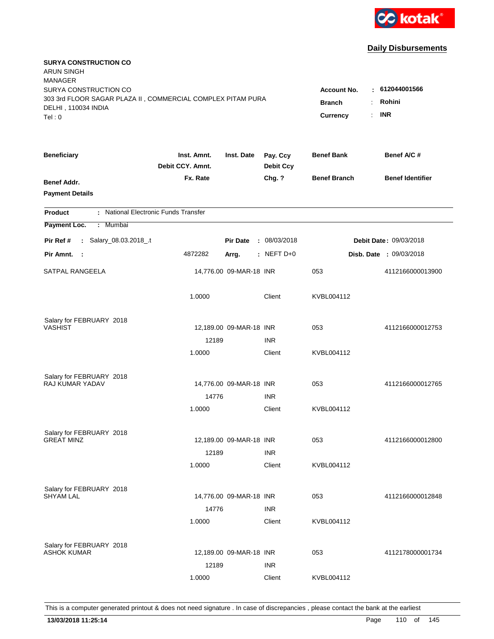

| <b>SURYA CONSTRUCTION CO</b><br><b>ARUN SINGH</b><br><b>MANAGER</b><br>SURYA CONSTRUCTION CO |                                                                                             |                         |                              | <b>Account No.</b>  | : 612044001566                 |
|----------------------------------------------------------------------------------------------|---------------------------------------------------------------------------------------------|-------------------------|------------------------------|---------------------|--------------------------------|
| 303 3rd FLOOR SAGAR PLAZA II, COMMERCIAL COMPLEX PITAM PURA<br>DELHI, 110034 INDIA<br>Tel: 0 | Rohini<br><b>Branch</b><br>÷.<br><b>INR</b><br><b>Currency</b><br>$\mathbb{R}^{\mathbb{Z}}$ |                         |                              |                     |                                |
| <b>Beneficiary</b>                                                                           | Inst. Amnt.<br>Debit CCY, Amnt.                                                             | Inst. Date              | Pay. Ccy<br><b>Debit Ccy</b> | <b>Benef Bank</b>   | Benef A/C #                    |
| Benef Addr.<br><b>Payment Details</b>                                                        | Fx. Rate                                                                                    |                         | Chg. ?                       | <b>Benef Branch</b> | <b>Benef Identifier</b>        |
| : National Electronic Funds Transfer<br><b>Product</b>                                       |                                                                                             |                         |                              |                     |                                |
| Payment Loc.<br>: Mumbai                                                                     |                                                                                             |                         |                              |                     |                                |
| : Salary_08.03.2018_.t<br>Pir Ref #                                                          |                                                                                             | <b>Pir Date</b>         | : 08/03/2018                 |                     | Debit Date: 09/03/2018         |
| Pir Amnt. :                                                                                  | 4872282                                                                                     | Arrg.                   | $:$ NEFT D+0                 |                     | <b>Disb. Date : 09/03/2018</b> |
| <b>SATPAL RANGEELA</b>                                                                       |                                                                                             | 14,776.00 09-MAR-18 INR |                              | 053                 | 4112166000013900               |
|                                                                                              | 1.0000                                                                                      |                         | Client                       | KVBL004112          |                                |
| Salary for FEBRUARY 2018<br><b>VASHIST</b>                                                   |                                                                                             |                         |                              |                     |                                |
|                                                                                              | 12189                                                                                       | 12,189.00 09-MAR-18 INR | <b>INR</b>                   | 053                 | 4112166000012753               |
|                                                                                              | 1.0000                                                                                      |                         | Client                       | KVBL004112          |                                |
| Salary for FEBRUARY 2018<br><b>RAJ KUMAR YADAV</b>                                           |                                                                                             | 14,776.00 09-MAR-18 INR |                              | 053                 | 4112166000012765               |
|                                                                                              | 14776                                                                                       |                         | <b>INR</b>                   |                     |                                |
|                                                                                              | 1.0000                                                                                      |                         | Client                       | KVBL004112          |                                |
| Salary for FEBRUARY 2018                                                                     |                                                                                             |                         |                              |                     |                                |
| <b>GREAT MINZ</b>                                                                            | 12189                                                                                       | 12,189.00 09-MAR-18 INR | <b>INR</b>                   | 053                 | 4112166000012800               |
|                                                                                              | 1.0000                                                                                      |                         | Client                       | KVBL004112          |                                |
| Salary for FEBRUARY 2018<br><b>SHYAM LAL</b>                                                 |                                                                                             | 14,776.00 09-MAR-18 INR |                              | 053                 | 4112166000012848               |
|                                                                                              | 14776                                                                                       |                         | <b>INR</b>                   |                     |                                |
|                                                                                              | 1.0000                                                                                      |                         | Client                       | KVBL004112          |                                |
| Salary for FEBRUARY 2018<br><b>ASHOK KUMAR</b>                                               | 12189                                                                                       | 12,189.00 09-MAR-18 INR | <b>INR</b>                   | 053                 | 4112178000001734               |
|                                                                                              | 1.0000                                                                                      |                         | Client                       | KVBL004112          |                                |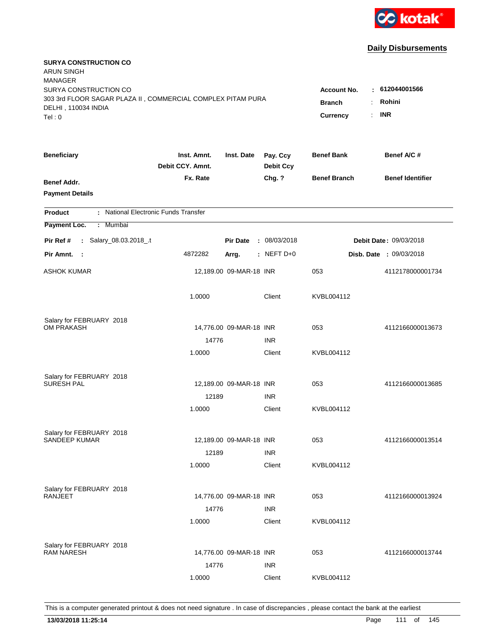

| <b>SURYA CONSTRUCTION CO</b><br>ARUN SINGH<br><b>MANAGER</b>                                                          |                                                            |                         |                              |                     | : 612044001566                 |
|-----------------------------------------------------------------------------------------------------------------------|------------------------------------------------------------|-------------------------|------------------------------|---------------------|--------------------------------|
| SURYA CONSTRUCTION CO<br>303 3rd FLOOR SAGAR PLAZA II, COMMERCIAL COMPLEX PITAM PURA<br>DELHI, 110034 INDIA<br>Tel: 0 | <b>Account No.</b><br><b>Branch</b><br>÷<br>÷.<br>Currency | Rohini<br><b>INR</b>    |                              |                     |                                |
| <b>Beneficiary</b>                                                                                                    | Inst. Amnt.<br>Debit CCY. Amnt.                            | Inst. Date              | Pay. Ccy<br><b>Debit Ccy</b> | <b>Benef Bank</b>   | Benef A/C #                    |
| Benef Addr.<br><b>Payment Details</b>                                                                                 | Fx. Rate                                                   |                         | Chg. ?                       | <b>Benef Branch</b> | <b>Benef Identifier</b>        |
| : National Electronic Funds Transfer<br><b>Product</b>                                                                |                                                            |                         |                              |                     |                                |
| Payment Loc.<br>: Mumbai                                                                                              |                                                            |                         |                              |                     |                                |
| : Salary_08.03.2018_.t<br>Pir Ref #                                                                                   |                                                            | <b>Pir Date</b>         | : 08/03/2018                 |                     | <b>Debit Date: 09/03/2018</b>  |
| Pir Amnt.<br>$\sim$ 1                                                                                                 | 4872282                                                    | Arrg.                   | $:$ NEFT D+0                 |                     | <b>Disb. Date : 09/03/2018</b> |
| ASHOK KUMAR                                                                                                           |                                                            | 12,189.00 09-MAR-18 INR |                              | 053                 | 4112178000001734               |
|                                                                                                                       | 1.0000                                                     |                         | Client                       | KVBL004112          |                                |
| Salary for FEBRUARY 2018                                                                                              |                                                            |                         |                              |                     |                                |
| OM PRAKASH                                                                                                            |                                                            | 14,776.00 09-MAR-18 INR |                              | 053                 | 4112166000013673               |
|                                                                                                                       | 14776                                                      |                         | <b>INR</b>                   |                     |                                |
|                                                                                                                       | 1.0000                                                     |                         | Client                       | KVBL004112          |                                |
| Salary for FEBRUARY 2018                                                                                              |                                                            |                         |                              |                     |                                |
| <b>SURESH PAL</b>                                                                                                     |                                                            | 12,189.00 09-MAR-18 INR |                              | 053                 | 4112166000013685               |
|                                                                                                                       | 12189                                                      |                         | <b>INR</b>                   |                     |                                |
|                                                                                                                       | 1.0000                                                     |                         | Client                       | KVBL004112          |                                |
| Salary for FEBRUARY 2018                                                                                              |                                                            |                         |                              |                     |                                |
| <b>SANDEEP KUMAR</b>                                                                                                  |                                                            | 12,189.00 09-MAR-18 INR |                              | 053                 | 4112166000013514               |
|                                                                                                                       | 12189                                                      |                         | <b>INR</b>                   |                     |                                |
|                                                                                                                       | 1.0000                                                     |                         | Client                       | KVBL004112          |                                |
| Salary for FEBRUARY 2018                                                                                              |                                                            |                         |                              |                     |                                |
| <b>RANJEET</b>                                                                                                        |                                                            | 14,776.00 09-MAR-18 INR |                              | 053                 | 4112166000013924               |
|                                                                                                                       | 14776                                                      |                         | <b>INR</b>                   |                     |                                |
|                                                                                                                       | 1.0000                                                     |                         | Client                       | KVBL004112          |                                |
|                                                                                                                       |                                                            |                         |                              |                     |                                |
| Salary for FEBRUARY 2018<br><b>RAM NARESH</b>                                                                         |                                                            | 14,776.00 09-MAR-18 INR |                              | 053                 | 4112166000013744               |
|                                                                                                                       | 14776                                                      |                         | <b>INR</b>                   |                     |                                |
|                                                                                                                       | 1.0000                                                     |                         | Client                       | KVBL004112          |                                |
|                                                                                                                       |                                                            |                         |                              |                     |                                |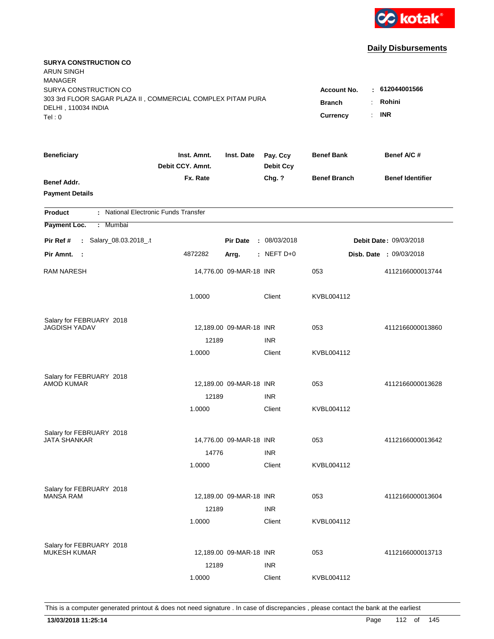

| <b>SURYA CONSTRUCTION CO</b><br><b>ARUN SINGH</b>                                    |                                 |                         |                              |                                 |                                |
|--------------------------------------------------------------------------------------|---------------------------------|-------------------------|------------------------------|---------------------------------|--------------------------------|
| <b>MANAGER</b>                                                                       |                                 |                         |                              |                                 | $-612044001566$                |
| SURYA CONSTRUCTION CO<br>303 3rd FLOOR SAGAR PLAZA II, COMMERCIAL COMPLEX PITAM PURA |                                 |                         |                              | <b>Account No.</b>              |                                |
| DELHI, 110034 INDIA                                                                  |                                 |                         |                              | <b>Branch</b><br>$\ddot{\cdot}$ | Rohini                         |
| Tel: 0                                                                               |                                 |                         |                              | <b>Currency</b><br>÷.           | <b>INR</b>                     |
| <b>Beneficiary</b>                                                                   | Inst. Amnt.<br>Debit CCY. Amnt. | Inst. Date              | Pay. Ccy<br><b>Debit Ccy</b> | <b>Benef Bank</b>               | Benef A/C#                     |
| Benef Addr.                                                                          | Fx. Rate                        |                         | Chg. ?                       | <b>Benef Branch</b>             | <b>Benef Identifier</b>        |
| <b>Payment Details</b>                                                               |                                 |                         |                              |                                 |                                |
| : National Electronic Funds Transfer<br><b>Product</b>                               |                                 |                         |                              |                                 |                                |
| Payment Loc.<br>: Mumbai                                                             |                                 |                         |                              |                                 |                                |
| : Salary_08.03.2018_.t<br>Pir Ref #                                                  |                                 | <b>Pir Date</b>         | : 08/03/2018                 |                                 | <b>Debit Date: 09/03/2018</b>  |
| Pir Amnt. :                                                                          | 4872282                         | Arrg.                   | $:$ NEFT D+0                 |                                 | <b>Disb. Date : 09/03/2018</b> |
| <b>RAM NARESH</b>                                                                    |                                 | 14,776.00 09-MAR-18 INR |                              | 053                             | 4112166000013744               |
|                                                                                      | 1.0000                          |                         | Client                       | KVBL004112                      |                                |
| Salary for FEBRUARY 2018                                                             |                                 |                         |                              |                                 |                                |
| JAGDISH YADAV                                                                        |                                 | 12,189.00 09-MAR-18 INR |                              | 053                             | 4112166000013860               |
|                                                                                      | 12189                           |                         | <b>INR</b>                   |                                 |                                |
|                                                                                      | 1.0000                          |                         | Client                       | KVBL004112                      |                                |
| Salary for FEBRUARY 2018                                                             |                                 |                         |                              |                                 |                                |
| <b>AMOD KUMAR</b>                                                                    |                                 | 12,189.00 09-MAR-18 INR |                              | 053                             | 4112166000013628               |
|                                                                                      | 12189                           |                         | <b>INR</b>                   |                                 |                                |
|                                                                                      | 1.0000                          |                         | Client                       | KVBL004112                      |                                |
| Salary for FEBRUARY 2018                                                             |                                 |                         |                              |                                 |                                |
| <b>JATA SHANKAR</b>                                                                  |                                 | 14,776.00 09-MAR-18 INR |                              | 053                             | 4112166000013642               |
|                                                                                      | 14776                           |                         | <b>INR</b>                   |                                 |                                |
|                                                                                      | 1.0000                          |                         | Client                       | KVBL004112                      |                                |
| Salary for FEBRUARY 2018                                                             |                                 |                         |                              |                                 |                                |
| <b>MANSA RAM</b>                                                                     |                                 | 12,189.00 09-MAR-18 INR |                              | 053                             | 4112166000013604               |
|                                                                                      | 12189                           |                         | <b>INR</b>                   |                                 |                                |
|                                                                                      | 1.0000                          |                         | Client                       | KVBL004112                      |                                |
| Salary for FEBRUARY 2018                                                             |                                 |                         |                              |                                 |                                |
| <b>MUKESH KUMAR</b>                                                                  |                                 | 12,189.00 09-MAR-18 INR |                              | 053                             | 4112166000013713               |
|                                                                                      | 12189                           |                         | <b>INR</b>                   |                                 |                                |
|                                                                                      | 1.0000                          |                         | Client                       | KVBL004112                      |                                |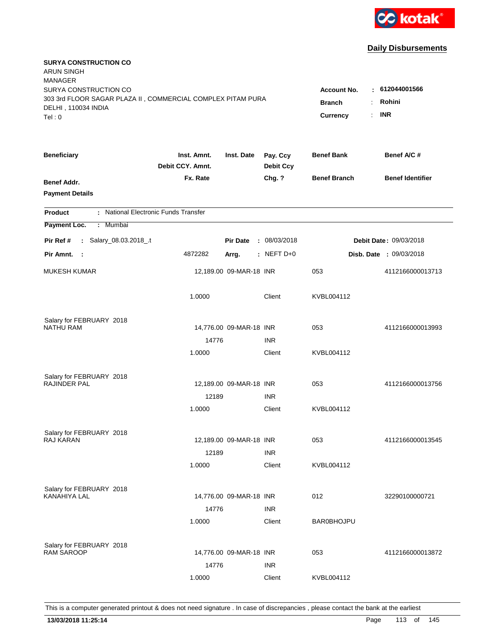

| <b>SURYA CONSTRUCTION CO</b><br><b>ARUN SINGH</b><br><b>MANAGER</b><br>SURYA CONSTRUCTION CO |                                                                                                 |                         |                              |                     |                         |
|----------------------------------------------------------------------------------------------|-------------------------------------------------------------------------------------------------|-------------------------|------------------------------|---------------------|-------------------------|
| 303 3rd FLOOR SAGAR PLAZA II, COMMERCIAL COMPLEX PITAM PURA<br>DELHI, 110034 INDIA<br>Tel: 0 | : 612044001566<br><b>Account No.</b><br>Rohini<br><b>Branch</b><br><b>INR</b><br>Currency<br>÷. |                         |                              |                     |                         |
| <b>Beneficiary</b>                                                                           | Inst. Amnt.<br>Debit CCY. Amnt.                                                                 | Inst. Date              | Pay. Ccy<br><b>Debit Ccy</b> | <b>Benef Bank</b>   | Benef A/C #             |
| Benef Addr.<br><b>Payment Details</b>                                                        | Fx. Rate                                                                                        |                         | Chg. ?                       | <b>Benef Branch</b> | <b>Benef Identifier</b> |
| : National Electronic Funds Transfer<br><b>Product</b>                                       |                                                                                                 |                         |                              |                     |                         |
| Payment Loc.<br>Mumbai<br>÷.                                                                 |                                                                                                 |                         |                              |                     |                         |
| : Salary_08.03.2018_.t<br>Pir Ref #                                                          |                                                                                                 | <b>Pir Date</b>         | : 08/03/2018                 |                     | Debit Date: 09/03/2018  |
| Pir Amnt.<br>$\sim$ 1                                                                        | 4872282                                                                                         | Arrg.                   | $:$ NEFT D+0                 |                     | Disb. Date: 09/03/2018  |
| <b>MUKESH KUMAR</b>                                                                          |                                                                                                 | 12,189.00 09-MAR-18 INR |                              | 053                 | 4112166000013713        |
|                                                                                              | 1.0000                                                                                          |                         | Client                       | KVBL004112          |                         |
| Salary for FEBRUARY 2018                                                                     |                                                                                                 |                         |                              |                     |                         |
| <b>NATHU RAM</b>                                                                             |                                                                                                 | 14,776.00 09-MAR-18 INR |                              | 053                 | 4112166000013993        |
|                                                                                              | 14776<br>1.0000                                                                                 |                         | <b>INR</b><br>Client         | KVBL004112          |                         |
|                                                                                              |                                                                                                 |                         |                              |                     |                         |
| Salary for FEBRUARY 2018<br><b>RAJINDER PAL</b>                                              |                                                                                                 | 12,189.00 09-MAR-18 INR |                              | 053                 | 4112166000013756        |
|                                                                                              | 12189                                                                                           |                         | <b>INR</b>                   |                     |                         |
|                                                                                              | 1.0000                                                                                          |                         | Client                       | KVBL004112          |                         |
|                                                                                              |                                                                                                 |                         |                              |                     |                         |
| Salary for FEBRUARY 2018<br><b>RAJ KARAN</b>                                                 |                                                                                                 | 12,189.00 09-MAR-18 INR |                              | 053                 | 4112166000013545        |
|                                                                                              | 12189                                                                                           |                         | <b>INR</b>                   |                     |                         |
|                                                                                              | 1.0000                                                                                          |                         | Client                       | KVBL004112          |                         |
|                                                                                              |                                                                                                 |                         |                              |                     |                         |
| Salary for FEBRUARY 2018<br>KANAHIYA LAL                                                     |                                                                                                 | 14,776.00 09-MAR-18 INR |                              | 012                 | 32290100000721          |
|                                                                                              | 14776                                                                                           |                         | <b>INR</b>                   |                     |                         |
|                                                                                              | 1.0000                                                                                          |                         | Client                       | <b>BAR0BHOJPU</b>   |                         |
|                                                                                              |                                                                                                 |                         |                              |                     |                         |
| Salary for FEBRUARY 2018<br><b>RAM SAROOP</b>                                                |                                                                                                 | 14,776.00 09-MAR-18 INR |                              | 053                 | 4112166000013872        |
|                                                                                              | 14776                                                                                           |                         | <b>INR</b>                   |                     |                         |
|                                                                                              | 1.0000                                                                                          |                         | Client                       | KVBL004112          |                         |
|                                                                                              |                                                                                                 |                         |                              |                     |                         |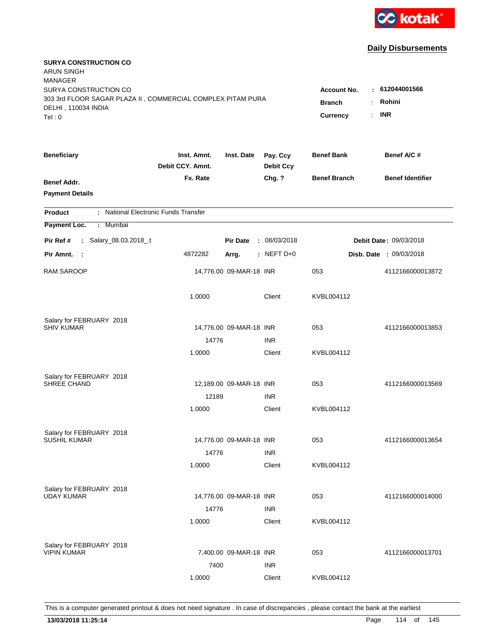

| <b>SURYA CONSTRUCTION CO</b><br><b>ARUN SINGH</b><br><b>MANAGER</b> |                                 |                         |                              |                                 |                                |
|---------------------------------------------------------------------|---------------------------------|-------------------------|------------------------------|---------------------------------|--------------------------------|
| SURYA CONSTRUCTION CO                                               |                                 |                         |                              | <b>Account No.</b>              | $-612044001566$                |
| 303 3rd FLOOR SAGAR PLAZA II, COMMERCIAL COMPLEX PITAM PURA         |                                 |                         |                              | <b>Branch</b><br>$\ddot{\cdot}$ | Rohini                         |
| DELHI, 110034 INDIA                                                 |                                 |                         |                              | ÷.                              | <b>INR</b>                     |
| Tel: 0                                                              |                                 |                         |                              | <b>Currency</b>                 |                                |
| <b>Beneficiary</b>                                                  | Inst. Amnt.<br>Debit CCY. Amnt. | Inst. Date              | Pay. Ccy<br><b>Debit Ccy</b> | <b>Benef Bank</b>               | Benef A/C#                     |
| Benef Addr.                                                         | Fx. Rate                        |                         | Chg. ?                       | <b>Benef Branch</b>             | <b>Benef Identifier</b>        |
| <b>Payment Details</b>                                              |                                 |                         |                              |                                 |                                |
| : National Electronic Funds Transfer<br><b>Product</b>              |                                 |                         |                              |                                 |                                |
| Payment Loc.<br>: Mumbai                                            |                                 |                         |                              |                                 |                                |
| : Salary_08.03.2018_.t<br>Pir Ref #                                 |                                 | <b>Pir Date</b>         | : 08/03/2018                 |                                 | <b>Debit Date: 09/03/2018</b>  |
| Pir Amnt. :                                                         | 4872282                         | Arrg.                   | $:$ NEFT D+0                 |                                 | <b>Disb. Date : 09/03/2018</b> |
| <b>RAM SAROOP</b>                                                   |                                 | 14,776.00 09-MAR-18 INR |                              | 053                             | 4112166000013872               |
|                                                                     | 1.0000                          |                         | Client                       | KVBL004112                      |                                |
| Salary for FEBRUARY 2018                                            |                                 |                         |                              |                                 |                                |
| <b>SHIV KUMAR</b>                                                   |                                 | 14,776.00 09-MAR-18 INR |                              | 053                             | 4112166000013853               |
|                                                                     | 14776                           |                         | <b>INR</b>                   |                                 |                                |
|                                                                     | 1.0000                          |                         | Client                       | KVBL004112                      |                                |
| Salary for FEBRUARY 2018                                            |                                 |                         |                              |                                 |                                |
| SHREE CHAND                                                         |                                 | 12,189.00 09-MAR-18 INR |                              | 053                             | 4112166000013569               |
|                                                                     | 12189                           |                         | <b>INR</b>                   |                                 |                                |
|                                                                     | 1.0000                          |                         | Client                       | KVBL004112                      |                                |
| Salary for FEBRUARY 2018                                            |                                 |                         |                              |                                 |                                |
| <b>SUSHIL KUMAR</b>                                                 |                                 | 14,776.00 09-MAR-18 INR |                              | 053                             | 4112166000013654               |
|                                                                     | 14776                           |                         | <b>INR</b>                   |                                 |                                |
|                                                                     | 1.0000                          |                         | Client                       | KVBL004112                      |                                |
|                                                                     |                                 |                         |                              |                                 |                                |
| Salary for FEBRUARY 2018<br><b>UDAY KUMAR</b>                       |                                 | 14,776.00 09-MAR-18 INR |                              | 053                             | 4112166000014000               |
|                                                                     | 14776                           |                         | <b>INR</b>                   |                                 |                                |
|                                                                     | 1.0000                          |                         | Client                       | KVBL004112                      |                                |
|                                                                     |                                 |                         |                              |                                 |                                |
| Salary for FEBRUARY 2018<br><b>VIPIN KUMAR</b>                      |                                 | 7,400.00 09-MAR-18 INR  |                              | 053                             | 4112166000013701               |
|                                                                     | 7400                            |                         | <b>INR</b>                   |                                 |                                |
|                                                                     |                                 |                         |                              |                                 |                                |
|                                                                     | 1.0000                          |                         | Client                       | KVBL004112                      |                                |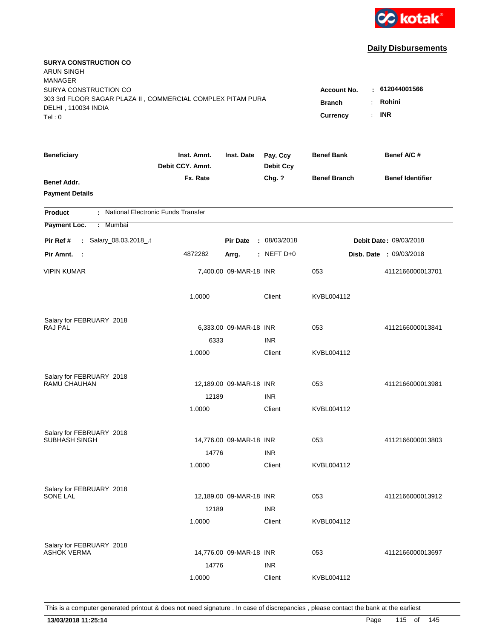

| <b>SURYA CONSTRUCTION CO</b><br><b>ARUN SINGH</b><br><b>MANAGER</b> |                                 |                         |                              |                                              |                                |
|---------------------------------------------------------------------|---------------------------------|-------------------------|------------------------------|----------------------------------------------|--------------------------------|
| SURYA CONSTRUCTION CO                                               |                                 |                         |                              | <b>Account No.</b>                           | : 612044001566                 |
| 303 3rd FLOOR SAGAR PLAZA II, COMMERCIAL COMPLEX PITAM PURA         |                                 |                         |                              | <b>Branch</b><br>÷.                          | Rohini                         |
| DELHI, 110034 INDIA<br>Tel: 0                                       |                                 |                         |                              | $\mathbb{R}^{\mathbb{Z}}$<br><b>Currency</b> | <b>INR</b>                     |
|                                                                     |                                 |                         |                              |                                              |                                |
| <b>Beneficiary</b>                                                  | Inst. Amnt.<br>Debit CCY, Amnt. | Inst. Date              | Pay. Ccy<br><b>Debit Ccy</b> | <b>Benef Bank</b>                            | Benef A/C #                    |
| Benef Addr.                                                         | Fx. Rate                        |                         | Chg. ?                       | <b>Benef Branch</b>                          | <b>Benef Identifier</b>        |
| <b>Payment Details</b>                                              |                                 |                         |                              |                                              |                                |
| : National Electronic Funds Transfer<br><b>Product</b>              |                                 |                         |                              |                                              |                                |
| Payment Loc.<br>Mumbai<br>÷.                                        |                                 |                         |                              |                                              |                                |
| : Salary_08.03.2018_.t<br>Pir Ref #                                 |                                 | <b>Pir Date</b>         | : 08/03/2018                 |                                              | Debit Date: 09/03/2018         |
| Pir Amnt. :                                                         | 4872282                         | Arrg.                   | $:$ NEFT D+0                 |                                              | <b>Disb. Date : 09/03/2018</b> |
| <b>VIPIN KUMAR</b>                                                  |                                 | 7,400.00 09-MAR-18 INR  |                              | 053                                          | 4112166000013701               |
|                                                                     | 1.0000                          |                         | Client                       | KVBL004112                                   |                                |
| Salary for FEBRUARY 2018                                            |                                 |                         |                              |                                              |                                |
| <b>RAJ PAL</b>                                                      |                                 | 6,333.00 09-MAR-18 INR  |                              | 053                                          | 4112166000013841               |
|                                                                     | 6333                            |                         | <b>INR</b>                   |                                              |                                |
|                                                                     | 1.0000                          |                         | Client                       | KVBL004112                                   |                                |
| Salary for FEBRUARY 2018                                            |                                 |                         |                              |                                              |                                |
| <b>RAMU CHAUHAN</b>                                                 |                                 | 12,189.00 09-MAR-18 INR |                              | 053                                          | 4112166000013981               |
|                                                                     | 12189                           |                         | <b>INR</b>                   |                                              |                                |
|                                                                     | 1.0000                          |                         | Client                       | KVBL004112                                   |                                |
| Salary for FEBRUARY 2018                                            |                                 |                         |                              |                                              |                                |
| SUBHASH SINGH                                                       |                                 | 14,776.00 09-MAR-18 INR |                              | 053                                          | 4112166000013803               |
|                                                                     | 14776                           |                         | <b>INR</b>                   |                                              |                                |
|                                                                     | 1.0000                          |                         | Client                       | KVBL004112                                   |                                |
| Salary for FEBRUARY 2018                                            |                                 |                         |                              |                                              |                                |
| <b>SONE LAL</b>                                                     |                                 | 12,189.00 09-MAR-18 INR |                              | 053                                          | 4112166000013912               |
|                                                                     | 12189                           |                         | <b>INR</b>                   |                                              |                                |
|                                                                     | 1.0000                          |                         | Client                       | KVBL004112                                   |                                |
| Salary for FEBRUARY 2018                                            |                                 |                         |                              |                                              |                                |
| <b>ASHOK VERMA</b>                                                  |                                 | 14,776.00 09-MAR-18 INR |                              | 053                                          | 4112166000013697               |
|                                                                     | 14776                           |                         | <b>INR</b>                   |                                              |                                |
|                                                                     | 1.0000                          |                         | Client                       | KVBL004112                                   |                                |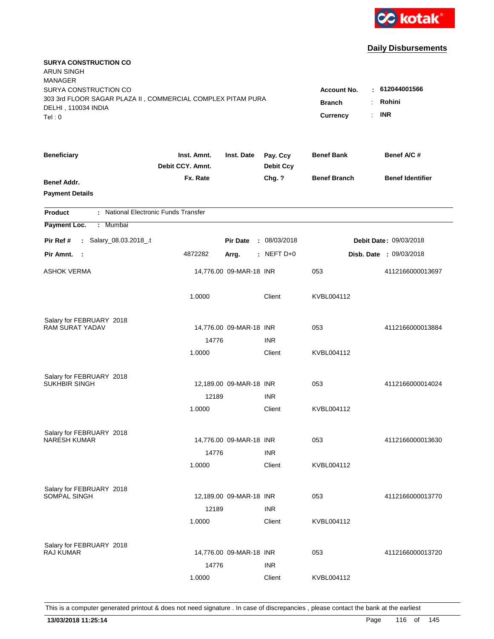

| <b>SURYA CONSTRUCTION CO</b><br><b>ARUN SINGH</b><br><b>MANAGER</b><br>SURYA CONSTRUCTION CO<br>303 3rd FLOOR SAGAR PLAZA II, COMMERCIAL COMPLEX PITAM PURA<br>DELHI, 110034 INDIA<br>Tel: 0 | <b>Account No.</b><br><b>Branch</b><br>Currency<br>÷. | $-612044001566$<br>Rohini<br><b>INR</b> |                              |                     |                                |
|----------------------------------------------------------------------------------------------------------------------------------------------------------------------------------------------|-------------------------------------------------------|-----------------------------------------|------------------------------|---------------------|--------------------------------|
| <b>Beneficiary</b>                                                                                                                                                                           | Inst. Amnt.<br>Debit CCY. Amnt.                       | Inst. Date                              | Pay. Ccy<br><b>Debit Ccy</b> | <b>Benef Bank</b>   | Benef A/C #                    |
| Benef Addr.<br><b>Payment Details</b>                                                                                                                                                        | Fx. Rate                                              |                                         | Chg. ?                       | <b>Benef Branch</b> | <b>Benef Identifier</b>        |
| : National Electronic Funds Transfer<br><b>Product</b>                                                                                                                                       |                                                       |                                         |                              |                     |                                |
| Payment Loc.<br>Mumbai<br>÷.                                                                                                                                                                 |                                                       |                                         |                              |                     |                                |
| : Salary_08.03.2018_.t<br>Pir Ref #                                                                                                                                                          |                                                       | <b>Pir Date</b>                         | : 08/03/2018                 |                     | Debit Date: 09/03/2018         |
| Pir Amnt.<br>$\sim$ 1                                                                                                                                                                        | 4872282                                               | Arrg.                                   | $:$ NEFT D+0                 |                     | <b>Disb. Date : 09/03/2018</b> |
| <b>ASHOK VERMA</b>                                                                                                                                                                           |                                                       | 14,776.00 09-MAR-18 INR                 |                              | 053                 | 4112166000013697               |
|                                                                                                                                                                                              | 1.0000                                                |                                         | Client                       | KVBL004112          |                                |
| Salary for FEBRUARY 2018                                                                                                                                                                     |                                                       |                                         |                              |                     |                                |
| <b>RAM SURAT YADAV</b>                                                                                                                                                                       |                                                       | 14,776.00 09-MAR-18 INR                 |                              | 053                 | 4112166000013884               |
|                                                                                                                                                                                              | 14776<br>1.0000                                       |                                         | <b>INR</b><br>Client         | KVBL004112          |                                |
| Salary for FEBRUARY 2018<br>SUKHBIR SINGH                                                                                                                                                    | 12189                                                 | 12,189.00 09-MAR-18 INR                 | <b>INR</b>                   | 053                 | 4112166000014024               |
|                                                                                                                                                                                              | 1.0000                                                |                                         | Client                       | KVBL004112          |                                |
| Salary for FEBRUARY 2018<br><b>NARESH KUMAR</b>                                                                                                                                              | 14776                                                 | 14,776.00 09-MAR-18 INR                 | <b>INR</b>                   | 053                 | 4112166000013630               |
|                                                                                                                                                                                              | 1.0000                                                |                                         | Client                       | KVBL004112          |                                |
| Salary for FEBRUARY 2018<br>SOMPAL SINGH                                                                                                                                                     | 12189<br>1.0000                                       | 12,189.00 09-MAR-18 INR                 | <b>INR</b><br>Client         | 053<br>KVBL004112   | 4112166000013770               |
| Salary for FEBRUARY 2018<br><b>RAJ KUMAR</b>                                                                                                                                                 | 14776                                                 | 14,776.00 09-MAR-18 INR                 | <b>INR</b>                   | 053                 | 4112166000013720               |
|                                                                                                                                                                                              | 1.0000                                                |                                         | Client                       | KVBL004112          |                                |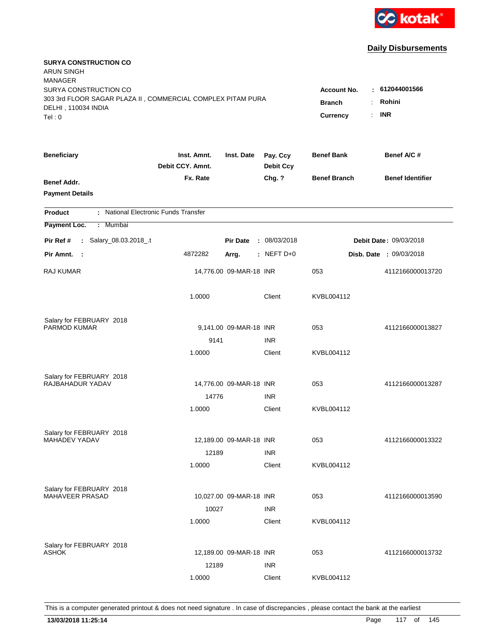

| <b>SURYA CONSTRUCTION CO</b><br><b>ARUN SINGH</b><br><b>MANAGER</b>                                                   |                                                                                                  |                         |                              |                     |                         |
|-----------------------------------------------------------------------------------------------------------------------|--------------------------------------------------------------------------------------------------|-------------------------|------------------------------|---------------------|-------------------------|
| SURYA CONSTRUCTION CO<br>303 3rd FLOOR SAGAR PLAZA II, COMMERCIAL COMPLEX PITAM PURA<br>DELHI, 110034 INDIA<br>Tel: 0 | $-612044001566$<br><b>Account No.</b><br>Rohini<br><b>Branch</b><br><b>INR</b><br>Currency<br>÷. |                         |                              |                     |                         |
| <b>Beneficiary</b>                                                                                                    | Inst. Amnt.<br>Debit CCY. Amnt.                                                                  | Inst. Date              | Pay. Ccy<br><b>Debit Ccy</b> | <b>Benef Bank</b>   | Benef A/C #             |
| Benef Addr.<br><b>Payment Details</b>                                                                                 | Fx. Rate                                                                                         |                         | Chg. ?                       | <b>Benef Branch</b> | <b>Benef Identifier</b> |
| : National Electronic Funds Transfer<br><b>Product</b>                                                                |                                                                                                  |                         |                              |                     |                         |
| Payment Loc.<br><b>Mumbai</b><br>÷.                                                                                   |                                                                                                  |                         |                              |                     |                         |
| : Salary_08.03.2018_.t<br>Pir Ref #                                                                                   |                                                                                                  | <b>Pir Date</b>         | : 08/03/2018                 |                     | Debit Date: 09/03/2018  |
| Pir Amnt. :                                                                                                           | 4872282                                                                                          | Arrg.                   | $:$ NEFT D+0                 |                     | Disb. Date: 09/03/2018  |
| <b>RAJ KUMAR</b>                                                                                                      |                                                                                                  | 14,776.00 09-MAR-18 INR |                              | 053                 | 4112166000013720        |
|                                                                                                                       | 1.0000                                                                                           |                         | Client                       | KVBL004112          |                         |
| Salary for FEBRUARY 2018                                                                                              |                                                                                                  |                         |                              |                     |                         |
| PARMOD KUMAR                                                                                                          |                                                                                                  | 9,141.00 09-MAR-18 INR  |                              | 053                 | 4112166000013827        |
|                                                                                                                       | 9141                                                                                             |                         | <b>INR</b>                   |                     |                         |
|                                                                                                                       | 1.0000                                                                                           |                         | Client                       | KVBL004112          |                         |
| Salary for FEBRUARY 2018                                                                                              |                                                                                                  |                         |                              |                     |                         |
| RAJBAHADUR YADAV                                                                                                      |                                                                                                  | 14,776.00 09-MAR-18 INR |                              | 053                 | 4112166000013287        |
|                                                                                                                       | 14776                                                                                            |                         | <b>INR</b>                   |                     |                         |
|                                                                                                                       | 1.0000                                                                                           |                         | Client                       | KVBL004112          |                         |
| Salary for FEBRUARY 2018                                                                                              |                                                                                                  |                         |                              |                     |                         |
| MAHADEV YADAV                                                                                                         |                                                                                                  | 12,189.00 09-MAR-18 INR |                              | 053                 | 4112166000013322        |
|                                                                                                                       | 12189                                                                                            |                         | <b>INR</b>                   |                     |                         |
|                                                                                                                       | 1.0000                                                                                           |                         | Client                       | KVBL004112          |                         |
| Salary for FEBRUARY 2018                                                                                              |                                                                                                  |                         |                              |                     |                         |
| <b>MAHAVEER PRASAD</b>                                                                                                |                                                                                                  | 10,027.00 09-MAR-18 INR |                              | 053                 | 4112166000013590        |
|                                                                                                                       | 10027                                                                                            |                         | <b>INR</b>                   |                     |                         |
|                                                                                                                       | 1.0000                                                                                           |                         | Client                       | KVBL004112          |                         |
|                                                                                                                       |                                                                                                  |                         |                              |                     |                         |
| Salary for FEBRUARY 2018<br><b>ASHOK</b>                                                                              |                                                                                                  | 12,189.00 09-MAR-18 INR |                              | 053                 | 4112166000013732        |
|                                                                                                                       | 12189                                                                                            |                         | <b>INR</b>                   |                     |                         |
|                                                                                                                       | 1.0000                                                                                           |                         | Client                       | KVBL004112          |                         |
|                                                                                                                       |                                                                                                  |                         |                              |                     |                         |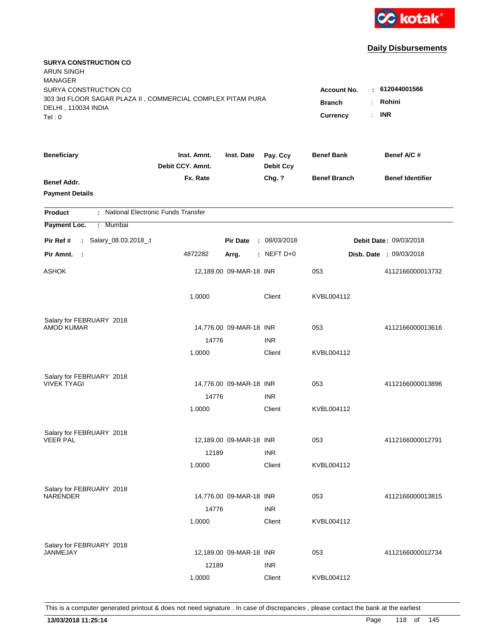

| <b>SURYA CONSTRUCTION CO</b><br><b>ARUN SINGH</b><br><b>MANAGER</b><br>SURYA CONSTRUCTION CO |                                      |                         |                              | <b>Account No.</b>  | : 612044001566          |
|----------------------------------------------------------------------------------------------|--------------------------------------|-------------------------|------------------------------|---------------------|-------------------------|
| 303 3rd FLOOR SAGAR PLAZA II, COMMERCIAL COMPLEX PITAM PURA<br>DELHI, 110034 INDIA<br>Tel: 0 | <b>Branch</b><br>÷<br>Currency<br>÷. | Rohini<br><b>INR</b>    |                              |                     |                         |
| <b>Beneficiary</b>                                                                           | Inst. Amnt.<br>Debit CCY. Amnt.      | Inst. Date              | Pay. Ccy<br><b>Debit Ccy</b> | <b>Benef Bank</b>   | Benef A/C #             |
| Benef Addr.<br><b>Payment Details</b>                                                        | Fx. Rate                             |                         | Chg. ?                       | <b>Benef Branch</b> | <b>Benef Identifier</b> |
| : National Electronic Funds Transfer<br><b>Product</b>                                       |                                      |                         |                              |                     |                         |
| Payment Loc.<br><b>Mumbai</b><br>÷.                                                          |                                      |                         |                              |                     |                         |
| : Salary_08.03.2018_.t<br>Pir Ref #                                                          |                                      | <b>Pir Date</b>         | : 08/03/2018                 |                     | Debit Date: 09/03/2018  |
| Pir Amnt.<br>- 1                                                                             | 4872282                              | Arrg.                   | $:$ NEFT D+0                 |                     | Disb. Date: 09/03/2018  |
| <b>ASHOK</b>                                                                                 |                                      | 12,189.00 09-MAR-18 INR |                              | 053                 | 4112166000013732        |
|                                                                                              | 1.0000                               |                         | Client                       | KVBL004112          |                         |
| Salary for FEBRUARY 2018                                                                     |                                      |                         |                              |                     |                         |
| <b>AMOD KUMAR</b>                                                                            |                                      | 14,776.00 09-MAR-18 INR |                              | 053                 | 4112166000013616        |
|                                                                                              | 14776<br>1.0000                      |                         | <b>INR</b><br>Client         | KVBL004112          |                         |
|                                                                                              |                                      |                         |                              |                     |                         |
| Salary for FEBRUARY 2018                                                                     |                                      |                         |                              |                     |                         |
| <b>VIVEK TYAGI</b>                                                                           |                                      | 14,776.00 09-MAR-18 INR |                              | 053                 | 4112166000013896        |
|                                                                                              | 14776                                |                         | <b>INR</b>                   |                     |                         |
|                                                                                              | 1.0000                               |                         | Client                       | KVBL004112          |                         |
| Salary for FEBRUARY 2018                                                                     |                                      |                         |                              |                     |                         |
| <b>VEER PAL</b>                                                                              |                                      | 12,189.00 09-MAR-18 INR |                              | 053                 | 4112166000012791        |
|                                                                                              | 12189                                |                         | <b>INR</b>                   |                     |                         |
|                                                                                              | 1.0000                               |                         | Client                       | KVBL004112          |                         |
| Salary for FEBRUARY 2018                                                                     |                                      |                         |                              |                     |                         |
| <b>NARENDER</b>                                                                              |                                      | 14,776.00 09-MAR-18 INR |                              | 053                 | 4112166000013815        |
|                                                                                              | 14776                                |                         | <b>INR</b>                   |                     |                         |
|                                                                                              | 1.0000                               |                         | Client                       | KVBL004112          |                         |
|                                                                                              |                                      |                         |                              |                     |                         |
| Salary for FEBRUARY 2018<br>JANMEJAY                                                         |                                      | 12,189.00 09-MAR-18 INR |                              | 053                 | 4112166000012734        |
|                                                                                              | 12189                                |                         | <b>INR</b>                   |                     |                         |
|                                                                                              | 1.0000                               |                         | Client                       | KVBL004112          |                         |
|                                                                                              |                                      |                         |                              |                     |                         |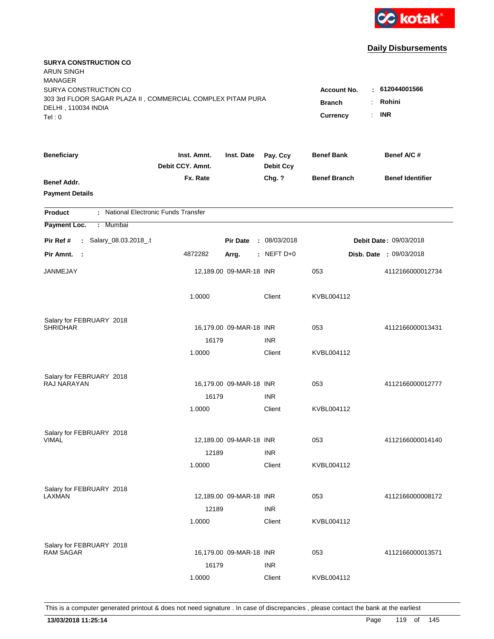

| <b>SURYA CONSTRUCTION CO</b><br><b>ARUN SINGH</b><br><b>MANAGER</b>                |                                 |                         |                              |                                              |                                |
|------------------------------------------------------------------------------------|---------------------------------|-------------------------|------------------------------|----------------------------------------------|--------------------------------|
| SURYA CONSTRUCTION CO                                                              |                                 |                         |                              | <b>Account No.</b>                           | : 612044001566                 |
| 303 3rd FLOOR SAGAR PLAZA II, COMMERCIAL COMPLEX PITAM PURA<br>DELHI, 110034 INDIA |                                 |                         |                              | <b>Branch</b><br>÷.                          | Rohini                         |
| Tel: 0                                                                             |                                 |                         |                              | $\mathbb{R}^{\mathbb{Z}}$<br><b>Currency</b> | <b>INR</b>                     |
|                                                                                    |                                 |                         |                              |                                              |                                |
| <b>Beneficiary</b>                                                                 | Inst. Amnt.<br>Debit CCY, Amnt. | Inst. Date              | Pay. Ccy<br><b>Debit Ccy</b> | <b>Benef Bank</b>                            | Benef A/C #                    |
| Benef Addr.                                                                        | Fx. Rate                        |                         | Chg. ?                       | <b>Benef Branch</b>                          | <b>Benef Identifier</b>        |
| <b>Payment Details</b>                                                             |                                 |                         |                              |                                              |                                |
| : National Electronic Funds Transfer<br><b>Product</b>                             |                                 |                         |                              |                                              |                                |
| Payment Loc.<br>Mumbai<br>÷.                                                       |                                 |                         |                              |                                              |                                |
| : Salary_08.03.2018_.t<br>Pir Ref #                                                |                                 | <b>Pir Date</b>         | : 08/03/2018                 |                                              | Debit Date: 09/03/2018         |
| Pir Amnt. :                                                                        | 4872282                         | Arrg.                   | : NEFT D+0                   |                                              | <b>Disb. Date : 09/03/2018</b> |
| JANMEJAY                                                                           |                                 | 12,189.00 09-MAR-18 INR |                              | 053                                          | 4112166000012734               |
|                                                                                    | 1.0000                          |                         | Client                       | KVBL004112                                   |                                |
| Salary for FEBRUARY 2018                                                           |                                 |                         |                              |                                              |                                |
| <b>SHRIDHAR</b>                                                                    |                                 | 16,179.00 09-MAR-18 INR |                              | 053                                          | 4112166000013431               |
|                                                                                    | 16179                           |                         | <b>INR</b>                   |                                              |                                |
|                                                                                    | 1.0000                          |                         | Client                       | KVBL004112                                   |                                |
| Salary for FEBRUARY 2018                                                           |                                 |                         |                              |                                              |                                |
| RAJ NARAYAN                                                                        |                                 | 16,179.00 09-MAR-18 INR |                              | 053                                          | 4112166000012777               |
|                                                                                    | 16179                           |                         | <b>INR</b>                   |                                              |                                |
|                                                                                    | 1.0000                          |                         | Client                       | KVBL004112                                   |                                |
| Salary for FEBRUARY 2018                                                           |                                 |                         |                              |                                              |                                |
| <b>VIMAL</b>                                                                       |                                 | 12,189.00 09-MAR-18 INR |                              | 053                                          | 4112166000014140               |
|                                                                                    | 12189                           |                         | <b>INR</b>                   |                                              |                                |
|                                                                                    | 1.0000                          |                         | Client                       | KVBL004112                                   |                                |
| Salary for FEBRUARY 2018                                                           |                                 |                         |                              |                                              |                                |
| LAXMAN                                                                             |                                 | 12,189.00 09-MAR-18 INR |                              | 053                                          | 4112166000008172               |
|                                                                                    | 12189                           |                         | <b>INR</b>                   |                                              |                                |
|                                                                                    | 1.0000                          |                         | Client                       | KVBL004112                                   |                                |
| Salary for FEBRUARY 2018                                                           |                                 |                         |                              |                                              |                                |
| <b>RAM SAGAR</b>                                                                   |                                 | 16,179.00 09-MAR-18 INR |                              | 053                                          | 4112166000013571               |
|                                                                                    | 16179                           |                         | <b>INR</b>                   |                                              |                                |
|                                                                                    | 1.0000                          |                         | Client                       | KVBL004112                                   |                                |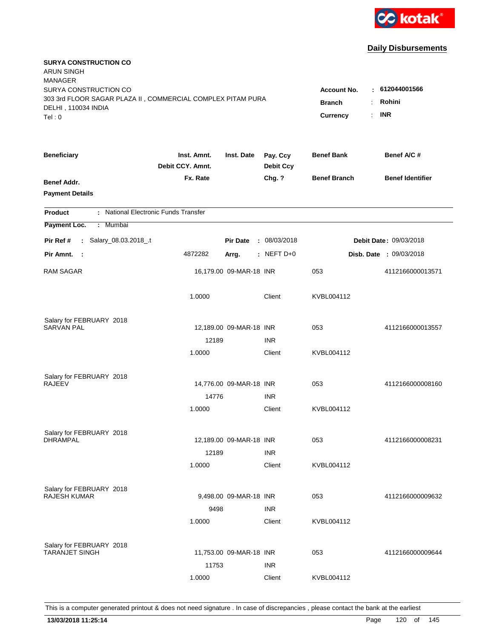

| <b>SURYA CONSTRUCTION CO</b><br><b>ARUN SINGH</b><br><b>MANAGER</b> |                                 |                         |                              |                     |                         |
|---------------------------------------------------------------------|---------------------------------|-------------------------|------------------------------|---------------------|-------------------------|
| SURYA CONSTRUCTION CO                                               |                                 |                         |                              | <b>Account No.</b>  | : 612044001566          |
| 303 3rd FLOOR SAGAR PLAZA II, COMMERCIAL COMPLEX PITAM PURA         |                                 |                         |                              | <b>Branch</b><br>÷  | Rohini                  |
| DELHI, 110034 INDIA                                                 |                                 |                         |                              | Currency<br>÷.      | <b>INR</b>              |
| Tel: 0                                                              |                                 |                         |                              |                     |                         |
| <b>Beneficiary</b>                                                  | Inst. Amnt.<br>Debit CCY. Amnt. | Inst. Date              | Pay. Ccy<br><b>Debit Ccy</b> | <b>Benef Bank</b>   | Benef A/C#              |
| Benef Addr.                                                         | Fx. Rate                        |                         | Chg. ?                       | <b>Benef Branch</b> | <b>Benef Identifier</b> |
| <b>Payment Details</b>                                              |                                 |                         |                              |                     |                         |
| : National Electronic Funds Transfer<br><b>Product</b>              |                                 |                         |                              |                     |                         |
| Payment Loc.<br>: Mumbai                                            |                                 |                         |                              |                     |                         |
| : Salary_08.03.2018_.t<br>Pir Ref #                                 |                                 | <b>Pir Date</b>         | : 08/03/2018                 |                     | Debit Date: 09/03/2018  |
| Pir Amnt. :                                                         | 4872282                         | Arrg.                   | $:$ NEFT D+0                 |                     | Disb. Date : 09/03/2018 |
| <b>RAM SAGAR</b>                                                    |                                 | 16,179.00 09-MAR-18 INR |                              | 053                 | 4112166000013571        |
|                                                                     | 1.0000                          |                         | Client                       | KVBL004112          |                         |
| Salary for FEBRUARY 2018                                            |                                 |                         |                              |                     |                         |
| <b>SARVAN PAL</b>                                                   |                                 | 12,189.00 09-MAR-18 INR |                              | 053                 | 4112166000013557        |
|                                                                     | 12189                           |                         | <b>INR</b>                   |                     |                         |
|                                                                     | 1.0000                          |                         | Client                       | KVBL004112          |                         |
| Salary for FEBRUARY 2018                                            |                                 |                         |                              |                     |                         |
| <b>RAJEEV</b>                                                       |                                 | 14,776.00 09-MAR-18 INR |                              | 053                 | 4112166000008160        |
|                                                                     | 14776                           |                         | <b>INR</b>                   |                     |                         |
|                                                                     | 1.0000                          |                         | Client                       | KVBL004112          |                         |
| Salary for FEBRUARY 2018                                            |                                 |                         |                              |                     |                         |
| <b>DHRAMPAL</b>                                                     |                                 | 12,189.00 09-MAR-18 INR |                              | 053                 | 4112166000008231        |
|                                                                     | 12189                           |                         | <b>INR</b>                   |                     |                         |
|                                                                     | 1.0000                          |                         | Client                       | KVBL004112          |                         |
| Salary for FEBRUARY 2018                                            |                                 |                         |                              |                     |                         |
| RAJESH KUMAR                                                        |                                 | 9,498.00 09-MAR-18 INR  |                              | 053                 | 4112166000009632        |
|                                                                     | 9498                            |                         | <b>INR</b>                   |                     |                         |
|                                                                     | 1.0000                          |                         | Client                       | KVBL004112          |                         |
|                                                                     |                                 |                         |                              |                     |                         |
| Salary for FEBRUARY 2018<br><b>TARANJET SINGH</b>                   |                                 | 11,753.00 09-MAR-18 INR |                              | 053                 | 4112166000009644        |
|                                                                     | 11753                           |                         | <b>INR</b>                   |                     |                         |
|                                                                     | 1.0000                          |                         | Client                       | KVBL004112          |                         |
|                                                                     |                                 |                         |                              |                     |                         |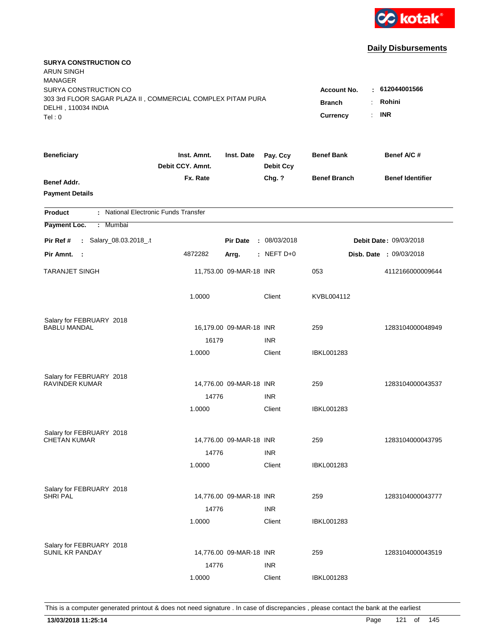

| <b>SURYA CONSTRUCTION CO</b><br><b>ARUN SINGH</b><br><b>MANAGER</b>                                                   |                                                                                           |                                        |                              |                     |                                |
|-----------------------------------------------------------------------------------------------------------------------|-------------------------------------------------------------------------------------------|----------------------------------------|------------------------------|---------------------|--------------------------------|
| SURYA CONSTRUCTION CO<br>303 3rd FLOOR SAGAR PLAZA II, COMMERCIAL COMPLEX PITAM PURA<br>DELHI, 110034 INDIA<br>Tel: 0 | <b>Account No.</b><br><b>Branch</b><br>÷.<br>$\mathbb{R}^{\mathbb{Z}}$<br><b>Currency</b> | : 612044001566<br>Rohini<br><b>INR</b> |                              |                     |                                |
|                                                                                                                       |                                                                                           |                                        |                              |                     |                                |
| <b>Beneficiary</b>                                                                                                    | Inst. Amnt.<br>Debit CCY, Amnt.                                                           | Inst. Date                             | Pay. Ccy<br><b>Debit Ccy</b> | <b>Benef Bank</b>   | Benef A/C #                    |
| Benef Addr.<br><b>Payment Details</b>                                                                                 | Fx. Rate                                                                                  |                                        | Chg. ?                       | <b>Benef Branch</b> | <b>Benef Identifier</b>        |
| : National Electronic Funds Transfer<br><b>Product</b>                                                                |                                                                                           |                                        |                              |                     |                                |
| Payment Loc.<br>Mumbai<br>÷.                                                                                          |                                                                                           |                                        |                              |                     |                                |
| : Salary_08.03.2018_.t<br>Pir Ref #                                                                                   |                                                                                           | <b>Pir Date</b>                        | : 08/03/2018                 |                     | Debit Date: 09/03/2018         |
| Pir Amnt. :                                                                                                           | 4872282                                                                                   | Arrg.                                  | $:$ NEFT D+0                 |                     | <b>Disb. Date : 09/03/2018</b> |
| <b>TARANJET SINGH</b>                                                                                                 |                                                                                           | 11,753.00 09-MAR-18 INR                |                              | 053                 | 4112166000009644               |
|                                                                                                                       | 1.0000                                                                                    |                                        | Client                       | KVBL004112          |                                |
| Salary for FEBRUARY 2018                                                                                              |                                                                                           |                                        |                              |                     |                                |
| <b>BABLU MANDAL</b>                                                                                                   |                                                                                           | 16,179.00 09-MAR-18 INR                |                              | 259                 | 1283104000048949               |
|                                                                                                                       | 16179<br>1.0000                                                                           |                                        | <b>INR</b><br>Client         | <b>IBKL001283</b>   |                                |
|                                                                                                                       |                                                                                           |                                        |                              |                     |                                |
| Salary for FEBRUARY 2018                                                                                              |                                                                                           |                                        |                              |                     |                                |
| <b>RAVINDER KUMAR</b>                                                                                                 |                                                                                           | 14,776.00 09-MAR-18 INR                |                              | 259                 | 1283104000043537               |
|                                                                                                                       | 14776                                                                                     |                                        | <b>INR</b>                   |                     |                                |
|                                                                                                                       | 1.0000                                                                                    |                                        | Client                       | <b>IBKL001283</b>   |                                |
| Salary for FEBRUARY 2018                                                                                              |                                                                                           |                                        |                              |                     |                                |
| <b>CHETAN KUMAR</b>                                                                                                   |                                                                                           | 14,776.00 09-MAR-18 INR                |                              | 259                 | 1283104000043795               |
|                                                                                                                       | 14776                                                                                     |                                        | <b>INR</b>                   |                     |                                |
|                                                                                                                       | 1.0000                                                                                    |                                        | Client                       | IBKL001283          |                                |
| Salary for FEBRUARY 2018                                                                                              |                                                                                           |                                        |                              |                     |                                |
| <b>SHRIPAL</b>                                                                                                        |                                                                                           | 14,776.00 09-MAR-18 INR                |                              | 259                 | 1283104000043777               |
|                                                                                                                       | 14776                                                                                     |                                        | <b>INR</b>                   |                     |                                |
|                                                                                                                       | 1.0000                                                                                    |                                        | Client                       | <b>IBKL001283</b>   |                                |
|                                                                                                                       |                                                                                           |                                        |                              |                     |                                |
| Salary for FEBRUARY 2018<br>SUNIL KR PANDAY                                                                           |                                                                                           | 14,776.00 09-MAR-18 INR                |                              | 259                 | 1283104000043519               |
|                                                                                                                       | 14776                                                                                     |                                        | <b>INR</b>                   |                     |                                |
|                                                                                                                       | 1.0000                                                                                    |                                        | Client                       | <b>IBKL001283</b>   |                                |
|                                                                                                                       |                                                                                           |                                        |                              |                     |                                |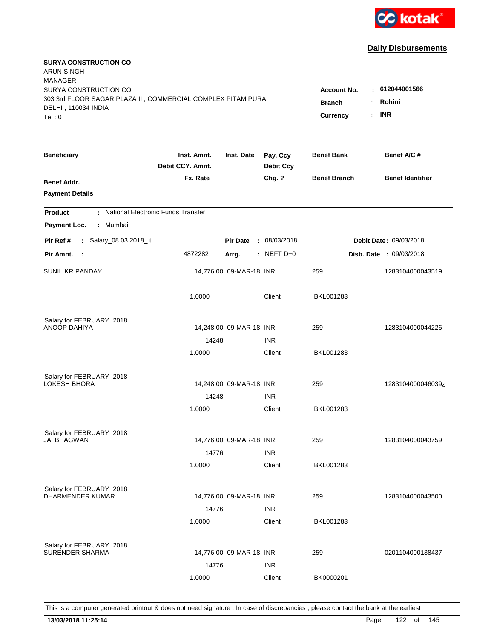

| <b>SURYA CONSTRUCTION CO</b><br><b>ARUN SINGH</b><br><b>MANAGER</b><br>SURYA CONSTRUCTION CO |                                                                                             |                         |                              | <b>Account No.</b>  | : 612044001566                 |
|----------------------------------------------------------------------------------------------|---------------------------------------------------------------------------------------------|-------------------------|------------------------------|---------------------|--------------------------------|
| 303 3rd FLOOR SAGAR PLAZA II, COMMERCIAL COMPLEX PITAM PURA<br>DELHI, 110034 INDIA<br>Tel: 0 | Rohini<br><b>Branch</b><br>÷.<br><b>INR</b><br>$\mathbb{R}^{\mathbb{Z}}$<br><b>Currency</b> |                         |                              |                     |                                |
| <b>Beneficiary</b>                                                                           | Inst. Amnt.<br>Debit CCY. Amnt.                                                             | Inst. Date              | Pay. Ccy<br><b>Debit Ccy</b> | <b>Benef Bank</b>   | Benef A/C #                    |
| Benef Addr.<br><b>Payment Details</b>                                                        | Fx. Rate                                                                                    |                         | Chg. ?                       | <b>Benef Branch</b> | <b>Benef Identifier</b>        |
| : National Electronic Funds Transfer<br><b>Product</b>                                       |                                                                                             |                         |                              |                     |                                |
| Payment Loc.<br>Mumbai<br>÷.                                                                 |                                                                                             |                         |                              |                     |                                |
| : Salary_08.03.2018_.t<br>Pir Ref #                                                          |                                                                                             | <b>Pir Date</b>         | : 08/03/2018                 |                     | <b>Debit Date: 09/03/2018</b>  |
| Pir Amnt. :                                                                                  | 4872282                                                                                     | Arrg.                   | $:$ NEFT D+0                 |                     | <b>Disb. Date : 09/03/2018</b> |
| <b>SUNIL KR PANDAY</b>                                                                       |                                                                                             | 14,776.00 09-MAR-18 INR |                              | 259                 | 1283104000043519               |
|                                                                                              | 1.0000                                                                                      |                         | Client                       | <b>IBKL001283</b>   |                                |
| Salary for FEBRUARY 2018                                                                     |                                                                                             |                         |                              |                     |                                |
| ANOOP DAHIYA                                                                                 |                                                                                             | 14,248.00 09-MAR-18 INR |                              | 259                 | 1283104000044226               |
|                                                                                              | 14248<br>1.0000                                                                             |                         | <b>INR</b><br>Client         | <b>IBKL001283</b>   |                                |
| Salary for FEBRUARY 2018<br><b>LOKESH BHORA</b>                                              |                                                                                             | 14,248.00 09-MAR-18 INR |                              | 259                 | 1283104000046039¿              |
|                                                                                              | 14248                                                                                       |                         | <b>INR</b>                   |                     |                                |
|                                                                                              | 1.0000                                                                                      |                         | Client                       | <b>IBKL001283</b>   |                                |
| Salary for FEBRUARY 2018                                                                     |                                                                                             |                         |                              |                     |                                |
| <b>JAI BHAGWAN</b>                                                                           |                                                                                             | 14,776.00 09-MAR-18 INR |                              | 259                 | 1283104000043759               |
|                                                                                              | 14776<br>1.0000                                                                             |                         | <b>INR</b><br>Client         | IBKL001283          |                                |
| Salary for FEBRUARY 2018                                                                     |                                                                                             |                         |                              |                     |                                |
| <b>DHARMENDER KUMAR</b>                                                                      |                                                                                             | 14,776.00 09-MAR-18 INR |                              | 259                 | 1283104000043500               |
|                                                                                              | 14776                                                                                       |                         | <b>INR</b>                   |                     |                                |
|                                                                                              | 1.0000                                                                                      |                         | Client                       | <b>IBKL001283</b>   |                                |
| Salary for FEBRUARY 2018                                                                     |                                                                                             |                         |                              |                     |                                |
| <b>SURENDER SHARMA</b>                                                                       |                                                                                             | 14,776.00 09-MAR-18 INR |                              | 259                 | 0201104000138437               |
|                                                                                              | 14776                                                                                       |                         | <b>INR</b>                   |                     |                                |
|                                                                                              | 1.0000                                                                                      |                         | Client                       | IBK0000201          |                                |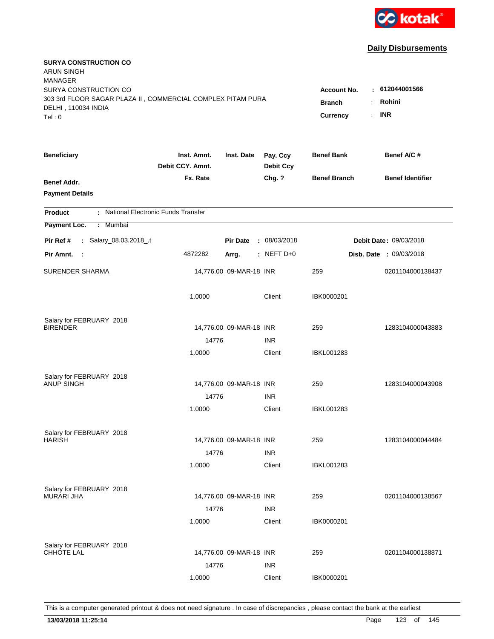

| <b>SURYA CONSTRUCTION CO</b><br><b>ARUN SINGH</b><br><b>MANAGER</b>                                                   |                                                            |                                         |                              |                     |                         |
|-----------------------------------------------------------------------------------------------------------------------|------------------------------------------------------------|-----------------------------------------|------------------------------|---------------------|-------------------------|
| SURYA CONSTRUCTION CO<br>303 3rd FLOOR SAGAR PLAZA II, COMMERCIAL COMPLEX PITAM PURA<br>DELHI, 110034 INDIA<br>Tel: 0 | <b>Account No.</b><br><b>Branch</b><br>÷<br>Currency<br>÷. | $-612044001566$<br>Rohini<br><b>INR</b> |                              |                     |                         |
|                                                                                                                       |                                                            |                                         |                              |                     |                         |
| <b>Beneficiary</b>                                                                                                    | Inst. Amnt.<br>Debit CCY. Amnt.                            | Inst. Date                              | Pay. Ccy<br><b>Debit Ccy</b> | <b>Benef Bank</b>   | Benef A/C#              |
| Benef Addr.<br><b>Payment Details</b>                                                                                 | Fx. Rate                                                   |                                         | Chg. ?                       | <b>Benef Branch</b> | <b>Benef Identifier</b> |
| : National Electronic Funds Transfer<br><b>Product</b>                                                                |                                                            |                                         |                              |                     |                         |
| Payment Loc.<br>: Mumbai                                                                                              |                                                            |                                         |                              |                     |                         |
| : Salary_08.03.2018_.t<br>Pir Ref #                                                                                   |                                                            | <b>Pir Date</b>                         | : 08/03/2018                 |                     | Debit Date: 09/03/2018  |
| Pir Amnt.<br>- 1                                                                                                      | 4872282                                                    | Arrg.                                   | : NEFT $D+0$                 |                     | Disb. Date : 09/03/2018 |
| <b>SURENDER SHARMA</b>                                                                                                |                                                            | 14,776.00 09-MAR-18 INR                 |                              | 259                 | 0201104000138437        |
|                                                                                                                       | 1.0000                                                     |                                         | Client                       | IBK0000201          |                         |
| Salary for FEBRUARY 2018                                                                                              |                                                            |                                         |                              |                     |                         |
| <b>BIRENDER</b>                                                                                                       |                                                            | 14,776.00 09-MAR-18 INR                 |                              | 259                 | 1283104000043883        |
|                                                                                                                       | 14776<br>1.0000                                            |                                         | <b>INR</b><br>Client         | IBKL001283          |                         |
|                                                                                                                       |                                                            |                                         |                              |                     |                         |
| Salary for FEBRUARY 2018                                                                                              |                                                            |                                         |                              |                     |                         |
| <b>ANUP SINGH</b>                                                                                                     |                                                            | 14,776.00 09-MAR-18 INR                 |                              | 259                 | 1283104000043908        |
|                                                                                                                       | 14776                                                      |                                         | <b>INR</b>                   |                     |                         |
|                                                                                                                       | 1.0000                                                     |                                         | Client                       | <b>IBKL001283</b>   |                         |
| Salary for FEBRUARY 2018                                                                                              |                                                            |                                         |                              |                     |                         |
| <b>HARISH</b>                                                                                                         |                                                            | 14,776.00 09-MAR-18 INR                 |                              | 259                 | 1283104000044484        |
|                                                                                                                       | 14776                                                      |                                         | <b>INR</b>                   |                     |                         |
|                                                                                                                       | 1.0000                                                     |                                         | Client                       | <b>IBKL001283</b>   |                         |
|                                                                                                                       |                                                            |                                         |                              |                     |                         |
| Salary for FEBRUARY 2018<br><b>MURARI JHA</b>                                                                         |                                                            | 14,776.00 09-MAR-18 INR                 |                              | 259                 | 0201104000138567        |
|                                                                                                                       | 14776                                                      |                                         | <b>INR</b>                   |                     |                         |
|                                                                                                                       | 1.0000                                                     |                                         | Client                       | IBK0000201          |                         |
|                                                                                                                       |                                                            |                                         |                              |                     |                         |
| Salary for FEBRUARY 2018<br><b>CHHOTE LAL</b>                                                                         |                                                            | 14,776.00 09-MAR-18 INR                 |                              | 259                 | 0201104000138871        |
|                                                                                                                       | 14776                                                      |                                         | <b>INR</b>                   |                     |                         |
|                                                                                                                       | 1.0000                                                     |                                         | Client                       | IBK0000201          |                         |
|                                                                                                                       |                                                            |                                         |                              |                     |                         |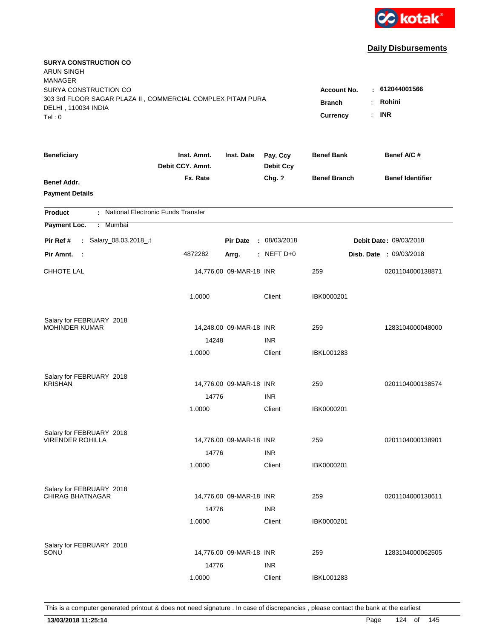

| <b>SURYA CONSTRUCTION CO</b><br><b>ARUN SINGH</b><br><b>MANAGER</b>                  |                                 |                         |                              |                                 |                                |  |
|--------------------------------------------------------------------------------------|---------------------------------|-------------------------|------------------------------|---------------------------------|--------------------------------|--|
| SURYA CONSTRUCTION CO<br>303 3rd FLOOR SAGAR PLAZA II, COMMERCIAL COMPLEX PITAM PURA |                                 |                         |                              | <b>Account No.</b>              | : 612044001566<br>Rohini       |  |
| DELHI, 110034 INDIA<br>Tel: 0                                                        |                                 |                         |                              | <b>Branch</b><br>Currency<br>÷. | <b>INR</b>                     |  |
| <b>Beneficiary</b>                                                                   | Inst. Amnt.<br>Debit CCY. Amnt. | Inst. Date              | Pay. Ccy<br><b>Debit Ccy</b> | <b>Benef Bank</b>               | Benef A/C #                    |  |
| Benef Addr.<br><b>Payment Details</b>                                                | Fx. Rate                        |                         | Chg. ?                       | <b>Benef Branch</b>             | <b>Benef Identifier</b>        |  |
| : National Electronic Funds Transfer<br><b>Product</b>                               |                                 |                         |                              |                                 |                                |  |
| Payment Loc.<br><b>Mumbai</b><br>÷.                                                  |                                 |                         |                              |                                 |                                |  |
| : Salary_08.03.2018_.t<br>Pir Ref #                                                  |                                 | <b>Pir Date</b>         | : 08/03/2018                 |                                 | Debit Date: 09/03/2018         |  |
| Pir Amnt. :                                                                          | 4872282                         | Arrg.                   | $:$ NEFT D+0                 |                                 | <b>Disb. Date : 09/03/2018</b> |  |
| <b>CHHOTE LAL</b>                                                                    |                                 | 14,776.00 09-MAR-18 INR |                              | 259                             | 0201104000138871               |  |
|                                                                                      | 1.0000                          |                         | Client                       | IBK0000201                      |                                |  |
| Salary for FEBRUARY 2018                                                             |                                 |                         |                              |                                 |                                |  |
| <b>MOHINDER KUMAR</b>                                                                |                                 | 14,248.00 09-MAR-18 INR |                              | 259                             | 1283104000048000               |  |
|                                                                                      | 14248<br>1.0000                 |                         | <b>INR</b><br>Client         | IBKL001283                      |                                |  |
|                                                                                      |                                 |                         |                              |                                 |                                |  |
| Salary for FEBRUARY 2018                                                             |                                 |                         |                              |                                 |                                |  |
| <b>KRISHAN</b>                                                                       |                                 | 14,776.00 09-MAR-18 INR |                              | 259                             | 0201104000138574               |  |
|                                                                                      | 14776                           |                         | <b>INR</b>                   |                                 |                                |  |
|                                                                                      | 1.0000                          |                         | Client                       | IBK0000201                      |                                |  |
| Salary for FEBRUARY 2018                                                             |                                 |                         |                              |                                 |                                |  |
| <b>VIRENDER ROHILLA</b>                                                              |                                 | 14,776.00 09-MAR-18 INR |                              | 259                             | 0201104000138901               |  |
|                                                                                      | 14776                           |                         | <b>INR</b>                   |                                 |                                |  |
|                                                                                      | 1.0000                          |                         | Client                       | IBK0000201                      |                                |  |
| Salary for FEBRUARY 2018                                                             |                                 |                         |                              |                                 |                                |  |
| <b>CHIRAG BHATNAGAR</b>                                                              |                                 | 14,776.00 09-MAR-18 INR |                              | 259                             | 0201104000138611               |  |
|                                                                                      | 14776                           |                         | <b>INR</b>                   |                                 |                                |  |
|                                                                                      | 1.0000                          |                         | Client                       | IBK0000201                      |                                |  |
|                                                                                      |                                 |                         |                              |                                 |                                |  |
| Salary for FEBRUARY 2018<br>SONU                                                     |                                 | 14,776.00 09-MAR-18 INR |                              | 259                             | 1283104000062505               |  |
|                                                                                      | 14776                           |                         | <b>INR</b>                   |                                 |                                |  |
|                                                                                      | 1.0000                          |                         | Client                       | <b>IBKL001283</b>               |                                |  |
|                                                                                      |                                 |                         |                              |                                 |                                |  |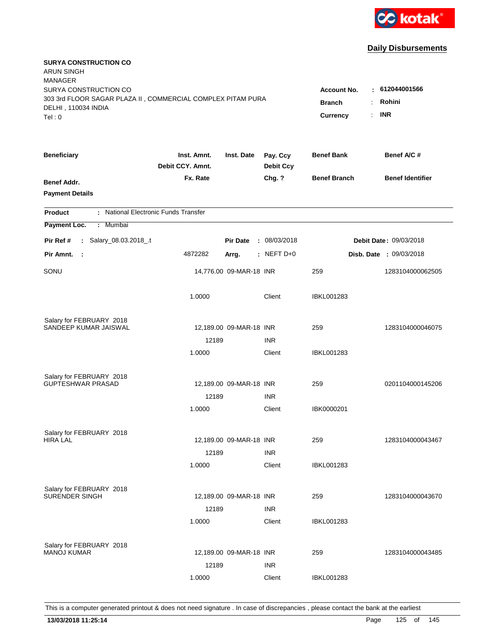

| <b>SURYA CONSTRUCTION CO</b><br><b>ARUN SINGH</b><br><b>MANAGER</b>                                         |                                     |                           |                              |                     |                                |
|-------------------------------------------------------------------------------------------------------------|-------------------------------------|---------------------------|------------------------------|---------------------|--------------------------------|
| SURYA CONSTRUCTION CO<br>303 3rd FLOOR SAGAR PLAZA II, COMMERCIAL COMPLEX PITAM PURA<br>DELHI, 110034 INDIA | <b>Account No.</b><br><b>Branch</b> | $-612044001566$<br>Rohini |                              |                     |                                |
| Tel: 0                                                                                                      |                                     |                           |                              | Currency<br>÷.      | <b>INR</b>                     |
| <b>Beneficiary</b>                                                                                          | Inst. Amnt.<br>Debit CCY. Amnt.     | Inst. Date                | Pay. Ccy<br><b>Debit Ccy</b> | <b>Benef Bank</b>   | Benef A/C #                    |
| Benef Addr.<br><b>Payment Details</b>                                                                       | Fx. Rate                            |                           | Chg. ?                       | <b>Benef Branch</b> | <b>Benef Identifier</b>        |
| : National Electronic Funds Transfer<br><b>Product</b>                                                      |                                     |                           |                              |                     |                                |
| Payment Loc.<br>Mumbai<br>÷.                                                                                |                                     |                           |                              |                     |                                |
| : Salary_08.03.2018_.t<br>Pir Ref #                                                                         |                                     | <b>Pir Date</b>           | : 08/03/2018                 |                     | Debit Date: 09/03/2018         |
| Pir Amnt.<br>- 1                                                                                            | 4872282                             | Arrg.                     | $:$ NEFT D+0                 |                     | <b>Disb. Date : 09/03/2018</b> |
| SONU                                                                                                        |                                     | 14,776.00 09-MAR-18 INR   |                              | 259                 | 1283104000062505               |
|                                                                                                             | 1.0000                              |                           | Client                       | <b>IBKL001283</b>   |                                |
| Salary for FEBRUARY 2018                                                                                    |                                     |                           |                              |                     |                                |
| SANDEEP KUMAR JAISWAL                                                                                       |                                     | 12,189.00 09-MAR-18 INR   |                              | 259                 | 1283104000046075               |
|                                                                                                             | 12189<br>1.0000                     |                           | <b>INR</b><br>Client         | IBKL001283          |                                |
|                                                                                                             |                                     |                           |                              |                     |                                |
| Salary for FEBRUARY 2018                                                                                    |                                     |                           |                              |                     |                                |
| GUPTESHWAR PRASAD                                                                                           |                                     | 12,189.00 09-MAR-18 INR   |                              | 259                 | 0201104000145206               |
|                                                                                                             | 12189                               |                           | <b>INR</b>                   |                     |                                |
|                                                                                                             | 1.0000                              |                           | Client                       | IBK0000201          |                                |
| Salary for FEBRUARY 2018                                                                                    |                                     |                           |                              |                     |                                |
| <b>HIRA LAL</b>                                                                                             |                                     | 12,189.00 09-MAR-18 INR   |                              | 259                 | 1283104000043467               |
|                                                                                                             | 12189                               |                           | <b>INR</b>                   |                     |                                |
|                                                                                                             | 1.0000                              |                           | Client                       | <b>IBKL001283</b>   |                                |
| Salary for FEBRUARY 2018                                                                                    |                                     |                           |                              |                     |                                |
| <b>SURENDER SINGH</b>                                                                                       |                                     | 12,189.00 09-MAR-18 INR   |                              | 259                 | 1283104000043670               |
|                                                                                                             | 12189                               |                           | <b>INR</b>                   |                     |                                |
|                                                                                                             | 1.0000                              |                           | Client                       | <b>IBKL001283</b>   |                                |
|                                                                                                             |                                     |                           |                              |                     |                                |
| Salary for FEBRUARY 2018<br><b>MANOJ KUMAR</b>                                                              |                                     | 12,189.00 09-MAR-18 INR   |                              | 259                 | 1283104000043485               |
|                                                                                                             | 12189                               |                           | <b>INR</b>                   |                     |                                |
|                                                                                                             | 1.0000                              |                           | Client                       | <b>IBKL001283</b>   |                                |
|                                                                                                             |                                     |                           |                              |                     |                                |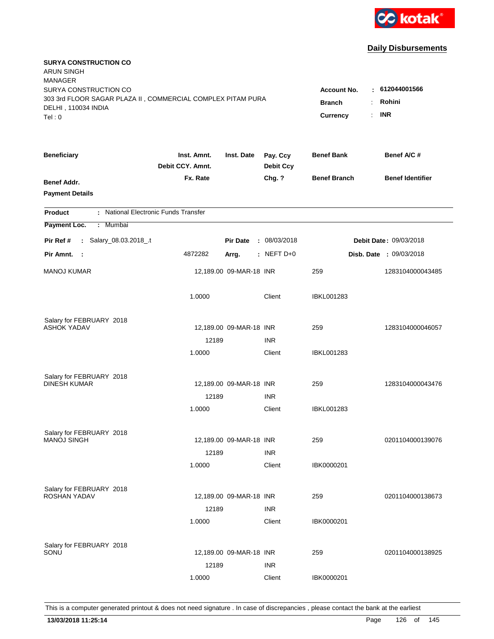

| <b>SURYA CONSTRUCTION CO</b><br><b>ARUN SINGH</b><br><b>MANAGER</b><br>SURYA CONSTRUCTION CO<br>303 3rd FLOOR SAGAR PLAZA II, COMMERCIAL COMPLEX PITAM PURA |                                 |                         |                              | <b>Account No.</b><br><b>Branch</b> | : 612044001566<br>Rohini       |
|-------------------------------------------------------------------------------------------------------------------------------------------------------------|---------------------------------|-------------------------|------------------------------|-------------------------------------|--------------------------------|
| DELHI, 110034 INDIA<br>Tel: 0                                                                                                                               |                                 |                         |                              | Currency<br>÷.                      | <b>INR</b>                     |
| <b>Beneficiary</b>                                                                                                                                          | Inst. Amnt.<br>Debit CCY. Amnt. | Inst. Date              | Pay. Ccy<br><b>Debit Ccy</b> | <b>Benef Bank</b>                   | Benef A/C #                    |
| Benef Addr.<br><b>Payment Details</b>                                                                                                                       | Fx. Rate                        |                         | Chg. ?                       | <b>Benef Branch</b>                 | <b>Benef Identifier</b>        |
| : National Electronic Funds Transfer<br><b>Product</b>                                                                                                      |                                 |                         |                              |                                     |                                |
| Payment Loc.<br>Mumbai<br>÷.                                                                                                                                |                                 |                         |                              |                                     |                                |
| : Salary_08.03.2018_.t<br>Pir Ref #                                                                                                                         |                                 | <b>Pir Date</b>         | : 08/03/2018                 |                                     | Debit Date: 09/03/2018         |
| Pir Amnt.<br>$\sim$ 1                                                                                                                                       | 4872282                         | Arrg.                   | $:$ NEFT D+0                 |                                     | <b>Disb. Date : 09/03/2018</b> |
| <b>MANOJ KUMAR</b>                                                                                                                                          |                                 | 12,189.00 09-MAR-18 INR |                              | 259                                 | 1283104000043485               |
|                                                                                                                                                             | 1.0000                          |                         | Client                       | <b>IBKL001283</b>                   |                                |
| Salary for FEBRUARY 2018                                                                                                                                    |                                 |                         |                              |                                     |                                |
| <b>ASHOK YADAV</b>                                                                                                                                          |                                 | 12,189.00 09-MAR-18 INR |                              | 259                                 | 1283104000046057               |
|                                                                                                                                                             | 12189<br>1.0000                 |                         | <b>INR</b><br>Client         | IBKL001283                          |                                |
|                                                                                                                                                             |                                 |                         |                              |                                     |                                |
| Salary for FEBRUARY 2018                                                                                                                                    |                                 |                         |                              |                                     |                                |
| <b>DINESH KUMAR</b>                                                                                                                                         |                                 | 12,189.00 09-MAR-18 INR |                              | 259                                 | 1283104000043476               |
|                                                                                                                                                             | 12189                           |                         | <b>INR</b>                   |                                     |                                |
|                                                                                                                                                             | 1.0000                          |                         | Client                       | IBKL001283                          |                                |
| Salary for FEBRUARY 2018                                                                                                                                    |                                 |                         |                              |                                     |                                |
| <b>MANOJ SINGH</b>                                                                                                                                          |                                 | 12,189.00 09-MAR-18 INR |                              | 259                                 | 0201104000139076               |
|                                                                                                                                                             | 12189                           |                         | <b>INR</b>                   |                                     |                                |
|                                                                                                                                                             | 1.0000                          |                         | Client                       | IBK0000201                          |                                |
| Salary for FEBRUARY 2018                                                                                                                                    |                                 |                         |                              |                                     |                                |
| ROSHAN YADAV                                                                                                                                                |                                 | 12,189.00 09-MAR-18 INR |                              | 259                                 | 0201104000138673               |
|                                                                                                                                                             | 12189                           |                         | <b>INR</b>                   |                                     |                                |
|                                                                                                                                                             | 1.0000                          |                         | Client                       | IBK0000201                          |                                |
| Salary for FEBRUARY 2018                                                                                                                                    |                                 |                         |                              |                                     |                                |
| SONU                                                                                                                                                        |                                 | 12,189.00 09-MAR-18 INR |                              | 259                                 | 0201104000138925               |
|                                                                                                                                                             | 12189                           |                         | <b>INR</b>                   |                                     |                                |
|                                                                                                                                                             | 1.0000                          |                         | Client                       | IBK0000201                          |                                |
|                                                                                                                                                             |                                 |                         |                              |                                     |                                |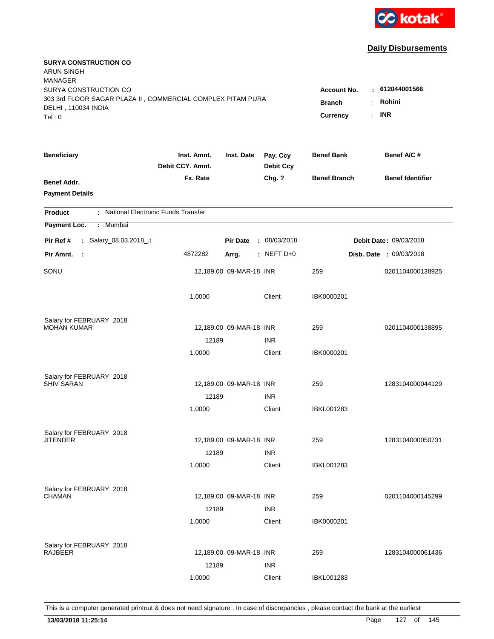

| <b>SURYA CONSTRUCTION CO</b><br><b>ARUN SINGH</b><br><b>MANAGER</b>                  |                                 |                         |                              |                     |                               |
|--------------------------------------------------------------------------------------|---------------------------------|-------------------------|------------------------------|---------------------|-------------------------------|
| SURYA CONSTRUCTION CO<br>303 3rd FLOOR SAGAR PLAZA II, COMMERCIAL COMPLEX PITAM PURA |                                 |                         |                              | <b>Account No.</b>  | : 612044001566                |
| DELHI, 110034 INDIA                                                                  |                                 |                         |                              | <b>Branch</b>       | Rohini                        |
| Tel:0                                                                                |                                 |                         |                              | ÷.<br>Currency      | <b>INR</b>                    |
| <b>Beneficiary</b>                                                                   | Inst. Amnt.<br>Debit CCY. Amnt. | Inst. Date              | Pay. Ccy<br><b>Debit Ccy</b> | <b>Benef Bank</b>   | Benef A/C #                   |
| <b>Benef Addr.</b>                                                                   | Fx. Rate                        |                         | Chg. ?                       | <b>Benef Branch</b> | <b>Benef Identifier</b>       |
| <b>Payment Details</b>                                                               |                                 |                         |                              |                     |                               |
| : National Electronic Funds Transfer<br><b>Product</b>                               |                                 |                         |                              |                     |                               |
| Payment Loc.<br>Mumbai<br>÷.                                                         |                                 |                         |                              |                     |                               |
| : Salary_08.03.2018_.t<br>Pir Ref #                                                  |                                 | <b>Pir Date</b>         | : 08/03/2018                 |                     | <b>Debit Date: 09/03/2018</b> |
| Pir Amnt.<br>$\mathbf{L}$                                                            | 4872282                         | Arrg.                   | : NEFT D+0                   |                     | Disb. Date : 09/03/2018       |
| SONU                                                                                 |                                 | 12,189.00 09-MAR-18 INR |                              | 259                 | 0201104000138925              |
|                                                                                      | 1.0000                          |                         | Client                       | IBK0000201          |                               |
| Salary for FEBRUARY 2018                                                             |                                 |                         |                              |                     |                               |
| <b>MOHAN KUMAR</b>                                                                   |                                 | 12,189.00 09-MAR-18 INR |                              | 259                 | 0201104000138895              |
|                                                                                      | 12189                           |                         | <b>INR</b>                   |                     |                               |
|                                                                                      | 1.0000                          |                         | Client                       | IBK0000201          |                               |
| Salary for FEBRUARY 2018                                                             |                                 |                         |                              |                     |                               |
| <b>SHIV SARAN</b>                                                                    |                                 | 12,189.00 09-MAR-18 INR |                              | 259                 | 1283104000044129              |
|                                                                                      | 12189                           |                         | <b>INR</b>                   |                     |                               |
|                                                                                      | 1.0000                          |                         | Client                       | <b>IBKL001283</b>   |                               |
| Salary for FEBRUARY 2018                                                             |                                 |                         |                              |                     |                               |
| JITENDER                                                                             |                                 | 12,189.00 09-MAR-18 INR |                              | 259                 | 1283104000050731              |
|                                                                                      | 12189                           |                         | <b>INR</b>                   |                     |                               |
|                                                                                      | 1.0000                          |                         | Client                       | <b>IBKL001283</b>   |                               |
| Salary for FEBRUARY 2018                                                             |                                 |                         |                              |                     |                               |
| CHAMAN                                                                               |                                 | 12,189.00 09-MAR-18 INR |                              | 259                 | 0201104000145299              |
|                                                                                      | 12189                           |                         | <b>INR</b>                   |                     |                               |
|                                                                                      | 1.0000                          |                         | Client                       | IBK0000201          |                               |
| Salary for FEBRUARY 2018                                                             |                                 |                         |                              |                     |                               |
| <b>RAJBEER</b>                                                                       |                                 | 12,189.00 09-MAR-18 INR |                              | 259                 | 1283104000061436              |
|                                                                                      | 12189                           |                         | <b>INR</b>                   |                     |                               |
|                                                                                      | 1.0000                          |                         | Client                       | <b>IBKL001283</b>   |                               |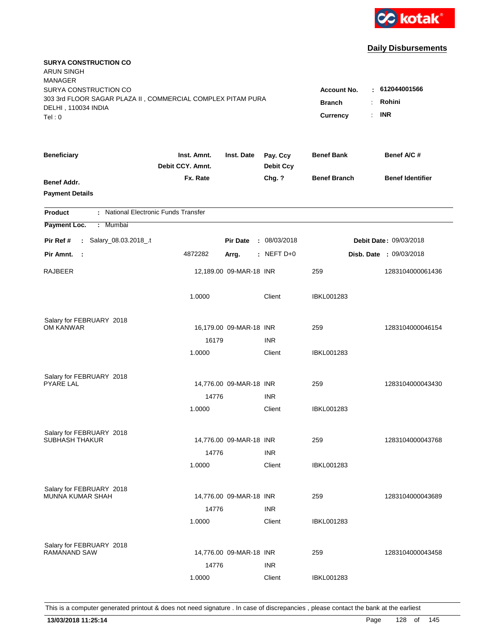

| <b>SURYA CONSTRUCTION CO</b><br><b>ARUN SINGH</b><br><b>MANAGER</b><br>SURYA CONSTRUCTION CO |                                 |                         |                              | <b>Account No.</b>  | : 612044001566                 |
|----------------------------------------------------------------------------------------------|---------------------------------|-------------------------|------------------------------|---------------------|--------------------------------|
| 303 3rd FLOOR SAGAR PLAZA II, COMMERCIAL COMPLEX PITAM PURA<br>DELHI, 110034 INDIA<br>Tel: 0 | <b>Branch</b><br>Currency<br>÷. | Rohini<br><b>INR</b>    |                              |                     |                                |
| <b>Beneficiary</b>                                                                           | Inst. Amnt.<br>Debit CCY. Amnt. | Inst. Date              | Pay. Ccy<br><b>Debit Ccy</b> | <b>Benef Bank</b>   | Benef A/C #                    |
| Benef Addr.<br><b>Payment Details</b>                                                        | Fx. Rate                        |                         | Chg. ?                       | <b>Benef Branch</b> | <b>Benef Identifier</b>        |
| : National Electronic Funds Transfer<br><b>Product</b>                                       |                                 |                         |                              |                     |                                |
| Payment Loc.<br><b>Mumbai</b><br>÷.                                                          |                                 |                         |                              |                     |                                |
| : Salary_08.03.2018_.t<br>Pir Ref #                                                          |                                 | <b>Pir Date</b>         | : 08/03/2018                 |                     | Debit Date: 09/03/2018         |
| Pir Amnt.<br>- 1                                                                             | 4872282                         | Arrg.                   | $:$ NEFT D+0                 |                     | <b>Disb. Date : 09/03/2018</b> |
| RAJBEER                                                                                      |                                 | 12,189.00 09-MAR-18 INR |                              | 259                 | 1283104000061436               |
|                                                                                              | 1.0000                          |                         | Client                       | <b>IBKL001283</b>   |                                |
| Salary for FEBRUARY 2018                                                                     |                                 |                         |                              |                     |                                |
| OM KANWAR                                                                                    |                                 | 16,179.00 09-MAR-18 INR |                              | 259                 | 1283104000046154               |
|                                                                                              | 16179<br>1.0000                 |                         | <b>INR</b><br>Client         | IBKL001283          |                                |
| Salary for FEBRUARY 2018<br><b>PYARE LAL</b>                                                 |                                 | 14,776.00 09-MAR-18 INR |                              | 259                 | 1283104000043430               |
|                                                                                              | 14776                           |                         | <b>INR</b>                   |                     |                                |
|                                                                                              | 1.0000                          |                         | Client                       | IBKL001283          |                                |
| Salary for FEBRUARY 2018<br><b>SUBHASH THAKUR</b>                                            |                                 | 14,776.00 09-MAR-18 INR |                              | 259                 | 1283104000043768               |
|                                                                                              | 14776                           |                         | <b>INR</b>                   |                     |                                |
|                                                                                              | 1.0000                          |                         | Client                       | <b>IBKL001283</b>   |                                |
| Salary for FEBRUARY 2018<br><b>MUNNA KUMAR SHAH</b>                                          | 14776                           | 14,776.00 09-MAR-18 INR | <b>INR</b>                   | 259                 | 1283104000043689               |
|                                                                                              | 1.0000                          |                         | Client                       | <b>IBKL001283</b>   |                                |
| Salary for FEBRUARY 2018<br><b>RAMANAND SAW</b>                                              | 14776                           | 14,776.00 09-MAR-18 INR | <b>INR</b>                   | 259                 | 1283104000043458               |
|                                                                                              | 1.0000                          |                         | Client                       | <b>IBKL001283</b>   |                                |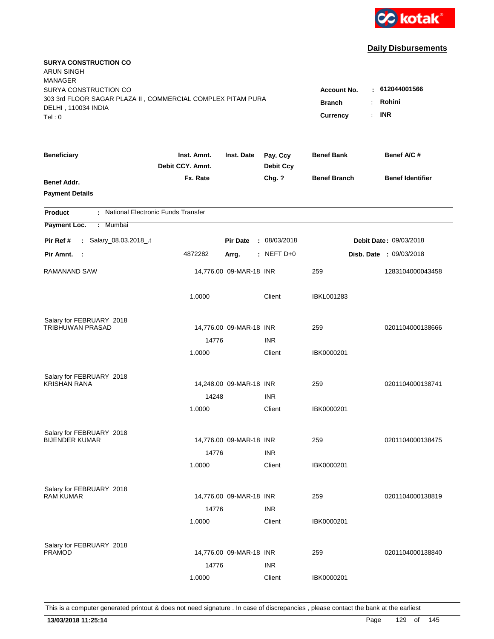

| <b>SURYA CONSTRUCTION CO</b><br><b>ARUN SINGH</b><br><b>MANAGER</b>                                         |                                                |                                         |                              |                     |                                |
|-------------------------------------------------------------------------------------------------------------|------------------------------------------------|-----------------------------------------|------------------------------|---------------------|--------------------------------|
| SURYA CONSTRUCTION CO<br>303 3rd FLOOR SAGAR PLAZA II, COMMERCIAL COMPLEX PITAM PURA<br>DELHI, 110034 INDIA | <b>Account No.</b><br><b>Branch</b><br>÷<br>÷. | $-612044001566$<br>Rohini<br><b>INR</b> |                              |                     |                                |
| Tel: 0                                                                                                      |                                                |                                         |                              | Currency            |                                |
| <b>Beneficiary</b>                                                                                          | Inst. Amnt.<br>Debit CCY. Amnt.                | Inst. Date                              | Pay. Ccy<br><b>Debit Ccy</b> | <b>Benef Bank</b>   | Benef A/C #                    |
| Benef Addr.<br><b>Payment Details</b>                                                                       | Fx. Rate                                       |                                         | Chg. ?                       | <b>Benef Branch</b> | <b>Benef Identifier</b>        |
| : National Electronic Funds Transfer<br><b>Product</b>                                                      |                                                |                                         |                              |                     |                                |
| Payment Loc.<br><b>Mumbai</b><br>÷.                                                                         |                                                |                                         |                              |                     |                                |
| : Salary_08.03.2018_.t<br>Pir Ref #                                                                         |                                                | <b>Pir Date</b>                         | : 08/03/2018                 |                     | Debit Date: 09/03/2018         |
| Pir Amnt.<br>$\sim$ 1                                                                                       | 4872282                                        | Arrg.                                   | $:$ NEFT D+0                 |                     | <b>Disb. Date : 09/03/2018</b> |
| RAMANAND SAW                                                                                                |                                                | 14,776.00 09-MAR-18 INR                 |                              | 259                 | 1283104000043458               |
|                                                                                                             | 1.0000                                         |                                         | Client                       | <b>IBKL001283</b>   |                                |
| Salary for FEBRUARY 2018                                                                                    |                                                |                                         |                              |                     |                                |
| TRIBHUWAN PRASAD                                                                                            |                                                | 14,776.00 09-MAR-18 INR                 |                              | 259                 | 0201104000138666               |
|                                                                                                             | 14776<br>1.0000                                |                                         | <b>INR</b><br>Client         | IBK0000201          |                                |
|                                                                                                             |                                                |                                         |                              |                     |                                |
| Salary for FEBRUARY 2018                                                                                    |                                                |                                         |                              |                     |                                |
| <b>KRISHAN RANA</b>                                                                                         |                                                | 14,248.00 09-MAR-18 INR                 |                              | 259                 | 0201104000138741               |
|                                                                                                             | 14248                                          |                                         | <b>INR</b>                   |                     |                                |
|                                                                                                             | 1.0000                                         |                                         | Client                       | IBK0000201          |                                |
| Salary for FEBRUARY 2018                                                                                    |                                                |                                         |                              |                     |                                |
| <b>BIJENDER KUMAR</b>                                                                                       |                                                | 14,776.00 09-MAR-18 INR                 |                              | 259                 | 0201104000138475               |
|                                                                                                             | 14776                                          |                                         | <b>INR</b>                   |                     |                                |
|                                                                                                             | 1.0000                                         |                                         | Client                       | IBK0000201          |                                |
|                                                                                                             |                                                |                                         |                              |                     |                                |
| Salary for FEBRUARY 2018<br><b>RAM KUMAR</b>                                                                |                                                | 14,776.00 09-MAR-18 INR                 |                              | 259                 | 0201104000138819               |
|                                                                                                             | 14776                                          |                                         | <b>INR</b>                   |                     |                                |
|                                                                                                             | 1.0000                                         |                                         | Client                       | IBK0000201          |                                |
|                                                                                                             |                                                |                                         |                              |                     |                                |
| Salary for FEBRUARY 2018<br><b>PRAMOD</b>                                                                   |                                                | 14,776.00 09-MAR-18 INR                 |                              | 259                 | 0201104000138840               |
|                                                                                                             | 14776                                          |                                         | <b>INR</b>                   |                     |                                |
|                                                                                                             | 1.0000                                         |                                         | Client                       | IBK0000201          |                                |
|                                                                                                             |                                                |                                         |                              |                     |                                |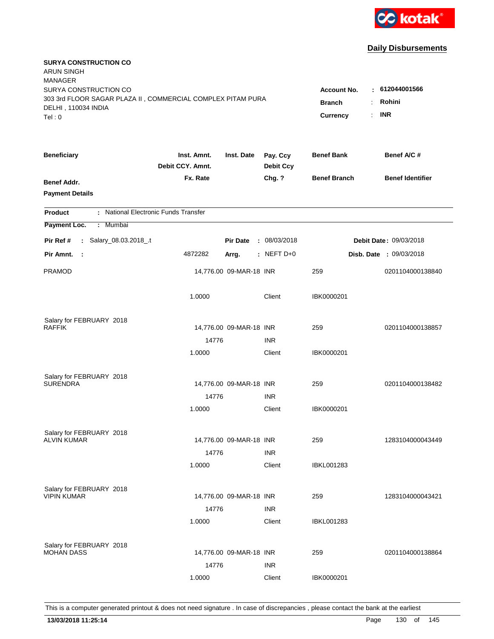

| <b>SURYA CONSTRUCTION CO</b><br><b>ARUN SINGH</b><br><b>MANAGER</b> |                                 |                         |                              |                     |                                |
|---------------------------------------------------------------------|---------------------------------|-------------------------|------------------------------|---------------------|--------------------------------|
| SURYA CONSTRUCTION CO                                               |                                 |                         |                              | <b>Account No.</b>  | : 612044001566                 |
| 303 3rd FLOOR SAGAR PLAZA II, COMMERCIAL COMPLEX PITAM PURA         |                                 |                         |                              | <b>Branch</b>       | Rohini                         |
| DELHI, 110034 INDIA                                                 |                                 |                         |                              | ÷.                  | <b>INR</b>                     |
| Tel: 0                                                              |                                 |                         |                              | Currency            |                                |
| <b>Beneficiary</b>                                                  | Inst. Amnt.<br>Debit CCY. Amnt. | Inst. Date              | Pay. Ccy<br><b>Debit Ccy</b> | <b>Benef Bank</b>   | Benef A/C #                    |
| Benef Addr.                                                         | Fx. Rate                        |                         | Chg. ?                       | <b>Benef Branch</b> | <b>Benef Identifier</b>        |
| <b>Payment Details</b>                                              |                                 |                         |                              |                     |                                |
| : National Electronic Funds Transfer<br><b>Product</b>              |                                 |                         |                              |                     |                                |
| Payment Loc.<br><b>Mumbai</b><br>÷.                                 |                                 |                         |                              |                     |                                |
| : Salary_08.03.2018_.t<br>Pir Ref #                                 |                                 | <b>Pir Date</b>         | : 08/03/2018                 |                     | Debit Date: 09/03/2018         |
| Pir Amnt.<br>- 1                                                    | 4872282                         | Arrg.                   | : NEFT D+0                   |                     | <b>Disb. Date : 09/03/2018</b> |
| <b>PRAMOD</b>                                                       |                                 | 14,776.00 09-MAR-18 INR |                              | 259                 | 0201104000138840               |
|                                                                     | 1.0000                          |                         | Client                       | IBK0000201          |                                |
| Salary for FEBRUARY 2018                                            |                                 |                         |                              |                     |                                |
| <b>RAFFIK</b>                                                       |                                 | 14,776.00 09-MAR-18 INR |                              | 259                 | 0201104000138857               |
|                                                                     | 14776                           |                         | <b>INR</b>                   |                     |                                |
|                                                                     | 1.0000                          |                         | Client                       | IBK0000201          |                                |
| Salary for FEBRUARY 2018                                            |                                 |                         |                              |                     |                                |
| <b>SURENDRA</b>                                                     |                                 | 14,776.00 09-MAR-18 INR |                              | 259                 | 0201104000138482               |
|                                                                     | 14776                           |                         | <b>INR</b>                   |                     |                                |
|                                                                     | 1.0000                          |                         | Client                       | IBK0000201          |                                |
| Salary for FEBRUARY 2018                                            |                                 |                         |                              |                     |                                |
| <b>ALVIN KUMAR</b>                                                  |                                 | 14,776.00 09-MAR-18 INR |                              | 259                 | 1283104000043449               |
|                                                                     | 14776                           |                         | <b>INR</b>                   |                     |                                |
|                                                                     | 1.0000                          |                         | Client                       | <b>IBKL001283</b>   |                                |
| Salary for FEBRUARY 2018                                            |                                 |                         |                              |                     |                                |
| <b>VIPIN KUMAR</b>                                                  |                                 | 14,776.00 09-MAR-18 INR |                              | 259                 | 1283104000043421               |
|                                                                     | 14776                           |                         | <b>INR</b>                   |                     |                                |
|                                                                     | 1.0000                          |                         | Client                       | <b>IBKL001283</b>   |                                |
| Salary for FEBRUARY 2018                                            |                                 |                         |                              |                     |                                |
| <b>MOHAN DASS</b>                                                   |                                 | 14,776.00 09-MAR-18 INR |                              | 259                 | 0201104000138864               |
|                                                                     | 14776                           |                         | <b>INR</b>                   |                     |                                |
|                                                                     | 1.0000                          |                         | Client                       | IBK0000201          |                                |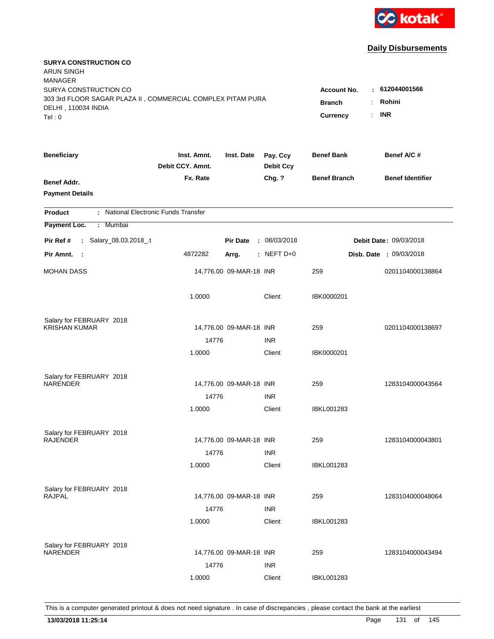

| <b>SURYA CONSTRUCTION CO</b><br><b>ARUN SINGH</b><br><b>MANAGER</b> |                                 |                         |                              |                     |                                |
|---------------------------------------------------------------------|---------------------------------|-------------------------|------------------------------|---------------------|--------------------------------|
| SURYA CONSTRUCTION CO                                               |                                 |                         |                              | <b>Account No.</b>  | : 612044001566                 |
| 303 3rd FLOOR SAGAR PLAZA II, COMMERCIAL COMPLEX PITAM PURA         |                                 |                         |                              | <b>Branch</b><br>÷  | Rohini                         |
| DELHI, 110034 INDIA                                                 |                                 |                         |                              | ÷.                  | <b>INR</b>                     |
| Tel: 0                                                              |                                 |                         |                              | Currency            |                                |
| <b>Beneficiary</b>                                                  | Inst. Amnt.<br>Debit CCY. Amnt. | Inst. Date              | Pay. Ccy<br><b>Debit Ccy</b> | <b>Benef Bank</b>   | Benef A/C #                    |
| Benef Addr.                                                         | Fx. Rate                        |                         | Chg. ?                       | <b>Benef Branch</b> | <b>Benef Identifier</b>        |
| <b>Payment Details</b>                                              |                                 |                         |                              |                     |                                |
| : National Electronic Funds Transfer<br><b>Product</b>              |                                 |                         |                              |                     |                                |
| Payment Loc.<br>Mumbai<br>÷.                                        |                                 |                         |                              |                     |                                |
| : Salary_08.03.2018_.t<br>Pir Ref #                                 |                                 | <b>Pir Date</b>         | : 08/03/2018                 |                     | Debit Date: 09/03/2018         |
| Pir Amnt.<br>$\sim$ 1                                               | 4872282                         | Arrg.                   | $:$ NEFT D+0                 |                     | <b>Disb. Date : 09/03/2018</b> |
| <b>MOHAN DASS</b>                                                   |                                 | 14,776.00 09-MAR-18 INR |                              | 259                 | 0201104000138864               |
|                                                                     | 1.0000                          |                         | Client                       | IBK0000201          |                                |
| Salary for FEBRUARY 2018                                            |                                 |                         |                              |                     |                                |
| <b>KRISHAN KUMAR</b>                                                |                                 | 14,776.00 09-MAR-18 INR |                              | 259                 | 0201104000138697               |
|                                                                     | 14776                           |                         | <b>INR</b>                   |                     |                                |
|                                                                     | 1.0000                          |                         | Client                       | IBK0000201          |                                |
| Salary for FEBRUARY 2018                                            |                                 |                         |                              |                     |                                |
| <b>NARENDER</b>                                                     |                                 | 14,776.00 09-MAR-18 INR |                              | 259                 | 1283104000043564               |
|                                                                     | 14776                           |                         | <b>INR</b>                   |                     |                                |
|                                                                     | 1.0000                          |                         | Client                       | IBKL001283          |                                |
| Salary for FEBRUARY 2018                                            |                                 |                         |                              |                     |                                |
| <b>RAJENDER</b>                                                     |                                 | 14,776.00 09-MAR-18 INR |                              | 259                 | 1283104000043801               |
|                                                                     | 14776                           |                         | <b>INR</b>                   |                     |                                |
|                                                                     | 1.0000                          |                         | Client                       | <b>IBKL001283</b>   |                                |
| Salary for FEBRUARY 2018                                            |                                 |                         |                              |                     |                                |
| <b>RAJPAL</b>                                                       |                                 | 14,776.00 09-MAR-18 INR |                              | 259                 | 1283104000048064               |
|                                                                     | 14776                           |                         | <b>INR</b>                   |                     |                                |
|                                                                     | 1.0000                          |                         | Client                       | <b>IBKL001283</b>   |                                |
| Salary for FEBRUARY 2018                                            |                                 |                         |                              |                     |                                |
| NARENDER                                                            |                                 | 14,776.00 09-MAR-18 INR |                              | 259                 | 1283104000043494               |
|                                                                     | 14776                           |                         | <b>INR</b>                   |                     |                                |
|                                                                     | 1.0000                          |                         | Client                       | <b>IBKL001283</b>   |                                |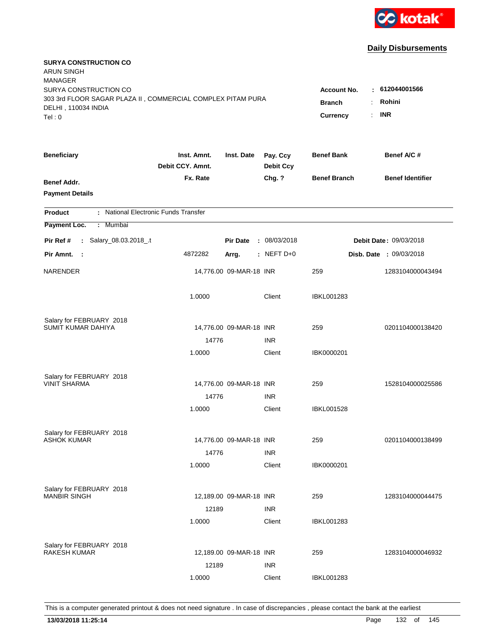

| <b>SURYA CONSTRUCTION CO</b><br><b>ARUN SINGH</b><br><b>MANAGER</b><br>SURYA CONSTRUCTION CO<br>303 3rd FLOOR SAGAR PLAZA II, COMMERCIAL COMPLEX PITAM PURA |                                 |                         |                              | <b>Account No.</b>                                                  | : 612044001566                 |
|-------------------------------------------------------------------------------------------------------------------------------------------------------------|---------------------------------|-------------------------|------------------------------|---------------------------------------------------------------------|--------------------------------|
| DELHI, 110034 INDIA<br>Tel: 0                                                                                                                               |                                 |                         |                              | <b>Branch</b><br>÷.<br>$\mathbb{R}^{\mathbb{Z}}$<br><b>Currency</b> | Rohini<br><b>INR</b>           |
| <b>Beneficiary</b>                                                                                                                                          | Inst. Amnt.<br>Debit CCY, Amnt. | Inst. Date              | Pay. Ccy<br><b>Debit Ccy</b> | <b>Benef Bank</b>                                                   | Benef A/C #                    |
| Benef Addr.<br><b>Payment Details</b>                                                                                                                       | Fx. Rate                        |                         | Chg. ?                       | <b>Benef Branch</b>                                                 | <b>Benef Identifier</b>        |
| : National Electronic Funds Transfer<br><b>Product</b>                                                                                                      |                                 |                         |                              |                                                                     |                                |
| Payment Loc.<br>Mumbai<br>÷.                                                                                                                                |                                 |                         |                              |                                                                     |                                |
| : Salary_08.03.2018_.t<br>Pir Ref #                                                                                                                         |                                 | <b>Pir Date</b>         | : 08/03/2018                 |                                                                     | <b>Debit Date: 09/03/2018</b>  |
| Pir Amnt. :                                                                                                                                                 | 4872282                         | Arrg.                   | $:$ NEFT D+0                 |                                                                     | <b>Disb. Date : 09/03/2018</b> |
| <b>NARENDER</b>                                                                                                                                             |                                 | 14,776.00 09-MAR-18 INR |                              | 259                                                                 | 1283104000043494               |
|                                                                                                                                                             | 1.0000                          |                         | Client                       | <b>IBKL001283</b>                                                   |                                |
| Salary for FEBRUARY 2018                                                                                                                                    |                                 |                         |                              |                                                                     |                                |
| SUMIT KUMAR DAHIYA                                                                                                                                          | 14776                           | 14,776.00 09-MAR-18 INR | <b>INR</b>                   | 259                                                                 | 0201104000138420               |
|                                                                                                                                                             | 1.0000                          |                         | Client                       | IBK0000201                                                          |                                |
| Salary for FEBRUARY 2018<br><b>VINIT SHARMA</b>                                                                                                             |                                 | 14,776.00 09-MAR-18 INR |                              | 259                                                                 | 1528104000025586               |
|                                                                                                                                                             | 14776                           |                         | <b>INR</b>                   |                                                                     |                                |
|                                                                                                                                                             | 1.0000                          |                         | Client                       | <b>IBKL001528</b>                                                   |                                |
| Salary for FEBRUARY 2018                                                                                                                                    |                                 |                         |                              |                                                                     |                                |
| <b>ASHOK KUMAR</b>                                                                                                                                          |                                 | 14,776.00 09-MAR-18 INR |                              | 259                                                                 | 0201104000138499               |
|                                                                                                                                                             | 14776                           |                         | <b>INR</b>                   |                                                                     |                                |
|                                                                                                                                                             | 1.0000                          |                         | Client                       | IBK0000201                                                          |                                |
| Salary for FEBRUARY 2018                                                                                                                                    |                                 |                         |                              |                                                                     |                                |
| <b>MANBIR SINGH</b>                                                                                                                                         |                                 | 12,189.00 09-MAR-18 INR |                              | 259                                                                 | 1283104000044475               |
|                                                                                                                                                             | 12189                           |                         | <b>INR</b>                   |                                                                     |                                |
|                                                                                                                                                             | 1.0000                          |                         | Client                       | <b>IBKL001283</b>                                                   |                                |
| Salary for FEBRUARY 2018                                                                                                                                    |                                 |                         |                              |                                                                     |                                |
| <b>RAKESH KUMAR</b>                                                                                                                                         |                                 | 12,189.00 09-MAR-18 INR |                              | 259                                                                 | 1283104000046932               |
|                                                                                                                                                             | 12189                           |                         | <b>INR</b>                   |                                                                     |                                |
|                                                                                                                                                             | 1.0000                          |                         | Client                       | <b>IBKL001283</b>                                                   |                                |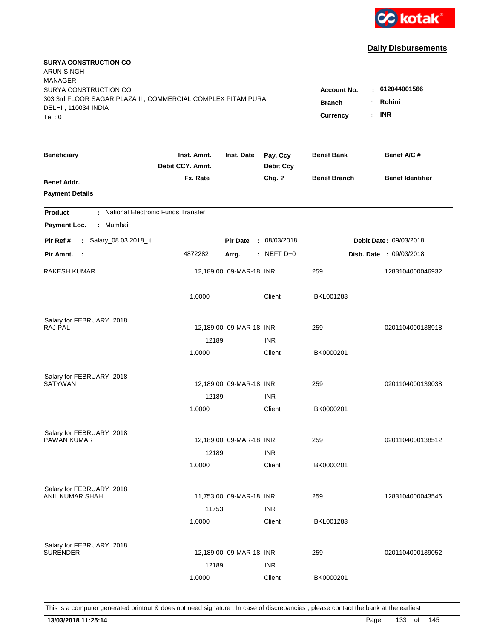

| <b>SURYA CONSTRUCTION CO</b><br><b>ARUN SINGH</b><br><b>MANAGER</b>                |                                 |                         |                              |                     |                                         |
|------------------------------------------------------------------------------------|---------------------------------|-------------------------|------------------------------|---------------------|-----------------------------------------|
| SURYA CONSTRUCTION CO                                                              |                                 |                         |                              | <b>Account No.</b>  | : 612044001566                          |
| 303 3rd FLOOR SAGAR PLAZA II, COMMERCIAL COMPLEX PITAM PURA<br>DELHI, 110034 INDIA |                                 |                         |                              | <b>Branch</b>       | Rohini<br>÷.                            |
| Tel: 0                                                                             |                                 |                         |                              | Currency            | <b>INR</b><br>$\mathbb{R}^{\mathbb{Z}}$ |
|                                                                                    |                                 |                         |                              |                     |                                         |
| <b>Beneficiary</b>                                                                 | Inst. Amnt.<br>Debit CCY, Amnt. | Inst. Date              | Pay. Ccy<br><b>Debit Ccy</b> | <b>Benef Bank</b>   | Benef A/C #                             |
| Benef Addr.                                                                        | Fx. Rate                        |                         | Chg. ?                       | <b>Benef Branch</b> | <b>Benef Identifier</b>                 |
| <b>Payment Details</b>                                                             |                                 |                         |                              |                     |                                         |
| : National Electronic Funds Transfer<br><b>Product</b>                             |                                 |                         |                              |                     |                                         |
| Payment Loc.<br>Mumbai<br>÷.                                                       |                                 |                         |                              |                     |                                         |
| : Salary_08.03.2018_.t<br>Pir Ref #                                                |                                 | <b>Pir Date</b>         | : 08/03/2018                 |                     | Debit Date: 09/03/2018                  |
| Pir Amnt. :                                                                        | 4872282                         | Arrg.                   | $:$ NEFT D+0                 |                     | <b>Disb. Date : 09/03/2018</b>          |
|                                                                                    |                                 |                         |                              |                     |                                         |
| <b>RAKESH KUMAR</b>                                                                |                                 | 12,189.00 09-MAR-18 INR |                              | 259                 | 1283104000046932                        |
|                                                                                    | 1.0000                          |                         | Client                       | <b>IBKL001283</b>   |                                         |
| Salary for FEBRUARY 2018                                                           |                                 |                         |                              |                     |                                         |
| <b>RAJ PAL</b>                                                                     |                                 | 12,189.00 09-MAR-18 INR |                              | 259                 | 0201104000138918                        |
|                                                                                    | 12189                           |                         | <b>INR</b>                   |                     |                                         |
|                                                                                    | 1.0000                          |                         | Client                       | IBK0000201          |                                         |
|                                                                                    |                                 |                         |                              |                     |                                         |
| Salary for FEBRUARY 2018<br><b>SATYWAN</b>                                         |                                 | 12,189.00 09-MAR-18 INR |                              | 259                 | 0201104000139038                        |
|                                                                                    | 12189                           |                         | <b>INR</b>                   |                     |                                         |
|                                                                                    | 1.0000                          |                         | Client                       | IBK0000201          |                                         |
|                                                                                    |                                 |                         |                              |                     |                                         |
| Salary for FEBRUARY 2018                                                           |                                 |                         |                              |                     |                                         |
| PAWAN KUMAR                                                                        |                                 | 12,189.00 09-MAR-18 INR |                              | 259                 | 0201104000138512                        |
|                                                                                    | 12189                           |                         | <b>INR</b>                   |                     |                                         |
|                                                                                    | 1.0000                          |                         | Client                       | IBK0000201          |                                         |
| Salary for FEBRUARY 2018                                                           |                                 |                         |                              |                     |                                         |
| ANIL KUMAR SHAH                                                                    |                                 | 11,753.00 09-MAR-18 INR |                              | 259                 | 1283104000043546                        |
|                                                                                    | 11753                           |                         | <b>INR</b>                   |                     |                                         |
|                                                                                    | 1.0000                          |                         | Client                       | <b>IBKL001283</b>   |                                         |
|                                                                                    |                                 |                         |                              |                     |                                         |
| Salary for FEBRUARY 2018<br><b>SURENDER</b>                                        |                                 | 12,189.00 09-MAR-18 INR |                              | 259                 | 0201104000139052                        |
|                                                                                    | 12189                           |                         | <b>INR</b>                   |                     |                                         |
|                                                                                    | 1.0000                          |                         | Client                       | IBK0000201          |                                         |
|                                                                                    |                                 |                         |                              |                     |                                         |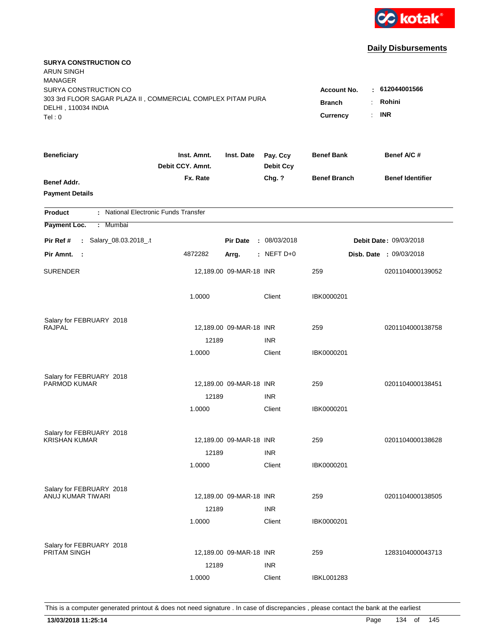

| <b>SURYA CONSTRUCTION CO</b><br><b>ARUN SINGH</b><br><b>MANAGER</b><br>SURYA CONSTRUCTION CO<br>303 3rd FLOOR SAGAR PLAZA II, COMMERCIAL COMPLEX PITAM PURA |                                 |                         |                              | <b>Account No.</b>        | : 612044001566                 |
|-------------------------------------------------------------------------------------------------------------------------------------------------------------|---------------------------------|-------------------------|------------------------------|---------------------------|--------------------------------|
| DELHI, 110034 INDIA<br>Tel: 0                                                                                                                               |                                 |                         |                              | <b>Branch</b><br>Currency | Rohini<br><b>INR</b><br>÷.     |
| <b>Beneficiary</b>                                                                                                                                          | Inst. Amnt.<br>Debit CCY. Amnt. | Inst. Date              | Pay. Ccy<br><b>Debit Ccy</b> | <b>Benef Bank</b>         | Benef A/C #                    |
| Benef Addr.<br><b>Payment Details</b>                                                                                                                       | Fx. Rate                        |                         | Chg. ?                       | <b>Benef Branch</b>       | <b>Benef Identifier</b>        |
| : National Electronic Funds Transfer<br><b>Product</b>                                                                                                      |                                 |                         |                              |                           |                                |
| Payment Loc.<br><b>Mumbai</b><br>÷.                                                                                                                         |                                 |                         |                              |                           |                                |
| : Salary_08.03.2018_.t<br>Pir Ref #                                                                                                                         |                                 | <b>Pir Date</b>         | : 08/03/2018                 |                           | Debit Date: 09/03/2018         |
| Pir Amnt. :                                                                                                                                                 | 4872282                         | Arrg.                   | $:$ NEFT D+0                 |                           | <b>Disb. Date : 09/03/2018</b> |
| <b>SURENDER</b>                                                                                                                                             |                                 | 12,189.00 09-MAR-18 INR |                              | 259                       | 0201104000139052               |
|                                                                                                                                                             | 1.0000                          |                         | Client                       | IBK0000201                |                                |
| Salary for FEBRUARY 2018                                                                                                                                    |                                 |                         |                              |                           |                                |
| <b>RAJPAL</b>                                                                                                                                               | 12189                           | 12,189.00 09-MAR-18 INR | <b>INR</b>                   | 259                       | 0201104000138758               |
|                                                                                                                                                             | 1.0000                          |                         | Client                       | IBK0000201                |                                |
| Salary for FEBRUARY 2018<br>PARMOD KUMAR                                                                                                                    |                                 | 12,189.00 09-MAR-18 INR |                              | 259                       | 0201104000138451               |
|                                                                                                                                                             | 12189                           |                         | <b>INR</b>                   |                           |                                |
|                                                                                                                                                             | 1.0000                          |                         | Client                       | IBK0000201                |                                |
| Salary for FEBRUARY 2018                                                                                                                                    |                                 |                         |                              |                           |                                |
| <b>KRISHAN KUMAR</b>                                                                                                                                        |                                 | 12,189.00 09-MAR-18 INR |                              | 259                       | 0201104000138628               |
|                                                                                                                                                             | 12189<br>1.0000                 |                         | <b>INR</b><br>Client         | IBK0000201                |                                |
|                                                                                                                                                             |                                 |                         |                              |                           |                                |
| Salary for FEBRUARY 2018                                                                                                                                    |                                 |                         |                              |                           |                                |
| ANUJ KUMAR TIWARI                                                                                                                                           |                                 | 12,189.00 09-MAR-18 INR |                              | 259                       | 0201104000138505               |
|                                                                                                                                                             | 12189<br>1.0000                 |                         | <b>INR</b><br>Client         | IBK0000201                |                                |
| Salary for FEBRUARY 2018<br>PRITAM SINGH                                                                                                                    | 12189                           | 12,189.00 09-MAR-18 INR | <b>INR</b>                   | 259                       | 1283104000043713               |
|                                                                                                                                                             | 1.0000                          |                         | Client                       | <b>IBKL001283</b>         |                                |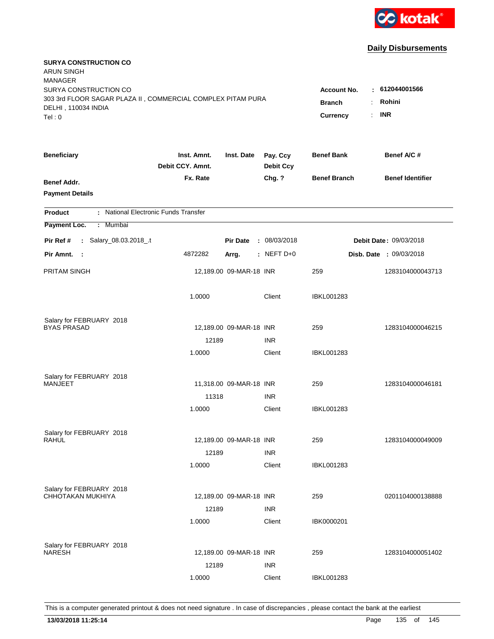

| <b>SURYA CONSTRUCTION CO</b><br><b>ARUN SINGH</b><br><b>MANAGER</b>                |                                 |                         |                              |                                              |                                |
|------------------------------------------------------------------------------------|---------------------------------|-------------------------|------------------------------|----------------------------------------------|--------------------------------|
| SURYA CONSTRUCTION CO                                                              |                                 |                         |                              | <b>Account No.</b>                           | : 612044001566                 |
| 303 3rd FLOOR SAGAR PLAZA II, COMMERCIAL COMPLEX PITAM PURA<br>DELHI, 110034 INDIA |                                 |                         |                              | <b>Branch</b><br>÷                           | Rohini                         |
| Tel: 0                                                                             |                                 |                         |                              | $\mathbb{R}^{\mathbb{Z}}$<br><b>Currency</b> | <b>INR</b>                     |
|                                                                                    |                                 |                         |                              |                                              |                                |
| <b>Beneficiary</b>                                                                 | Inst. Amnt.<br>Debit CCY, Amnt. | Inst. Date              | Pay. Ccy<br><b>Debit Ccy</b> | <b>Benef Bank</b>                            | Benef A/C #                    |
| Benef Addr.                                                                        | Fx. Rate                        |                         | Chg. ?                       | <b>Benef Branch</b>                          | <b>Benef Identifier</b>        |
| <b>Payment Details</b>                                                             |                                 |                         |                              |                                              |                                |
| : National Electronic Funds Transfer<br><b>Product</b>                             |                                 |                         |                              |                                              |                                |
| Payment Loc.<br>Mumbai<br>÷.                                                       |                                 |                         |                              |                                              |                                |
| : Salary_08.03.2018_.t<br>Pir Ref #                                                |                                 | <b>Pir Date</b>         | : 08/03/2018                 |                                              | Debit Date: 09/03/2018         |
| Pir Amnt. :                                                                        | 4872282                         | Arrg.                   | : NEFT D+0                   |                                              | <b>Disb. Date : 09/03/2018</b> |
| PRITAM SINGH                                                                       |                                 | 12,189.00 09-MAR-18 INR |                              | 259                                          | 1283104000043713               |
|                                                                                    |                                 |                         |                              |                                              |                                |
|                                                                                    | 1.0000                          |                         | Client                       | <b>IBKL001283</b>                            |                                |
|                                                                                    |                                 |                         |                              |                                              |                                |
| Salary for FEBRUARY 2018<br><b>BYAS PRASAD</b>                                     |                                 | 12,189.00 09-MAR-18 INR |                              | 259                                          | 1283104000046215               |
|                                                                                    | 12189                           |                         | <b>INR</b>                   |                                              |                                |
|                                                                                    | 1.0000                          |                         | Client                       | <b>IBKL001283</b>                            |                                |
|                                                                                    |                                 |                         |                              |                                              |                                |
| Salary for FEBRUARY 2018<br><b>MANJEET</b>                                         |                                 | 11,318.00 09-MAR-18 INR |                              | 259                                          | 1283104000046181               |
|                                                                                    | 11318                           |                         | <b>INR</b>                   |                                              |                                |
|                                                                                    | 1.0000                          |                         | Client                       | <b>IBKL001283</b>                            |                                |
|                                                                                    |                                 |                         |                              |                                              |                                |
| Salary for FEBRUARY 2018<br>RAHUL                                                  |                                 | 12,189.00 09-MAR-18 INR |                              | 259                                          | 1283104000049009               |
|                                                                                    | 12189                           |                         | <b>INR</b>                   |                                              |                                |
|                                                                                    | 1.0000                          |                         | Client                       | <b>IBKL001283</b>                            |                                |
|                                                                                    |                                 |                         |                              |                                              |                                |
| Salary for FEBRUARY 2018                                                           |                                 |                         |                              |                                              |                                |
| CHHOTAKAN MUKHIYA                                                                  |                                 | 12,189.00 09-MAR-18 INR |                              | 259                                          | 0201104000138888               |
|                                                                                    | 12189                           |                         | <b>INR</b>                   |                                              |                                |
|                                                                                    | 1.0000                          |                         | Client                       | IBK0000201                                   |                                |
| Salary for FEBRUARY 2018                                                           |                                 |                         |                              |                                              |                                |
| <b>NARESH</b>                                                                      |                                 | 12,189.00 09-MAR-18 INR |                              | 259                                          | 1283104000051402               |
|                                                                                    | 12189                           |                         | <b>INR</b>                   |                                              |                                |
|                                                                                    | 1.0000                          |                         | Client                       | <b>IBKL001283</b>                            |                                |
|                                                                                    |                                 |                         |                              |                                              |                                |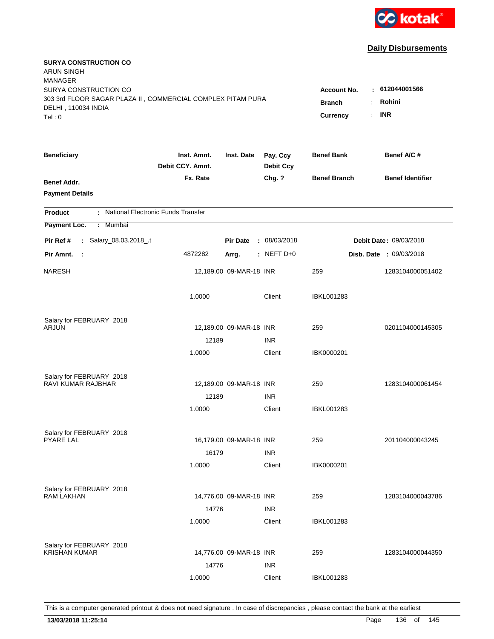

| <b>SURYA CONSTRUCTION CO</b><br><b>ARUN SINGH</b><br><b>MANAGER</b> |                                 |                         |                              |                     |                               |
|---------------------------------------------------------------------|---------------------------------|-------------------------|------------------------------|---------------------|-------------------------------|
| SURYA CONSTRUCTION CO                                               |                                 |                         |                              | <b>Account No.</b>  | : 612044001566                |
| 303 3rd FLOOR SAGAR PLAZA II, COMMERCIAL COMPLEX PITAM PURA         |                                 |                         |                              | <b>Branch</b>       | Rohini                        |
| DELHI, 110034 INDIA<br>Tel: 0                                       |                                 |                         |                              | <b>Currency</b>     | <b>INR</b><br>÷.              |
|                                                                     |                                 |                         |                              |                     |                               |
| <b>Beneficiary</b>                                                  | Inst. Amnt.<br>Debit CCY. Amnt. | Inst. Date              | Pay. Ccy<br><b>Debit Ccy</b> | <b>Benef Bank</b>   | Benef A/C #                   |
| <b>Benef Addr.</b>                                                  | Fx. Rate                        |                         | Chg. ?                       | <b>Benef Branch</b> | <b>Benef Identifier</b>       |
| <b>Payment Details</b>                                              |                                 |                         |                              |                     |                               |
| : National Electronic Funds Transfer<br><b>Product</b>              |                                 |                         |                              |                     |                               |
| Payment Loc.<br><b>Mumbai</b><br>÷.                                 |                                 |                         |                              |                     |                               |
| : Salary_08.03.2018_.t<br>Pir Ref #                                 |                                 | <b>Pir Date</b>         | : 08/03/2018                 |                     | <b>Debit Date: 09/03/2018</b> |
| Pir Amnt.<br>$\mathbb{R}^2$                                         | 4872282                         | Arrg.                   | : NEFT D+0                   |                     | Disb. Date : 09/03/2018       |
| <b>NARESH</b>                                                       |                                 | 12,189.00 09-MAR-18 INR |                              | 259                 | 1283104000051402              |
|                                                                     | 1.0000                          |                         | Client                       | <b>IBKL001283</b>   |                               |
| Salary for FEBRUARY 2018                                            |                                 |                         |                              |                     |                               |
| <b>ARJUN</b>                                                        |                                 | 12,189.00 09-MAR-18 INR |                              | 259                 | 0201104000145305              |
|                                                                     | 12189                           |                         | <b>INR</b>                   |                     |                               |
|                                                                     | 1.0000                          |                         | Client                       | IBK0000201          |                               |
| Salary for FEBRUARY 2018                                            |                                 |                         |                              |                     |                               |
| <b>RAVI KUMAR RAJBHAR</b>                                           |                                 | 12,189.00 09-MAR-18 INR |                              | 259                 | 1283104000061454              |
|                                                                     | 12189                           |                         | <b>INR</b>                   |                     |                               |
|                                                                     | 1.0000                          |                         | Client                       | <b>IBKL001283</b>   |                               |
| Salary for FEBRUARY 2018                                            |                                 |                         |                              |                     |                               |
| <b>PYARE LAL</b>                                                    |                                 | 16,179.00 09-MAR-18 INR |                              | 259                 | 201104000043245               |
|                                                                     | 16179                           |                         | <b>INR</b>                   |                     |                               |
|                                                                     | 1.0000                          |                         | Client                       | IBK0000201          |                               |
| Salary for FEBRUARY 2018                                            |                                 |                         |                              |                     |                               |
| <b>RAM LAKHAN</b>                                                   |                                 | 14,776.00 09-MAR-18 INR |                              | 259                 | 1283104000043786              |
|                                                                     | 14776                           |                         | <b>INR</b>                   |                     |                               |
|                                                                     | 1.0000                          |                         | Client                       | <b>IBKL001283</b>   |                               |
| Salary for FEBRUARY 2018                                            |                                 |                         |                              |                     |                               |
| <b>KRISHAN KUMAR</b>                                                |                                 | 14,776.00 09-MAR-18 INR |                              | 259                 | 1283104000044350              |
|                                                                     | 14776                           |                         | <b>INR</b>                   |                     |                               |
|                                                                     | 1.0000                          |                         | Client                       | <b>IBKL001283</b>   |                               |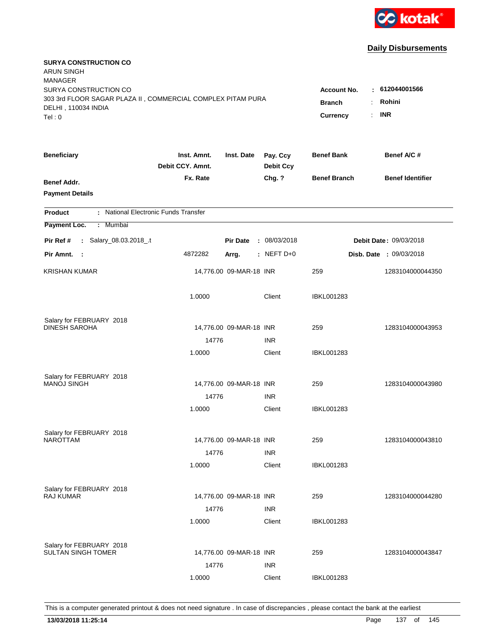

| <b>SURYA CONSTRUCTION CO</b><br><b>ARUN SINGH</b><br><b>MANAGER</b><br>SURYA CONSTRUCTION CO |                                                                     |                         |                              | <b>Account No.</b>  | : 612044001566                 |
|----------------------------------------------------------------------------------------------|---------------------------------------------------------------------|-------------------------|------------------------------|---------------------|--------------------------------|
| 303 3rd FLOOR SAGAR PLAZA II, COMMERCIAL COMPLEX PITAM PURA<br>DELHI, 110034 INDIA<br>Tel: 0 | <b>Branch</b><br>÷.<br>$\mathbb{R}^{\mathbb{Z}}$<br><b>Currency</b> | Rohini<br><b>INR</b>    |                              |                     |                                |
| <b>Beneficiary</b>                                                                           | Inst. Amnt.<br>Debit CCY, Amnt.                                     | Inst. Date              | Pay. Ccy<br><b>Debit Ccy</b> | <b>Benef Bank</b>   | Benef A/C #                    |
| Benef Addr.<br><b>Payment Details</b>                                                        | Fx. Rate                                                            |                         | Chg. ?                       | <b>Benef Branch</b> | <b>Benef Identifier</b>        |
| : National Electronic Funds Transfer<br><b>Product</b>                                       |                                                                     |                         |                              |                     |                                |
| Payment Loc.<br>Mumbai<br>÷.                                                                 |                                                                     |                         |                              |                     |                                |
| : Salary_08.03.2018_.t<br>Pir Ref #                                                          |                                                                     | <b>Pir Date</b>         | : 08/03/2018                 |                     | <b>Debit Date: 09/03/2018</b>  |
| Pir Amnt. :                                                                                  | 4872282                                                             | Arrg.                   | $:$ NEFT D+0                 |                     | <b>Disb. Date : 09/03/2018</b> |
| <b>KRISHAN KUMAR</b>                                                                         |                                                                     | 14,776.00 09-MAR-18 INR |                              | 259                 | 1283104000044350               |
|                                                                                              | 1.0000                                                              |                         | Client                       | <b>IBKL001283</b>   |                                |
| Salary for FEBRUARY 2018                                                                     |                                                                     |                         |                              |                     |                                |
| <b>DINESH SAROHA</b>                                                                         |                                                                     | 14,776.00 09-MAR-18 INR |                              | 259                 | 1283104000043953               |
|                                                                                              | 14776<br>1.0000                                                     |                         | <b>INR</b><br>Client         | <b>IBKL001283</b>   |                                |
| Salary for FEBRUARY 2018<br><b>MANOJ SINGH</b>                                               |                                                                     | 14,776.00 09-MAR-18 INR |                              | 259                 | 1283104000043980               |
|                                                                                              | 14776                                                               |                         | <b>INR</b>                   |                     |                                |
|                                                                                              | 1.0000                                                              |                         | Client                       | <b>IBKL001283</b>   |                                |
| Salary for FEBRUARY 2018                                                                     |                                                                     |                         |                              |                     |                                |
| <b>NAROTTAM</b>                                                                              |                                                                     | 14,776.00 09-MAR-18 INR |                              | 259                 | 1283104000043810               |
|                                                                                              | 14776<br>1.0000                                                     |                         | <b>INR</b><br>Client         | IBKL001283          |                                |
| Salary for FEBRUARY 2018                                                                     |                                                                     |                         |                              |                     |                                |
| <b>RAJ KUMAR</b>                                                                             |                                                                     | 14,776.00 09-MAR-18 INR |                              | 259                 | 1283104000044280               |
|                                                                                              | 14776<br>1.0000                                                     |                         | <b>INR</b><br>Client         | <b>IBKL001283</b>   |                                |
| Salary for FEBRUARY 2018<br><b>SULTAN SINGH TOMER</b>                                        | 14776                                                               | 14,776.00 09-MAR-18 INR | <b>INR</b>                   | 259                 | 1283104000043847               |
|                                                                                              | 1.0000                                                              |                         | Client                       | <b>IBKL001283</b>   |                                |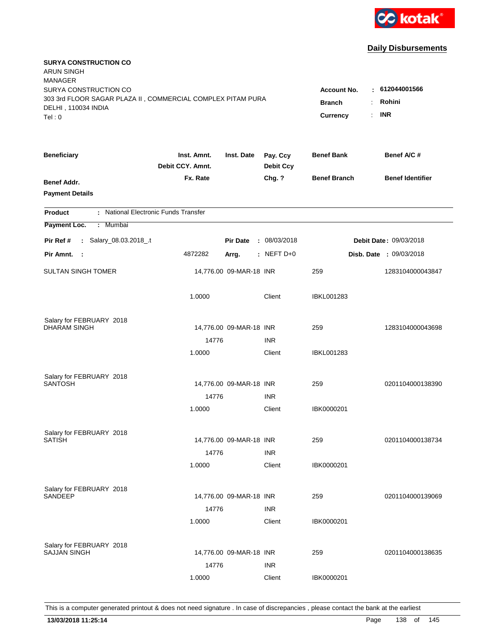

| <b>SURYA CONSTRUCTION CO</b><br><b>ARUN SINGH</b><br><b>MANAGER</b> |                                 |                         |                              |                     |                                |
|---------------------------------------------------------------------|---------------------------------|-------------------------|------------------------------|---------------------|--------------------------------|
| SURYA CONSTRUCTION CO                                               |                                 |                         |                              | <b>Account No.</b>  | : 612044001566                 |
| 303 3rd FLOOR SAGAR PLAZA II, COMMERCIAL COMPLEX PITAM PURA         |                                 |                         |                              | <b>Branch</b><br>÷  | Rohini                         |
| DELHI, 110034 INDIA                                                 |                                 |                         |                              | Currency<br>÷.      | <b>INR</b>                     |
| Tel: 0                                                              |                                 |                         |                              |                     |                                |
| <b>Beneficiary</b>                                                  | Inst. Amnt.<br>Debit CCY. Amnt. | Inst. Date              | Pay. Ccy<br><b>Debit Ccy</b> | <b>Benef Bank</b>   | Benef A/C #                    |
| Benef Addr.                                                         | Fx. Rate                        |                         | Chg. ?                       | <b>Benef Branch</b> | <b>Benef Identifier</b>        |
| <b>Payment Details</b>                                              |                                 |                         |                              |                     |                                |
| : National Electronic Funds Transfer<br><b>Product</b>              |                                 |                         |                              |                     |                                |
| Payment Loc.<br>: Mumbai                                            |                                 |                         |                              |                     |                                |
| : Salary_08.03.2018_.t<br>Pir Ref #                                 |                                 | <b>Pir Date</b>         | : 08/03/2018                 |                     | Debit Date: 09/03/2018         |
| Pir Amnt.<br>$\sim$ 1                                               | 4872282                         | Arrg.                   | $:$ NEFT D+0                 |                     | <b>Disb. Date : 09/03/2018</b> |
| <b>SULTAN SINGH TOMER</b>                                           |                                 | 14,776.00 09-MAR-18 INR |                              | 259                 | 1283104000043847               |
|                                                                     | 1.0000                          |                         | Client                       | <b>IBKL001283</b>   |                                |
| Salary for FEBRUARY 2018                                            |                                 |                         |                              |                     |                                |
| <b>DHARAM SINGH</b>                                                 |                                 | 14,776.00 09-MAR-18 INR |                              | 259                 | 1283104000043698               |
|                                                                     | 14776                           |                         | <b>INR</b>                   |                     |                                |
|                                                                     | 1.0000                          |                         | Client                       | IBKL001283          |                                |
| Salary for FEBRUARY 2018                                            |                                 |                         |                              |                     |                                |
| <b>SANTOSH</b>                                                      |                                 | 14,776.00 09-MAR-18 INR |                              | 259                 | 0201104000138390               |
|                                                                     | 14776                           |                         | <b>INR</b>                   |                     |                                |
|                                                                     | 1.0000                          |                         | Client                       | IBK0000201          |                                |
| Salary for FEBRUARY 2018                                            |                                 |                         |                              |                     |                                |
| <b>SATISH</b>                                                       |                                 | 14,776.00 09-MAR-18 INR |                              | 259                 | 0201104000138734               |
|                                                                     | 14776                           |                         | <b>INR</b>                   |                     |                                |
|                                                                     | 1.0000                          |                         | Client                       | IBK0000201          |                                |
| Salary for FEBRUARY 2018                                            |                                 |                         |                              |                     |                                |
| <b>SANDEEP</b>                                                      |                                 | 14,776.00 09-MAR-18 INR |                              | 259                 | 0201104000139069               |
|                                                                     | 14776                           |                         | <b>INR</b>                   |                     |                                |
|                                                                     | 1.0000                          |                         | Client                       | IBK0000201          |                                |
| Salary for FEBRUARY 2018                                            |                                 |                         |                              |                     |                                |
| <b>SAJJAN SINGH</b>                                                 |                                 | 14,776.00 09-MAR-18 INR |                              | 259                 | 0201104000138635               |
|                                                                     | 14776                           |                         | <b>INR</b>                   |                     |                                |
|                                                                     | 1.0000                          |                         | Client                       | IBK0000201          |                                |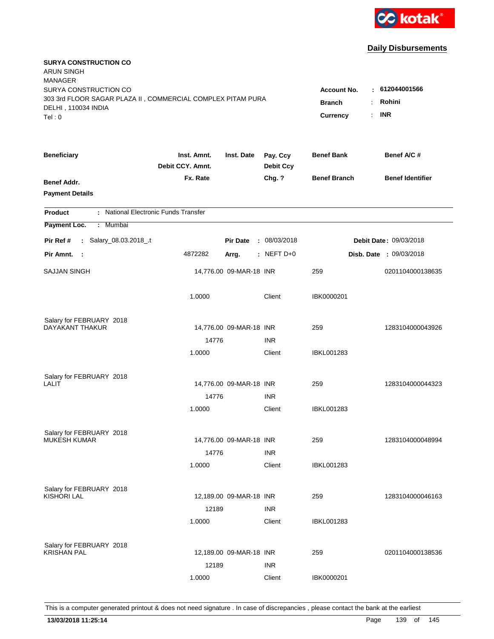

| <b>SURYA CONSTRUCTION CO</b><br>ARUN SINGH<br><b>MANAGER</b><br>SURYA CONSTRUCTION CO        |                                 |                         |                                                                                    |                     | : 612044001566                 |
|----------------------------------------------------------------------------------------------|---------------------------------|-------------------------|------------------------------------------------------------------------------------|---------------------|--------------------------------|
| 303 3rd FLOOR SAGAR PLAZA II, COMMERCIAL COMPLEX PITAM PURA<br>DELHI, 110034 INDIA<br>Tel: 0 |                                 |                         | <b>Account No.</b><br>Rohini<br><b>Branch</b><br>÷<br><b>INR</b><br>Currency<br>÷. |                     |                                |
| <b>Beneficiary</b>                                                                           | Inst. Amnt.<br>Debit CCY. Amnt. | Inst. Date              | Pay. Ccy<br><b>Debit Ccy</b>                                                       | <b>Benef Bank</b>   | Benef A/C #                    |
| Benef Addr.<br><b>Payment Details</b>                                                        | Fx. Rate                        |                         | Chg. ?                                                                             | <b>Benef Branch</b> | <b>Benef Identifier</b>        |
| : National Electronic Funds Transfer<br><b>Product</b>                                       |                                 |                         |                                                                                    |                     |                                |
| Payment Loc.<br>: Mumbai                                                                     |                                 |                         |                                                                                    |                     |                                |
| : Salary_08.03.2018_.t<br>Pir Ref #                                                          |                                 | <b>Pir Date</b>         | : 08/03/2018                                                                       |                     | <b>Debit Date: 09/03/2018</b>  |
| Pir Amnt.<br>$\sim$ 1                                                                        | 4872282                         | Arrg.                   | $:$ NEFT D+0                                                                       |                     | <b>Disb. Date : 09/03/2018</b> |
| SAJJAN SINGH                                                                                 |                                 | 14,776.00 09-MAR-18 INR |                                                                                    | 259                 | 0201104000138635               |
|                                                                                              | 1.0000                          |                         | Client                                                                             | IBK0000201          |                                |
| Salary for FEBRUARY 2018                                                                     |                                 |                         |                                                                                    |                     |                                |
| DAYAKANT THAKUR                                                                              |                                 | 14,776.00 09-MAR-18 INR |                                                                                    | 259                 | 1283104000043926               |
|                                                                                              | 14776<br>1.0000                 |                         | <b>INR</b><br>Client                                                               | <b>IBKL001283</b>   |                                |
|                                                                                              |                                 |                         |                                                                                    |                     |                                |
| Salary for FEBRUARY 2018                                                                     |                                 |                         |                                                                                    |                     |                                |
| LALIT                                                                                        |                                 | 14,776.00 09-MAR-18 INR |                                                                                    | 259                 | 1283104000044323               |
|                                                                                              | 14776                           |                         | <b>INR</b>                                                                         |                     |                                |
|                                                                                              | 1.0000                          |                         | Client                                                                             | IBKL001283          |                                |
| Salary for FEBRUARY 2018                                                                     |                                 |                         |                                                                                    |                     |                                |
| <b>MUKESH KUMAR</b>                                                                          |                                 | 14,776.00 09-MAR-18 INR |                                                                                    | 259                 | 1283104000048994               |
|                                                                                              | 14776                           |                         | <b>INR</b>                                                                         |                     |                                |
|                                                                                              | 1.0000                          |                         | Client                                                                             | <b>IBKL001283</b>   |                                |
| Salary for FEBRUARY 2018                                                                     |                                 |                         |                                                                                    |                     |                                |
| KISHORI LAL                                                                                  |                                 | 12,189.00 09-MAR-18 INR |                                                                                    | 259                 | 1283104000046163               |
|                                                                                              | 12189                           |                         | <b>INR</b>                                                                         |                     |                                |
|                                                                                              | 1.0000                          |                         | Client                                                                             | <b>IBKL001283</b>   |                                |
| Salary for FEBRUARY 2018                                                                     |                                 |                         |                                                                                    |                     |                                |
| <b>KRISHAN PAL</b>                                                                           |                                 | 12,189.00 09-MAR-18 INR |                                                                                    | 259                 | 0201104000138536               |
|                                                                                              | 12189                           |                         | <b>INR</b>                                                                         |                     |                                |
|                                                                                              | 1.0000                          |                         | Client                                                                             | IBK0000201          |                                |
|                                                                                              |                                 |                         |                                                                                    |                     |                                |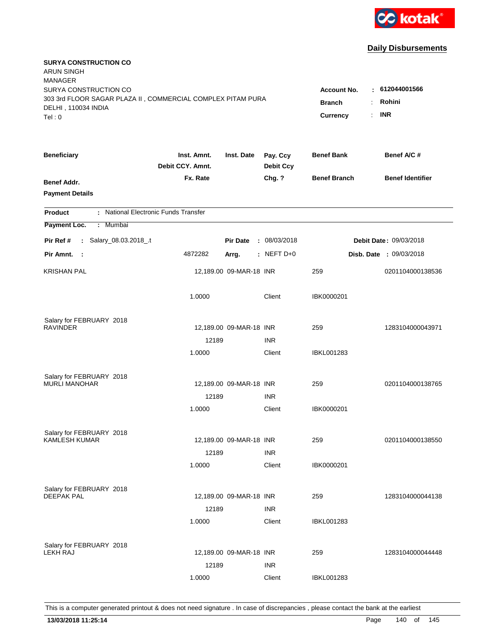

| <b>SURYA CONSTRUCTION CO</b><br><b>ARUN SINGH</b><br><b>MANAGER</b><br>SURYA CONSTRUCTION CO |                                 |                                                                                                                   |                              |                     | : 612044001566                 |
|----------------------------------------------------------------------------------------------|---------------------------------|-------------------------------------------------------------------------------------------------------------------|------------------------------|---------------------|--------------------------------|
| 303 3rd FLOOR SAGAR PLAZA II, COMMERCIAL COMPLEX PITAM PURA<br>DELHI, 110034 INDIA<br>Tel: 0 |                                 | <b>Account No.</b><br>Rohini<br><b>Branch</b><br>÷.<br><b>INR</b><br>$\mathbb{R}^{\mathbb{Z}}$<br><b>Currency</b> |                              |                     |                                |
| <b>Beneficiary</b>                                                                           | Inst. Amnt.<br>Debit CCY, Amnt. | Inst. Date                                                                                                        | Pay. Ccy<br><b>Debit Ccy</b> | <b>Benef Bank</b>   | Benef A/C #                    |
| Benef Addr.<br><b>Payment Details</b>                                                        | Fx. Rate                        |                                                                                                                   | Chg. ?                       | <b>Benef Branch</b> | <b>Benef Identifier</b>        |
| : National Electronic Funds Transfer<br><b>Product</b>                                       |                                 |                                                                                                                   |                              |                     |                                |
| Payment Loc.<br>Mumbai<br>÷.                                                                 |                                 |                                                                                                                   |                              |                     |                                |
| : Salary_08.03.2018_.t<br>Pir Ref #                                                          |                                 | <b>Pir Date</b>                                                                                                   | : 08/03/2018                 |                     | <b>Debit Date: 09/03/2018</b>  |
| Pir Amnt. :                                                                                  | 4872282                         | Arrg.                                                                                                             | $:$ NEFT D+0                 |                     | <b>Disb. Date : 09/03/2018</b> |
| <b>KRISHAN PAL</b>                                                                           |                                 | 12,189.00 09-MAR-18 INR                                                                                           |                              | 259                 | 0201104000138536               |
|                                                                                              | 1.0000                          |                                                                                                                   | Client                       | IBK0000201          |                                |
| Salary for FEBRUARY 2018                                                                     |                                 |                                                                                                                   |                              |                     |                                |
| <b>RAVINDER</b>                                                                              |                                 | 12,189.00 09-MAR-18 INR                                                                                           |                              | 259                 | 1283104000043971               |
|                                                                                              | 12189<br>1.0000                 |                                                                                                                   | <b>INR</b><br>Client         | <b>IBKL001283</b>   |                                |
|                                                                                              |                                 |                                                                                                                   |                              |                     |                                |
| Salary for FEBRUARY 2018                                                                     |                                 |                                                                                                                   |                              |                     |                                |
| <b>MURLI MANOHAR</b>                                                                         |                                 | 12,189.00 09-MAR-18 INR                                                                                           |                              | 259                 | 0201104000138765               |
|                                                                                              | 12189                           |                                                                                                                   | <b>INR</b>                   |                     |                                |
|                                                                                              | 1.0000                          |                                                                                                                   | Client                       | IBK0000201          |                                |
| Salary for FEBRUARY 2018                                                                     |                                 |                                                                                                                   |                              |                     |                                |
| <b>KAMLESH KUMAR</b>                                                                         |                                 | 12,189.00 09-MAR-18 INR                                                                                           |                              | 259                 | 0201104000138550               |
|                                                                                              | 12189                           |                                                                                                                   | <b>INR</b>                   |                     |                                |
|                                                                                              | 1.0000                          |                                                                                                                   | Client                       | IBK0000201          |                                |
| Salary for FEBRUARY 2018                                                                     |                                 |                                                                                                                   |                              |                     |                                |
| <b>DEEPAK PAL</b>                                                                            |                                 | 12,189.00 09-MAR-18 INR                                                                                           |                              | 259                 | 1283104000044138               |
|                                                                                              | 12189                           |                                                                                                                   | <b>INR</b>                   |                     |                                |
|                                                                                              | 1.0000                          |                                                                                                                   | Client                       | <b>IBKL001283</b>   |                                |
| Salary for FEBRUARY 2018                                                                     |                                 |                                                                                                                   |                              |                     |                                |
| <b>LEKH RAJ</b>                                                                              |                                 | 12,189.00 09-MAR-18 INR                                                                                           |                              | 259                 | 1283104000044448               |
|                                                                                              | 12189                           |                                                                                                                   | <b>INR</b>                   |                     |                                |
|                                                                                              | 1.0000                          |                                                                                                                   | Client                       | <b>IBKL001283</b>   |                                |
|                                                                                              |                                 |                                                                                                                   |                              |                     |                                |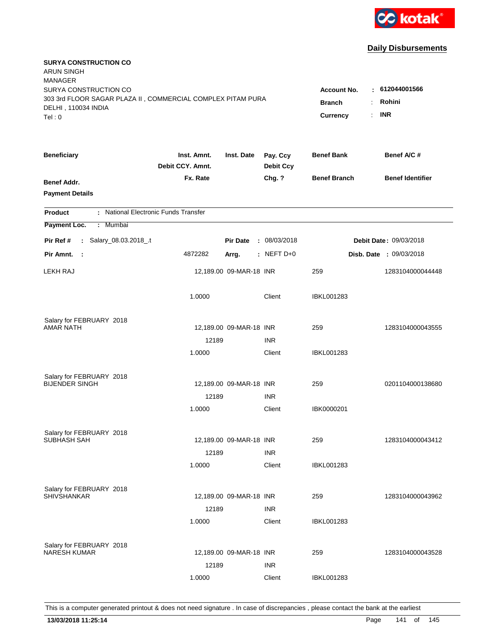

| <b>SURYA CONSTRUCTION CO</b><br><b>ARUN SINGH</b><br><b>MANAGER</b> |                                 |                         |                              |                                              |                                |
|---------------------------------------------------------------------|---------------------------------|-------------------------|------------------------------|----------------------------------------------|--------------------------------|
| SURYA CONSTRUCTION CO                                               |                                 |                         |                              | <b>Account No.</b>                           | : 612044001566                 |
| 303 3rd FLOOR SAGAR PLAZA II, COMMERCIAL COMPLEX PITAM PURA         |                                 |                         |                              | <b>Branch</b><br>÷                           | Rohini                         |
| DELHI, 110034 INDIA<br>Tel: 0                                       |                                 |                         |                              | $\mathbb{R}^{\mathbb{Z}}$<br><b>Currency</b> | <b>INR</b>                     |
|                                                                     |                                 |                         |                              |                                              |                                |
| <b>Beneficiary</b>                                                  | Inst. Amnt.<br>Debit CCY, Amnt. | Inst. Date              | Pay. Ccy<br><b>Debit Ccy</b> | <b>Benef Bank</b>                            | Benef A/C #                    |
| Benef Addr.                                                         | Fx. Rate                        |                         | Chg. ?                       | <b>Benef Branch</b>                          | <b>Benef Identifier</b>        |
| <b>Payment Details</b>                                              |                                 |                         |                              |                                              |                                |
| : National Electronic Funds Transfer<br><b>Product</b>              |                                 |                         |                              |                                              |                                |
| Payment Loc.<br>Mumbai<br>÷.                                        |                                 |                         |                              |                                              |                                |
| : Salary_08.03.2018_.t<br>Pir Ref #                                 |                                 | <b>Pir Date</b>         | : 08/03/2018                 |                                              | <b>Debit Date: 09/03/2018</b>  |
| Pir Amnt.<br>$\sim$ 1                                               | 4872282                         | Arrg.                   | $:$ NEFT D+0                 |                                              | <b>Disb. Date : 09/03/2018</b> |
| <b>LEKH RAJ</b>                                                     |                                 | 12,189.00 09-MAR-18 INR |                              | 259                                          | 1283104000044448               |
|                                                                     | 1.0000                          |                         | Client                       | <b>IBKL001283</b>                            |                                |
| Salary for FEBRUARY 2018                                            |                                 |                         |                              |                                              |                                |
| <b>AMAR NATH</b>                                                    |                                 | 12,189.00 09-MAR-18 INR |                              | 259                                          | 1283104000043555               |
|                                                                     | 12189                           |                         | <b>INR</b>                   |                                              |                                |
|                                                                     | 1.0000                          |                         | Client                       | <b>IBKL001283</b>                            |                                |
| Salary for FEBRUARY 2018                                            |                                 |                         |                              |                                              |                                |
| <b>BIJENDER SINGH</b>                                               |                                 | 12,189.00 09-MAR-18 INR |                              | 259                                          | 0201104000138680               |
|                                                                     | 12189                           |                         | <b>INR</b>                   |                                              |                                |
|                                                                     | 1.0000                          |                         | Client                       | IBK0000201                                   |                                |
| Salary for FEBRUARY 2018                                            |                                 |                         |                              |                                              |                                |
| SUBHASH SAH                                                         |                                 | 12,189.00 09-MAR-18 INR |                              | 259                                          | 1283104000043412               |
|                                                                     | 12189                           |                         | <b>INR</b>                   |                                              |                                |
|                                                                     | 1.0000                          |                         | Client                       | IBKL001283                                   |                                |
|                                                                     |                                 |                         |                              |                                              |                                |
| Salary for FEBRUARY 2018<br><b>SHIVSHANKAR</b>                      |                                 | 12,189.00 09-MAR-18 INR |                              | 259                                          | 1283104000043962               |
|                                                                     | 12189                           |                         | <b>INR</b>                   |                                              |                                |
|                                                                     | 1.0000                          |                         | Client                       | <b>IBKL001283</b>                            |                                |
|                                                                     |                                 |                         |                              |                                              |                                |
| Salary for FEBRUARY 2018<br><b>NARESH KUMAR</b>                     |                                 | 12,189.00 09-MAR-18 INR |                              | 259                                          | 1283104000043528               |
|                                                                     | 12189                           |                         | <b>INR</b>                   |                                              |                                |
|                                                                     | 1.0000                          |                         | Client                       | <b>IBKL001283</b>                            |                                |
|                                                                     |                                 |                         |                              |                                              |                                |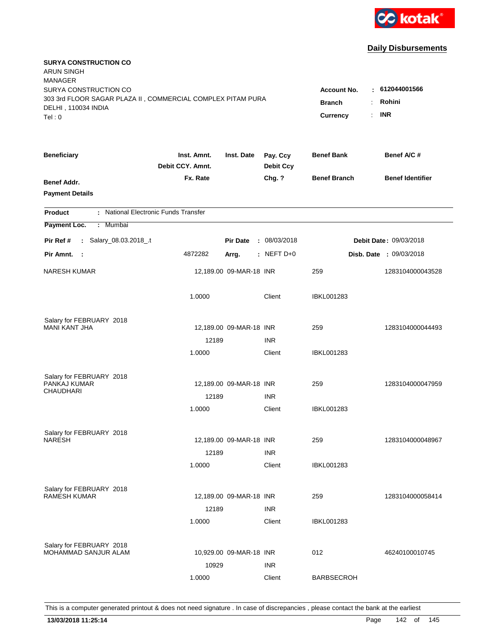

| <b>SURYA CONSTRUCTION CO</b><br><b>ARUN SINGH</b><br><b>MANAGER</b>                                                   |                  |                         |                                                                                                                           |                     |                                |
|-----------------------------------------------------------------------------------------------------------------------|------------------|-------------------------|---------------------------------------------------------------------------------------------------------------------------|---------------------|--------------------------------|
| SURYA CONSTRUCTION CO<br>303 3rd FLOOR SAGAR PLAZA II, COMMERCIAL COMPLEX PITAM PURA<br>DELHI, 110034 INDIA<br>Tel: 0 |                  |                         | $-612044001566$<br><b>Account No.</b><br>Rohini<br><b>Branch</b><br>$\ddot{\cdot}$<br><b>INR</b><br><b>Currency</b><br>÷. |                     |                                |
| <b>Beneficiary</b>                                                                                                    | Inst. Amnt.      | Inst. Date              | Pay. Ccy                                                                                                                  | <b>Benef Bank</b>   | Benef A/C#                     |
|                                                                                                                       | Debit CCY. Amnt. |                         | <b>Debit Ccy</b>                                                                                                          |                     |                                |
| Benef Addr.<br><b>Payment Details</b>                                                                                 | Fx. Rate         |                         | Chg. ?                                                                                                                    | <b>Benef Branch</b> | <b>Benef Identifier</b>        |
| : National Electronic Funds Transfer<br><b>Product</b>                                                                |                  |                         |                                                                                                                           |                     |                                |
| Payment Loc.<br>: Mumbai                                                                                              |                  |                         |                                                                                                                           |                     |                                |
| : Salary_08.03.2018_.t<br>Pir Ref #                                                                                   |                  | <b>Pir Date</b>         | : 08/03/2018                                                                                                              |                     | <b>Debit Date: 09/03/2018</b>  |
| Pir Amnt. :                                                                                                           | 4872282          | Arrg.                   | $:$ NEFT D+0                                                                                                              |                     | <b>Disb. Date : 09/03/2018</b> |
| <b>NARESH KUMAR</b>                                                                                                   |                  | 12,189.00 09-MAR-18 INR |                                                                                                                           | 259                 | 1283104000043528               |
|                                                                                                                       | 1.0000           |                         | Client                                                                                                                    | <b>IBKL001283</b>   |                                |
| Salary for FEBRUARY 2018                                                                                              |                  |                         |                                                                                                                           |                     |                                |
| <b>MANI KANT JHA</b>                                                                                                  |                  | 12,189.00 09-MAR-18 INR |                                                                                                                           | 259                 | 1283104000044493               |
|                                                                                                                       | 12189<br>1.0000  |                         | <b>INR</b><br>Client                                                                                                      | <b>IBKL001283</b>   |                                |
|                                                                                                                       |                  |                         |                                                                                                                           |                     |                                |
| Salary for FEBRUARY 2018                                                                                              |                  |                         |                                                                                                                           |                     |                                |
| PANKAJ KUMAR<br><b>CHAUDHARI</b>                                                                                      |                  | 12,189.00 09-MAR-18 INR |                                                                                                                           | 259                 | 1283104000047959               |
|                                                                                                                       | 12189            |                         | <b>INR</b>                                                                                                                |                     |                                |
|                                                                                                                       | 1.0000           |                         | Client                                                                                                                    | <b>IBKL001283</b>   |                                |
| Salary for FEBRUARY 2018                                                                                              |                  |                         |                                                                                                                           |                     |                                |
| <b>NARESH</b>                                                                                                         |                  | 12,189.00 09-MAR-18 INR |                                                                                                                           | 259                 | 1283104000048967               |
|                                                                                                                       | 12189            |                         | <b>INR</b>                                                                                                                |                     |                                |
|                                                                                                                       | 1.0000           |                         | Client                                                                                                                    | IBKL001283          |                                |
| Salary for FEBRUARY 2018                                                                                              |                  |                         |                                                                                                                           |                     |                                |
| <b>RAMESH KUMAR</b>                                                                                                   |                  | 12,189.00 09-MAR-18 INR |                                                                                                                           | 259                 | 1283104000058414               |
|                                                                                                                       | 12189            |                         | <b>INR</b>                                                                                                                |                     |                                |
|                                                                                                                       | 1.0000           |                         | Client                                                                                                                    | <b>IBKL001283</b>   |                                |
|                                                                                                                       |                  |                         |                                                                                                                           |                     |                                |
| Salary for FEBRUARY 2018<br>MOHAMMAD SANJUR ALAM                                                                      |                  | 10,929.00 09-MAR-18 INR |                                                                                                                           | 012                 | 46240100010745                 |
|                                                                                                                       | 10929            |                         | <b>INR</b>                                                                                                                |                     |                                |
|                                                                                                                       | 1.0000           |                         | Client                                                                                                                    | <b>BARBSECROH</b>   |                                |
|                                                                                                                       |                  |                         |                                                                                                                           |                     |                                |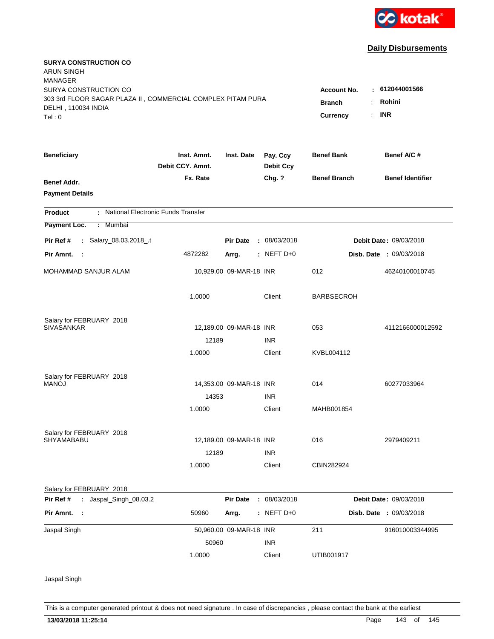

| <b>SURYA CONSTRUCTION CO</b><br><b>ARUN SINGH</b>           |                                 |                         |                              |                     |                                |
|-------------------------------------------------------------|---------------------------------|-------------------------|------------------------------|---------------------|--------------------------------|
| <b>MANAGER</b>                                              |                                 |                         |                              |                     |                                |
| SURYA CONSTRUCTION CO                                       |                                 |                         |                              | Account No.         | 612044001566<br>٠              |
| 303 3rd FLOOR SAGAR PLAZA II, COMMERCIAL COMPLEX PITAM PURA |                                 |                         |                              | <b>Branch</b>       | Rohini                         |
| DELHI, 110034 INDIA<br>Tel: 0                               |                                 |                         |                              | <b>Currency</b>     | <b>INR</b>                     |
|                                                             |                                 |                         |                              |                     |                                |
| <b>Beneficiary</b>                                          | Inst. Amnt.<br>Debit CCY. Amnt. | Inst. Date              | Pay. Ccy<br><b>Debit Ccy</b> | <b>Benef Bank</b>   | Benef A/C#                     |
| Benef Addr.                                                 | Fx. Rate                        |                         | Chg. ?                       | <b>Benef Branch</b> | <b>Benef Identifier</b>        |
| <b>Payment Details</b>                                      |                                 |                         |                              |                     |                                |
| : National Electronic Funds Transfer<br><b>Product</b>      |                                 |                         |                              |                     |                                |
| Payment Loc.<br>: Mumbai                                    |                                 |                         |                              |                     |                                |
| : Salary_08.03.2018_.t<br>Pir Ref #                         |                                 | <b>Pir Date</b>         | : 08/03/2018                 |                     | Debit Date: 09/03/2018         |
| Pir Amnt. :                                                 | 4872282                         | Arrg.                   | $:$ NEFT D+0                 |                     | <b>Disb. Date : 09/03/2018</b> |
| MOHAMMAD SANJUR ALAM                                        |                                 | 10,929.00 09-MAR-18 INR |                              | 012                 | 46240100010745                 |
|                                                             | 1.0000                          |                         | Client                       | <b>BARBSECROH</b>   |                                |
| Salary for FEBRUARY 2018                                    |                                 |                         |                              |                     |                                |
| <b>SIVASANKAR</b>                                           |                                 | 12,189.00 09-MAR-18 INR |                              | 053                 | 4112166000012592               |
|                                                             | 12189                           |                         | <b>INR</b>                   |                     |                                |
|                                                             | 1.0000                          |                         | Client                       | KVBL004112          |                                |
| Salary for FEBRUARY 2018                                    |                                 |                         |                              |                     |                                |
| <b>MANOJ</b>                                                |                                 | 14,353.00 09-MAR-18 INR |                              | 014                 | 60277033964                    |
|                                                             | 14353                           |                         | <b>INR</b>                   |                     |                                |
|                                                             | 1.0000                          |                         | Client                       | MAHB001854          |                                |
| Salary for FEBRUARY 2018                                    |                                 |                         |                              |                     |                                |
| <b>SHYAMABABU</b>                                           |                                 | 12,189.00 09-MAR-18 INR |                              | 016                 | 2979409211                     |
|                                                             | 12189                           |                         | <b>INR</b>                   |                     |                                |
|                                                             | 1.0000                          |                         | Client                       | CBIN282924          |                                |
| Salary for FEBRUARY 2018                                    |                                 |                         |                              |                     |                                |
| Pir Ref #<br>: Jaspal_Singh_08.03.2                         |                                 | <b>Pir Date</b>         | : 08/03/2018                 |                     | Debit Date: 09/03/2018         |
| Pir Amnt. :                                                 | 50960                           | Arrg.                   | $:$ NEFT D+0                 |                     | Disb. Date : 09/03/2018        |
| Jaspal Singh                                                |                                 | 50,960.00 09-MAR-18 INR |                              | 211                 | 916010003344995                |
|                                                             | 50960                           |                         | <b>INR</b>                   |                     |                                |
|                                                             | 1.0000                          |                         | Client                       | UTIB001917          |                                |
| Jaspal Singh                                                |                                 |                         |                              |                     |                                |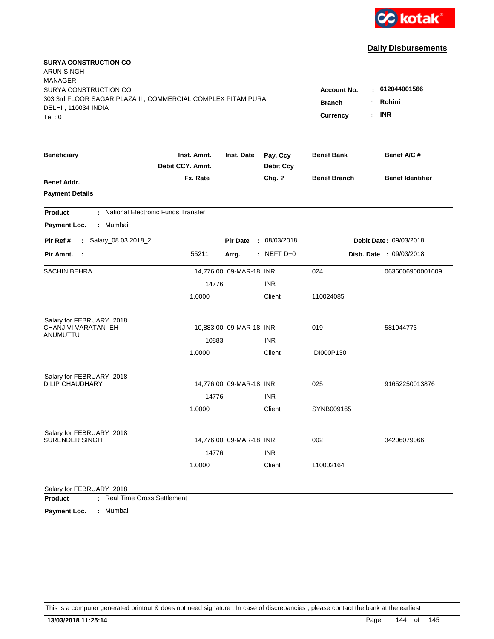

| <b>SURYA CONSTRUCTION CO</b><br><b>ARUN SINGH</b>                                  |                  |                         |                  |                         |                         |
|------------------------------------------------------------------------------------|------------------|-------------------------|------------------|-------------------------|-------------------------|
| <b>MANAGER</b>                                                                     |                  |                         |                  |                         |                         |
| SURYA CONSTRUCTION CO                                                              |                  |                         |                  | <b>Account No.</b>      | 612044001566            |
| 303 3rd FLOOR SAGAR PLAZA II, COMMERCIAL COMPLEX PITAM PURA<br>DELHI, 110034 INDIA |                  |                         |                  | <b>Branch</b>           | Rohini                  |
| Tel: 0                                                                             |                  |                         |                  | <b>Currency</b>         | <b>INR</b><br>÷.        |
| <b>Beneficiary</b>                                                                 | Inst. Amnt.      | Inst. Date              | Pay. Ccy         | <b>Benef Bank</b>       | Benef A/C #             |
|                                                                                    | Debit CCY. Amnt. |                         | <b>Debit Ccy</b> |                         |                         |
| <b>Benef Addr.</b>                                                                 | Fx. Rate         |                         | Chg. ?           | <b>Benef Branch</b>     | <b>Benef Identifier</b> |
| <b>Payment Details</b>                                                             |                  |                         |                  |                         |                         |
| : National Electronic Funds Transfer<br><b>Product</b>                             |                  |                         |                  |                         |                         |
| Payment Loc.<br>: Mumbai                                                           |                  |                         |                  |                         |                         |
| : Salary_08.03.2018_2.<br>Pir Ref #                                                |                  | <b>Pir Date</b>         | : 08/03/2018     |                         | Debit Date: 09/03/2018  |
| Pir Amnt.<br>$\sim$ 1                                                              | 55211            | Arrg.                   | $:$ NEFT D+0     | Disb. Date : 09/03/2018 |                         |
| <b>SACHIN BEHRA</b>                                                                |                  | 14,776.00 09-MAR-18 INR |                  | 024                     | 0636006900001609        |
|                                                                                    | 14776            |                         | <b>INR</b>       |                         |                         |
|                                                                                    | 1.0000           |                         | Client           | 110024085               |                         |
| Salary for FEBRUARY 2018                                                           |                  |                         |                  |                         |                         |
| CHANJIVI VARATAN EH<br>ANUMUTTU                                                    |                  | 10,883.00 09-MAR-18 INR |                  | 019                     | 581044773               |
|                                                                                    | 10883            |                         | <b>INR</b>       |                         |                         |
|                                                                                    | 1.0000           |                         | Client           | IDI000P130              |                         |
| Salary for FEBRUARY 2018                                                           |                  |                         |                  |                         |                         |
| <b>DILIP CHAUDHARY</b>                                                             |                  | 14,776.00 09-MAR-18 INR |                  | 025                     | 91652250013876          |
|                                                                                    | 14776            |                         | <b>INR</b>       |                         |                         |
|                                                                                    | 1.0000           |                         | Client           | SYNB009165              |                         |
| Salary for FEBRUARY 2018                                                           |                  |                         |                  |                         |                         |
| <b>SURENDER SINGH</b>                                                              |                  | 14,776.00 09-MAR-18 INR |                  | 002                     | 34206079066             |
|                                                                                    | 14776            |                         | <b>INR</b>       |                         |                         |
|                                                                                    | 1.0000           |                         | Client           | 110002164               |                         |
| Salary for FEBRUARY 2018                                                           |                  |                         |                  |                         |                         |
| : Real Time Gross Settlement<br><b>Product</b>                                     |                  |                         |                  |                         |                         |

**Payment Loc. : Mumbai**